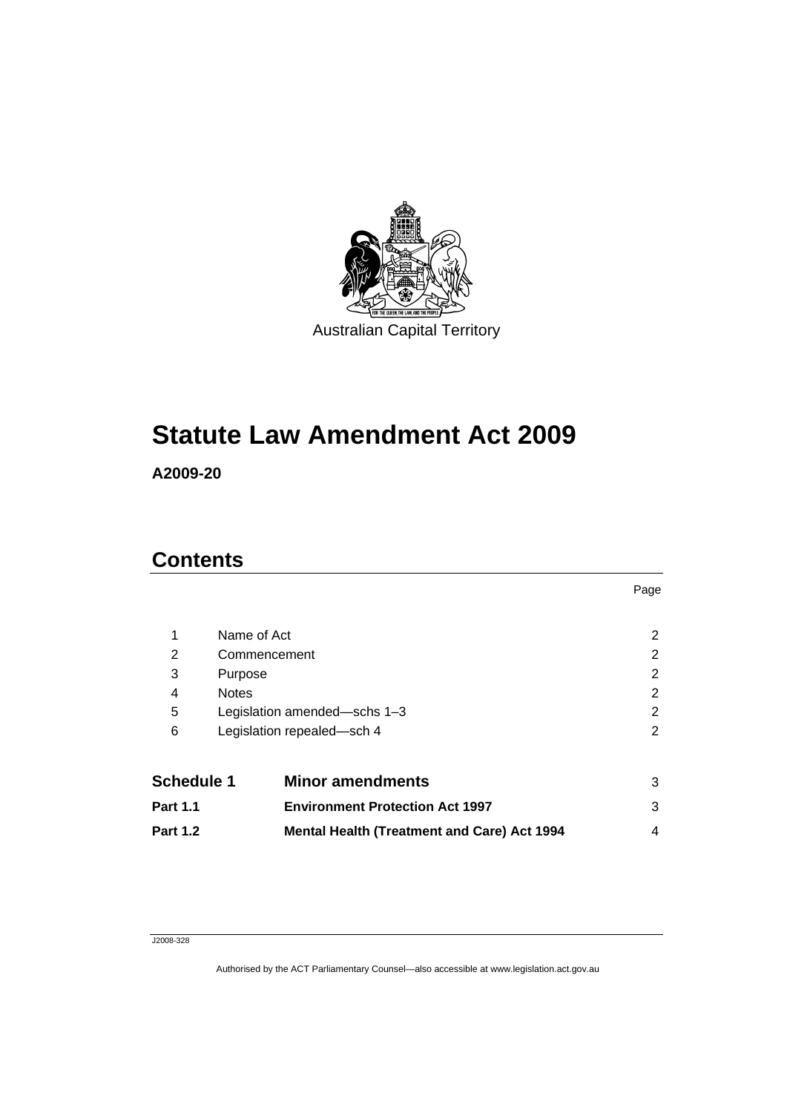

# **[Statute Law Amendment Act 2009](#page-6-0)**

**A2009-20** 

# **Contents**

| 1                 | Name of Act                  |                                                    | 2 |
|-------------------|------------------------------|----------------------------------------------------|---|
| 2                 | Commencement                 |                                                    | 2 |
| 3                 | Purpose                      |                                                    | 2 |
| 4                 | <b>Notes</b>                 |                                                    | 2 |
| 5                 | Legislation amended-schs 1-3 |                                                    | 2 |
| 6                 |                              | Legislation repealed-sch 4                         | 2 |
| <b>Schedule 1</b> |                              | <b>Minor amendments</b>                            | 3 |
| <b>Part 1.1</b>   |                              | <b>Environment Protection Act 1997</b>             | 3 |
| <b>Part 1.2</b>   |                              | <b>Mental Health (Treatment and Care) Act 1994</b> | 4 |

Page

#### J2008-328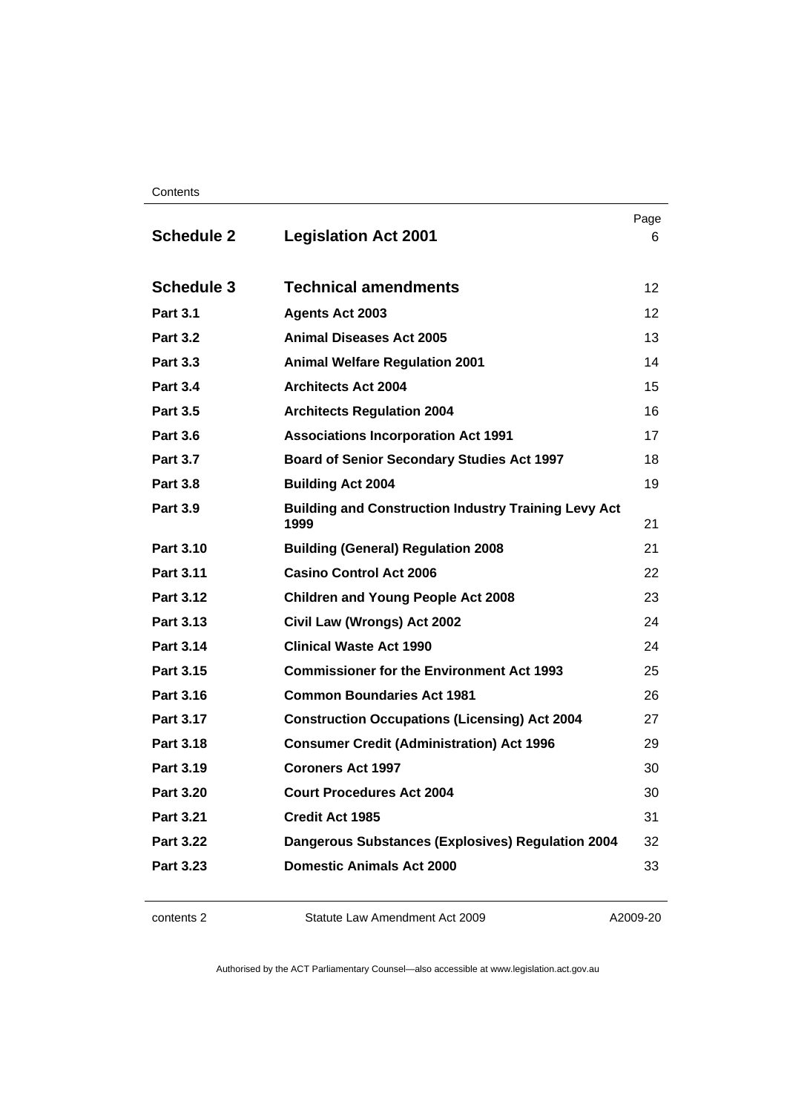| Contents |
|----------|
|----------|

| <b>Schedule 2</b> | <b>Legislation Act 2001</b>                                         | Page<br>6       |
|-------------------|---------------------------------------------------------------------|-----------------|
| <b>Schedule 3</b> | <b>Technical amendments</b>                                         | 12 <sup>2</sup> |
| <b>Part 3.1</b>   | <b>Agents Act 2003</b>                                              | 12 <sup>2</sup> |
| <b>Part 3.2</b>   | <b>Animal Diseases Act 2005</b>                                     | 13              |
| <b>Part 3.3</b>   | <b>Animal Welfare Regulation 2001</b>                               | 14              |
| <b>Part 3.4</b>   | <b>Architects Act 2004</b>                                          | 15              |
| <b>Part 3.5</b>   | <b>Architects Regulation 2004</b>                                   | 16              |
| <b>Part 3.6</b>   | <b>Associations Incorporation Act 1991</b>                          | 17              |
| <b>Part 3.7</b>   | <b>Board of Senior Secondary Studies Act 1997</b>                   | 18              |
| <b>Part 3.8</b>   | <b>Building Act 2004</b>                                            | 19              |
| <b>Part 3.9</b>   | <b>Building and Construction Industry Training Levy Act</b><br>1999 | 21              |
| Part 3.10         | <b>Building (General) Regulation 2008</b>                           | 21              |
| Part 3.11         | <b>Casino Control Act 2006</b>                                      | 22              |
| <b>Part 3.12</b>  | <b>Children and Young People Act 2008</b>                           | 23              |
| Part 3.13         | Civil Law (Wrongs) Act 2002                                         | 24              |
| <b>Part 3.14</b>  | <b>Clinical Waste Act 1990</b>                                      | 24              |
| Part 3.15         | <b>Commissioner for the Environment Act 1993</b>                    | 25              |
| Part 3.16         | <b>Common Boundaries Act 1981</b>                                   | 26              |
| Part 3.17         | <b>Construction Occupations (Licensing) Act 2004</b>                | 27              |
| Part 3.18         | <b>Consumer Credit (Administration) Act 1996</b>                    | 29              |
| Part 3.19         | <b>Coroners Act 1997</b>                                            | 30              |
| <b>Part 3.20</b>  | <b>Court Procedures Act 2004</b>                                    | 30              |
| Part 3.21         | <b>Credit Act 1985</b>                                              | 31              |
| <b>Part 3.22</b>  | <b>Dangerous Substances (Explosives) Regulation 2004</b>            | 32              |
| Part 3.23         | <b>Domestic Animals Act 2000</b>                                    | 33              |

contents 2 Statute Law Amendment Act 2009

A2009-20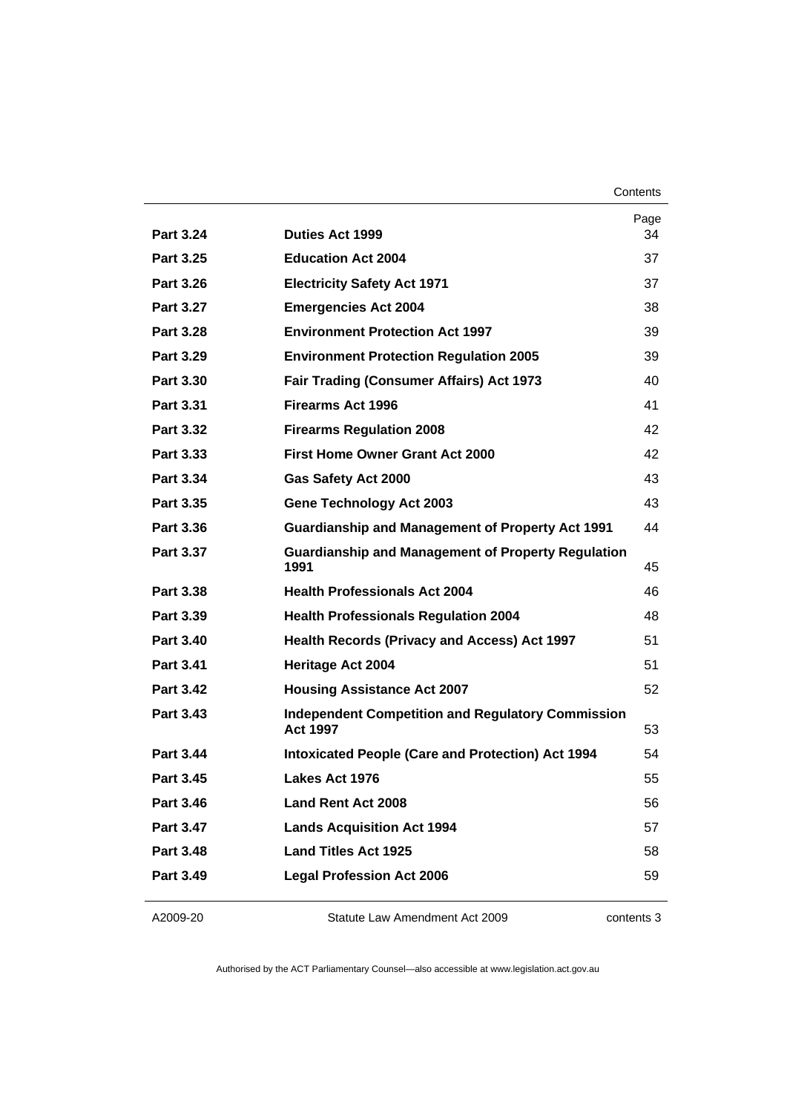**Contents** 

| <b>Part 3.24</b> | <b>Duties Act 1999</b>                                                      | Page<br>34 |
|------------------|-----------------------------------------------------------------------------|------------|
| Part 3.25        | <b>Education Act 2004</b>                                                   | 37         |
| <b>Part 3.26</b> | <b>Electricity Safety Act 1971</b>                                          | 37         |
| <b>Part 3.27</b> | <b>Emergencies Act 2004</b>                                                 | 38         |
| <b>Part 3.28</b> | <b>Environment Protection Act 1997</b>                                      | 39         |
| Part 3.29        | <b>Environment Protection Regulation 2005</b>                               | 39         |
| <b>Part 3.30</b> | Fair Trading (Consumer Affairs) Act 1973                                    | 40         |
| Part 3.31        | <b>Firearms Act 1996</b>                                                    | 41         |
| <b>Part 3.32</b> | <b>Firearms Regulation 2008</b>                                             | 42         |
| Part 3.33        | <b>First Home Owner Grant Act 2000</b>                                      | 42         |
| Part 3.34        | Gas Safety Act 2000                                                         | 43         |
| Part 3.35        | <b>Gene Technology Act 2003</b>                                             | 43         |
| Part 3.36        | <b>Guardianship and Management of Property Act 1991</b>                     | 44         |
| <b>Part 3.37</b> | <b>Guardianship and Management of Property Regulation</b><br>1991           | 45         |
| Part 3.38        | <b>Health Professionals Act 2004</b>                                        | 46         |
| Part 3.39        | <b>Health Professionals Regulation 2004</b>                                 | 48         |
| <b>Part 3.40</b> | <b>Health Records (Privacy and Access) Act 1997</b>                         | 51         |
| Part 3.41        | <b>Heritage Act 2004</b>                                                    | 51         |
| <b>Part 3.42</b> | <b>Housing Assistance Act 2007</b>                                          | 52         |
| <b>Part 3.43</b> | <b>Independent Competition and Regulatory Commission</b><br><b>Act 1997</b> | 53         |
| <b>Part 3.44</b> | <b>Intoxicated People (Care and Protection) Act 1994</b>                    | 54         |
| <b>Part 3.45</b> | Lakes Act 1976                                                              | 55         |
| Part 3.46        | <b>Land Rent Act 2008</b>                                                   | 56         |
| <b>Part 3.47</b> | <b>Lands Acquisition Act 1994</b>                                           | 57         |
| <b>Part 3.48</b> | <b>Land Titles Act 1925</b>                                                 | 58         |
| Part 3.49        | <b>Legal Profession Act 2006</b>                                            | 59         |
|                  |                                                                             |            |

#### A2009-20

Statute Law Amendment Act 2009

contents 3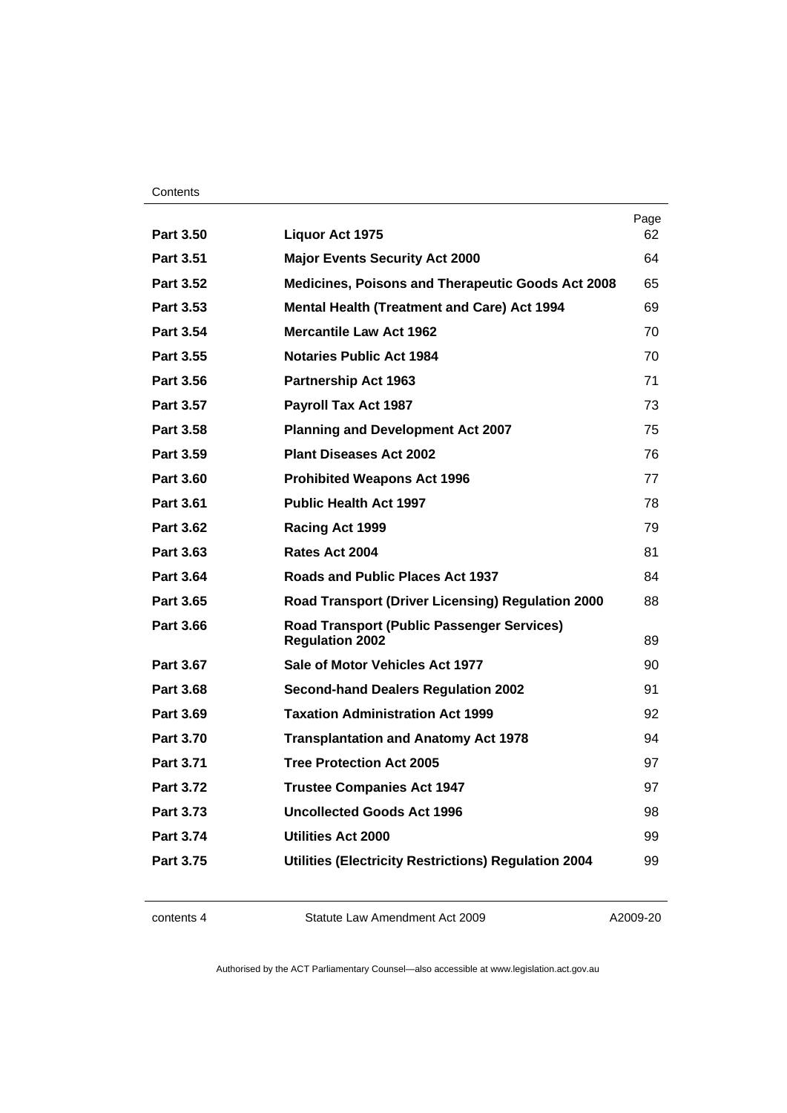#### **Contents**

|                  |                                                                             | Page |
|------------------|-----------------------------------------------------------------------------|------|
| <b>Part 3.50</b> | <b>Liquor Act 1975</b>                                                      | 62   |
| Part 3.51        | <b>Major Events Security Act 2000</b>                                       | 64   |
| Part 3.52        | Medicines, Poisons and Therapeutic Goods Act 2008                           | 65   |
| Part 3.53        | <b>Mental Health (Treatment and Care) Act 1994</b>                          | 69   |
| <b>Part 3.54</b> | <b>Mercantile Law Act 1962</b>                                              | 70   |
| Part 3.55        | <b>Notaries Public Act 1984</b>                                             | 70   |
| Part 3.56        | <b>Partnership Act 1963</b>                                                 | 71   |
| Part 3.57        | <b>Payroll Tax Act 1987</b>                                                 | 73   |
| Part 3.58        | <b>Planning and Development Act 2007</b>                                    | 75   |
| Part 3.59        | <b>Plant Diseases Act 2002</b>                                              | 76   |
| <b>Part 3.60</b> | <b>Prohibited Weapons Act 1996</b>                                          | 77   |
| <b>Part 3.61</b> | <b>Public Health Act 1997</b>                                               | 78   |
| <b>Part 3.62</b> | Racing Act 1999                                                             | 79   |
| Part 3.63        | Rates Act 2004                                                              | 81   |
| Part 3.64        | Roads and Public Places Act 1937                                            | 84   |
| Part 3.65        | Road Transport (Driver Licensing) Regulation 2000                           | 88   |
| <b>Part 3.66</b> | <b>Road Transport (Public Passenger Services)</b><br><b>Regulation 2002</b> | 89   |
| <b>Part 3.67</b> | Sale of Motor Vehicles Act 1977                                             | 90   |
| Part 3.68        | <b>Second-hand Dealers Regulation 2002</b>                                  | 91   |
| Part 3.69        | <b>Taxation Administration Act 1999</b>                                     | 92   |
| <b>Part 3.70</b> | <b>Transplantation and Anatomy Act 1978</b>                                 | 94   |
| <b>Part 3.71</b> | <b>Tree Protection Act 2005</b>                                             | 97   |
| Part 3.72        | <b>Trustee Companies Act 1947</b>                                           | 97   |
| Part 3.73        | Uncollected Goods Act 1996                                                  | 98   |
| <b>Part 3.74</b> | <b>Utilities Act 2000</b>                                                   | 99   |
| <b>Part 3.75</b> | <b>Utilities (Electricity Restrictions) Regulation 2004</b>                 | 99   |
|                  |                                                                             |      |

contents 4 Statute Law Amendment Act 2009

A2009-20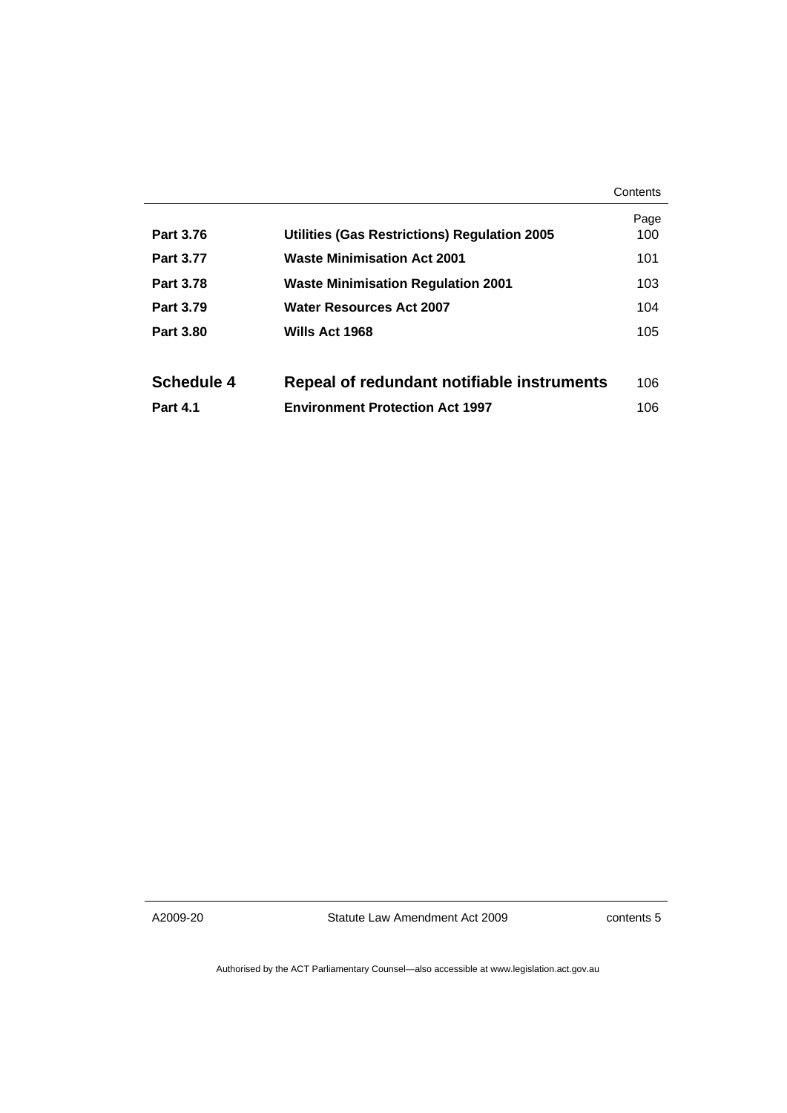|                  |                                              | Contents    |
|------------------|----------------------------------------------|-------------|
| <b>Part 3.76</b> | Utilities (Gas Restrictions) Regulation 2005 | Page<br>100 |
| <b>Part 3.77</b> | <b>Waste Minimisation Act 2001</b>           | 101         |
| <b>Part 3.78</b> | <b>Waste Minimisation Regulation 2001</b>    | 103         |
| Part 3.79        | <b>Water Resources Act 2007</b>              | 104         |
| <b>Part 3.80</b> | Wills Act 1968                               | 105         |
|                  |                                              |             |
| Schedule 4       | Repeal of redundant notifiable instruments   | 106         |
| <b>Part 4.1</b>  | <b>Environment Protection Act 1997</b>       | 106         |

A2009-20

Statute Law Amendment Act 2009

contents 5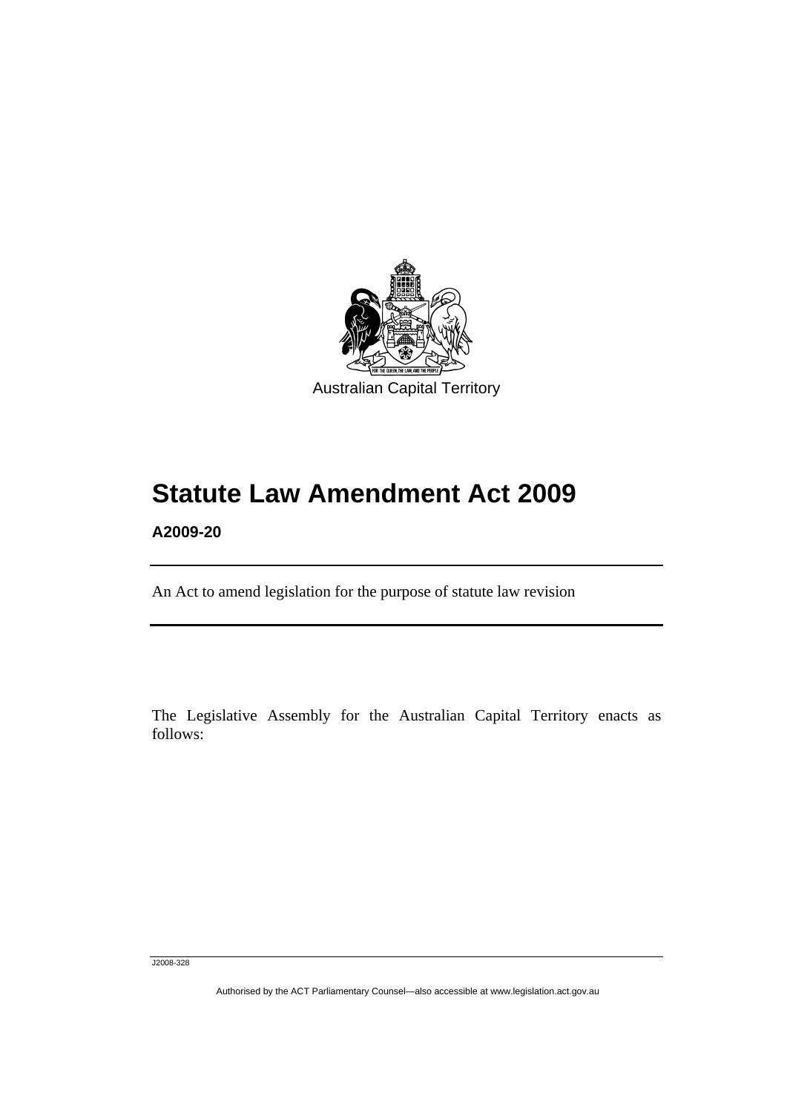<span id="page-6-0"></span>

# **Statute Law Amendment Act 2009**

**A2009-20** 

l

An Act to amend legislation for the purpose of statute law revision

The Legislative Assembly for the Australian Capital Territory enacts as follows:

J2008-328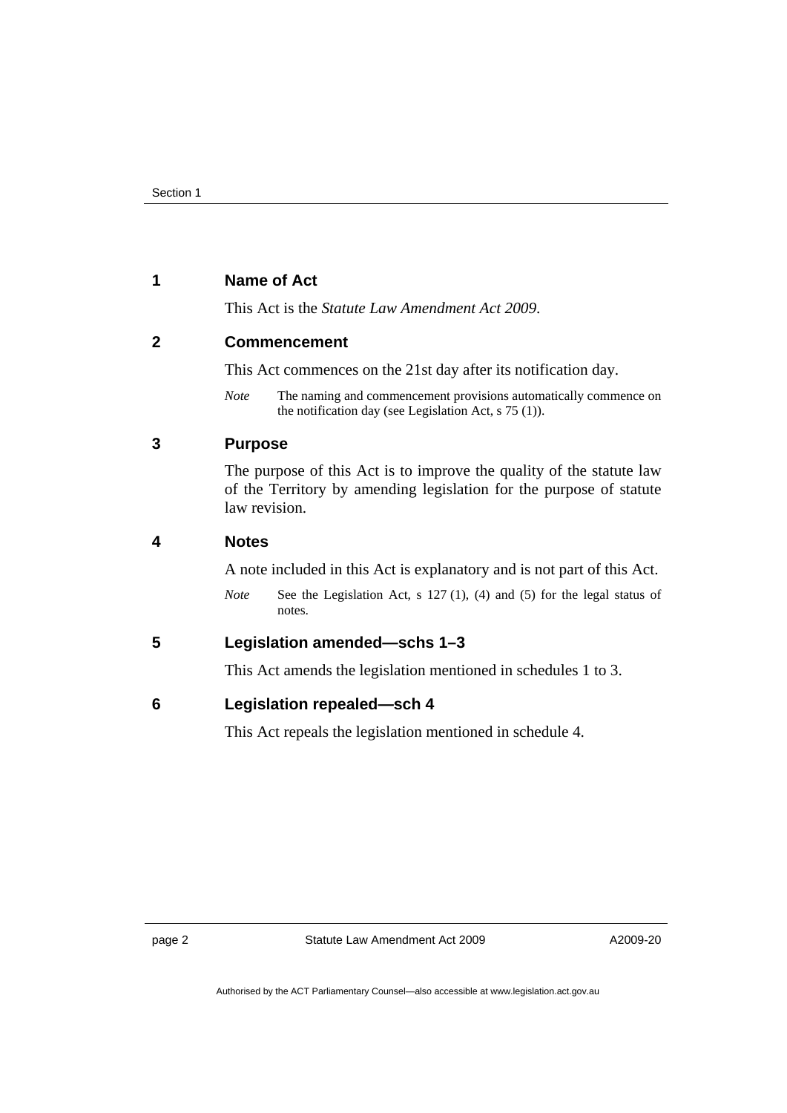# <span id="page-7-0"></span>**1 Name of Act**

This Act is the *Statute Law Amendment Act 2009*.

# **2 Commencement**

This Act commences on the 21st day after its notification day.

*Note* The naming and commencement provisions automatically commence on the notification day (see Legislation Act, s 75 (1)).

# **3 Purpose**

The purpose of this Act is to improve the quality of the statute law of the Territory by amending legislation for the purpose of statute law revision.

# **4 Notes**

A note included in this Act is explanatory and is not part of this Act.

*Note* See the Legislation Act, s 127 (1), (4) and (5) for the legal status of notes.

# **5 Legislation amended—schs 1–3**

This Act amends the legislation mentioned in schedules 1 to 3.

# **6 Legislation repealed—sch 4**

This Act repeals the legislation mentioned in schedule 4.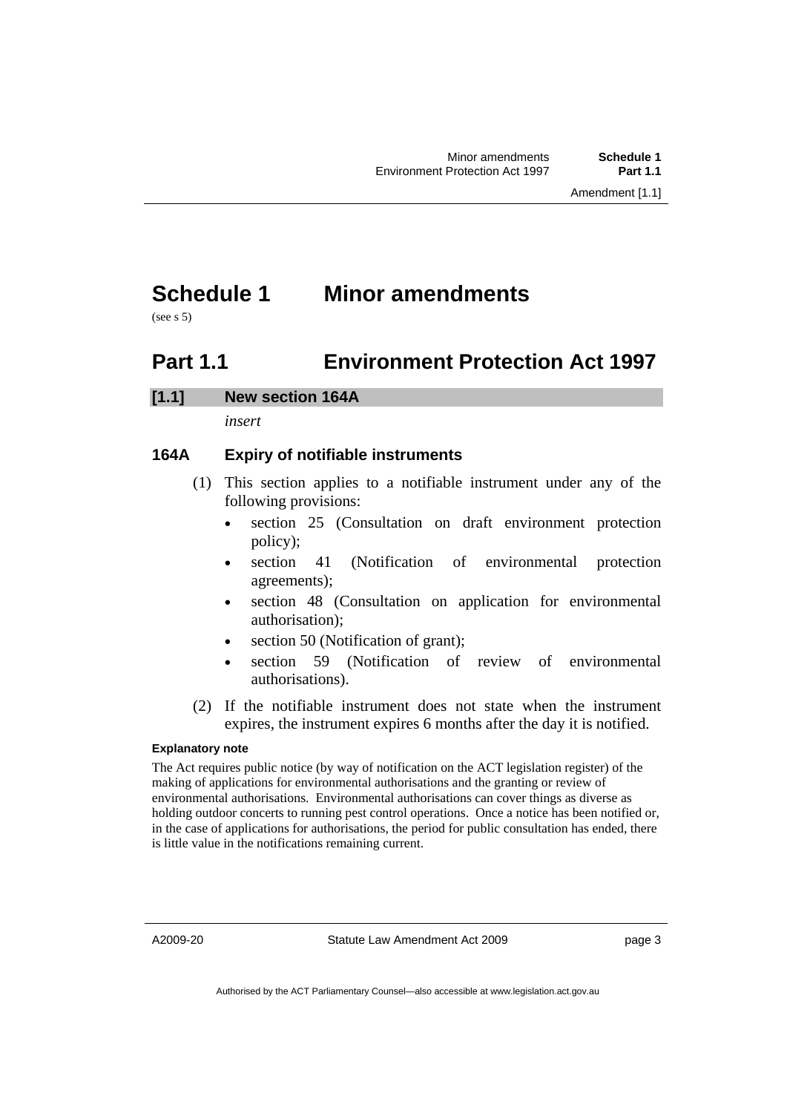# <span id="page-8-0"></span>**Schedule 1 Minor amendments**

 $(see s.5)$ 

# **Part 1.1 Environment Protection Act 1997**

# **[1.1] New section 164A**

*insert* 

# **164A Expiry of notifiable instruments**

- (1) This section applies to a notifiable instrument under any of the following provisions:
	- section 25 (Consultation on draft environment protection policy);
	- section 41 (Notification of environmental protection agreements);
	- section 48 (Consultation on application for environmental authorisation);
	- section 50 (Notification of grant);
	- section 59 (Notification of review of environmental authorisations).
- (2) If the notifiable instrument does not state when the instrument expires, the instrument expires 6 months after the day it is notified.

### **Explanatory note**

The Act requires public notice (by way of notification on the ACT legislation register) of the making of applications for environmental authorisations and the granting or review of environmental authorisations. Environmental authorisations can cover things as diverse as holding outdoor concerts to running pest control operations. Once a notice has been notified or, in the case of applications for authorisations, the period for public consultation has ended, there is little value in the notifications remaining current.

A2009-20

Statute Law Amendment Act 2009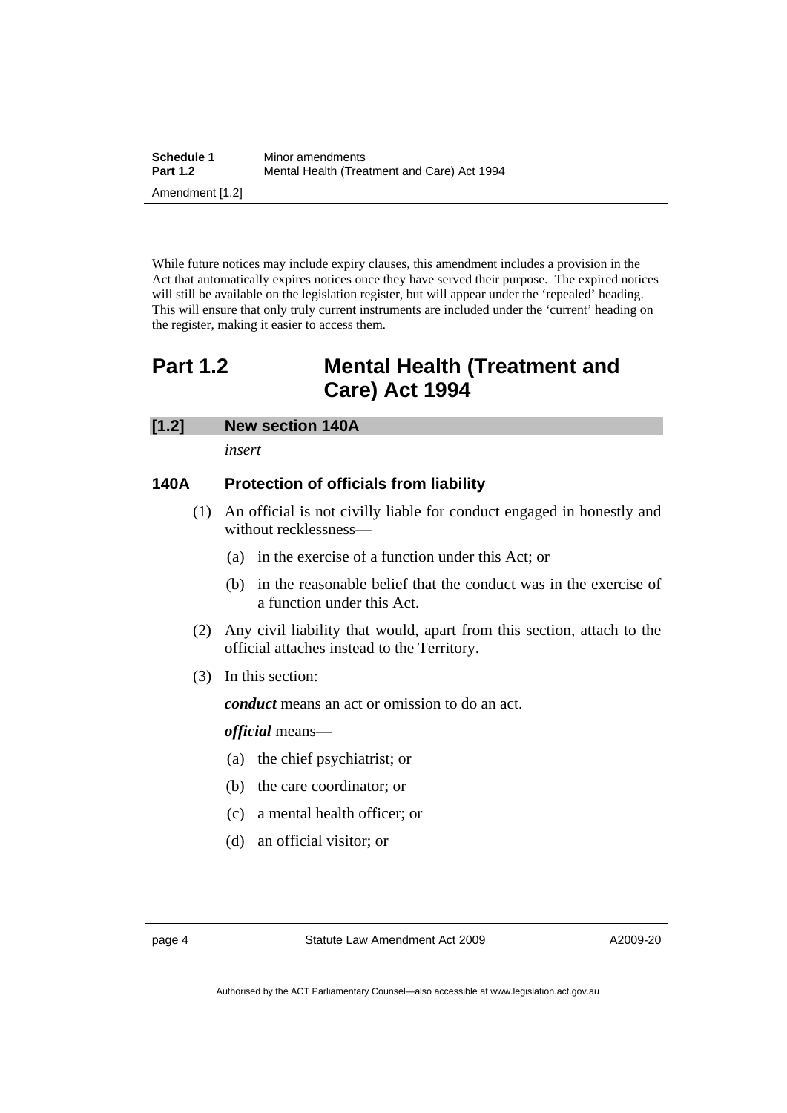<span id="page-9-0"></span>

| Schedule 1      | Minor amendments                            |  |  |
|-----------------|---------------------------------------------|--|--|
| <b>Part 1.2</b> | Mental Health (Treatment and Care) Act 1994 |  |  |
| Amendment [1.2] |                                             |  |  |

While future notices may include expiry clauses, this amendment includes a provision in the Act that automatically expires notices once they have served their purpose. The expired notices will still be available on the legislation register, but will appear under the 'repealed' heading. This will ensure that only truly current instruments are included under the 'current' heading on the register, making it easier to access them.

# **Part 1.2 Mental Health (Treatment and Care) Act 1994**

# **[1.2] New section 140A**

*insert* 

# **140A Protection of officials from liability**

- (1) An official is not civilly liable for conduct engaged in honestly and without recklessness—
	- (a) in the exercise of a function under this Act; or
	- (b) in the reasonable belief that the conduct was in the exercise of a function under this Act.
- (2) Any civil liability that would, apart from this section, attach to the official attaches instead to the Territory.
- (3) In this section:

*conduct* means an act or omission to do an act.

*official* means—

- (a) the chief psychiatrist; or
- (b) the care coordinator; or
- (c) a mental health officer; or
- (d) an official visitor; or

page 4 Statute Law Amendment Act 2009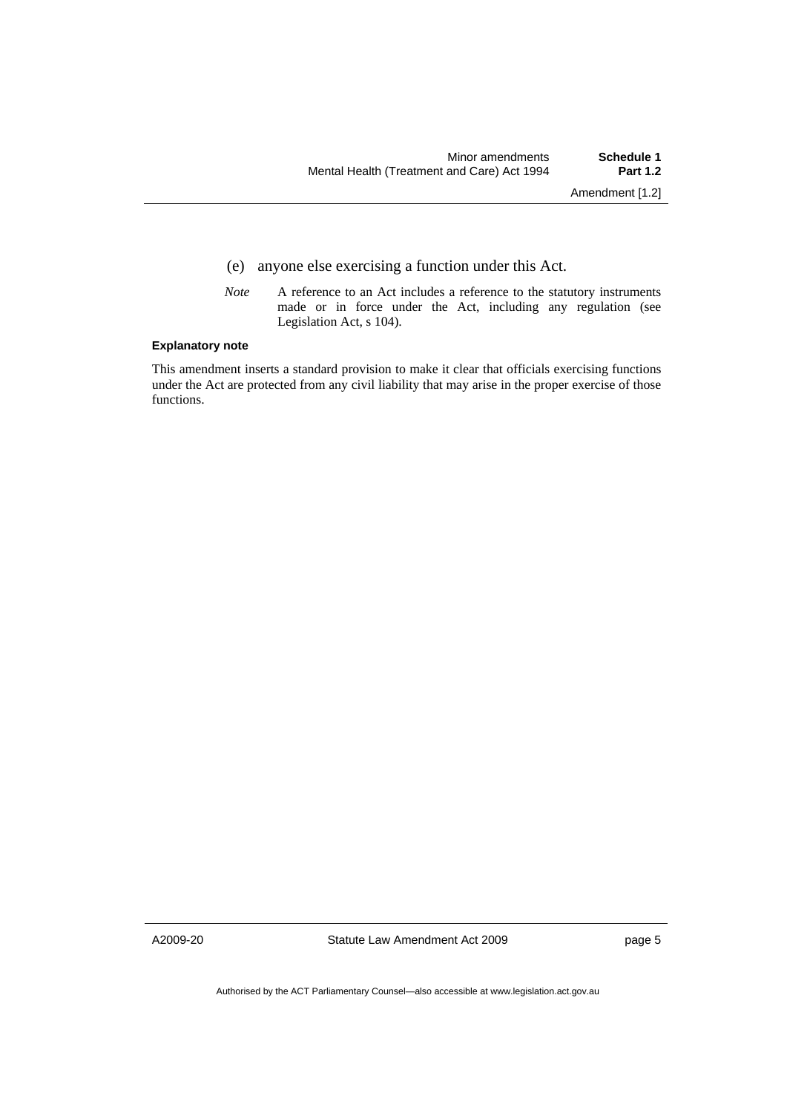- (e) anyone else exercising a function under this Act.
- *Note* A reference to an Act includes a reference to the statutory instruments made or in force under the Act, including any regulation (see Legislation Act, s 104).

#### **Explanatory note**

This amendment inserts a standard provision to make it clear that officials exercising functions under the Act are protected from any civil liability that may arise in the proper exercise of those functions.

A2009-20

Statute Law Amendment Act 2009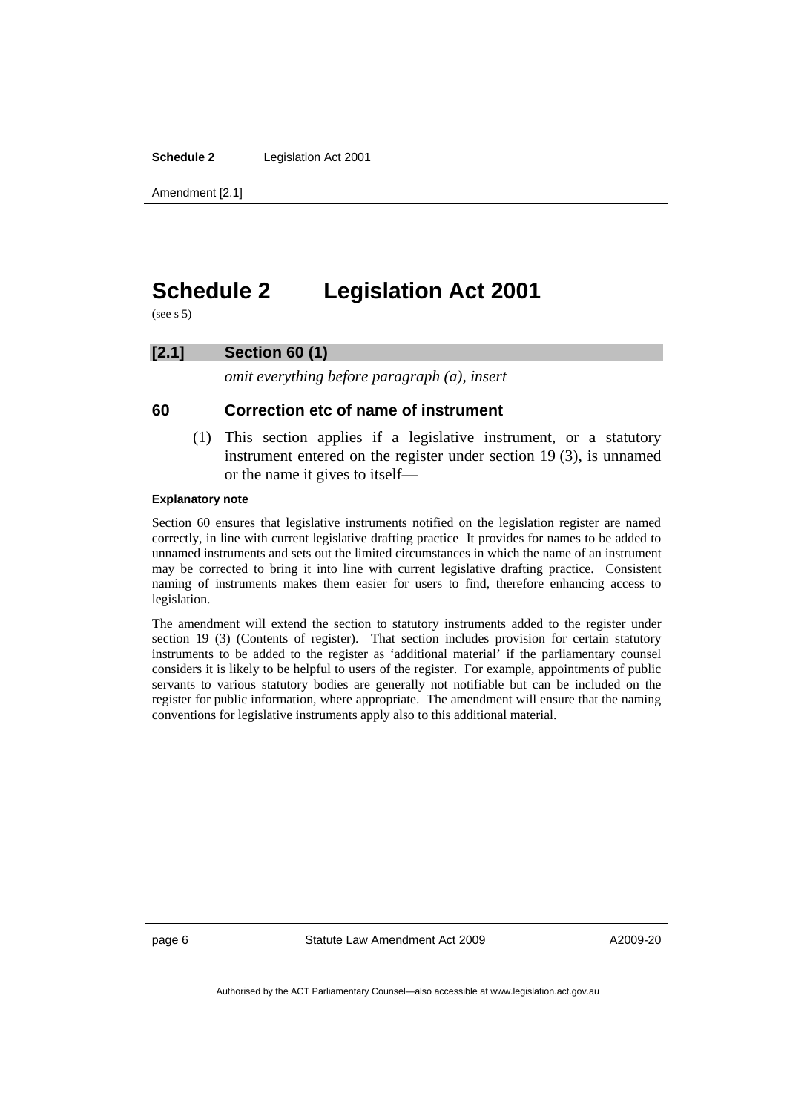<span id="page-11-0"></span>**Schedule 2** Legislation Act 2001

Amendment [2.1]

# **Schedule 2 Legislation Act 2001**

(see s 5)

### **[2.1] Section 60 (1)**

*omit everything before paragraph (a), insert* 

# **60 Correction etc of name of instrument**

 (1) This section applies if a legislative instrument, or a statutory instrument entered on the register under section 19 (3), is unnamed or the name it gives to itself—

#### **Explanatory note**

Section 60 ensures that legislative instruments notified on the legislation register are named correctly, in line with current legislative drafting practice It provides for names to be added to unnamed instruments and sets out the limited circumstances in which the name of an instrument may be corrected to bring it into line with current legislative drafting practice. Consistent naming of instruments makes them easier for users to find, therefore enhancing access to legislation.

The amendment will extend the section to statutory instruments added to the register under section 19 (3) (Contents of register). That section includes provision for certain statutory instruments to be added to the register as 'additional material' if the parliamentary counsel considers it is likely to be helpful to users of the register. For example, appointments of public servants to various statutory bodies are generally not notifiable but can be included on the register for public information, where appropriate. The amendment will ensure that the naming conventions for legislative instruments apply also to this additional material.

page 6 Statute Law Amendment Act 2009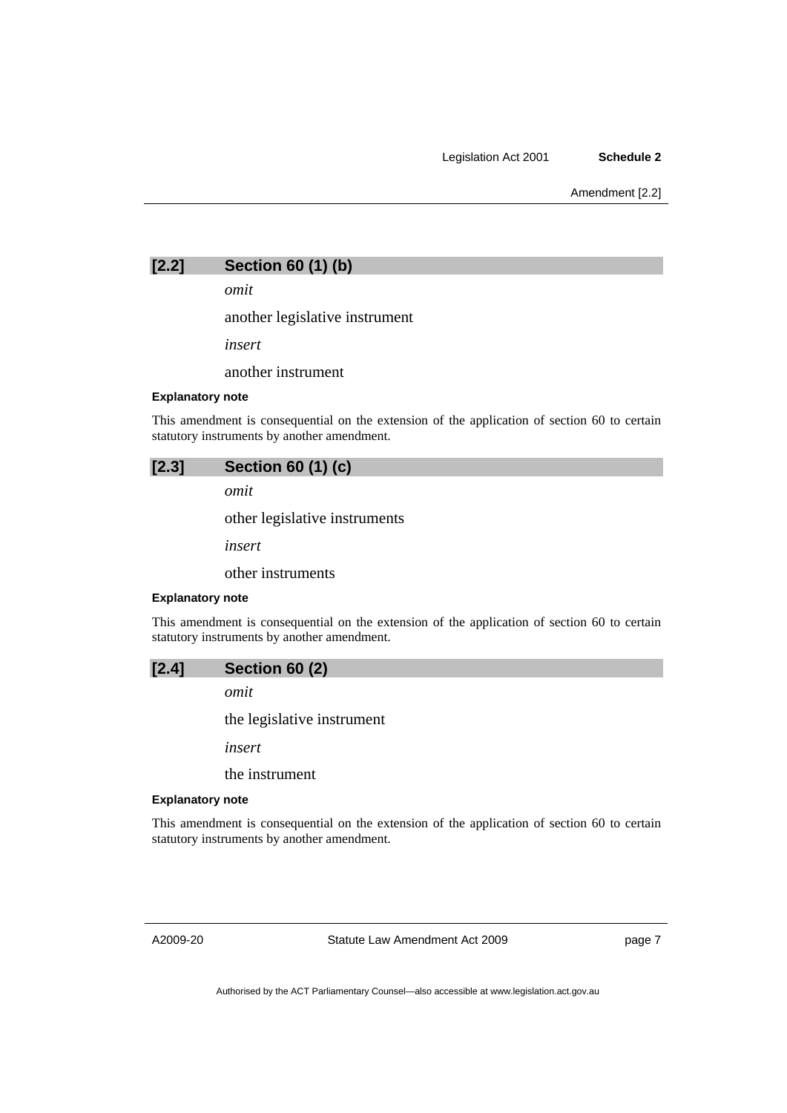Amendment [2.2]



*omit* 

another legislative instrument

*insert* 

another instrument

#### **Explanatory note**

This amendment is consequential on the extension of the application of section 60 to certain statutory instruments by another amendment.

| [2.3] | Section 60 (1) (c) |  |  |  |  |
|-------|--------------------|--|--|--|--|
|-------|--------------------|--|--|--|--|

*omit* 

other legislative instruments

*insert* 

other instruments

#### **Explanatory note**

This amendment is consequential on the extension of the application of section 60 to certain statutory instruments by another amendment.

*omit* 

the legislative instrument

 $(2)$ 

*insert* 

the instrument

#### **Explanatory note**

This amendment is consequential on the extension of the application of section 60 to certain statutory instruments by another amendment.

A2009-20

Statute Law Amendment Act 2009

page 7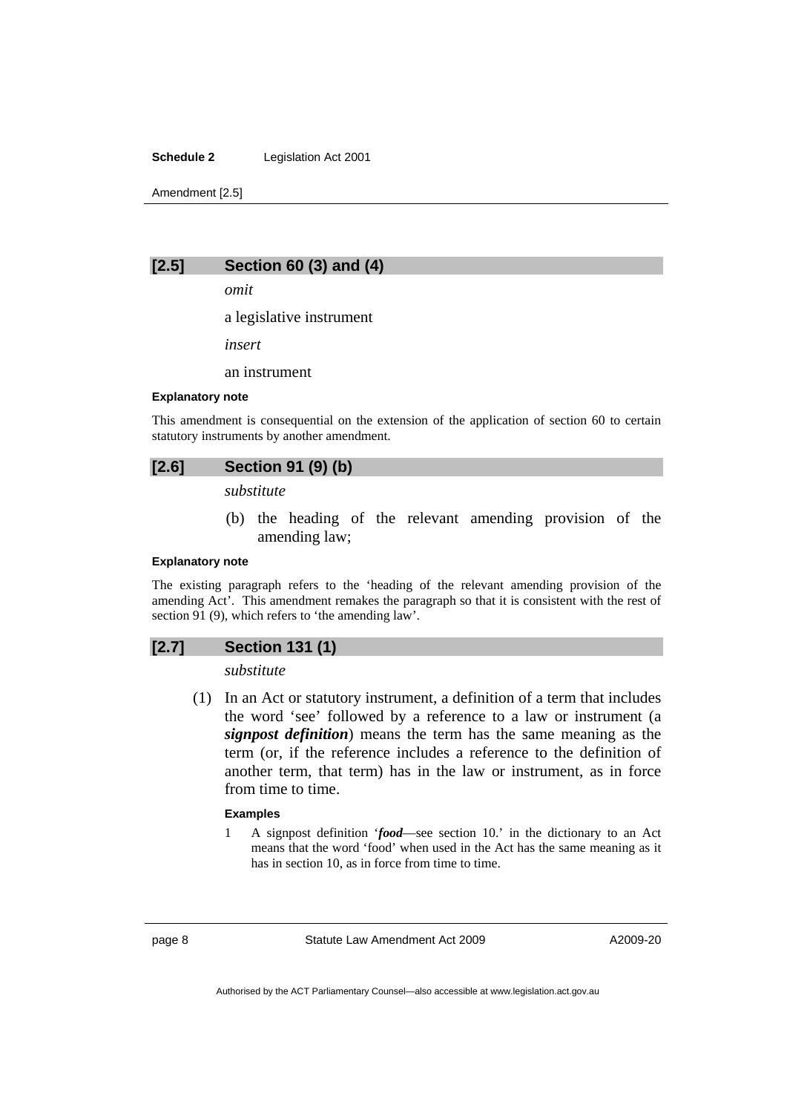#### **Schedule 2** Legislation Act 2001

Amendment [2.5]

### **[2.5] Section 60 (3) and (4)**

*omit* 

a legislative instrument

*insert* 

an instrument

#### **Explanatory note**

This amendment is consequential on the extension of the application of section 60 to certain statutory instruments by another amendment.

# **[2.6] Section 91 (9) (b)**

*substitute* 

 (b) the heading of the relevant amending provision of the amending law;

#### **Explanatory note**

The existing paragraph refers to the 'heading of the relevant amending provision of the amending Act'. This amendment remakes the paragraph so that it is consistent with the rest of section 91 (9), which refers to 'the amending law'.

### **[2.7] Section 131 (1)**

*substitute* 

 (1) In an Act or statutory instrument, a definition of a term that includes the word 'see' followed by a reference to a law or instrument (a *signpost definition*) means the term has the same meaning as the term (or, if the reference includes a reference to the definition of another term, that term) has in the law or instrument, as in force from time to time.

#### **Examples**

1 A signpost definition '*food*—see section 10.' in the dictionary to an Act means that the word 'food' when used in the Act has the same meaning as it has in section 10, as in force from time to time.

page 8 Statute Law Amendment Act 2009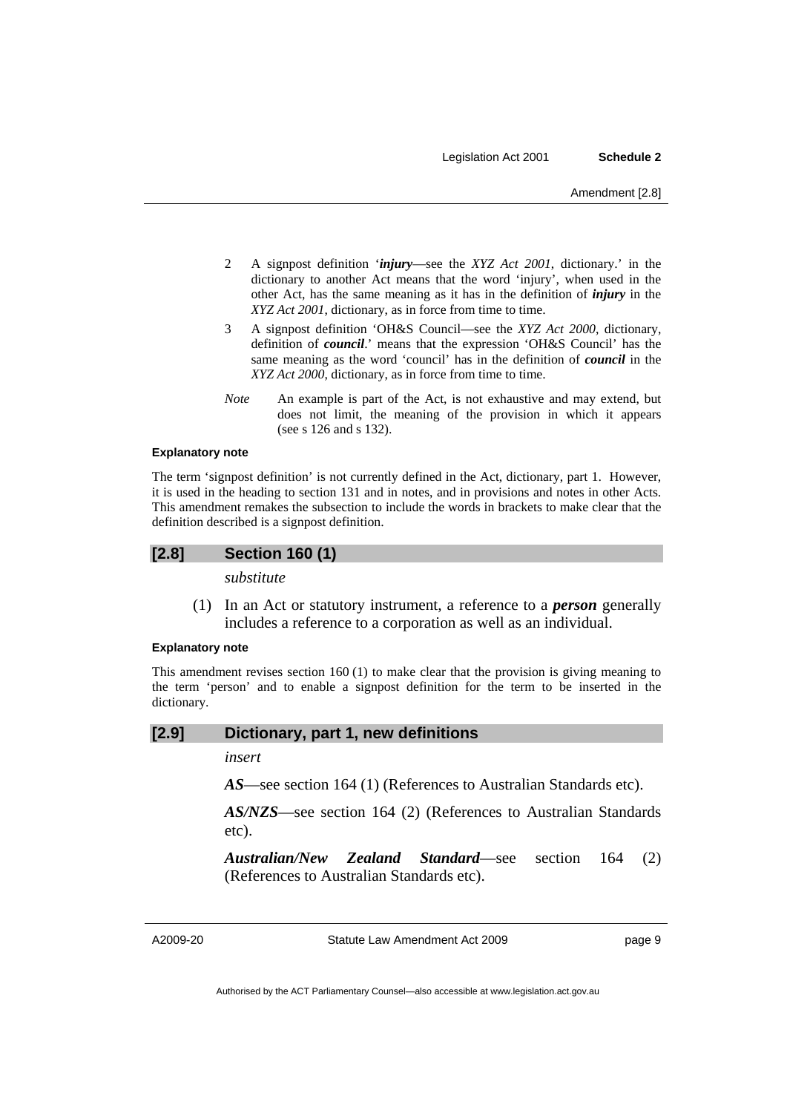- 2 A signpost definition '*injury*—see the *XYZ Act 2001*, dictionary.' in the dictionary to another Act means that the word 'injury', when used in the other Act, has the same meaning as it has in the definition of *injury* in the *XYZ Act 2001*, dictionary, as in force from time to time.
- 3 A signpost definition 'OH&S Council—see the *XYZ Act 2000*, dictionary, definition of *council*.' means that the expression 'OH&S Council' has the same meaning as the word 'council' has in the definition of *council* in the *XYZ Act 2000*, dictionary, as in force from time to time.
- *Note* An example is part of the Act, is not exhaustive and may extend, but does not limit, the meaning of the provision in which it appears (see s 126 and s 132).

#### **Explanatory note**

The term 'signpost definition' is not currently defined in the Act, dictionary, part 1. However, it is used in the heading to section 131 and in notes, and in provisions and notes in other Acts. This amendment remakes the subsection to include the words in brackets to make clear that the definition described is a signpost definition.

### **[2.8] Section 160 (1)**

*substitute* 

 (1) In an Act or statutory instrument, a reference to a *person* generally includes a reference to a corporation as well as an individual.

### **Explanatory note**

This amendment revises section 160 (1) to make clear that the provision is giving meaning to the term 'person' and to enable a signpost definition for the term to be inserted in the dictionary.

#### **[2.9] Dictionary, part 1, new definitions**

*insert* 

*AS*—see section 164 (1) (References to Australian Standards etc).

*AS/NZS*—see section 164 (2) (References to Australian Standards etc).

*Australian/New Zealand Standard*—see section 164 (2) (References to Australian Standards etc).

A2009-20

Statute Law Amendment Act 2009

page 9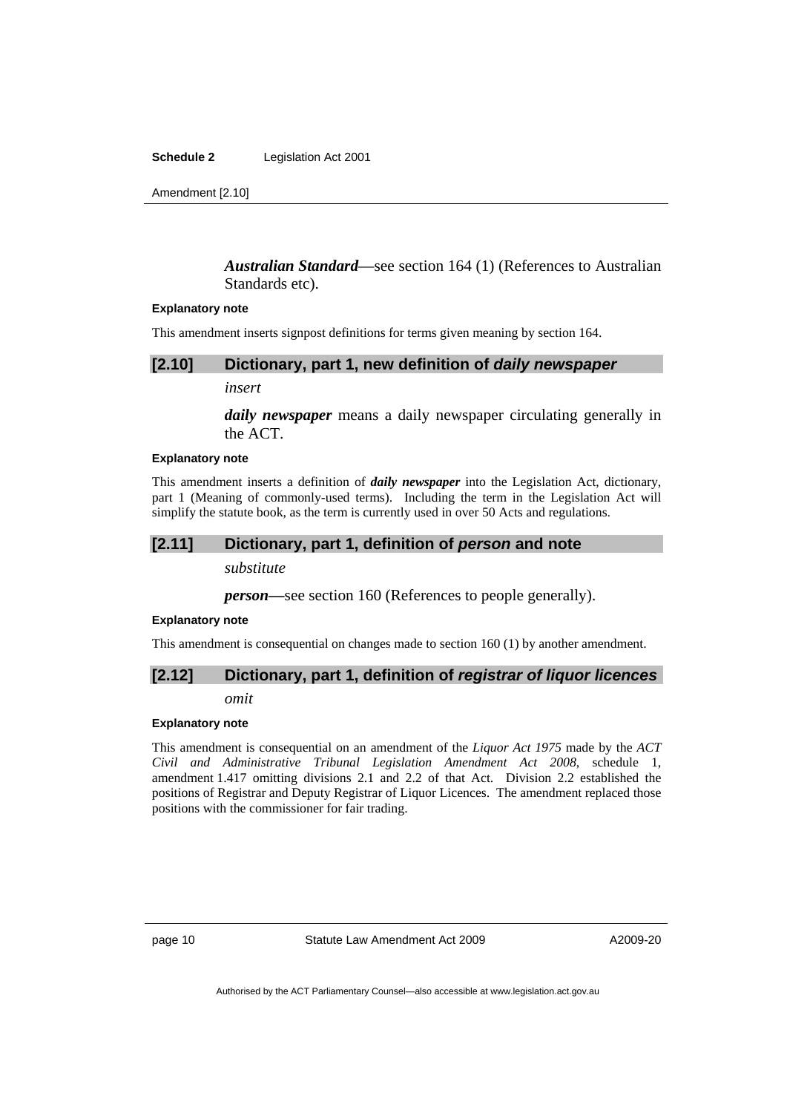**Schedule 2** Legislation Act 2001

Amendment [2.10]

### *Australian Standard*—see section 164 (1) (References to Australian Standards etc).

#### **Explanatory note**

This amendment inserts signpost definitions for terms given meaning by section 164.

#### **[2.10] Dictionary, part 1, new definition of** *daily newspaper*

*insert* 

*daily newspaper* means a daily newspaper circulating generally in the ACT.

#### **Explanatory note**

This amendment inserts a definition of *daily newspaper* into the Legislation Act, dictionary, part 1 (Meaning of commonly-used terms). Including the term in the Legislation Act will simplify the statute book, as the term is currently used in over 50 Acts and regulations.

#### **[2.11] Dictionary, part 1, definition of** *person* **and note**

*substitute* 

*person—*see section 160 (References to people generally).

#### **Explanatory note**

This amendment is consequential on changes made to section 160 (1) by another amendment.

# **[2.12] Dictionary, part 1, definition of** *registrar of liquor licences*

*omit* 

#### **Explanatory note**

This amendment is consequential on an amendment of the *Liquor Act 1975* made by the *ACT Civil and Administrative Tribunal Legislation Amendment Act 2008*, schedule 1, amendment 1.417 omitting divisions 2.1 and 2.2 of that Act. Division 2.2 established the positions of Registrar and Deputy Registrar of Liquor Licences. The amendment replaced those positions with the commissioner for fair trading.

page 10 Statute Law Amendment Act 2009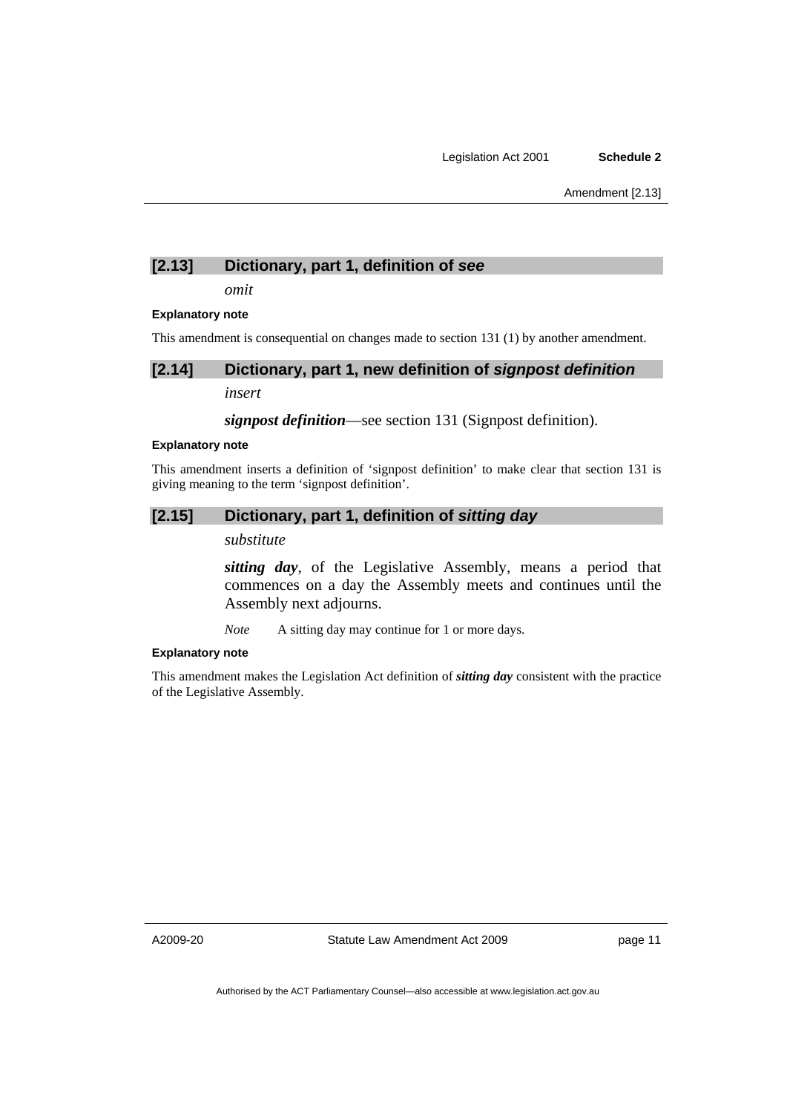# **[2.13] Dictionary, part 1, definition of** *see*

*omit* 

#### **Explanatory note**

This amendment is consequential on changes made to section 131 (1) by another amendment.

### **[2.14] Dictionary, part 1, new definition of** *signpost definition*

*insert* 

*signpost definition*—see section 131 (Signpost definition).

#### **Explanatory note**

This amendment inserts a definition of 'signpost definition' to make clear that section 131 is giving meaning to the term 'signpost definition'.

# **[2.15] Dictionary, part 1, definition of** *sitting day*

*substitute* 

*sitting day*, of the Legislative Assembly, means a period that commences on a day the Assembly meets and continues until the Assembly next adjourns.

*Note* A sitting day may continue for 1 or more days.

#### **Explanatory note**

This amendment makes the Legislation Act definition of *sitting day* consistent with the practice of the Legislative Assembly.

A2009-20

Statute Law Amendment Act 2009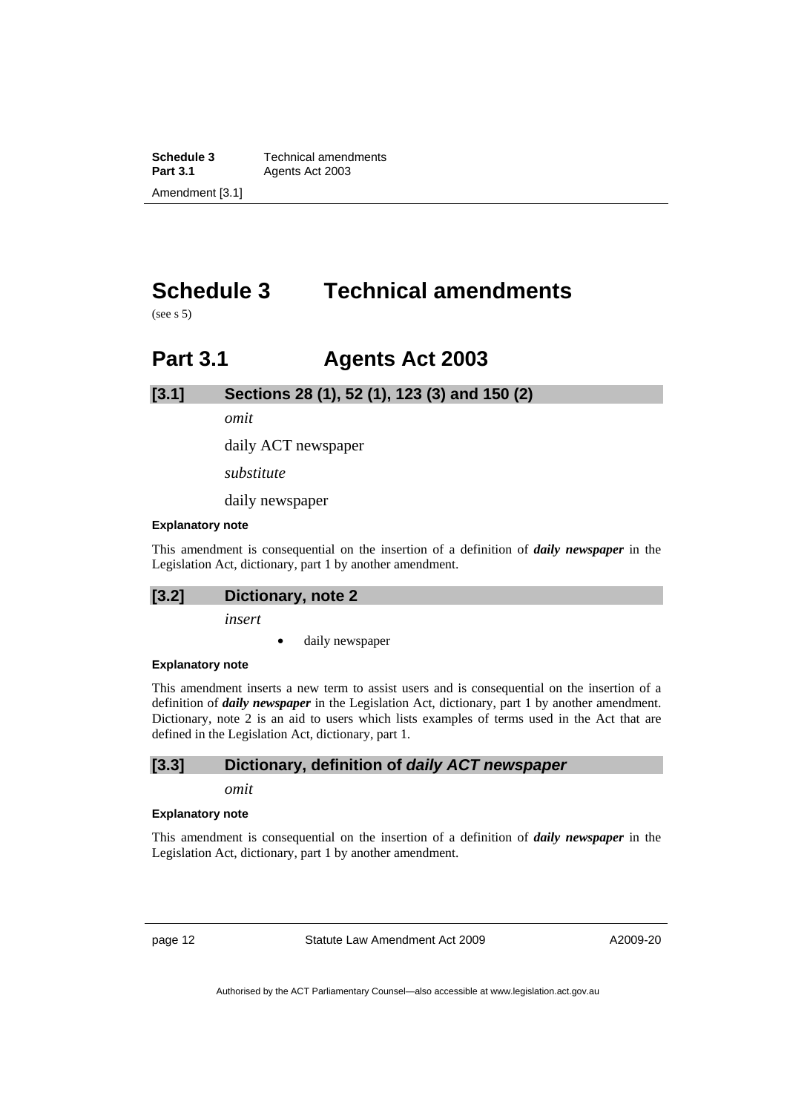<span id="page-17-0"></span>**Schedule 3 Technical amendments**<br>**Part 3.1 Agents Act 2003** Agents Act 2003 Amendment [3.1]

# **Schedule 3 Technical amendments**

 $(see s.5)$ 

# **Part 3.1 Agents Act 2003**

**[3.1] Sections 28 (1), 52 (1), 123 (3) and 150 (2)** 

*omit* 

daily ACT newspaper

*substitute* 

daily newspaper

#### **Explanatory note**

This amendment is consequential on the insertion of a definition of *daily newspaper* in the Legislation Act, dictionary, part 1 by another amendment.

# **[3.2] Dictionary, note 2**

*insert* 

daily newspaper

#### **Explanatory note**

This amendment inserts a new term to assist users and is consequential on the insertion of a definition of *daily newspaper* in the Legislation Act, dictionary, part 1 by another amendment. Dictionary, note 2 is an aid to users which lists examples of terms used in the Act that are defined in the Legislation Act, dictionary, part 1.

### **[3.3] Dictionary, definition of** *daily ACT newspaper*

*omit* 

#### **Explanatory note**

This amendment is consequential on the insertion of a definition of *daily newspaper* in the Legislation Act, dictionary, part 1 by another amendment.

page 12 Statute Law Amendment Act 2009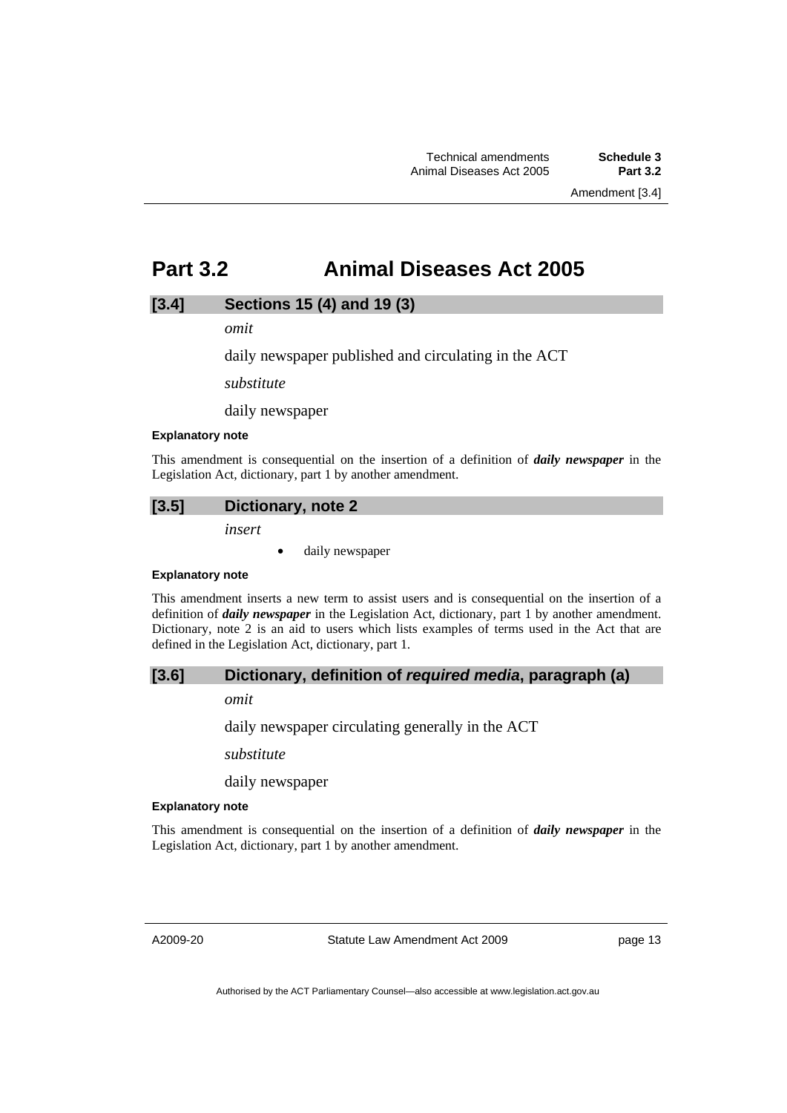# <span id="page-18-0"></span>**Part 3.2 Animal Diseases Act 2005**

### **[3.4] Sections 15 (4) and 19 (3)**

*omit* 

daily newspaper published and circulating in the ACT

*substitute* 

daily newspaper

#### **Explanatory note**

This amendment is consequential on the insertion of a definition of *daily newspaper* in the Legislation Act, dictionary, part 1 by another amendment.

# **[3.5] Dictionary, note 2**

*insert* 

• daily newspaper

#### **Explanatory note**

This amendment inserts a new term to assist users and is consequential on the insertion of a definition of *daily newspaper* in the Legislation Act, dictionary, part 1 by another amendment. Dictionary, note 2 is an aid to users which lists examples of terms used in the Act that are defined in the Legislation Act, dictionary, part 1.

# **[3.6] Dictionary, definition of** *required media***, paragraph (a)**

*omit* 

daily newspaper circulating generally in the ACT

*substitute* 

daily newspaper

#### **Explanatory note**

This amendment is consequential on the insertion of a definition of *daily newspaper* in the Legislation Act, dictionary, part 1 by another amendment.

A2009-20

Statute Law Amendment Act 2009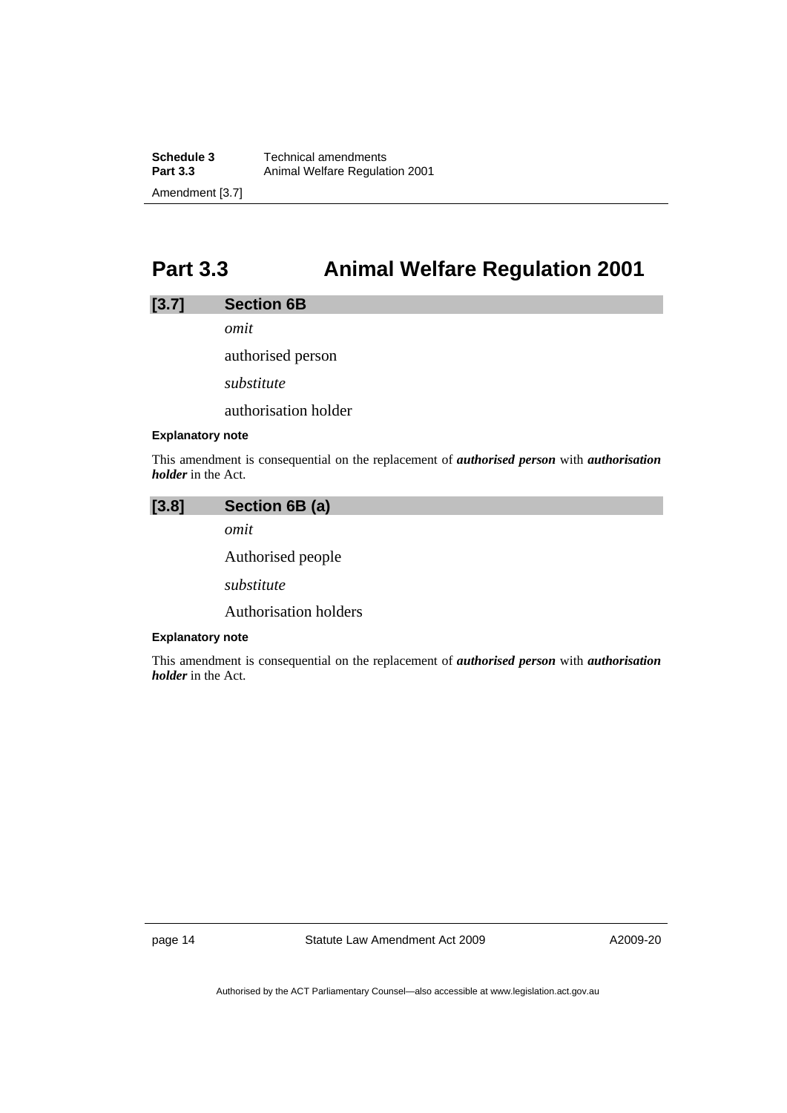<span id="page-19-0"></span>**Schedule 3 Technical amendments**<br>**Part 3.3 Animal Welfare Regulat Part 3.3** Animal Welfare Regulation 2001 Amendment [3.7]

# **Part 3.3 Animal Welfare Regulation 2001**

### **[3.7] Section 6B**

*omit* 

authorised person

*substitute* 

authorisation holder

#### **Explanatory note**

This amendment is consequential on the replacement of *authorised person* with *authorisation holder* in the Act.

| $[3.8]$ | Section 6B (a)               |
|---------|------------------------------|
|         | omit                         |
|         | Authorised people            |
|         | substitute                   |
|         | <b>Authorisation holders</b> |

#### **Explanatory note**

This amendment is consequential on the replacement of *authorised person* with *authorisation holder* in the Act.

page 14 Statute Law Amendment Act 2009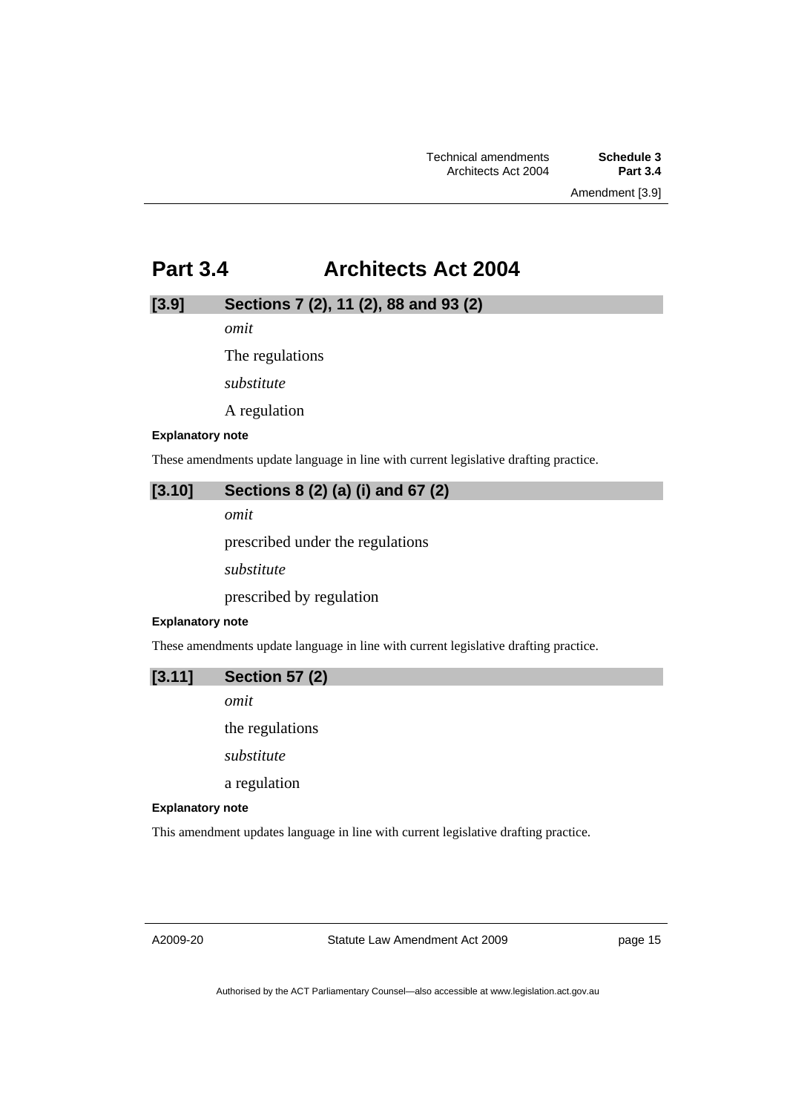# <span id="page-20-0"></span>**Part 3.4 Architects Act 2004**

# **[3.9] Sections 7 (2), 11 (2), 88 and 93 (2)**

*omit* 

The regulations

*substitute* 

A regulation

#### **Explanatory note**

These amendments update language in line with current legislative drafting practice.

## **[3.10] Sections 8 (2) (a) (i) and 67 (2)**

*omit* 

prescribed under the regulations

*substitute* 

prescribed by regulation

#### **Explanatory note**

These amendments update language in line with current legislative drafting practice.

### **[3.11] Section 57 (2)**

*omit* 

the regulations

*substitute* 

a regulation

### **Explanatory note**

This amendment updates language in line with current legislative drafting practice.

A2009-20

Statute Law Amendment Act 2009

page 15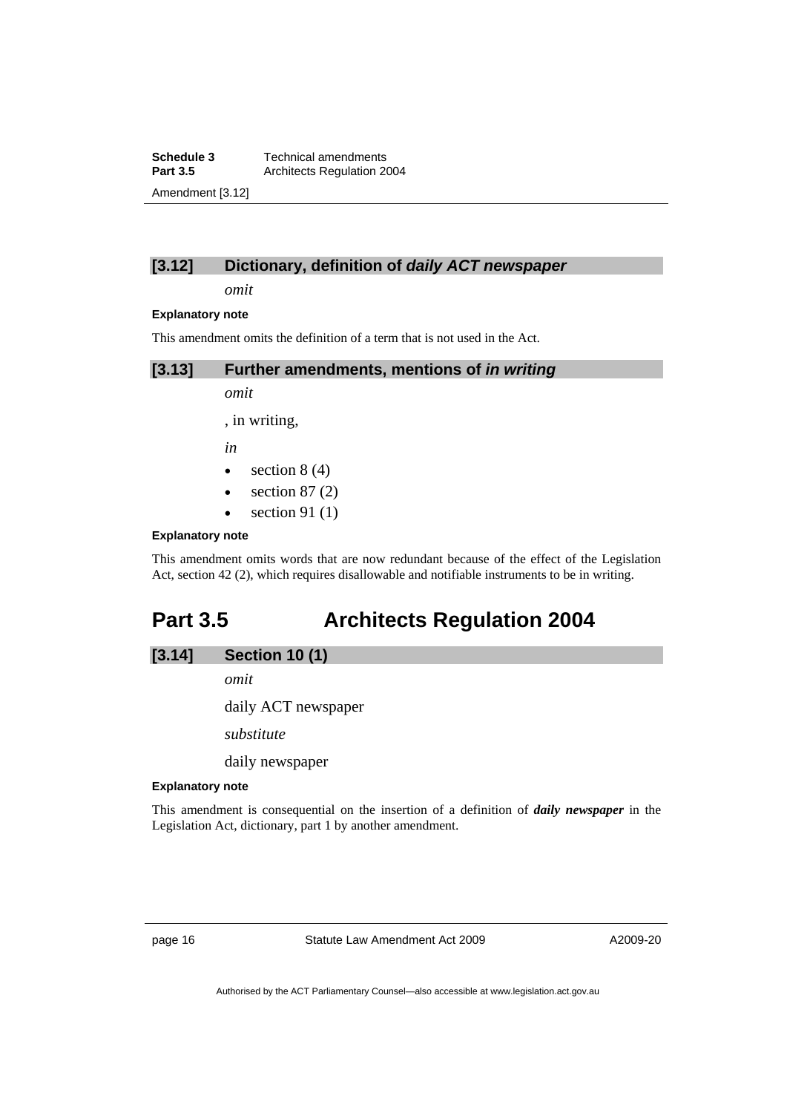<span id="page-21-0"></span>**Schedule 3 Technical amendments**<br>**Part 3.5 Architects Regulation 20 Part 3.5** Architects Regulation 2004 Amendment [3.12]

# **[3.12] Dictionary, definition of** *daily ACT newspaper*

*omit* 

#### **Explanatory note**

This amendment omits the definition of a term that is not used in the Act.

**[3.13] Further amendments, mentions of** *in writing* 

*omit* 

, in writing,

*in* 

- section  $8(4)$
- section  $87(2)$
- section 91 $(1)$

### **Explanatory note**

This amendment omits words that are now redundant because of the effect of the Legislation Act, section 42 (2), which requires disallowable and notifiable instruments to be in writing.

# **Part 3.5 Architects Regulation 2004**

| [3.14] | <b>Section 10 (1)</b> |  |
|--------|-----------------------|--|
|        |                       |  |

*omit* 

daily ACT newspaper

*substitute* 

daily newspaper

#### **Explanatory note**

This amendment is consequential on the insertion of a definition of *daily newspaper* in the Legislation Act, dictionary, part 1 by another amendment.

page 16 Statute Law Amendment Act 2009

A2009-20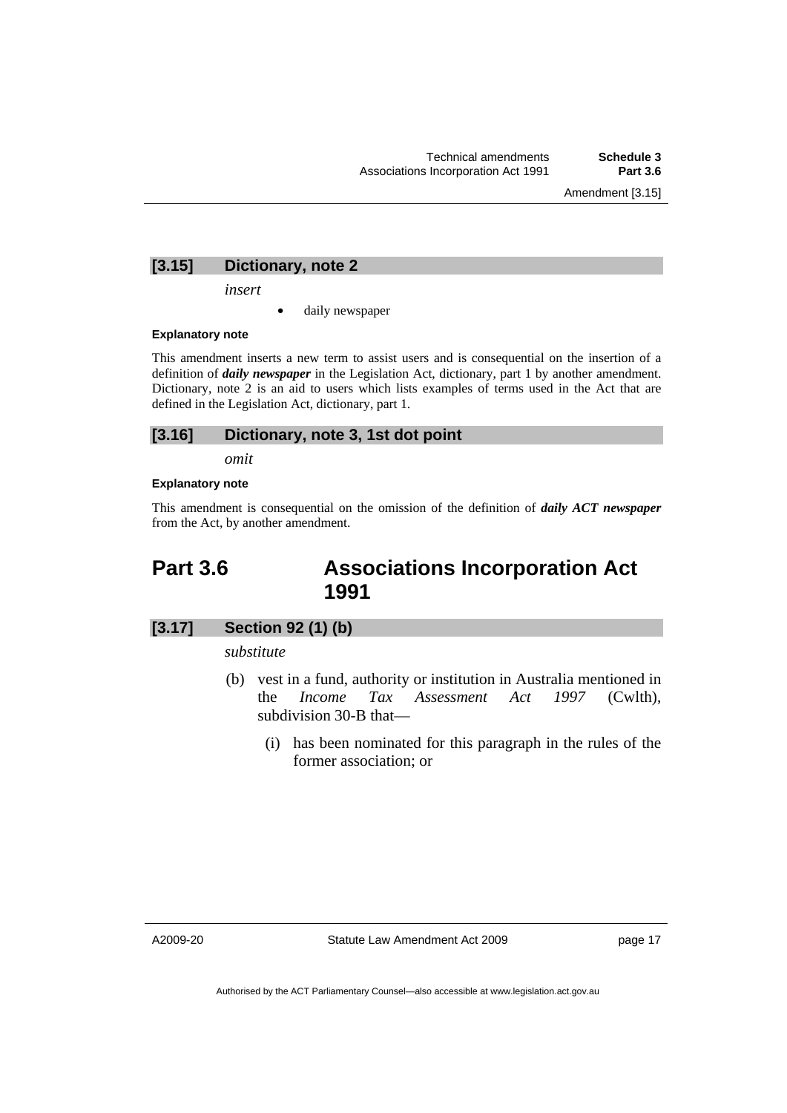Amendment [3.15]

# <span id="page-22-0"></span>**[3.15] Dictionary, note 2**

*insert* 

daily newspaper

#### **Explanatory note**

This amendment inserts a new term to assist users and is consequential on the insertion of a definition of *daily newspaper* in the Legislation Act, dictionary, part 1 by another amendment. Dictionary, note 2 is an aid to users which lists examples of terms used in the Act that are defined in the Legislation Act, dictionary, part 1.

# **[3.16] Dictionary, note 3, 1st dot point**

*omit* 

#### **Explanatory note**

This amendment is consequential on the omission of the definition of *daily ACT newspaper* from the Act, by another amendment.

# **Part 3.6 Associations Incorporation Act 1991**

# **[3.17] Section 92 (1) (b)**

*substitute* 

- (b) vest in a fund, authority or institution in Australia mentioned in the *Income Tax Assessment Act 1997* (Cwlth), subdivision 30-B that—
	- (i) has been nominated for this paragraph in the rules of the former association; or

A2009-20

Statute Law Amendment Act 2009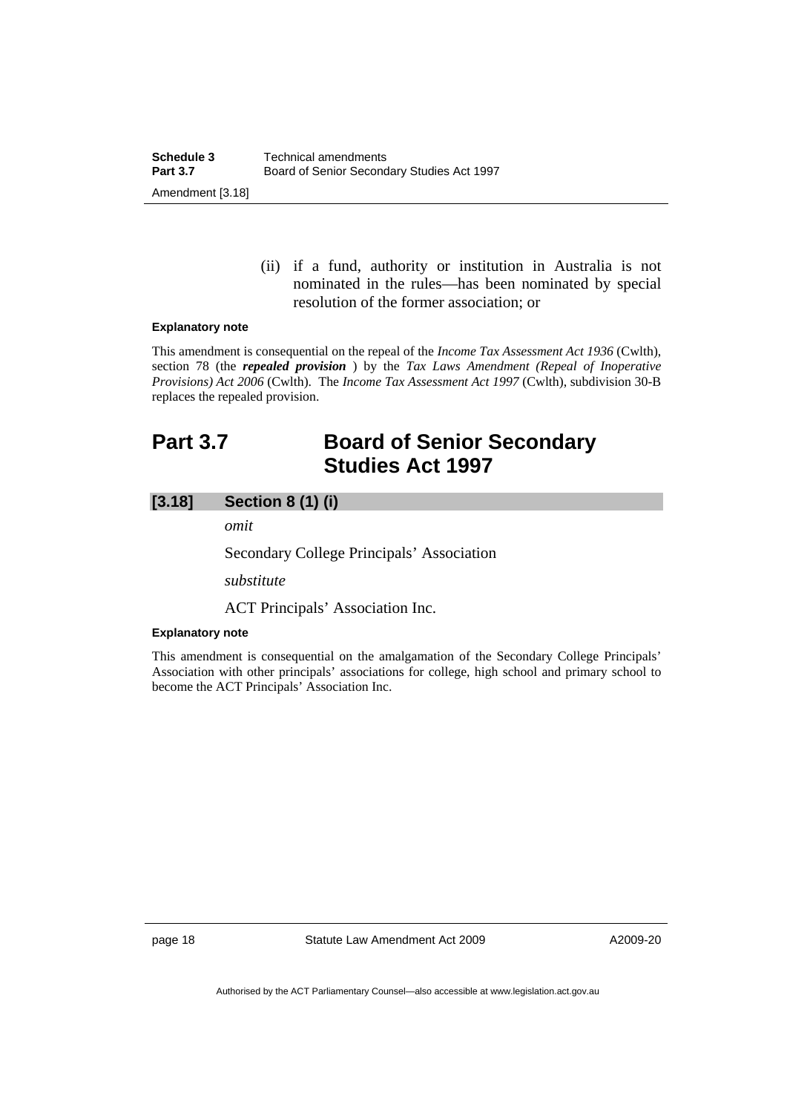(ii) if a fund, authority or institution in Australia is not nominated in the rules—has been nominated by special resolution of the former association; or

#### <span id="page-23-0"></span>**Explanatory note**

This amendment is consequential on the repeal of the *Income Tax Assessment Act 1936* (Cwlth), section 78 (the *repealed provision* ) by the *Tax Laws Amendment (Repeal of Inoperative Provisions) Act 2006* (Cwlth). The *Income Tax Assessment Act 1997* (Cwlth), subdivision 30-B replaces the repealed provision.

# **Part 3.7 Board of Senior Secondary Studies Act 1997**

# **[3.18] Section 8 (1) (i)**

*omit* 

Secondary College Principals' Association

*substitute* 

ACT Principals' Association Inc.

### **Explanatory note**

This amendment is consequential on the amalgamation of the Secondary College Principals' Association with other principals' associations for college, high school and primary school to become the ACT Principals' Association Inc.

page 18 Statute Law Amendment Act 2009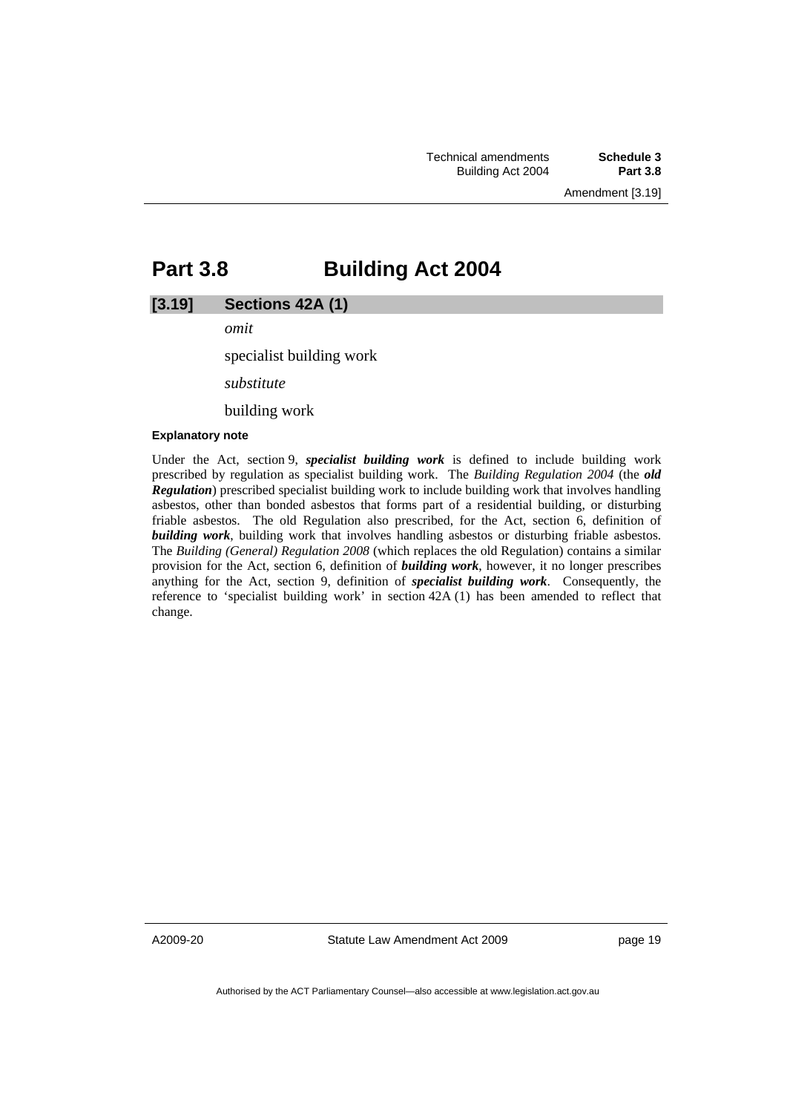Amendment [3.19]

# <span id="page-24-0"></span>**Part 3.8 Building Act 2004**

### **[3.19] Sections 42A (1)**

*omit* 

specialist building work

*substitute* 

building work

#### **Explanatory note**

Under the Act, section 9, *specialist building work* is defined to include building work prescribed by regulation as specialist building work. The *Building Regulation 2004* (the *old Regulation*) prescribed specialist building work to include building work that involves handling asbestos, other than bonded asbestos that forms part of a residential building, or disturbing friable asbestos. The old Regulation also prescribed, for the Act, section 6, definition of *building work*, building work that involves handling asbestos or disturbing friable asbestos. The *Building (General) Regulation 2008* (which replaces the old Regulation) contains a similar provision for the Act, section 6, definition of *building work*, however, it no longer prescribes anything for the Act, section 9, definition of *specialist building work*. Consequently, the reference to 'specialist building work' in section 42A (1) has been amended to reflect that change.

A2009-20

Statute Law Amendment Act 2009

page 19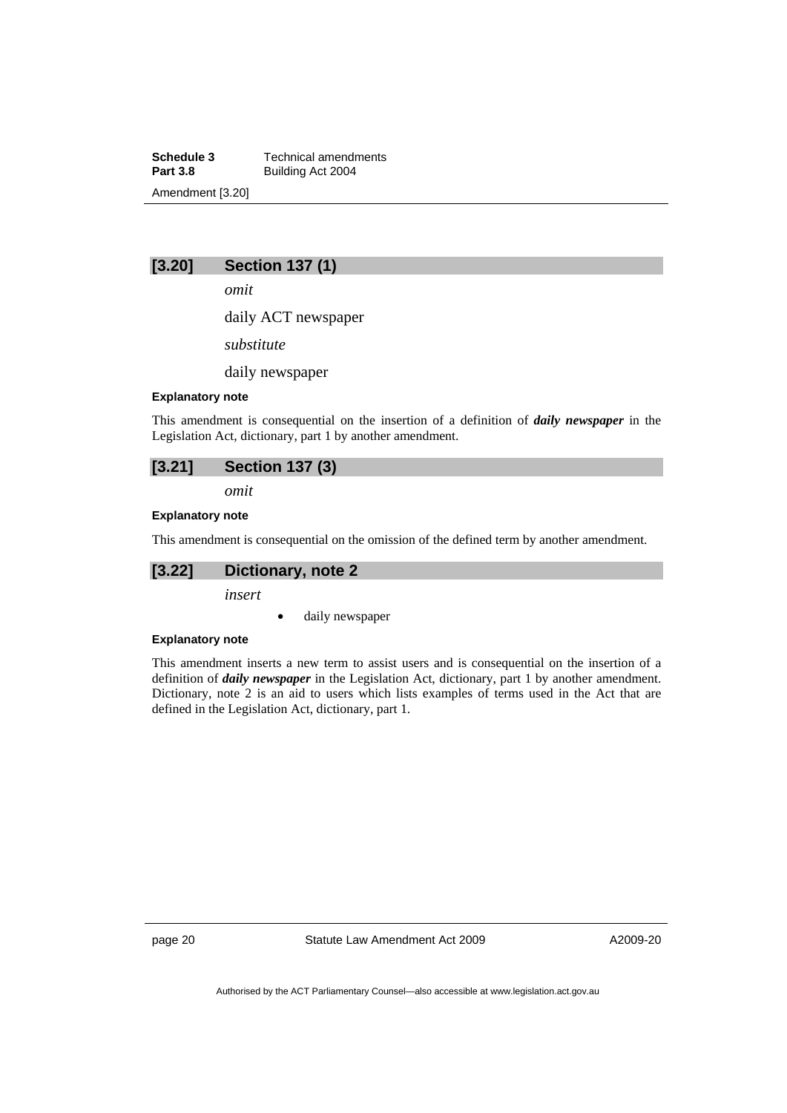**Schedule 3 Technical amendments**<br>**Part 3.8 Building Act 2004 Part 3.8** Building Act 2004 Amendment [3.20]

# **[3.20] Section 137 (1)**

*omit* 

daily ACT newspaper

*substitute* 

daily newspaper

#### **Explanatory note**

This amendment is consequential on the insertion of a definition of *daily newspaper* in the Legislation Act, dictionary, part 1 by another amendment.

*omit* 

### **Explanatory note**

This amendment is consequential on the omission of the defined term by another amendment.

# **[3.22] Dictionary, note 2**

*insert* 

daily newspaper

#### **Explanatory note**

This amendment inserts a new term to assist users and is consequential on the insertion of a definition of *daily newspaper* in the Legislation Act, dictionary, part 1 by another amendment. Dictionary, note 2 is an aid to users which lists examples of terms used in the Act that are defined in the Legislation Act, dictionary, part 1.

page 20 Statute Law Amendment Act 2009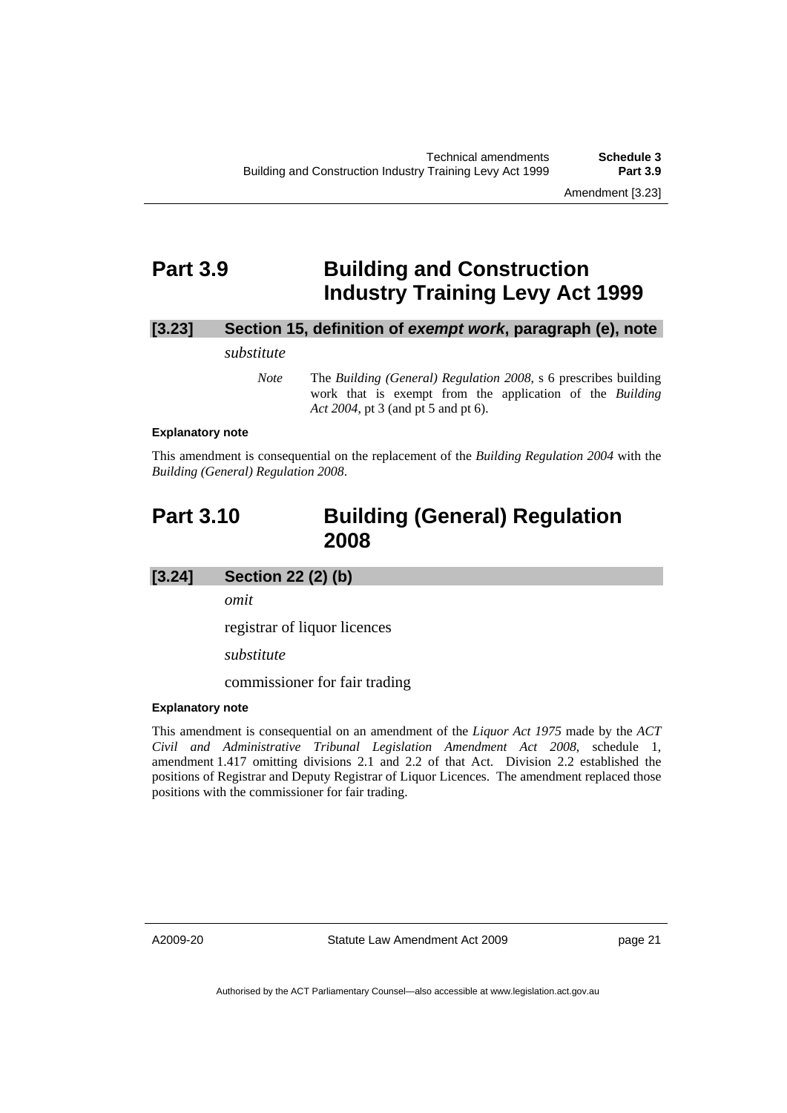# <span id="page-26-0"></span>**Part 3.9 Building and Construction Industry Training Levy Act 1999**

# **[3.23] Section 15, definition of** *exempt work***, paragraph (e), note**

#### *substitute*

*Note* The *Building (General) Regulation 2008*, s 6 prescribes building work that is exempt from the application of the *Building Act 2004*, pt 3 (and pt 5 and pt 6).

#### **Explanatory note**

This amendment is consequential on the replacement of the *Building Regulation 2004* with the *Building (General) Regulation 2008*.

# **Part 3.10 Building (General) Regulation 2008**

# **[3.24] Section 22 (2) (b)**

*omit* 

registrar of liquor licences

*substitute* 

commissioner for fair trading

## **Explanatory note**

This amendment is consequential on an amendment of the *Liquor Act 1975* made by the *ACT Civil and Administrative Tribunal Legislation Amendment Act 2008*, schedule 1, amendment 1.417 omitting divisions 2.1 and 2.2 of that Act. Division 2.2 established the positions of Registrar and Deputy Registrar of Liquor Licences. The amendment replaced those positions with the commissioner for fair trading.

A2009-20

Statute Law Amendment Act 2009

page 21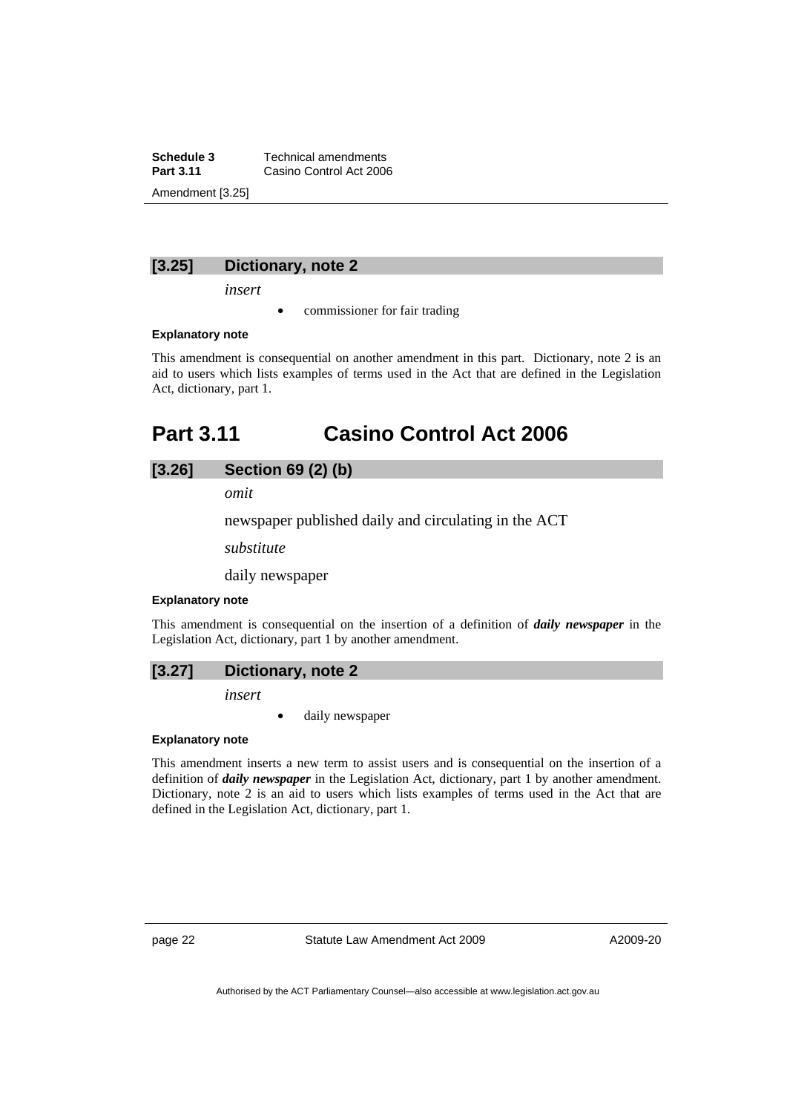<span id="page-27-0"></span>**Schedule 3 Technical amendments**<br>**Part 3.11 Casing Control Act 200 Casino Control Act 2006** Amendment [3.25]

### **[3.25] Dictionary, note 2**

*insert* 

commissioner for fair trading

#### **Explanatory note**

This amendment is consequential on another amendment in this part. Dictionary, note 2 is an aid to users which lists examples of terms used in the Act that are defined in the Legislation Act, dictionary, part 1.

# **Part 3.11 Casino Control Act 2006**

### **[3.26] Section 69 (2) (b)**

*omit* 

newspaper published daily and circulating in the ACT

*substitute* 

daily newspaper

#### **Explanatory note**

This amendment is consequential on the insertion of a definition of *daily newspaper* in the Legislation Act, dictionary, part 1 by another amendment.

## **[3.27] Dictionary, note 2**

*insert* 

daily newspaper

#### **Explanatory note**

This amendment inserts a new term to assist users and is consequential on the insertion of a definition of *daily newspaper* in the Legislation Act, dictionary, part 1 by another amendment. Dictionary, note 2 is an aid to users which lists examples of terms used in the Act that are defined in the Legislation Act, dictionary, part 1.

page 22 Statute Law Amendment Act 2009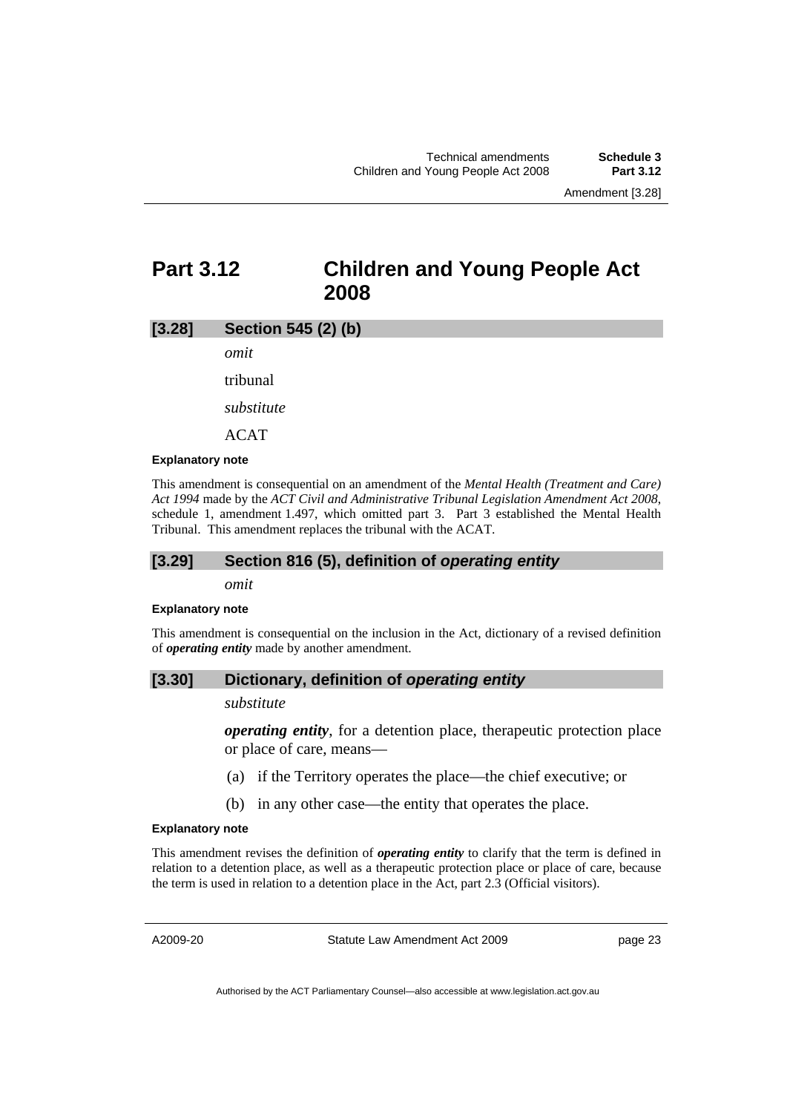# <span id="page-28-0"></span>**Part 3.12 Children and Young People Act 2008**

### **[3.28] Section 545 (2) (b)**

*omit* 

tribunal

*substitute* 

ACAT

#### **Explanatory note**

This amendment is consequential on an amendment of the *Mental Health (Treatment and Care) Act 1994* made by the *ACT Civil and Administrative Tribunal Legislation Amendment Act 2008*, schedule 1, amendment 1.497, which omitted part 3. Part 3 established the Mental Health Tribunal. This amendment replaces the tribunal with the ACAT.

### **[3.29] Section 816 (5), definition of** *operating entity*

*omit* 

#### **Explanatory note**

This amendment is consequential on the inclusion in the Act, dictionary of a revised definition of *operating entity* made by another amendment.

### **[3.30] Dictionary, definition of** *operating entity*

#### *substitute*

*operating entity*, for a detention place, therapeutic protection place or place of care, means—

- (a) if the Territory operates the place—the chief executive; or
- (b) in any other case—the entity that operates the place.

#### **Explanatory note**

This amendment revises the definition of *operating entity* to clarify that the term is defined in relation to a detention place, as well as a therapeutic protection place or place of care, because the term is used in relation to a detention place in the Act, part 2.3 (Official visitors).

A2009-20

Statute Law Amendment Act 2009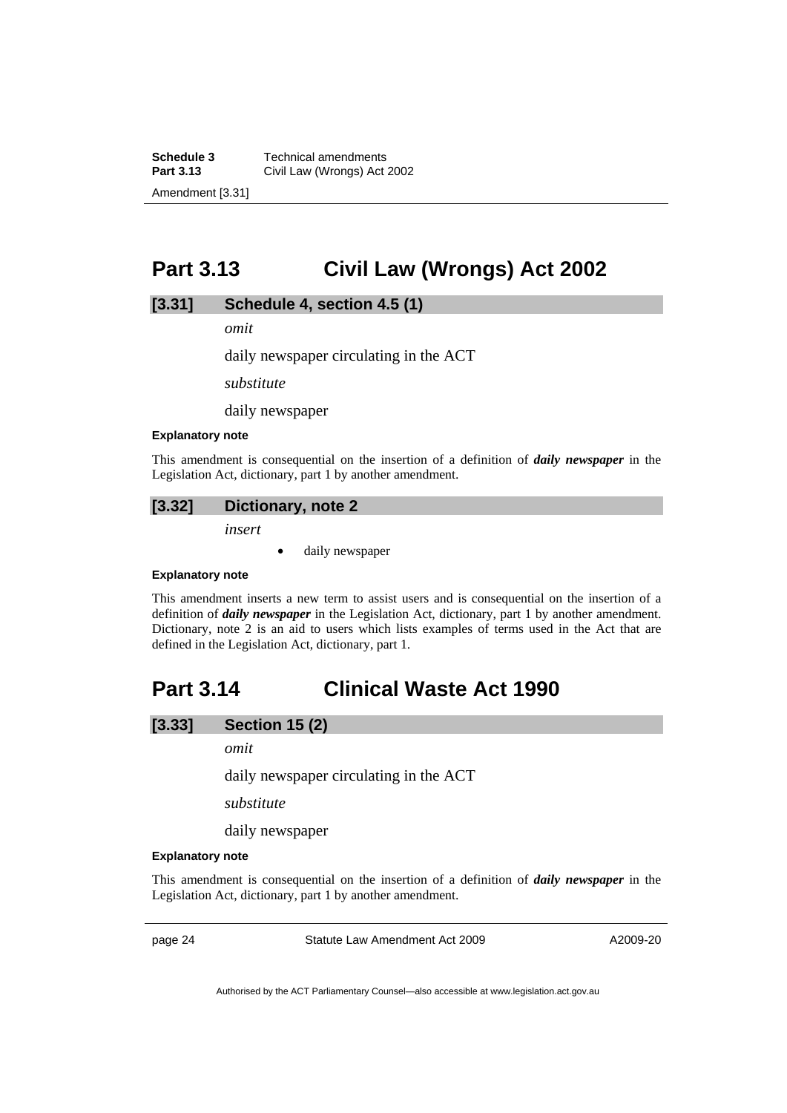<span id="page-29-0"></span>**Schedule 3 Technical amendments**<br>**Part 3.13 Civil Law (Wrongs) Act Part 3.13** Civil Law (Wrongs) Act 2002 Amendment [3.31]

# **Part 3.13 Civil Law (Wrongs) Act 2002**

### **[3.31] Schedule 4, section 4.5 (1)**

*omit* 

daily newspaper circulating in the ACT

*substitute* 

daily newspaper

#### **Explanatory note**

This amendment is consequential on the insertion of a definition of *daily newspaper* in the Legislation Act, dictionary, part 1 by another amendment.

#### **[3.32] Dictionary, note 2**

*insert* 

• daily newspaper

#### **Explanatory note**

This amendment inserts a new term to assist users and is consequential on the insertion of a definition of *daily newspaper* in the Legislation Act, dictionary, part 1 by another amendment. Dictionary, note 2 is an aid to users which lists examples of terms used in the Act that are defined in the Legislation Act, dictionary, part 1.

# **Part 3.14 Clinical Waste Act 1990**

### **[3.33] Section 15 (2)**

*omit* 

daily newspaper circulating in the ACT

*substitute* 

daily newspaper

### **Explanatory note**

This amendment is consequential on the insertion of a definition of *daily newspaper* in the Legislation Act, dictionary, part 1 by another amendment.

page 24 Statute Law Amendment Act 2009

A2009-20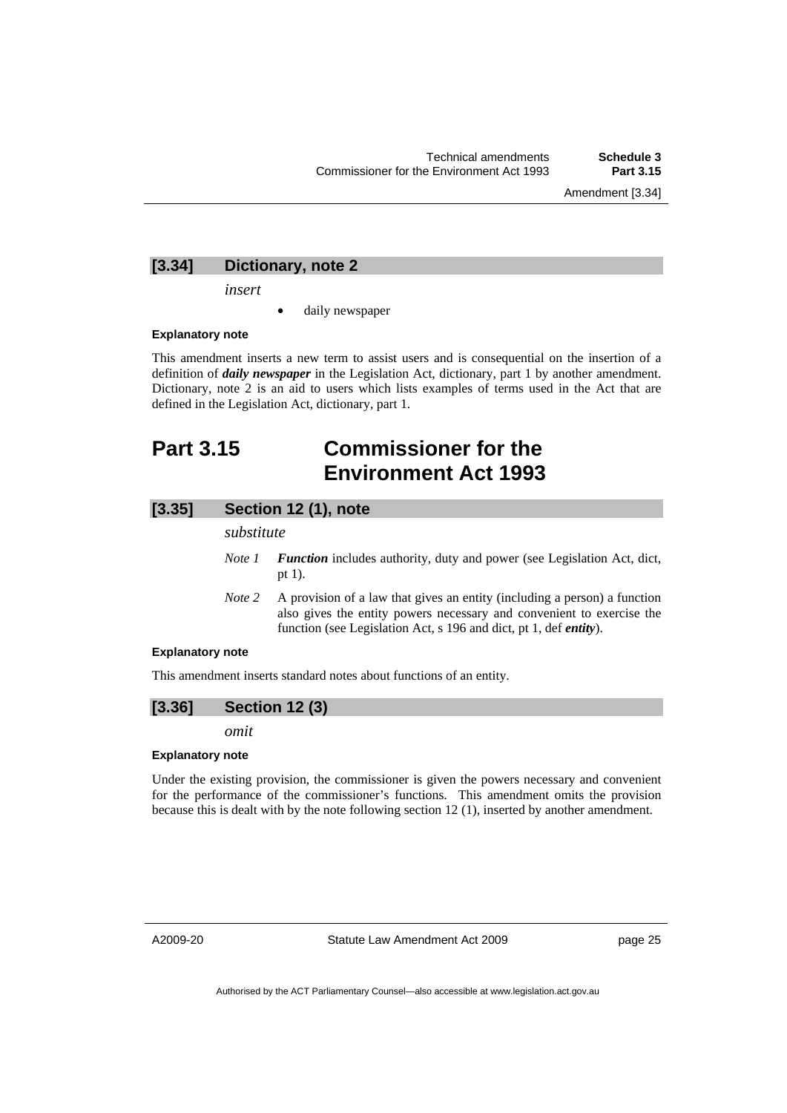Amendment [3.34]

### <span id="page-30-0"></span>**[3.34] Dictionary, note 2**

*insert* 

daily newspaper

#### **Explanatory note**

This amendment inserts a new term to assist users and is consequential on the insertion of a definition of *daily newspaper* in the Legislation Act, dictionary, part 1 by another amendment. Dictionary, note 2 is an aid to users which lists examples of terms used in the Act that are defined in the Legislation Act, dictionary, part 1.

# **Part 3.15 Commissioner for the Environment Act 1993**

### **[3.35] Section 12 (1), note**

*substitute* 

- *Note 1 Function* includes authority, duty and power (see Legislation Act, dict, pt 1).
- *Note 2* A provision of a law that gives an entity (including a person) a function also gives the entity powers necessary and convenient to exercise the function (see Legislation Act, s 196 and dict, pt 1, def *entity*).

#### **Explanatory note**

This amendment inserts standard notes about functions of an entity.



*omit* 

#### **Explanatory note**

Under the existing provision, the commissioner is given the powers necessary and convenient for the performance of the commissioner's functions. This amendment omits the provision because this is dealt with by the note following section 12 (1), inserted by another amendment.

A2009-20

Statute Law Amendment Act 2009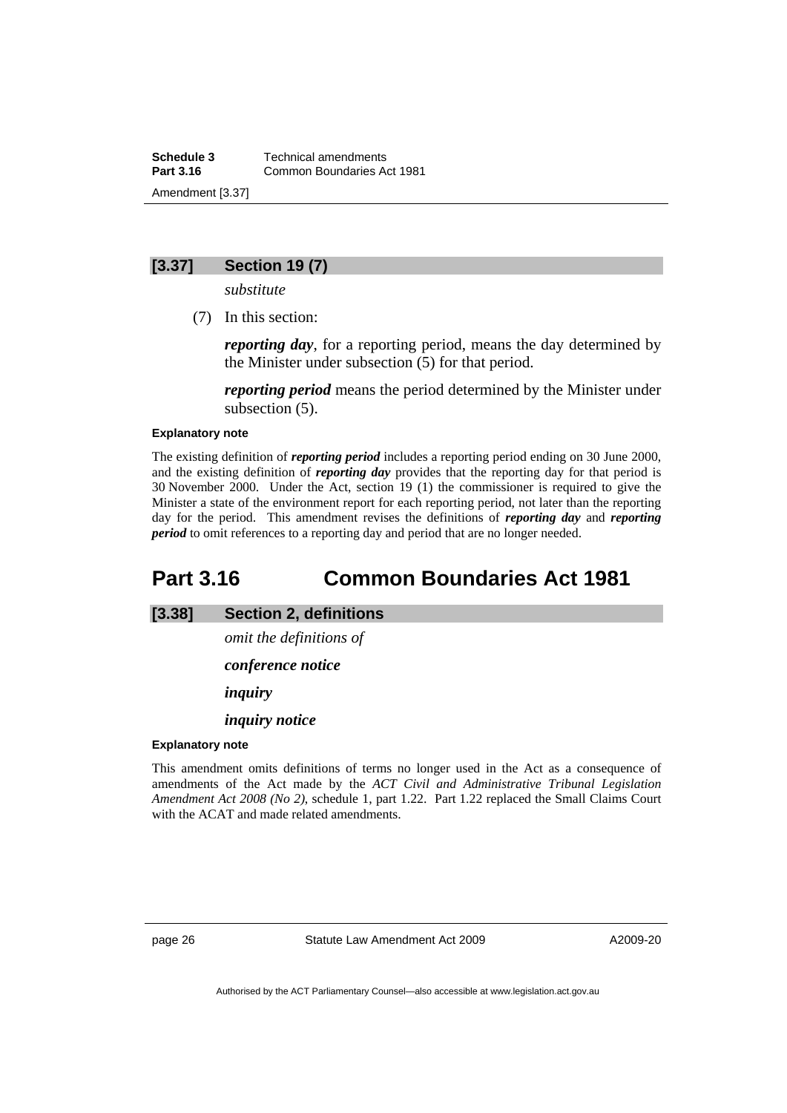<span id="page-31-0"></span>**Schedule 3 Technical amendments**<br>**Part 3.16 Common Boundaries A Part 3.16** Common Boundaries Act 1981 Amendment [3.37]

# **[3.37] Section 19 (7)**

*substitute* 

(7) In this section:

*reporting day*, for a reporting period, means the day determined by the Minister under subsection (5) for that period.

*reporting period* means the period determined by the Minister under subsection (5).

#### **Explanatory note**

The existing definition of *reporting period* includes a reporting period ending on 30 June 2000, and the existing definition of *reporting day* provides that the reporting day for that period is 30 November 2000. Under the Act, section 19 (1) the commissioner is required to give the Minister a state of the environment report for each reporting period, not later than the reporting day for the period. This amendment revises the definitions of *reporting day* and *reporting period* to omit references to a reporting day and period that are no longer needed.

# **Part 3.16 Common Boundaries Act 1981**

**[3.38] Section 2, definitions** 

*omit the definitions of* 

*conference notice* 

*inquiry* 

*inquiry notice* 

#### **Explanatory note**

This amendment omits definitions of terms no longer used in the Act as a consequence of amendments of the Act made by the *ACT Civil and Administrative Tribunal Legislation Amendment Act 2008 (No 2)*, schedule 1, part 1.22. Part 1.22 replaced the Small Claims Court with the ACAT and made related amendments.

page 26 Statute Law Amendment Act 2009

A2009-20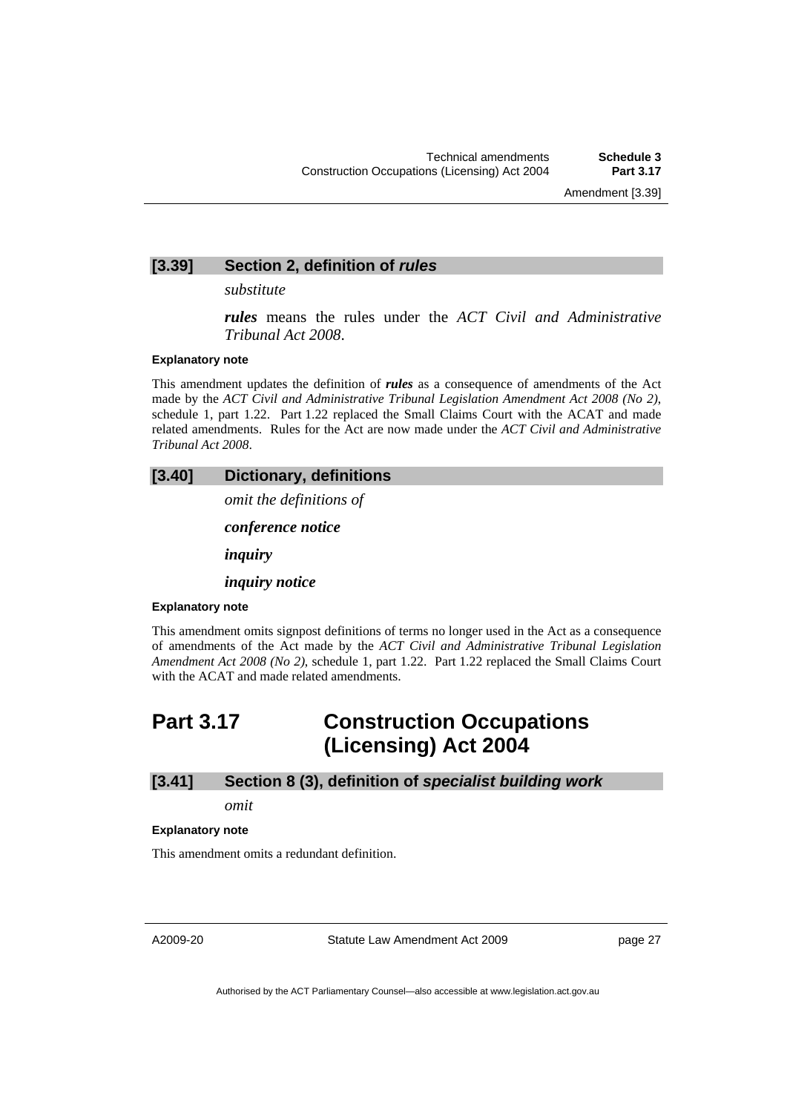### <span id="page-32-0"></span>**[3.39] Section 2, definition of** *rules*

*substitute* 

*rules* means the rules under the *ACT Civil and Administrative Tribunal Act 2008*.

### **Explanatory note**

This amendment updates the definition of *rules* as a consequence of amendments of the Act made by the *ACT Civil and Administrative Tribunal Legislation Amendment Act 2008 (No 2)*, schedule 1, part 1.22. Part 1.22 replaced the Small Claims Court with the ACAT and made related amendments. Rules for the Act are now made under the *ACT Civil and Administrative Tribunal Act 2008*.

# **[3.40] Dictionary, definitions**

*omit the definitions of* 

*conference notice*

*inquiry*

*inquiry notice*

#### **Explanatory note**

This amendment omits signpost definitions of terms no longer used in the Act as a consequence of amendments of the Act made by the *ACT Civil and Administrative Tribunal Legislation Amendment Act 2008 (No 2)*, schedule 1, part 1.22. Part 1.22 replaced the Small Claims Court with the ACAT and made related amendments.

# **Part 3.17 Construction Occupations (Licensing) Act 2004**

## **[3.41] Section 8 (3), definition of** *specialist building work*

*omit* 

#### **Explanatory note**

This amendment omits a redundant definition.

A2009-20

Statute Law Amendment Act 2009

page 27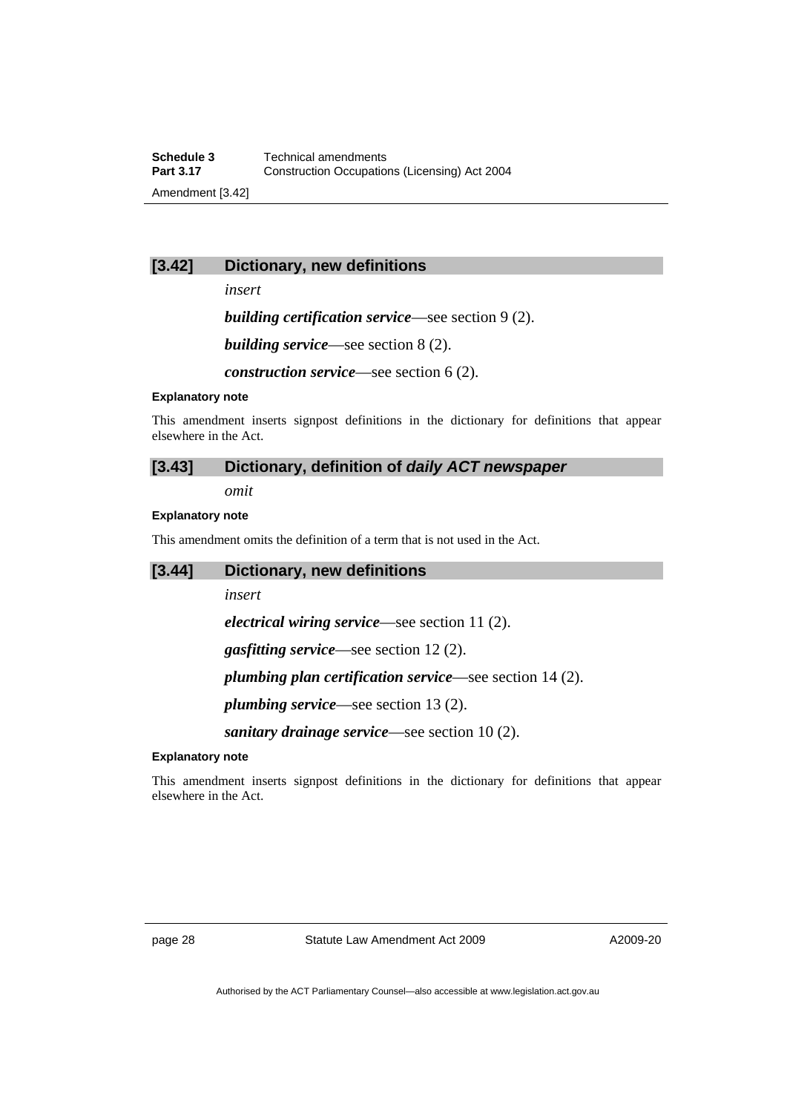# **[3.42] Dictionary, new definitions**

*insert* 

*building certification service*—see section 9 (2).

*building service*—see section 8 (2).

*construction service*—see section 6 (2).

#### **Explanatory note**

This amendment inserts signpost definitions in the dictionary for definitions that appear elsewhere in the Act.

# **[3.43] Dictionary, definition of** *daily ACT newspaper*

*omit* 

# **Explanatory note**

This amendment omits the definition of a term that is not used in the Act.

| [3.44]                  | <b>Dictionary, new definitions</b>                                                        |
|-------------------------|-------------------------------------------------------------------------------------------|
|                         | insert                                                                                    |
|                         | <i>electrical wiring service</i> —see section 11 $(2)$ .                                  |
|                         | <i>gasfitting service</i> —see section $12(2)$ .                                          |
|                         | <i>plumbing plan certification service</i> —see section $14(2)$ .                         |
|                         | <i>plumbing service</i> —see section 13 $(2)$ .                                           |
|                         | <i>sanitary drainage service</i> —see section $10(2)$ .                                   |
| <b>Explanatory note</b> |                                                                                           |
|                         | This amendment inserts signpost definitions in the dictionary for definitions that appear |

elsewhere in the Act.

page 28 Statute Law Amendment Act 2009

A2009-20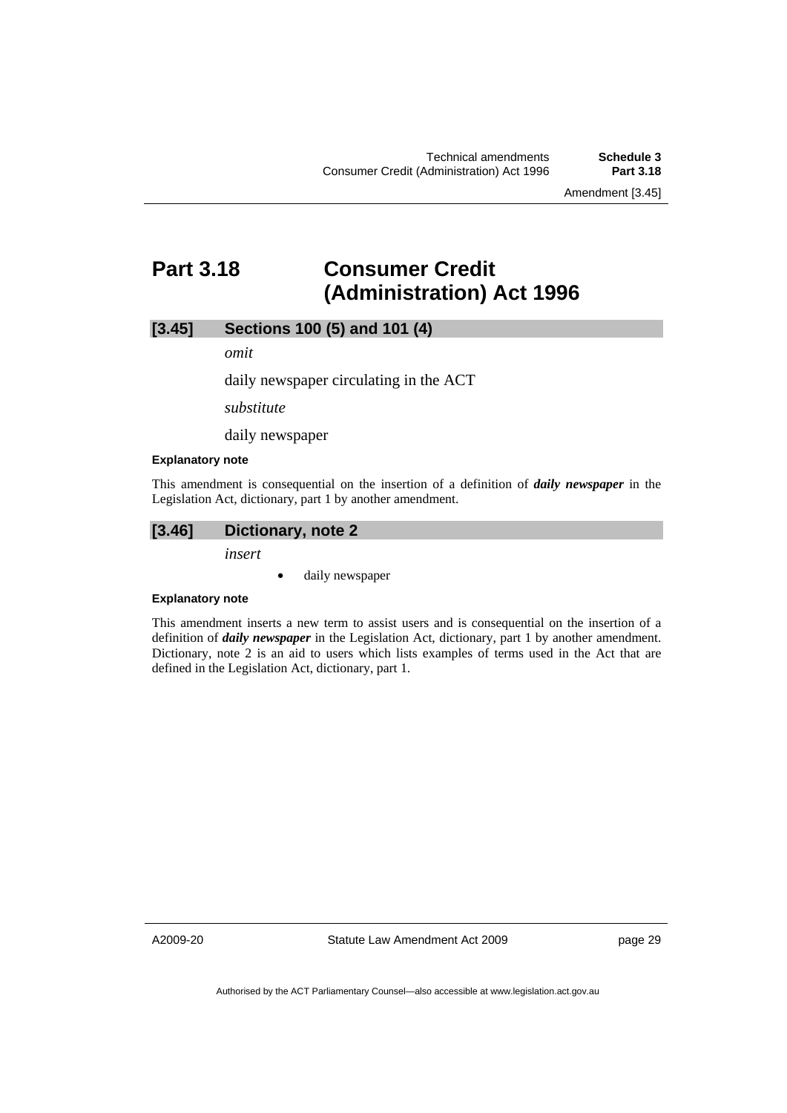Amendment [3.45]

# <span id="page-34-0"></span>**Part 3.18 Consumer Credit (Administration) Act 1996**

**[3.45] Sections 100 (5) and 101 (4)** 

*omit* 

daily newspaper circulating in the ACT

*substitute* 

daily newspaper

#### **Explanatory note**

This amendment is consequential on the insertion of a definition of *daily newspaper* in the Legislation Act, dictionary, part 1 by another amendment.

# **[3.46] Dictionary, note 2**

*insert* 

• daily newspaper

# **Explanatory note**

This amendment inserts a new term to assist users and is consequential on the insertion of a definition of *daily newspaper* in the Legislation Act, dictionary, part 1 by another amendment. Dictionary, note 2 is an aid to users which lists examples of terms used in the Act that are defined in the Legislation Act, dictionary, part 1.

A2009-20

Statute Law Amendment Act 2009

page 29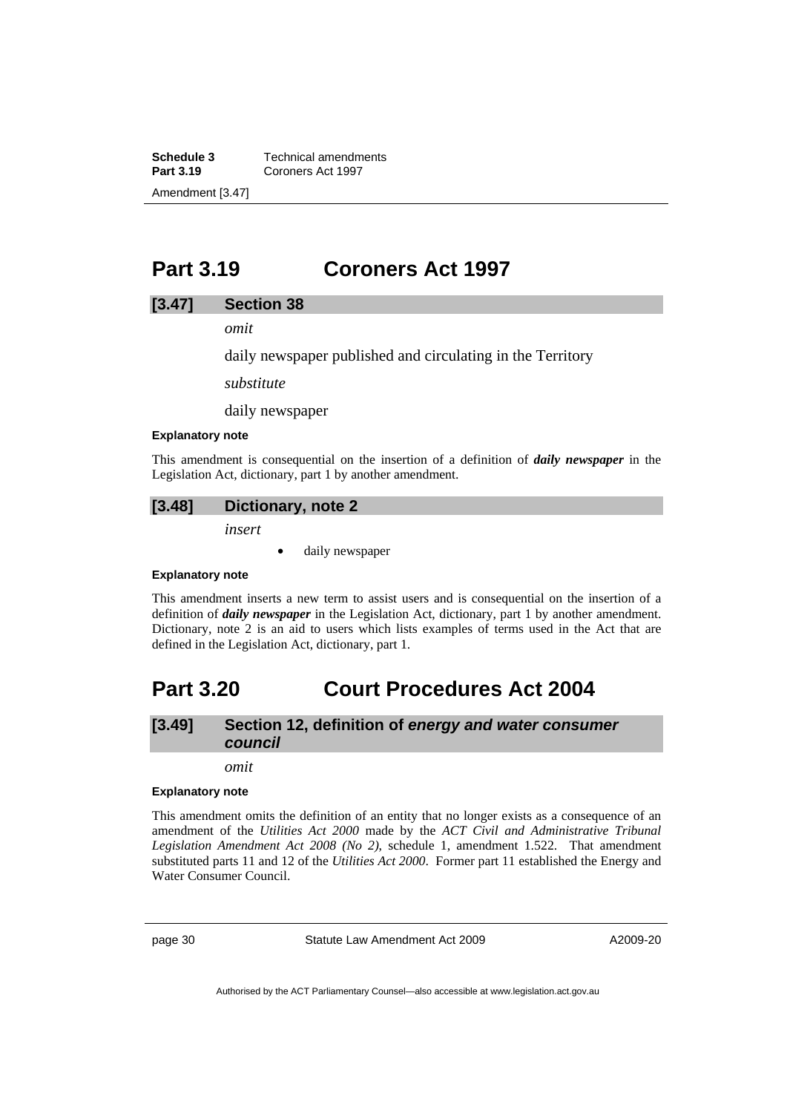<span id="page-35-0"></span>**Schedule 3 Technical amendments**<br>**Part 3.19 Coroners Act 1997 Part 3.19** Coroners Act 1997 Amendment [3.47]

# **Part 3.19 Coroners Act 1997**

### **[3.47] Section 38**

*omit* 

daily newspaper published and circulating in the Territory

*substitute* 

daily newspaper

#### **Explanatory note**

This amendment is consequential on the insertion of a definition of *daily newspaper* in the Legislation Act, dictionary, part 1 by another amendment.

### **[3.48] Dictionary, note 2**

*insert* 

daily newspaper

#### **Explanatory note**

This amendment inserts a new term to assist users and is consequential on the insertion of a definition of *daily newspaper* in the Legislation Act, dictionary, part 1 by another amendment. Dictionary, note 2 is an aid to users which lists examples of terms used in the Act that are defined in the Legislation Act, dictionary, part 1.

# **Part 3.20 Court Procedures Act 2004**

# **[3.49] Section 12, definition of** *energy and water consumer council*

*omit* 

#### **Explanatory note**

This amendment omits the definition of an entity that no longer exists as a consequence of an amendment of the *Utilities Act 2000* made by the *ACT Civil and Administrative Tribunal Legislation Amendment Act 2008 (No 2)*, schedule 1, amendment 1.522. That amendment substituted parts 11 and 12 of the *Utilities Act 2000*. Former part 11 established the Energy and Water Consumer Council.

page 30 Statute Law Amendment Act 2009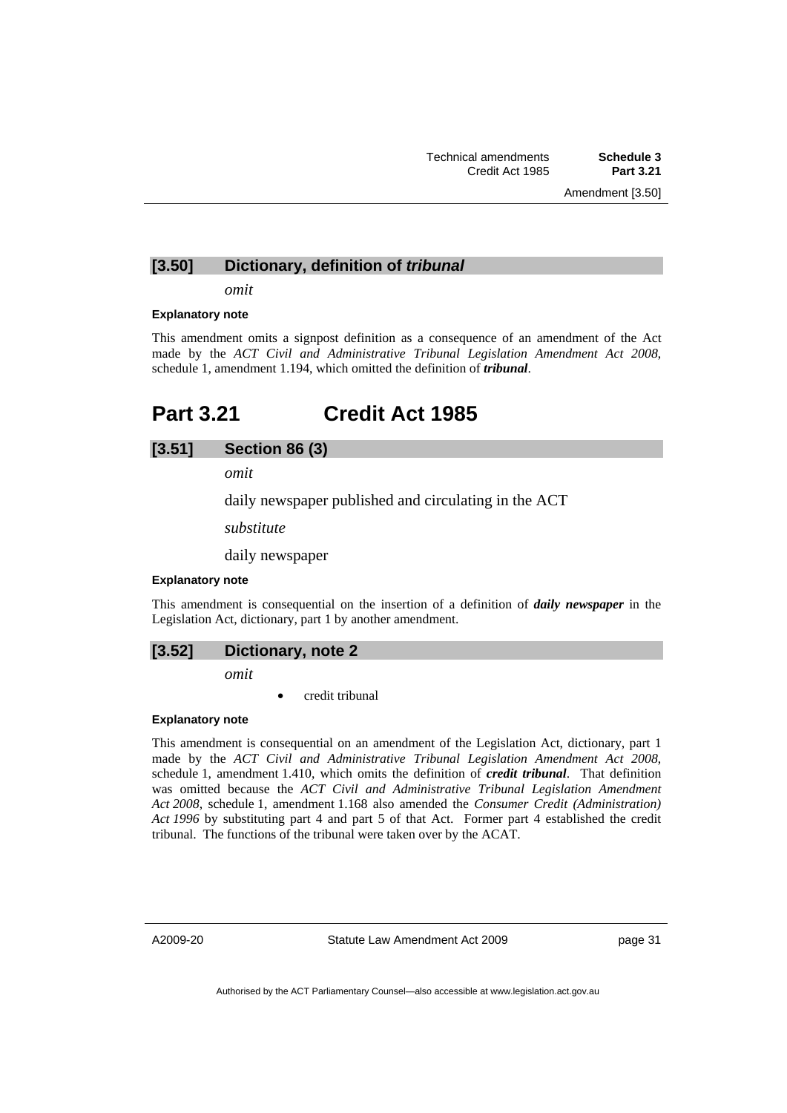### **[3.50] Dictionary, definition of** *tribunal*

*omit* 

#### **Explanatory note**

This amendment omits a signpost definition as a consequence of an amendment of the Act made by the *ACT Civil and Administrative Tribunal Legislation Amendment Act 2008*, schedule 1, amendment 1.194, which omitted the definition of *tribunal*.

# **Part 3.21 Credit Act 1985**

## **[3.51] Section 86 (3)**

*omit* 

daily newspaper published and circulating in the ACT

*substitute* 

daily newspaper

#### **Explanatory note**

This amendment is consequential on the insertion of a definition of *daily newspaper* in the Legislation Act, dictionary, part 1 by another amendment.

*omit* 

• credit tribunal

#### **Explanatory note**

This amendment is consequential on an amendment of the Legislation Act, dictionary, part 1 made by the *ACT Civil and Administrative Tribunal Legislation Amendment Act 2008*, schedule 1, amendment 1.410, which omits the definition of *credit tribunal*. That definition was omitted because the *ACT Civil and Administrative Tribunal Legislation Amendment Act 2008*, schedule 1, amendment 1.168 also amended the *Consumer Credit (Administration) Act 1996* by substituting part 4 and part 5 of that Act. Former part 4 established the credit tribunal. The functions of the tribunal were taken over by the ACAT.

A2009-20

Statute Law Amendment Act 2009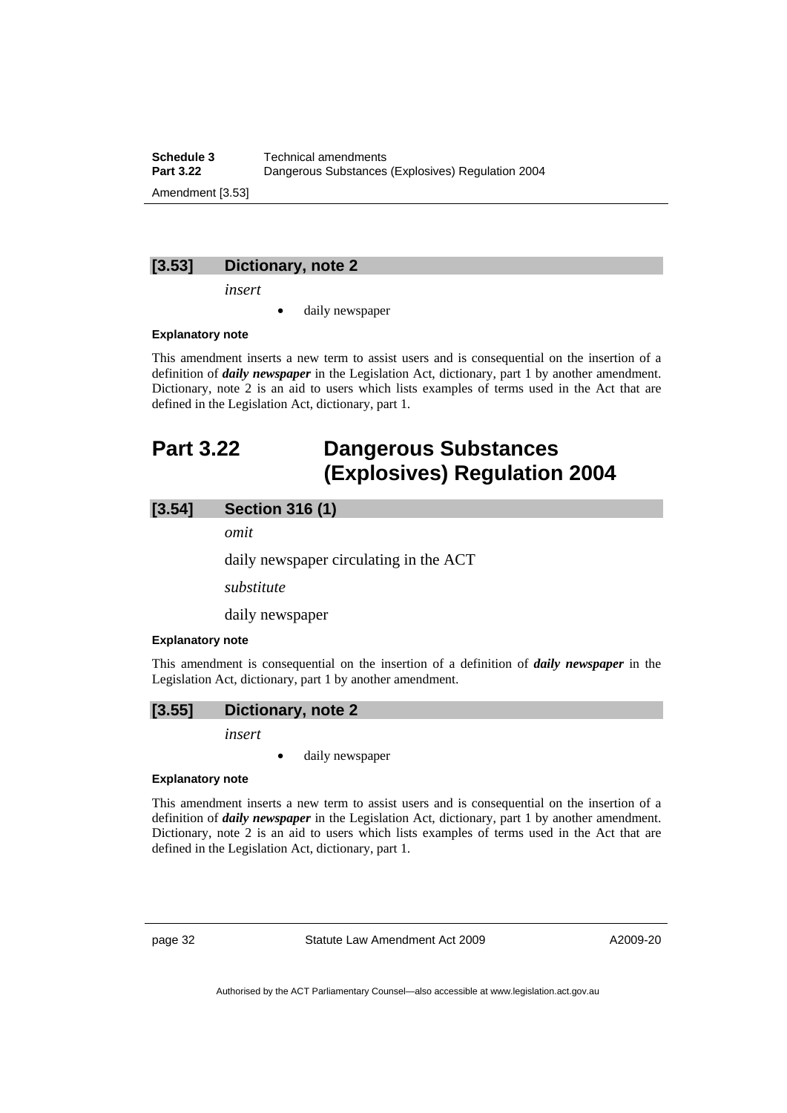**Schedule 3 Technical amendments**<br>**Part 3.22 Dangerous Substances Part 3.22** Dangerous Substances (Explosives) Regulation 2004 Amendment [3.53]

# **[3.53] Dictionary, note 2**

*insert* 

daily newspaper

### **Explanatory note**

This amendment inserts a new term to assist users and is consequential on the insertion of a definition of *daily newspaper* in the Legislation Act, dictionary, part 1 by another amendment. Dictionary, note 2 is an aid to users which lists examples of terms used in the Act that are defined in the Legislation Act, dictionary, part 1.

# **Part 3.22 Dangerous Substances (Explosives) Regulation 2004**

## **[3.54] Section 316 (1)**

*omit* 

daily newspaper circulating in the ACT

*substitute* 

daily newspaper

#### **Explanatory note**

This amendment is consequential on the insertion of a definition of *daily newspaper* in the Legislation Act, dictionary, part 1 by another amendment.

## **[3.55] Dictionary, note 2**

*insert* 

daily newspaper

#### **Explanatory note**

This amendment inserts a new term to assist users and is consequential on the insertion of a definition of *daily newspaper* in the Legislation Act, dictionary, part 1 by another amendment. Dictionary, note 2 is an aid to users which lists examples of terms used in the Act that are defined in the Legislation Act, dictionary, part 1.

page 32 Statute Law Amendment Act 2009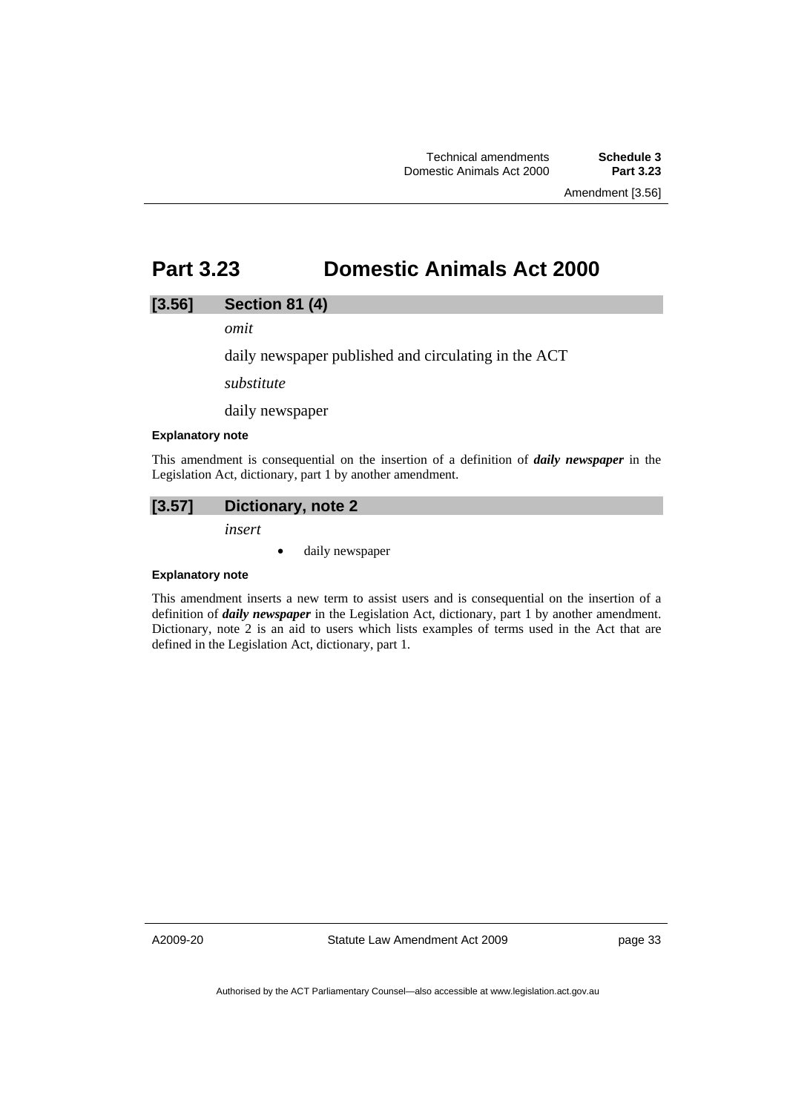# **Part 3.23 Domestic Animals Act 2000**

## **[3.56] Section 81 (4)**

*omit* 

daily newspaper published and circulating in the ACT

*substitute* 

daily newspaper

#### **Explanatory note**

This amendment is consequential on the insertion of a definition of *daily newspaper* in the Legislation Act, dictionary, part 1 by another amendment.

## **[3.57] Dictionary, note 2**

*insert* 

• daily newspaper

#### **Explanatory note**

This amendment inserts a new term to assist users and is consequential on the insertion of a definition of *daily newspaper* in the Legislation Act, dictionary, part 1 by another amendment. Dictionary, note 2 is an aid to users which lists examples of terms used in the Act that are defined in the Legislation Act, dictionary, part 1.

A2009-20

Statute Law Amendment Act 2009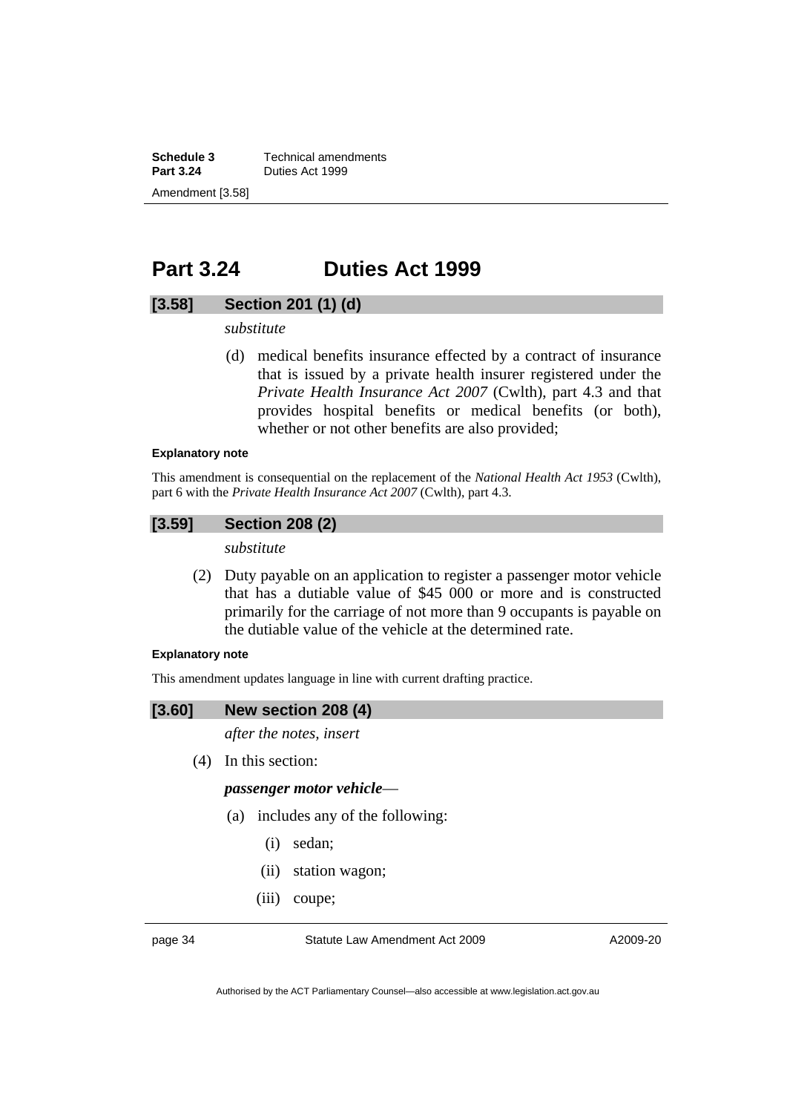**Schedule 3 Technical amendments**<br>**Part 3.24 Duties Act 1999 Part 3.24** Duties Act 1999 Amendment [3.58]

# **Part 3.24 Duties Act 1999**

## **[3.58] Section 201 (1) (d)**

*substitute* 

 (d) medical benefits insurance effected by a contract of insurance that is issued by a private health insurer registered under the *Private Health Insurance Act 2007* (Cwlth), part 4.3 and that provides hospital benefits or medical benefits (or both), whether or not other benefits are also provided;

#### **Explanatory note**

This amendment is consequential on the replacement of the *National Health Act 1953* (Cwlth), part 6 with the *Private Health Insurance Act 2007* (Cwlth), part 4.3.

## **[3.59] Section 208 (2)**

*substitute* 

 (2) Duty payable on an application to register a passenger motor vehicle that has a dutiable value of \$45 000 or more and is constructed primarily for the carriage of not more than 9 occupants is payable on the dutiable value of the vehicle at the determined rate.

## **Explanatory note**

This amendment updates language in line with current drafting practice.

## **[3.60] New section 208 (4)**

*after the notes, insert* 

(4) In this section:

## *passenger motor vehicle*—

- (a) includes any of the following:
	- (i) sedan;
	- (ii) station wagon;
	- (iii) coupe;

page 34 Statute Law Amendment Act 2009

A2009-20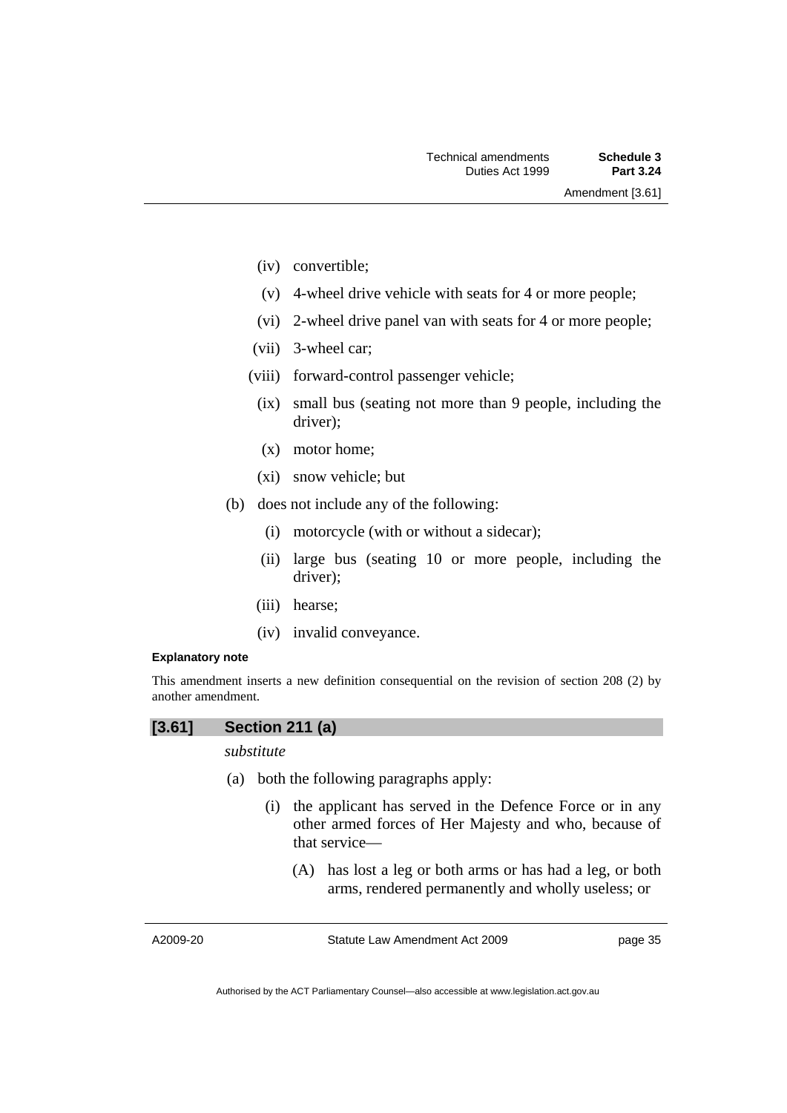- (iv) convertible;
- (v) 4-wheel drive vehicle with seats for 4 or more people;
- (vi) 2-wheel drive panel van with seats for 4 or more people;
- (vii) 3-wheel car;
- (viii) forward-control passenger vehicle;
	- (ix) small bus (seating not more than 9 people, including the driver);
	- (x) motor home;
	- (xi) snow vehicle; but
- (b) does not include any of the following:
	- (i) motorcycle (with or without a sidecar);
	- (ii) large bus (seating 10 or more people, including the driver);
	- (iii) hearse;
	- (iv) invalid conveyance.

### **Explanatory note**

This amendment inserts a new definition consequential on the revision of section 208 (2) by another amendment.

# **[3.61] Section 211 (a)**

# *substitute*

- (a) both the following paragraphs apply:
	- (i) the applicant has served in the Defence Force or in any other armed forces of Her Majesty and who, because of that service—
		- (A) has lost a leg or both arms or has had a leg, or both arms, rendered permanently and wholly useless; or

A2009-20

Statute Law Amendment Act 2009

page 35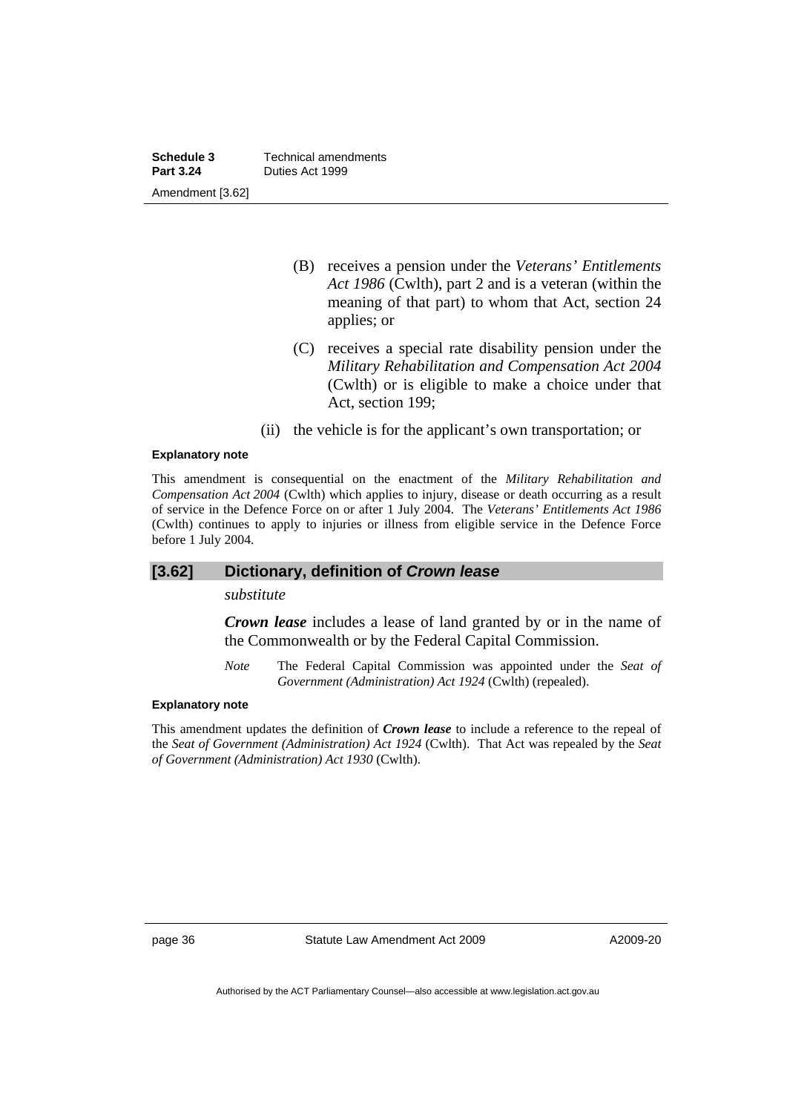**Schedule 3 Technical amendments**<br>**Part 3.24 Duties Act 1999 Part 3.24** Duties Act 1999 Amendment [3.62]

- (B) receives a pension under the *Veterans' Entitlements Act 1986* (Cwlth), part 2 and is a veteran (within the meaning of that part) to whom that Act, section 24 applies; or
- (C) receives a special rate disability pension under the *Military Rehabilitation and Compensation Act 2004* (Cwlth) or is eligible to make a choice under that Act, section 199;
- (ii) the vehicle is for the applicant's own transportation; or

### **Explanatory note**

This amendment is consequential on the enactment of the *Military Rehabilitation and Compensation Act 2004* (Cwlth) which applies to injury, disease or death occurring as a result of service in the Defence Force on or after 1 July 2004. The *Veterans' Entitlements Act 1986* (Cwlth) continues to apply to injuries or illness from eligible service in the Defence Force before 1 July 2004.

## **[3.62] Dictionary, definition of** *Crown lease*

## *substitute*

*Crown lease* includes a lease of land granted by or in the name of the Commonwealth or by the Federal Capital Commission.

*Note* The Federal Capital Commission was appointed under the *Seat of Government (Administration) Act 1924* (Cwlth) (repealed).

### **Explanatory note**

This amendment updates the definition of *Crown lease* to include a reference to the repeal of the *Seat of Government (Administration) Act 1924* (Cwlth). That Act was repealed by the *Seat of Government (Administration) Act 1930* (Cwlth).

page 36 Statute Law Amendment Act 2009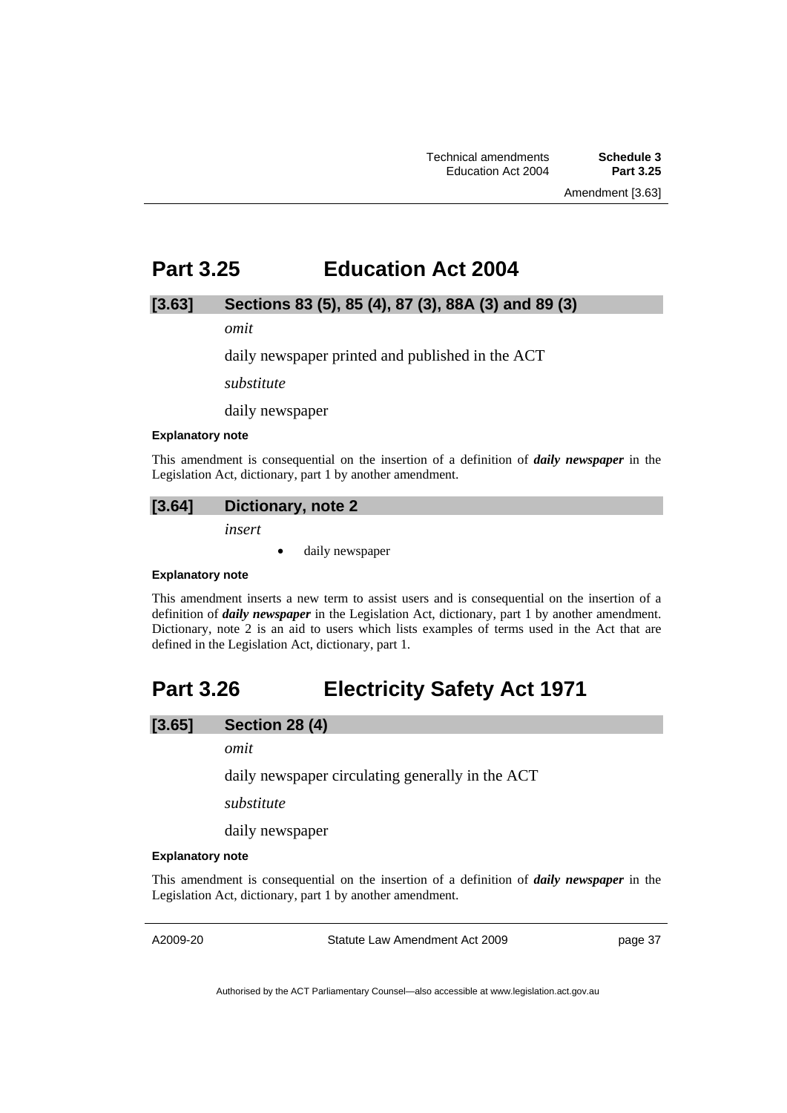# **Part 3.25 Education Act 2004**

## **[3.63] Sections 83 (5), 85 (4), 87 (3), 88A (3) and 89 (3)**

*omit* 

daily newspaper printed and published in the ACT

*substitute* 

daily newspaper

#### **Explanatory note**

This amendment is consequential on the insertion of a definition of *daily newspaper* in the Legislation Act, dictionary, part 1 by another amendment.

## **[3.64] Dictionary, note 2**

*insert* 

• daily newspaper

#### **Explanatory note**

This amendment inserts a new term to assist users and is consequential on the insertion of a definition of *daily newspaper* in the Legislation Act, dictionary, part 1 by another amendment. Dictionary, note 2 is an aid to users which lists examples of terms used in the Act that are defined in the Legislation Act, dictionary, part 1.

# **Part 3.26 Electricity Safety Act 1971**

## **[3.65] Section 28 (4)**

*omit* 

daily newspaper circulating generally in the ACT

*substitute* 

daily newspaper

### **Explanatory note**

This amendment is consequential on the insertion of a definition of *daily newspaper* in the Legislation Act, dictionary, part 1 by another amendment.

A2009-20

Statute Law Amendment Act 2009

page 37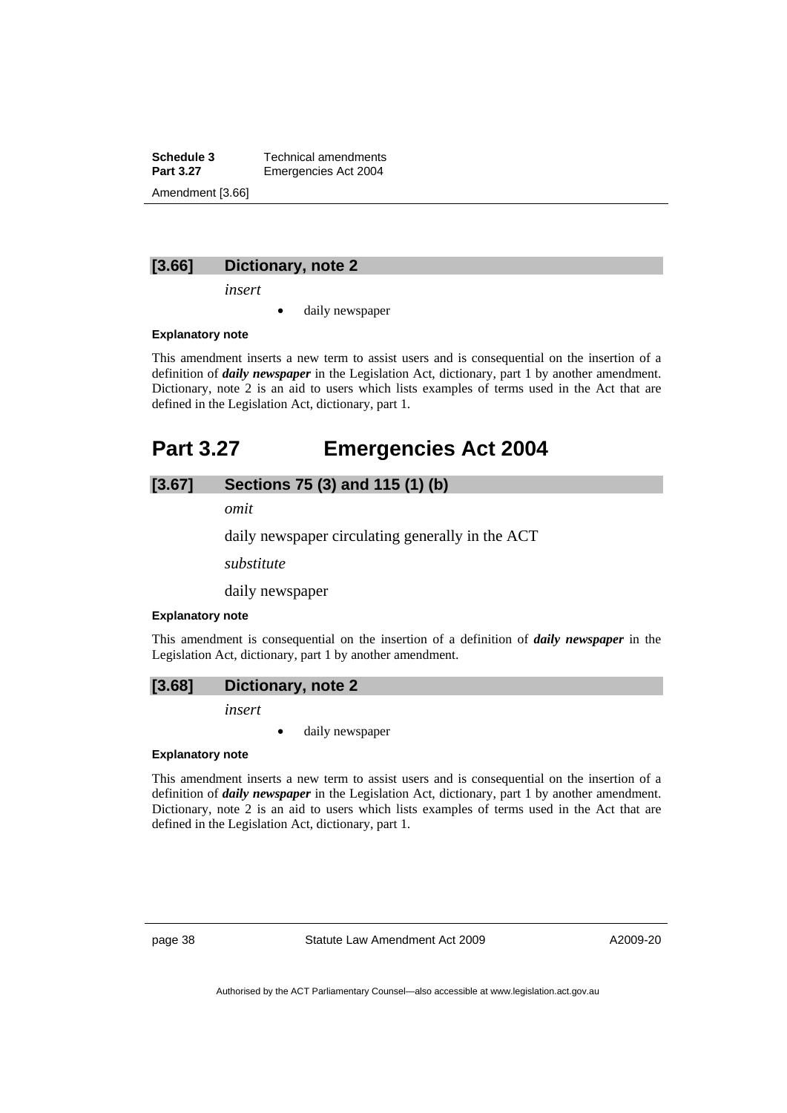**Schedule 3 Technical amendments**<br>**Part 3.27 Emergencies Act 2004 Emergencies Act 2004** Amendment [3.66]

### **[3.66] Dictionary, note 2**

*insert* 

daily newspaper

### **Explanatory note**

This amendment inserts a new term to assist users and is consequential on the insertion of a definition of *daily newspaper* in the Legislation Act, dictionary, part 1 by another amendment. Dictionary, note 2 is an aid to users which lists examples of terms used in the Act that are defined in the Legislation Act, dictionary, part 1.

# **Part 3.27 Emergencies Act 2004**

# **[3.67] Sections 75 (3) and 115 (1) (b)**

*omit* 

daily newspaper circulating generally in the ACT

*substitute* 

daily newspaper

#### **Explanatory note**

This amendment is consequential on the insertion of a definition of *daily newspaper* in the Legislation Act, dictionary, part 1 by another amendment.

### **[3.68] Dictionary, note 2**

*insert* 

daily newspaper

#### **Explanatory note**

This amendment inserts a new term to assist users and is consequential on the insertion of a definition of *daily newspaper* in the Legislation Act, dictionary, part 1 by another amendment. Dictionary, note 2 is an aid to users which lists examples of terms used in the Act that are defined in the Legislation Act, dictionary, part 1.

page 38 Statute Law Amendment Act 2009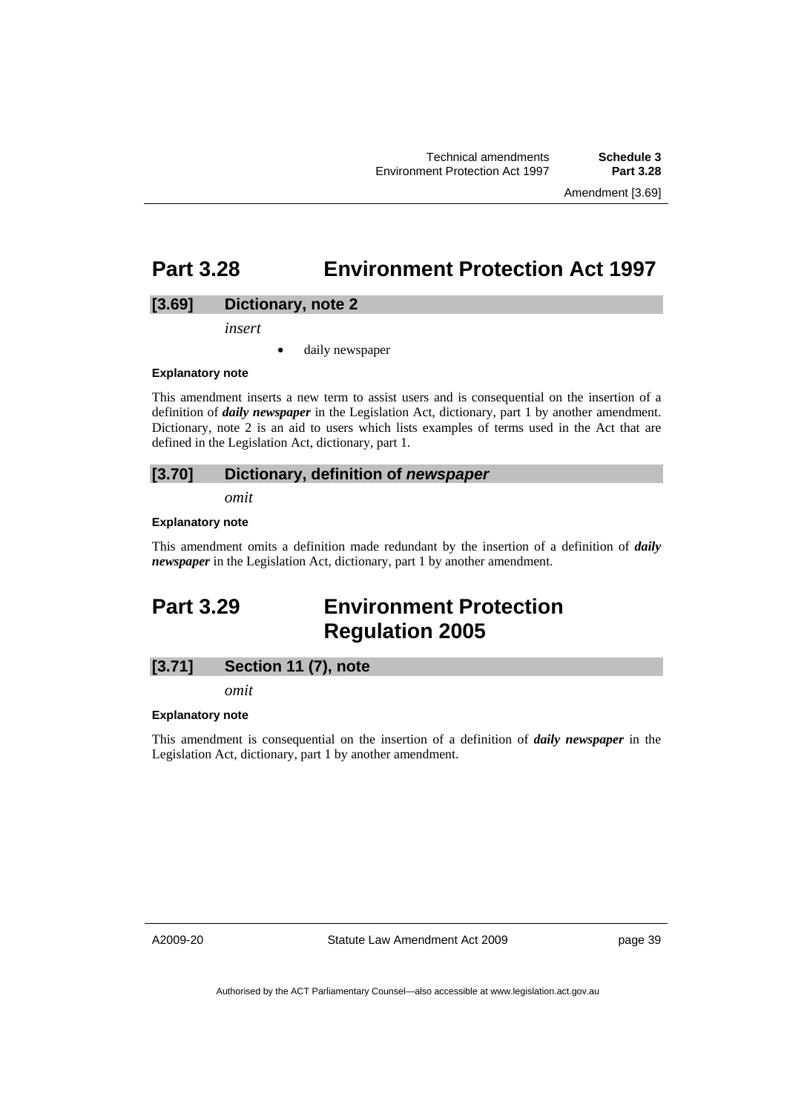Technical amendments **Schedule 3 Environment Protection Act 1997** 

Amendment [3.69]

**Part 3.28 Environment Protection Act 1997** 

## **[3.69] Dictionary, note 2**

*insert* 

daily newspaper

#### **Explanatory note**

This amendment inserts a new term to assist users and is consequential on the insertion of a definition of *daily newspaper* in the Legislation Act, dictionary, part 1 by another amendment. Dictionary, note 2 is an aid to users which lists examples of terms used in the Act that are defined in the Legislation Act, dictionary, part 1.

## **[3.70] Dictionary, definition of** *newspaper*

*omit* 

### **Explanatory note**

This amendment omits a definition made redundant by the insertion of a definition of *daily newspaper* in the Legislation Act, dictionary, part 1 by another amendment.

# **Part 3.29 Environment Protection Regulation 2005**

# **[3.71] Section 11 (7), note**

*omit* 

### **Explanatory note**

This amendment is consequential on the insertion of a definition of *daily newspaper* in the Legislation Act, dictionary, part 1 by another amendment.

A2009-20

Statute Law Amendment Act 2009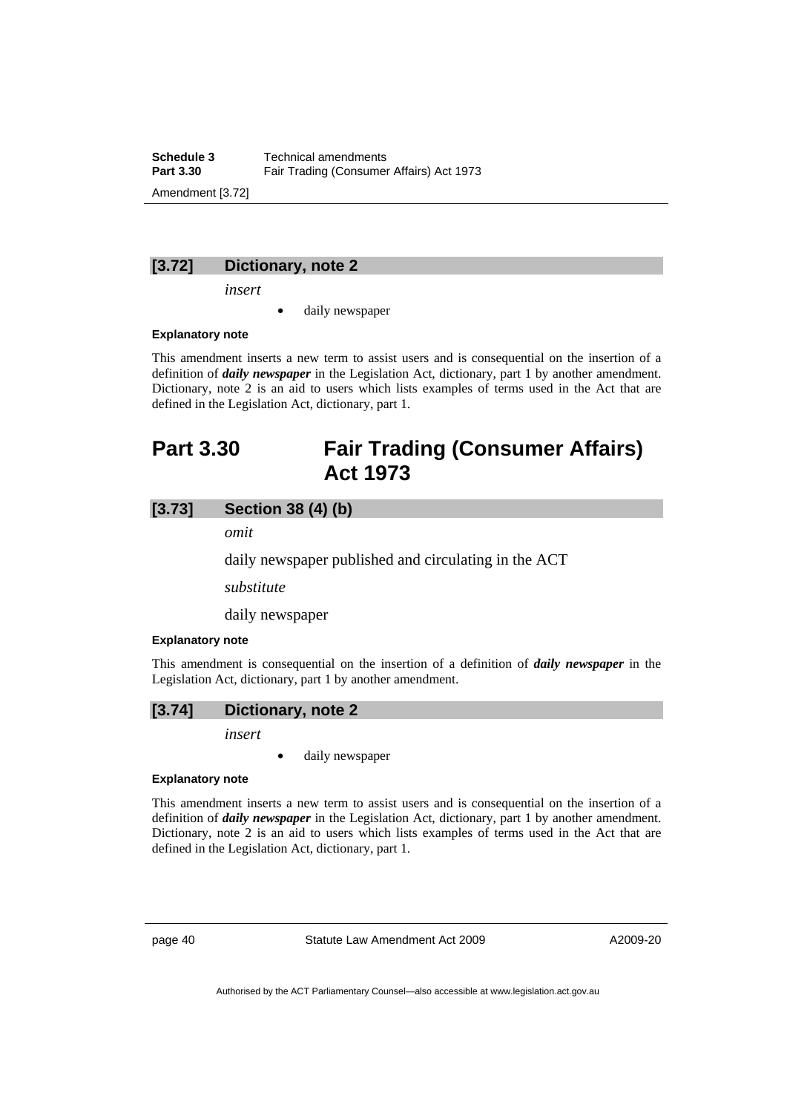**Schedule 3 Technical amendments**<br>**Part 3.30 Fair Trading (Consumer Fair Trading (Consumer Affairs) Act 1973** Amendment [3.72]

### **[3.72] Dictionary, note 2**

*insert* 

daily newspaper

### **Explanatory note**

This amendment inserts a new term to assist users and is consequential on the insertion of a definition of *daily newspaper* in the Legislation Act, dictionary, part 1 by another amendment. Dictionary, note 2 is an aid to users which lists examples of terms used in the Act that are defined in the Legislation Act, dictionary, part 1.

# **Part 3.30 Fair Trading (Consumer Affairs) Act 1973**

## **[3.73] Section 38 (4) (b)**

*omit* 

daily newspaper published and circulating in the ACT

*substitute* 

daily newspaper

#### **Explanatory note**

This amendment is consequential on the insertion of a definition of *daily newspaper* in the Legislation Act, dictionary, part 1 by another amendment.

## **[3.74] Dictionary, note 2**

*insert* 

• daily newspaper

### **Explanatory note**

This amendment inserts a new term to assist users and is consequential on the insertion of a definition of *daily newspaper* in the Legislation Act, dictionary, part 1 by another amendment. Dictionary, note 2 is an aid to users which lists examples of terms used in the Act that are defined in the Legislation Act, dictionary, part 1.

page 40 Statute Law Amendment Act 2009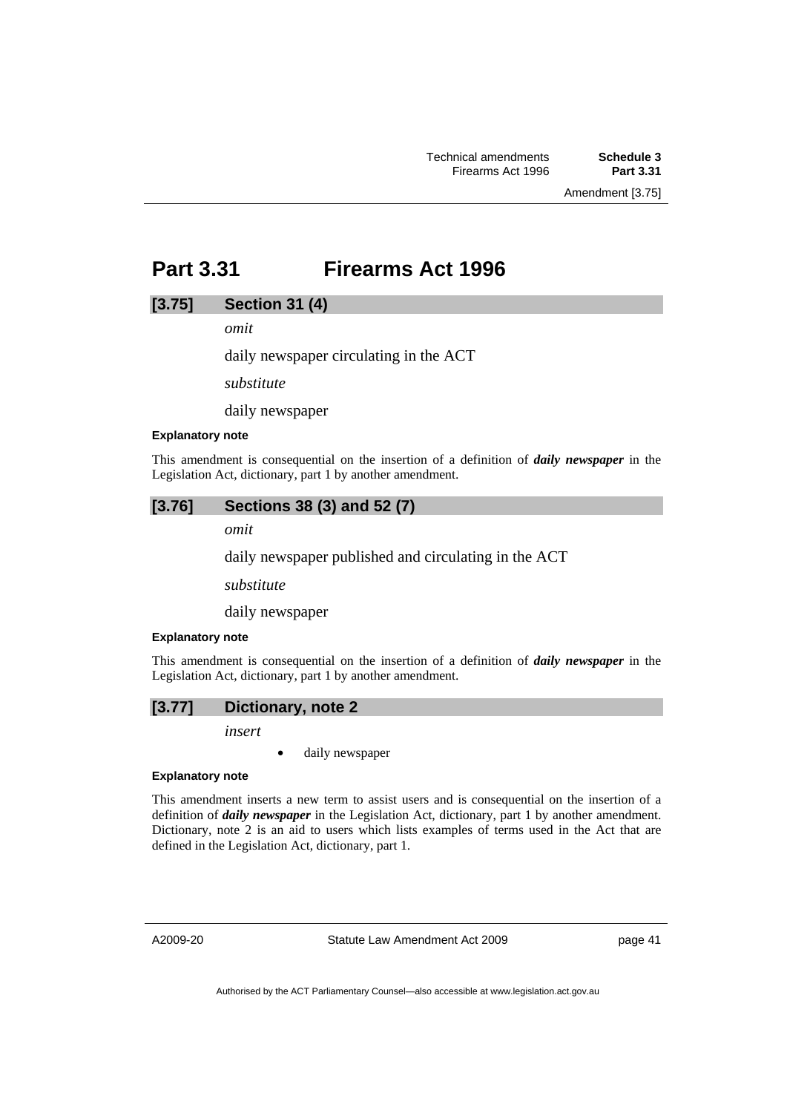Amendment [3.75]

# **Part 3.31 Firearms Act 1996**

## **[3.75] Section 31 (4)**

*omit* 

daily newspaper circulating in the ACT

*substitute* 

daily newspaper

#### **Explanatory note**

This amendment is consequential on the insertion of a definition of *daily newspaper* in the Legislation Act, dictionary, part 1 by another amendment.

# **[3.76] Sections 38 (3) and 52 (7)**

*omit* 

daily newspaper published and circulating in the ACT

*substitute* 

daily newspaper

#### **Explanatory note**

This amendment is consequential on the insertion of a definition of *daily newspaper* in the Legislation Act, dictionary, part 1 by another amendment.



*insert* 

daily newspaper

#### **Explanatory note**

This amendment inserts a new term to assist users and is consequential on the insertion of a definition of *daily newspaper* in the Legislation Act, dictionary, part 1 by another amendment. Dictionary, note 2 is an aid to users which lists examples of terms used in the Act that are defined in the Legislation Act, dictionary, part 1.

A2009-20

Statute Law Amendment Act 2009

page 41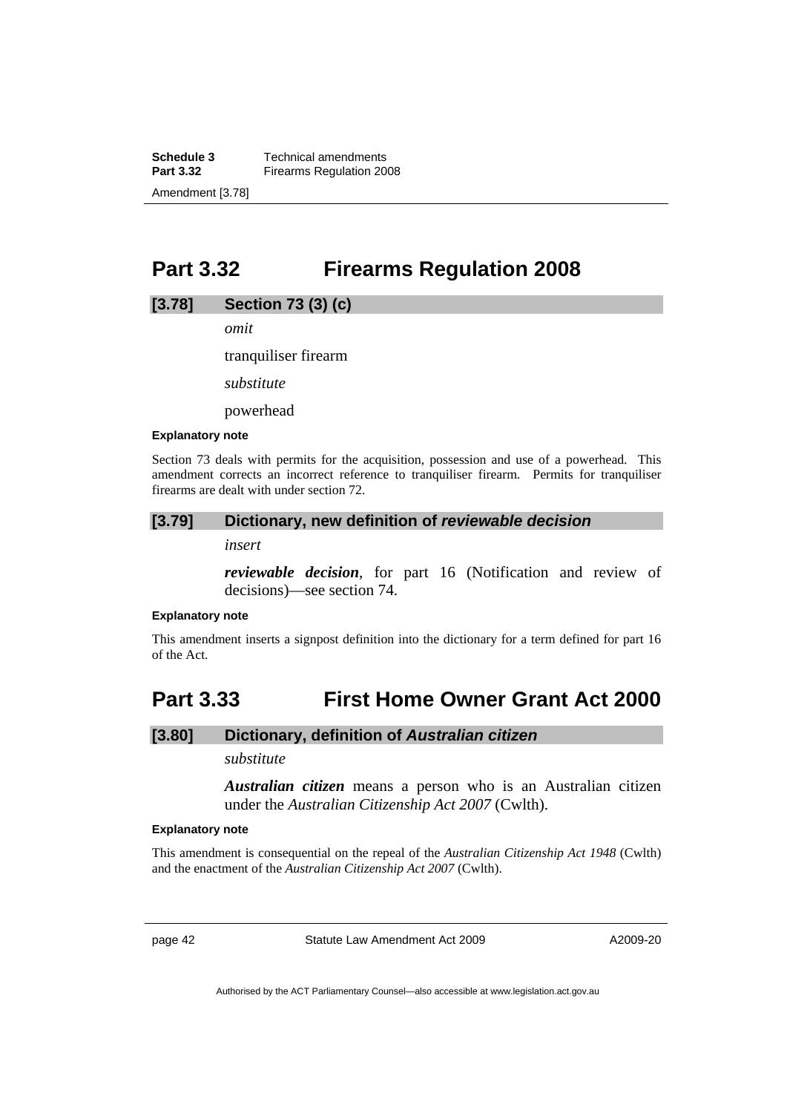**Schedule 3 Technical amendments**<br>**Part 3.32 Firearms Requlation 20 Firearms Regulation 2008** Amendment [3.78]

# **Part 3.32 Firearms Regulation 2008**

### **[3.78] Section 73 (3) (c)**

*omit* 

tranquiliser firearm

*substitute* 

powerhead

#### **Explanatory note**

Section 73 deals with permits for the acquisition, possession and use of a powerhead. This amendment corrects an incorrect reference to tranquiliser firearm. Permits for tranquiliser firearms are dealt with under section 72.

#### **[3.79] Dictionary, new definition of** *reviewable decision*

*insert* 

*reviewable decision*, for part 16 (Notification and review of decisions)—see section 74.

#### **Explanatory note**

This amendment inserts a signpost definition into the dictionary for a term defined for part 16 of the Act.

# **Part 3.33 First Home Owner Grant Act 2000**

## **[3.80] Dictionary, definition of** *Australian citizen*

*substitute* 

*Australian citizen* means a person who is an Australian citizen under the *Australian Citizenship Act 2007* (Cwlth).

#### **Explanatory note**

This amendment is consequential on the repeal of the *Australian Citizenship Act 1948* (Cwlth) and the enactment of the *Australian Citizenship Act 2007* (Cwlth).

page 42 Statute Law Amendment Act 2009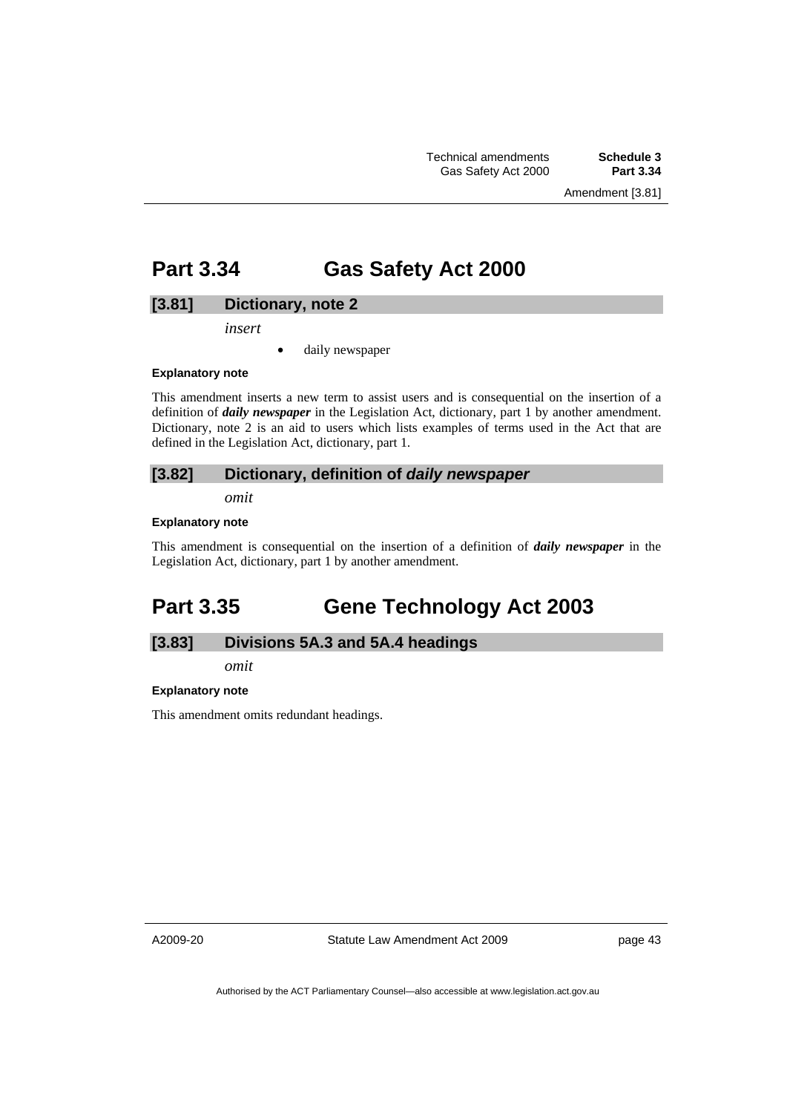Amendment [3.81]

# **Part 3.34 Gas Safety Act 2000**

## **[3.81] Dictionary, note 2**

*insert* 

• daily newspaper

#### **Explanatory note**

This amendment inserts a new term to assist users and is consequential on the insertion of a definition of *daily newspaper* in the Legislation Act, dictionary, part 1 by another amendment. Dictionary, note 2 is an aid to users which lists examples of terms used in the Act that are defined in the Legislation Act, dictionary, part 1.

## **[3.82] Dictionary, definition of** *daily newspaper*

*omit* 

#### **Explanatory note**

This amendment is consequential on the insertion of a definition of *daily newspaper* in the Legislation Act, dictionary, part 1 by another amendment.

# **Part 3.35 Gene Technology Act 2003**

# **[3.83] Divisions 5A.3 and 5A.4 headings**

*omit* 

### **Explanatory note**

This amendment omits redundant headings.

A2009-20

Statute Law Amendment Act 2009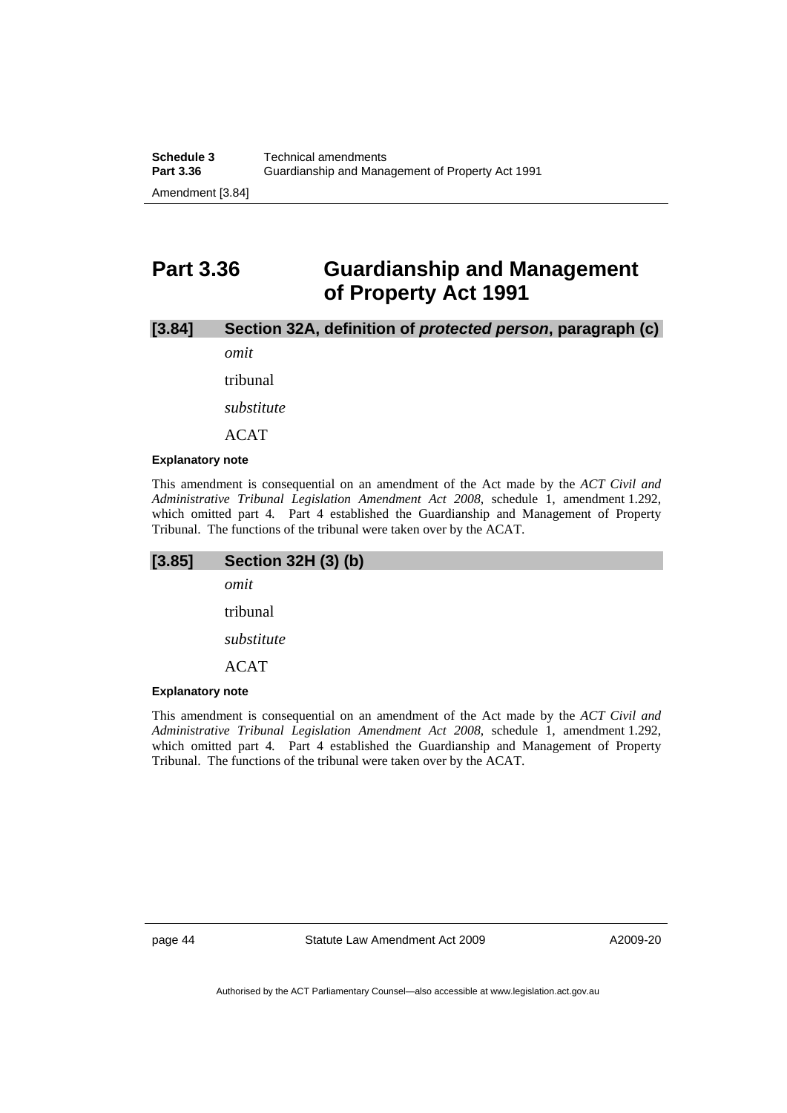# **Part 3.36 Guardianship and Management of Property Act 1991**

# **[3.84] Section 32A, definition of** *protected person***, paragraph (c)**

*omit* 

tribunal

*substitute* 

ACAT

#### **Explanatory note**

This amendment is consequential on an amendment of the Act made by the *ACT Civil and Administrative Tribunal Legislation Amendment Act 2008*, schedule 1, amendment 1.292, which omitted part 4. Part 4 established the Guardianship and Management of Property Tribunal. The functions of the tribunal were taken over by the ACAT.

| [3.85]                  | <b>Section 32H (3) (b)</b> |
|-------------------------|----------------------------|
|                         | omit                       |
|                         | tribunal                   |
|                         | substitute                 |
|                         | <b>ACAT</b>                |
| <b>Explanatory note</b> |                            |

This amendment is consequential on an amendment of the Act made by the *ACT Civil and Administrative Tribunal Legislation Amendment Act 2008*, schedule 1, amendment 1.292, which omitted part 4*.* Part 4 established the Guardianship and Management of Property Tribunal. The functions of the tribunal were taken over by the ACAT.

page 44 Statute Law Amendment Act 2009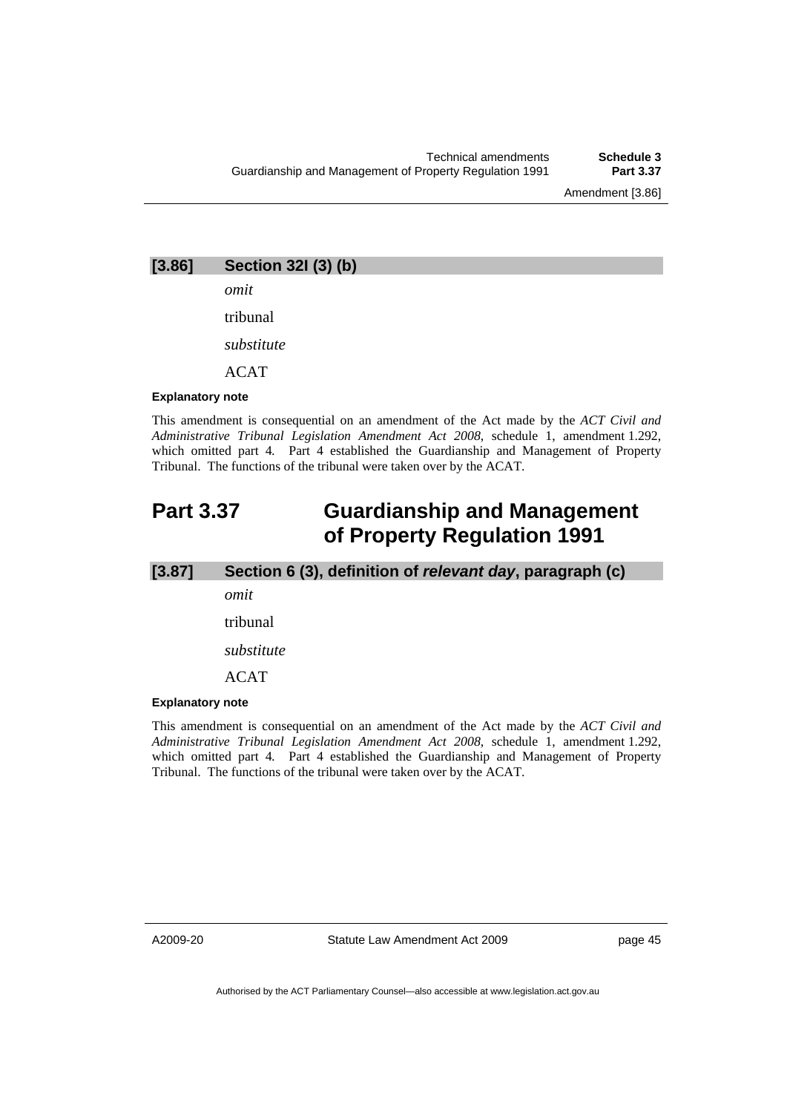Amendment [3.86]

**[3.86] Section 32I (3) (b)** 

*omit* 

tribunal

*substitute* 

ACAT

#### **Explanatory note**

This amendment is consequential on an amendment of the Act made by the *ACT Civil and Administrative Tribunal Legislation Amendment Act 2008*, schedule 1, amendment 1.292, which omitted part 4*.* Part 4 established the Guardianship and Management of Property Tribunal. The functions of the tribunal were taken over by the ACAT.

# **Part 3.37 Guardianship and Management of Property Regulation 1991**

**[3.87] Section 6 (3), definition of** *relevant day***, paragraph (c)** 

*omit* 

tribunal

*substitute* 

ACAT

## **Explanatory note**

This amendment is consequential on an amendment of the Act made by the *ACT Civil and Administrative Tribunal Legislation Amendment Act 2008*, schedule 1, amendment 1.292, which omitted part 4*.* Part 4 established the Guardianship and Management of Property Tribunal. The functions of the tribunal were taken over by the ACAT.

A2009-20

Statute Law Amendment Act 2009

page 45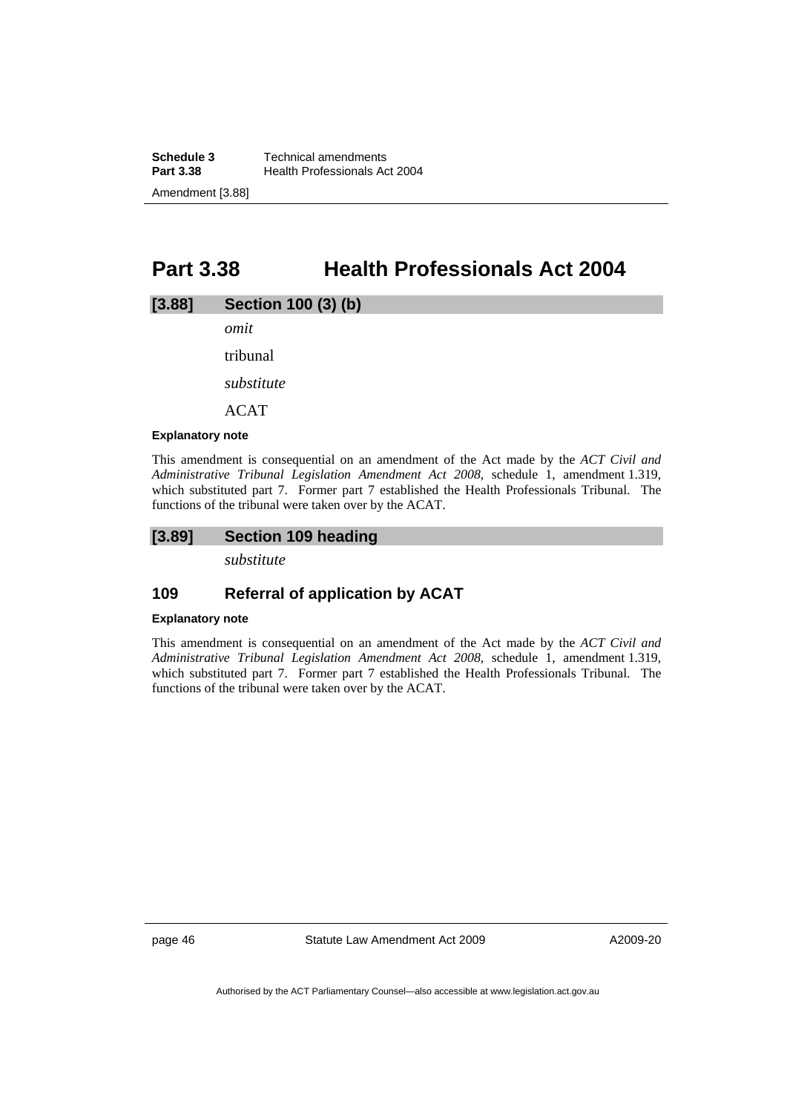**Schedule 3 Technical amendments**<br>**Part 3.38 Health Professionals Admon Health Professionals Act 2004** Amendment [3.88]

# **Part 3.38 Health Professionals Act 2004**

## **[3.88] Section 100 (3) (b)**

*omit* 

tribunal

*substitute* 

ACAT

#### **Explanatory note**

This amendment is consequential on an amendment of the Act made by the *ACT Civil and Administrative Tribunal Legislation Amendment Act 2008*, schedule 1, amendment 1.319, which substituted part 7. Former part 7 established the Health Professionals Tribunal. The functions of the tribunal were taken over by the ACAT.

# **[3.89] Section 109 heading**

*substitute* 

# **109 Referral of application by ACAT**

### **Explanatory note**

This amendment is consequential on an amendment of the Act made by the *ACT Civil and Administrative Tribunal Legislation Amendment Act 2008*, schedule 1, amendment 1.319, which substituted part 7. Former part 7 established the Health Professionals Tribunal. The functions of the tribunal were taken over by the ACAT.

page 46 Statute Law Amendment Act 2009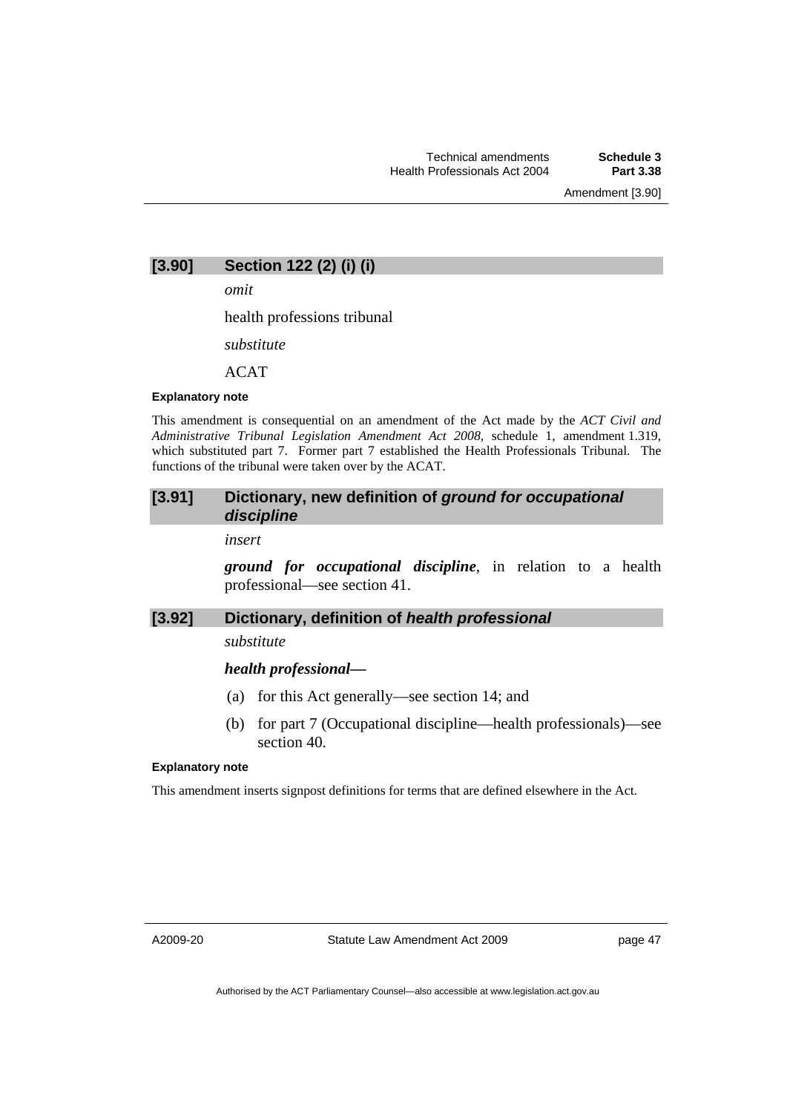Amendment [3.90]

## **[3.90] Section 122 (2) (i) (i)**

*omit* 

health professions tribunal

*substitute* 

 $ACAT$ 

#### **Explanatory note**

This amendment is consequential on an amendment of the Act made by the *ACT Civil and Administrative Tribunal Legislation Amendment Act 2008*, schedule 1, amendment 1.319, which substituted part 7. Former part 7 established the Health Professionals Tribunal. The functions of the tribunal were taken over by the ACAT.

## **[3.91] Dictionary, new definition of** *ground for occupational discipline*

*insert* 

*ground for occupational discipline*, in relation to a health professional—see section 41.

## **[3.92] Dictionary, definition of** *health professional*

*substitute* 

### *health professional—*

- (a) for this Act generally—see section 14; and
- (b) for part 7 (Occupational discipline—health professionals)—see section 40.

#### **Explanatory note**

This amendment inserts signpost definitions for terms that are defined elsewhere in the Act.

A2009-20

Statute Law Amendment Act 2009

page 47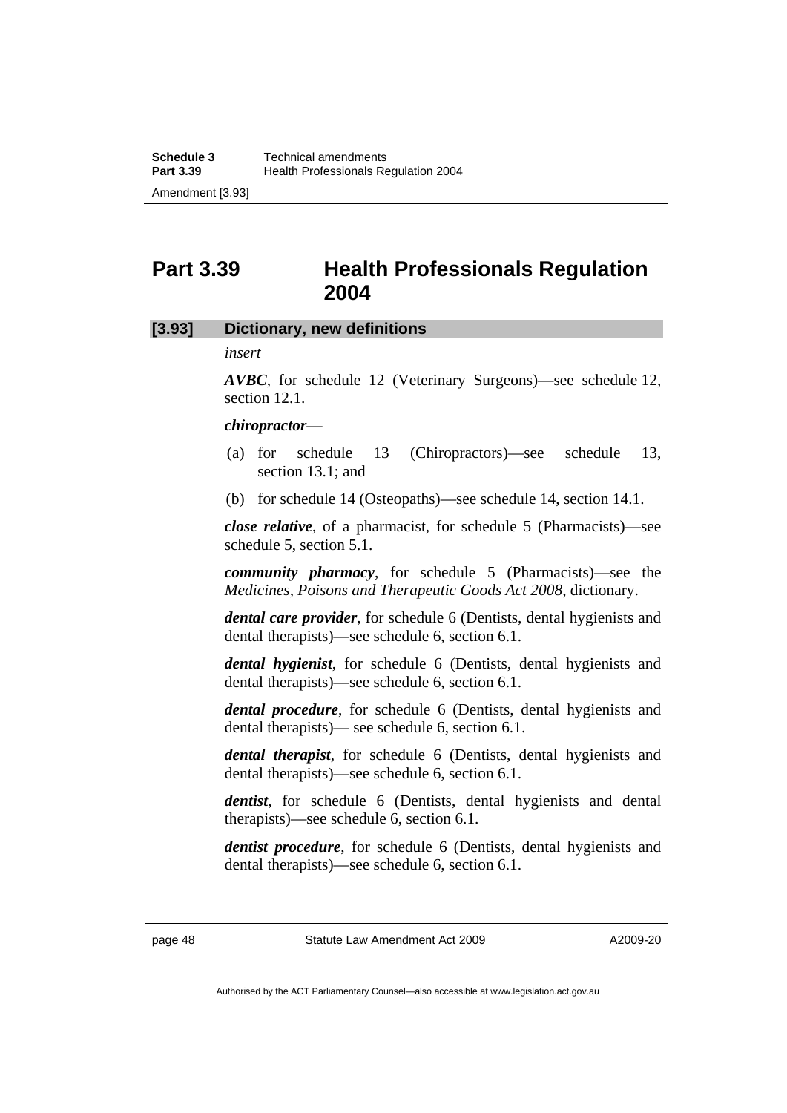# **Part 3.39 Health Professionals Regulation 2004**

## **[3.93] Dictionary, new definitions**

## *insert*

*AVBC*, for schedule 12 (Veterinary Surgeons)—see schedule 12, section 12.1.

## *chiropractor*—

- (a) for schedule 13 (Chiropractors)—see schedule 13, section 13.1; and
- (b) for schedule 14 (Osteopaths)—see schedule 14, section 14.1.

*close relative*, of a pharmacist, for schedule 5 (Pharmacists)—see schedule 5, section 5.1.

*community pharmacy*, for schedule 5 (Pharmacists)—see the *Medicines, Poisons and Therapeutic Goods Act 2008*, dictionary.

*dental care provider*, for schedule 6 (Dentists, dental hygienists and dental therapists)—see schedule 6, section 6.1.

*dental hygienist*, for schedule 6 (Dentists, dental hygienists and dental therapists)—see schedule 6, section 6.1.

*dental procedure*, for schedule 6 (Dentists, dental hygienists and dental therapists)— see schedule 6, section 6.1.

*dental therapist*, for schedule 6 (Dentists, dental hygienists and dental therapists)—see schedule 6, section 6.1.

*dentist*, for schedule 6 (Dentists, dental hygienists and dental therapists)—see schedule 6, section 6.1.

*dentist procedure*, for schedule 6 (Dentists, dental hygienists and dental therapists)—see schedule 6, section 6.1.

page 48 Statute Law Amendment Act 2009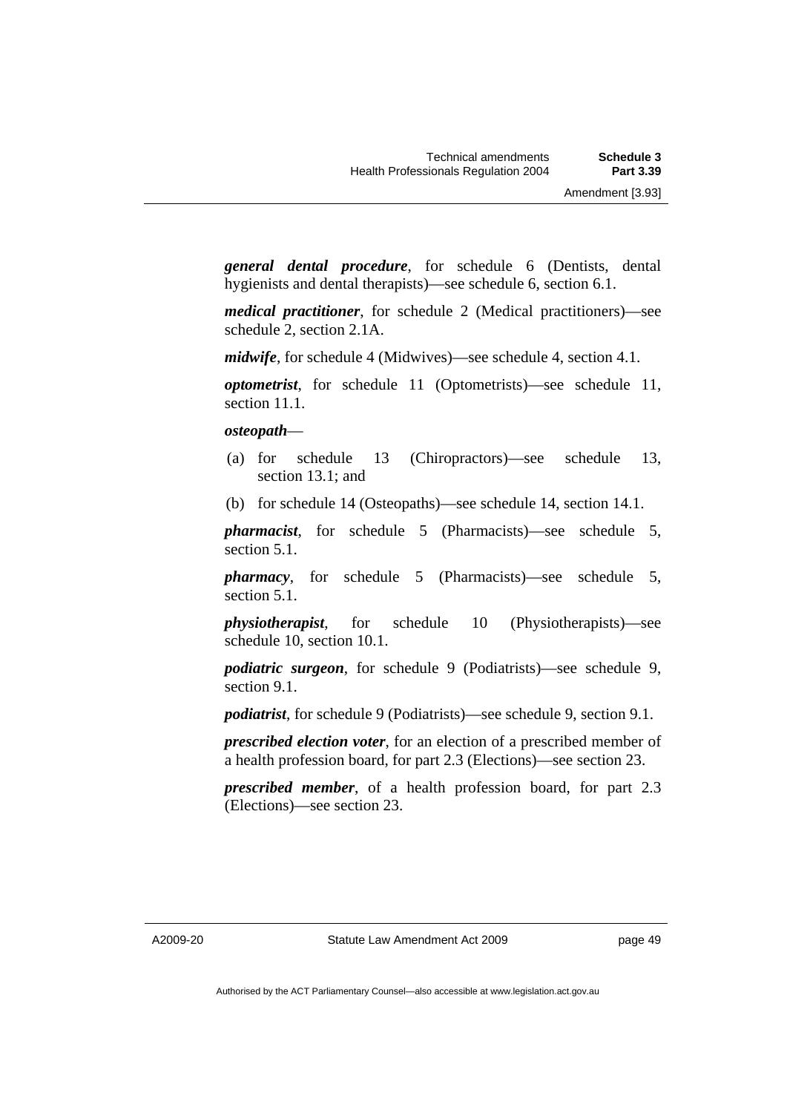*general dental procedure*, for schedule 6 (Dentists, dental hygienists and dental therapists)—see schedule 6, section 6.1.

*medical practitioner*, for schedule 2 (Medical practitioners)—see schedule 2, section 2.1A.

*midwife*, for schedule 4 (Midwives)—see schedule 4, section 4.1.

*optometrist*, for schedule 11 (Optometrists)—see schedule 11, section 11.1.

### *osteopath*—

- (a) for schedule 13 (Chiropractors)—see schedule 13, section 13.1; and
- (b) for schedule 14 (Osteopaths)—see schedule 14, section 14.1.

*pharmacist*, for schedule 5 (Pharmacists)—see schedule 5, section 5.1.

*pharmacy*, for schedule 5 (Pharmacists)—see schedule 5, section 5.1.

*physiotherapist*, for schedule 10 (Physiotherapists)—see schedule 10, section 10.1.

*podiatric surgeon*, for schedule 9 (Podiatrists)—see schedule 9, section 9.1.

*podiatrist*, for schedule 9 (Podiatrists)—see schedule 9, section 9.1.

*prescribed election voter*, for an election of a prescribed member of a health profession board, for part 2.3 (Elections)—see section 23.

*prescribed member*, of a health profession board, for part 2.3 (Elections)—see section 23.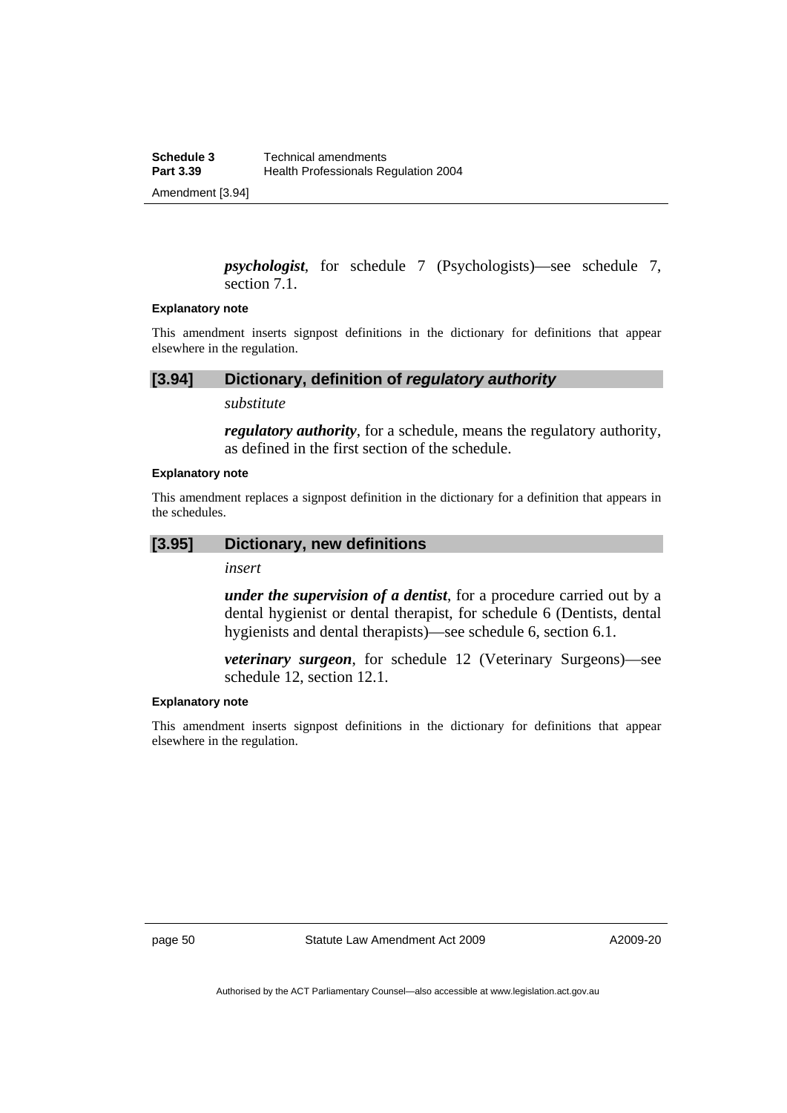*psychologist*, for schedule 7 (Psychologists)—see schedule 7, section 7.1.

#### **Explanatory note**

This amendment inserts signpost definitions in the dictionary for definitions that appear elsewhere in the regulation.

## **[3.94] Dictionary, definition of** *regulatory authority*

### *substitute*

*regulatory authority*, for a schedule, means the regulatory authority, as defined in the first section of the schedule.

#### **Explanatory note**

This amendment replaces a signpost definition in the dictionary for a definition that appears in the schedules.

### **[3.95] Dictionary, new definitions**

*insert* 

*under the supervision of a dentist*, for a procedure carried out by a dental hygienist or dental therapist, for schedule 6 (Dentists, dental hygienists and dental therapists)—see schedule 6, section 6.1.

*veterinary surgeon*, for schedule 12 (Veterinary Surgeons)—see schedule 12, section 12.1.

## **Explanatory note**

This amendment inserts signpost definitions in the dictionary for definitions that appear elsewhere in the regulation.

page 50 Statute Law Amendment Act 2009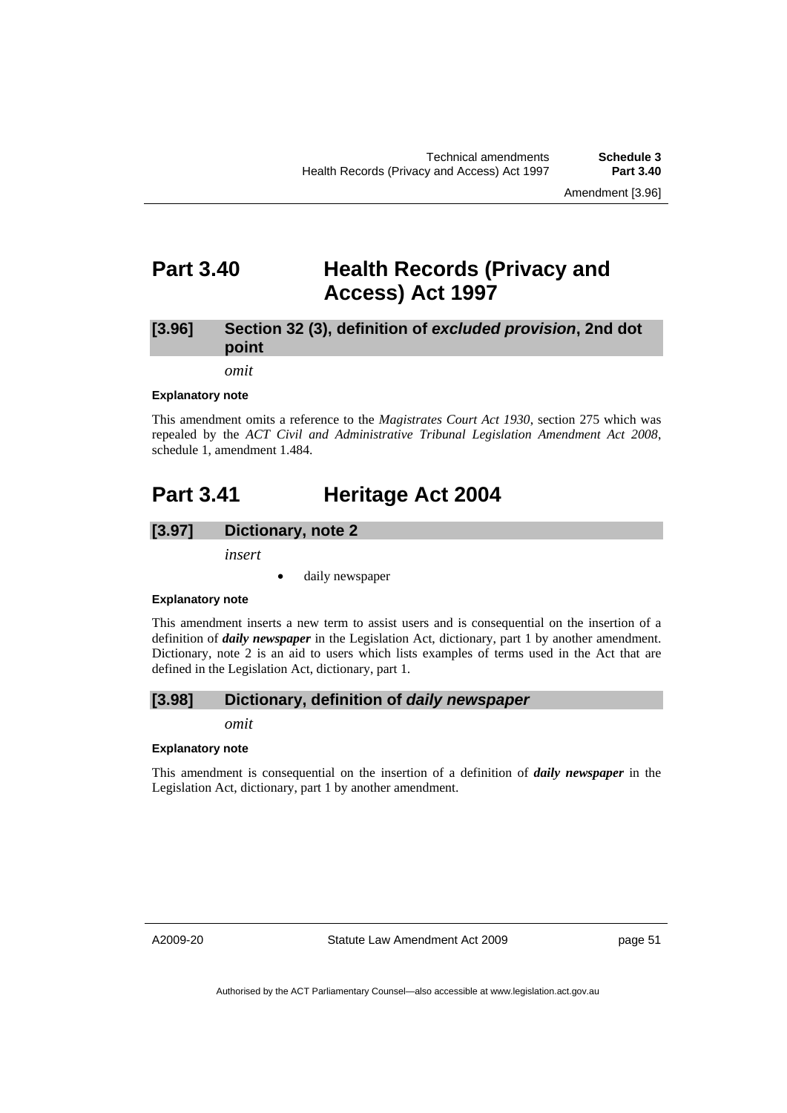# **Part 3.40 Health Records (Privacy and Access) Act 1997**

# **[3.96] Section 32 (3), definition of** *excluded provision***, 2nd dot point**

*omit* 

#### **Explanatory note**

This amendment omits a reference to the *Magistrates Court Act 1930*, section 275 which was repealed by the *ACT Civil and Administrative Tribunal Legislation Amendment Act 2008*, schedule 1, amendment 1.484.

# **Part 3.41 Heritage Act 2004**

### **[3.97] Dictionary, note 2**

*insert* 

daily newspaper

### **Explanatory note**

This amendment inserts a new term to assist users and is consequential on the insertion of a definition of *daily newspaper* in the Legislation Act, dictionary, part 1 by another amendment. Dictionary, note 2 is an aid to users which lists examples of terms used in the Act that are defined in the Legislation Act, dictionary, part 1.

## **[3.98] Dictionary, definition of** *daily newspaper*

*omit* 

### **Explanatory note**

This amendment is consequential on the insertion of a definition of *daily newspaper* in the Legislation Act, dictionary, part 1 by another amendment.

A2009-20

Statute Law Amendment Act 2009

page 51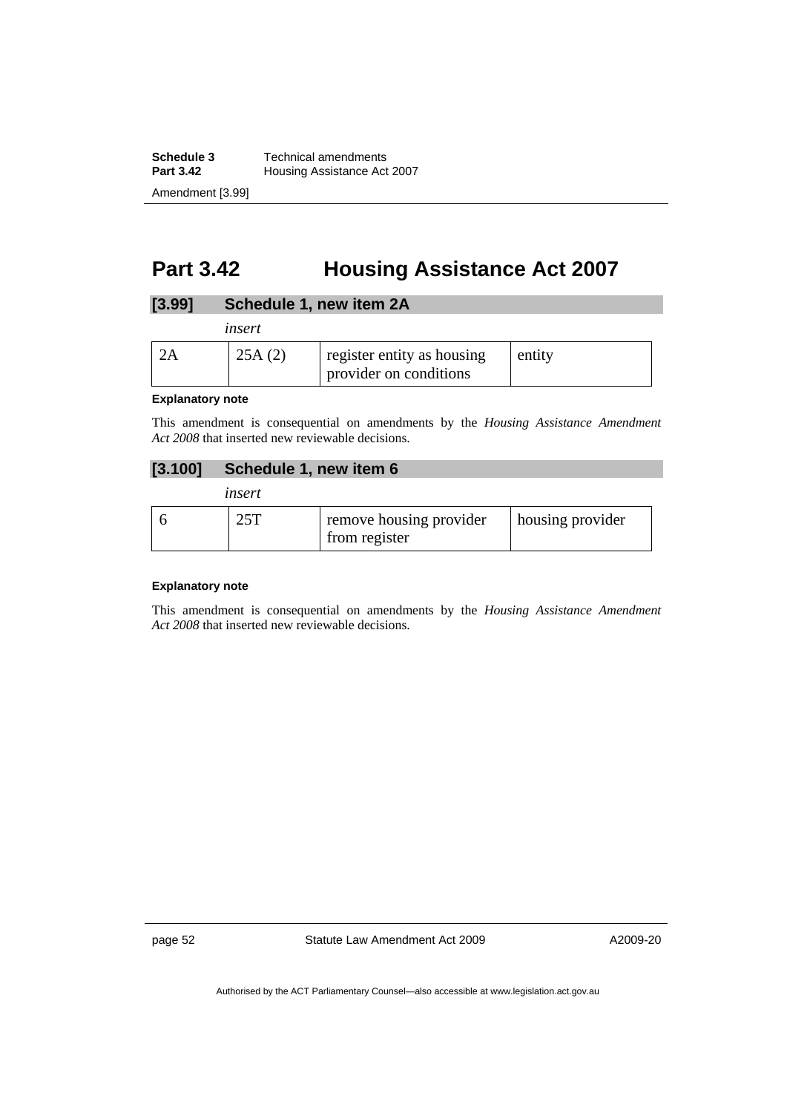**Schedule 3 Technical amendments**<br>**Part 3.42 Housing Assistance Act Housing Assistance Act 2007** Amendment [3.99]

# **Part 3.42 Housing Assistance Act 2007**

# **[3.99] Schedule 1, new item 2A**

| insert |                                                      |        |
|--------|------------------------------------------------------|--------|
| 25A(2) | register entity as housing<br>provider on conditions | entity |

#### **Explanatory note**

This amendment is consequential on amendments by the *Housing Assistance Amendment Act 2008* that inserted new reviewable decisions.

# **[3.100] Schedule 1, new item 6**

| insert |                                          |                    |
|--------|------------------------------------------|--------------------|
| 25T    | remove housing provider<br>from register | I housing provider |

### **Explanatory note**

This amendment is consequential on amendments by the *Housing Assistance Amendment Act 2008* that inserted new reviewable decisions.

page 52 Statute Law Amendment Act 2009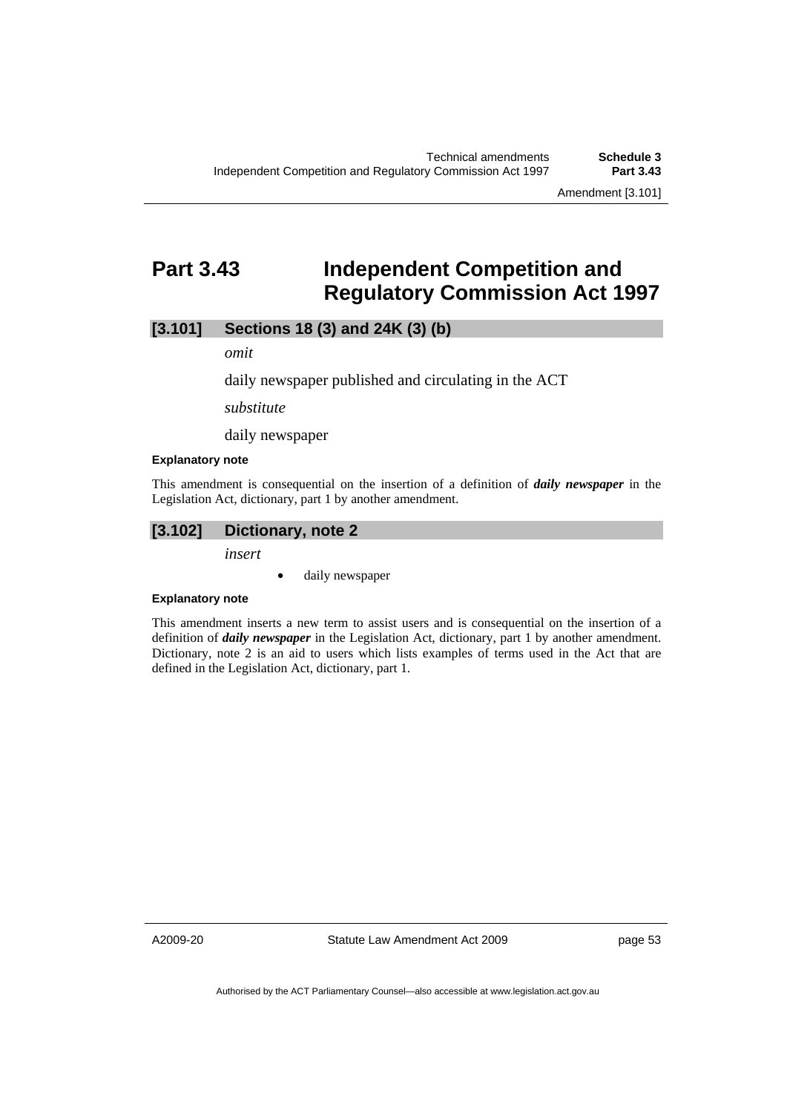Amendment [3.101]

# **Part 3.43 Independent Competition and Regulatory Commission Act 1997**

# **[3.101] Sections 18 (3) and 24K (3) (b)**

*omit* 

daily newspaper published and circulating in the ACT

*substitute* 

daily newspaper

#### **Explanatory note**

This amendment is consequential on the insertion of a definition of *daily newspaper* in the Legislation Act, dictionary, part 1 by another amendment.

# **[3.102] Dictionary, note 2**

*insert* 

daily newspaper

### **Explanatory note**

This amendment inserts a new term to assist users and is consequential on the insertion of a definition of *daily newspaper* in the Legislation Act, dictionary, part 1 by another amendment. Dictionary, note 2 is an aid to users which lists examples of terms used in the Act that are defined in the Legislation Act, dictionary, part 1.

A2009-20

Statute Law Amendment Act 2009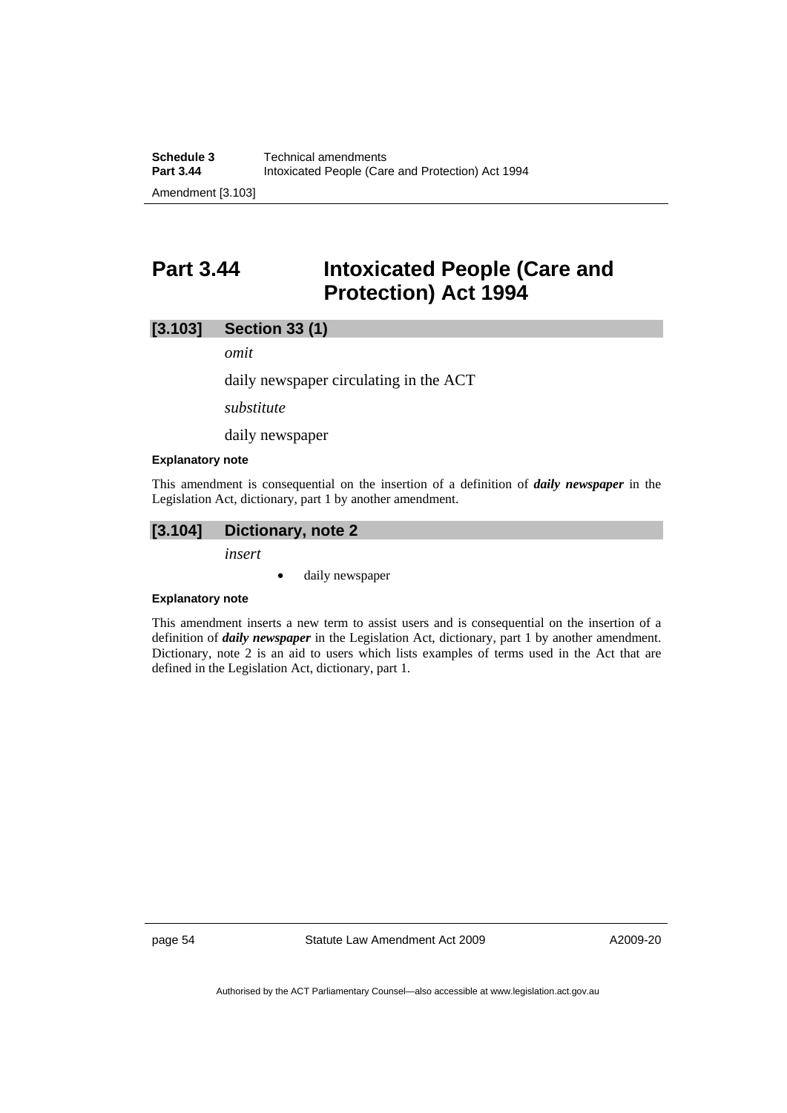# **Part 3.44 Intoxicated People (Care and Protection) Act 1994**

## **[3.103] Section 33 (1)**

*omit* 

daily newspaper circulating in the ACT

*substitute* 

daily newspaper

#### **Explanatory note**

This amendment is consequential on the insertion of a definition of *daily newspaper* in the Legislation Act, dictionary, part 1 by another amendment.

# **[3.104] Dictionary, note 2**

*insert* 

• daily newspaper

### **Explanatory note**

This amendment inserts a new term to assist users and is consequential on the insertion of a definition of *daily newspaper* in the Legislation Act, dictionary, part 1 by another amendment. Dictionary, note 2 is an aid to users which lists examples of terms used in the Act that are defined in the Legislation Act, dictionary, part 1.

page 54 Statute Law Amendment Act 2009

A2009-20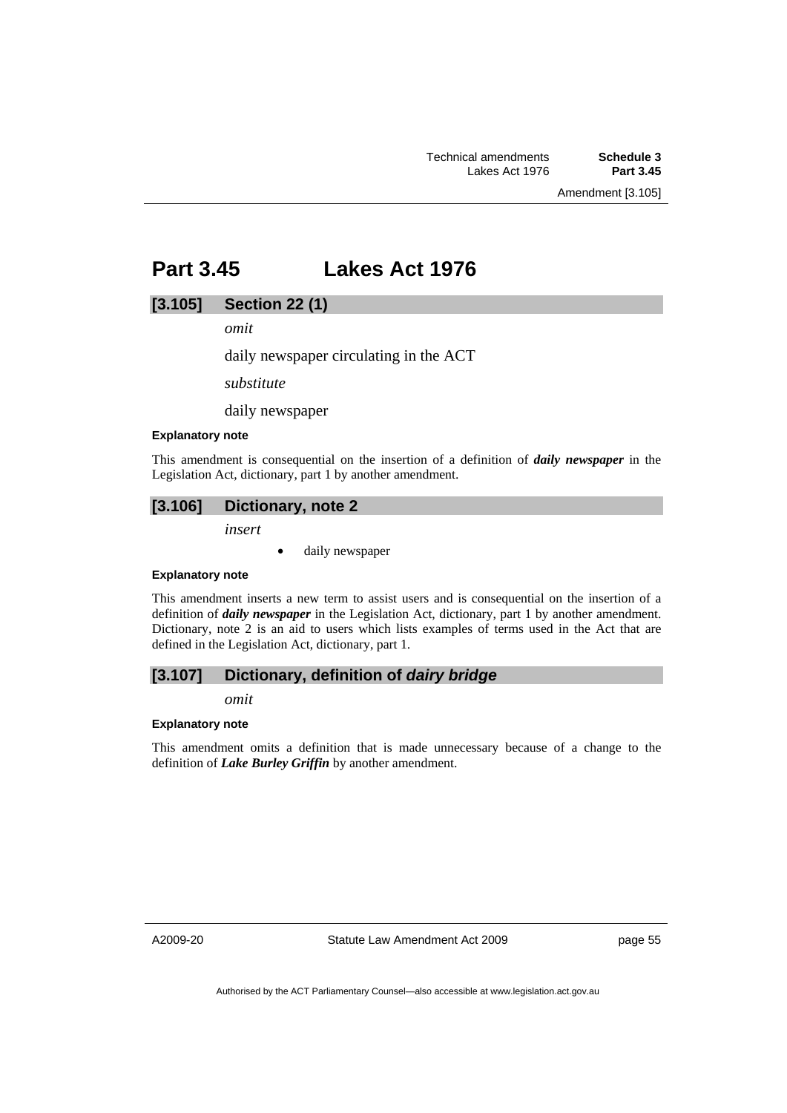# **Part 3.45 Lakes Act 1976**

## **[3.105] Section 22 (1)**

*omit* 

daily newspaper circulating in the ACT

*substitute* 

daily newspaper

#### **Explanatory note**

This amendment is consequential on the insertion of a definition of *daily newspaper* in the Legislation Act, dictionary, part 1 by another amendment.

# **[3.106] Dictionary, note 2**

*insert* 

• daily newspaper

#### **Explanatory note**

This amendment inserts a new term to assist users and is consequential on the insertion of a definition of *daily newspaper* in the Legislation Act, dictionary, part 1 by another amendment. Dictionary, note 2 is an aid to users which lists examples of terms used in the Act that are defined in the Legislation Act, dictionary, part 1.

# **[3.107] Dictionary, definition of** *dairy bridge*

*omit* 

### **Explanatory note**

This amendment omits a definition that is made unnecessary because of a change to the definition of *Lake Burley Griffin* by another amendment.

A2009-20

Statute Law Amendment Act 2009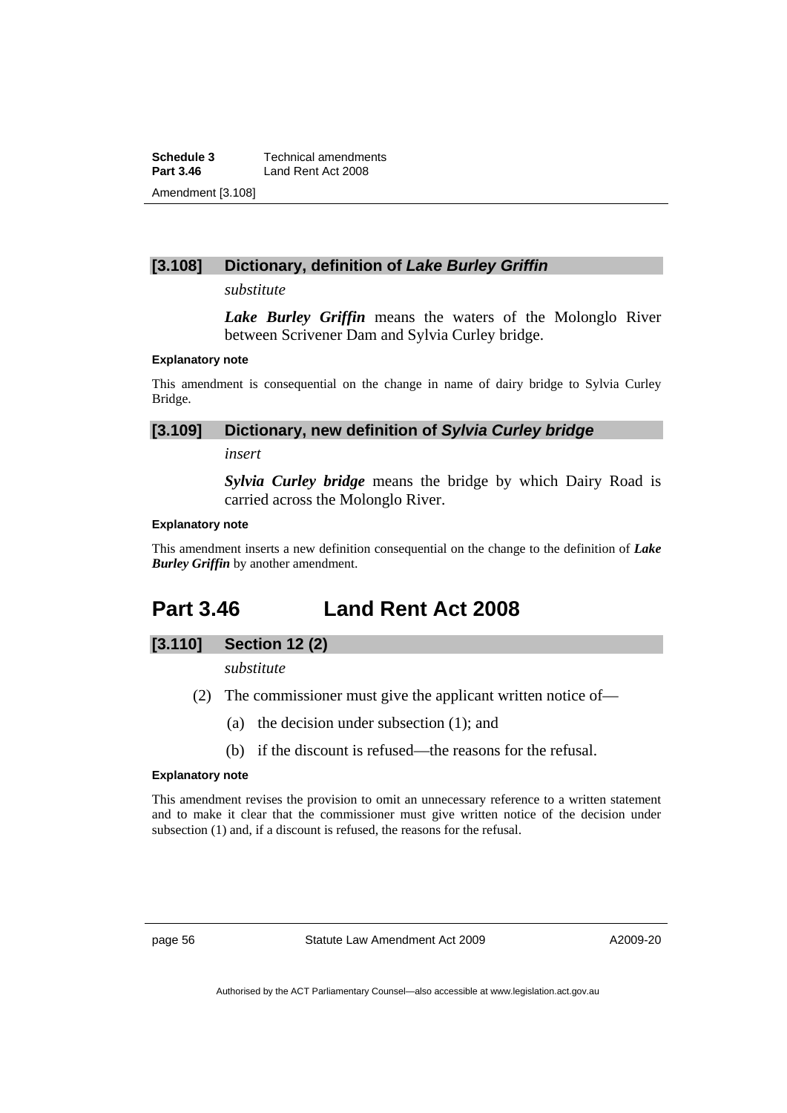**Schedule 3 Technical amendments**<br>**Part 3.46 Land Rent Act 2008** Land Rent Act 2008 Amendment [3.108]

# **[3.108] Dictionary, definition of** *Lake Burley Griffin*

*substitute* 

*Lake Burley Griffin* means the waters of the Molonglo River between Scrivener Dam and Sylvia Curley bridge.

#### **Explanatory note**

This amendment is consequential on the change in name of dairy bridge to Sylvia Curley Bridge.

### **[3.109] Dictionary, new definition of** *Sylvia Curley bridge*

*insert* 

*Sylvia Curley bridge* means the bridge by which Dairy Road is carried across the Molonglo River.

#### **Explanatory note**

This amendment inserts a new definition consequential on the change to the definition of *Lake Burley Griffin* by another amendment.

# **Part 3.46 Land Rent Act 2008**

# **[3.110] Section 12 (2)**

*substitute* 

- (2) The commissioner must give the applicant written notice of—
	- (a) the decision under subsection (1); and
	- (b) if the discount is refused—the reasons for the refusal.

#### **Explanatory note**

This amendment revises the provision to omit an unnecessary reference to a written statement and to make it clear that the commissioner must give written notice of the decision under subsection (1) and, if a discount is refused, the reasons for the refusal.

page 56 Statute Law Amendment Act 2009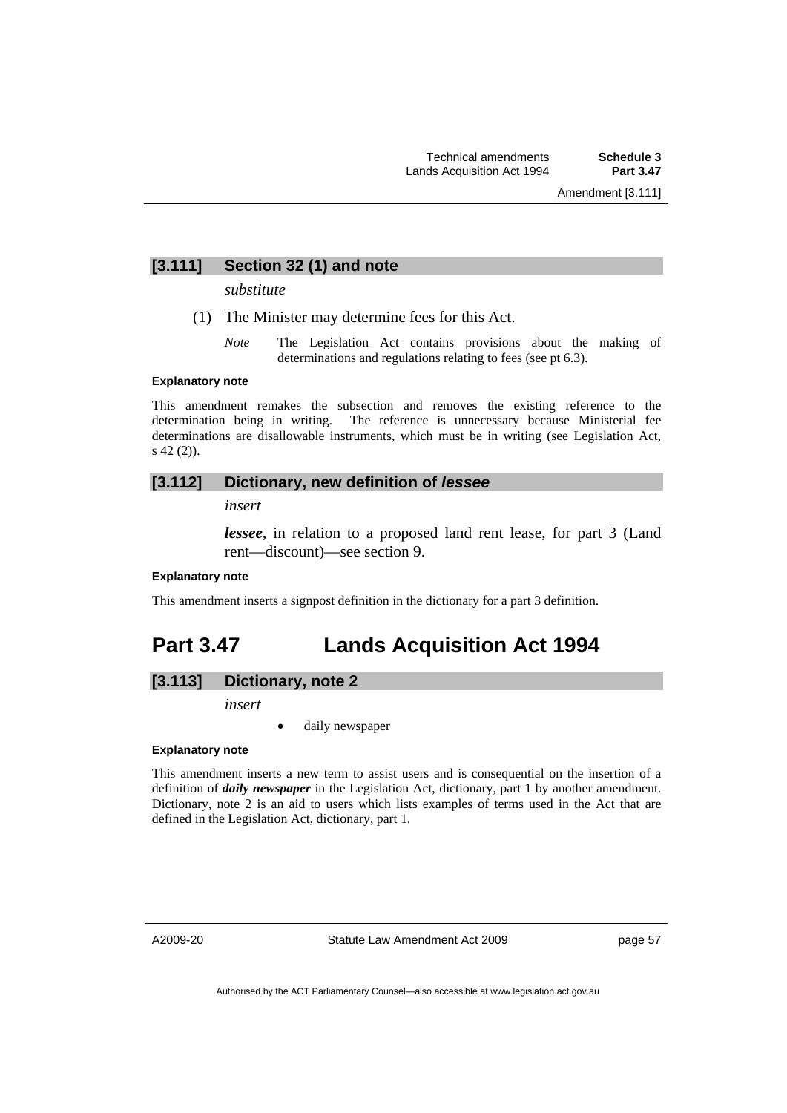# **[3.111] Section 32 (1) and note**

*substitute* 

- (1) The Minister may determine fees for this Act.
	- *Note* The Legislation Act contains provisions about the making of determinations and regulations relating to fees (see pt 6.3).

#### **Explanatory note**

This amendment remakes the subsection and removes the existing reference to the determination being in writing. The reference is unnecessary because Ministerial fee determinations are disallowable instruments, which must be in writing (see Legislation Act, s 42 (2)).

# **[3.112] Dictionary, new definition of** *lessee*

*insert* 

*lessee*, in relation to a proposed land rent lease, for part 3 (Land rent—discount)—see section 9.

## **Explanatory note**

This amendment inserts a signpost definition in the dictionary for a part 3 definition.

# **Part 3.47 Lands Acquisition Act 1994**

# **[3.113] Dictionary, note 2**

*insert* 

daily newspaper

### **Explanatory note**

This amendment inserts a new term to assist users and is consequential on the insertion of a definition of *daily newspaper* in the Legislation Act, dictionary, part 1 by another amendment. Dictionary, note 2 is an aid to users which lists examples of terms used in the Act that are defined in the Legislation Act, dictionary, part 1.

A2009-20

Statute Law Amendment Act 2009

page 57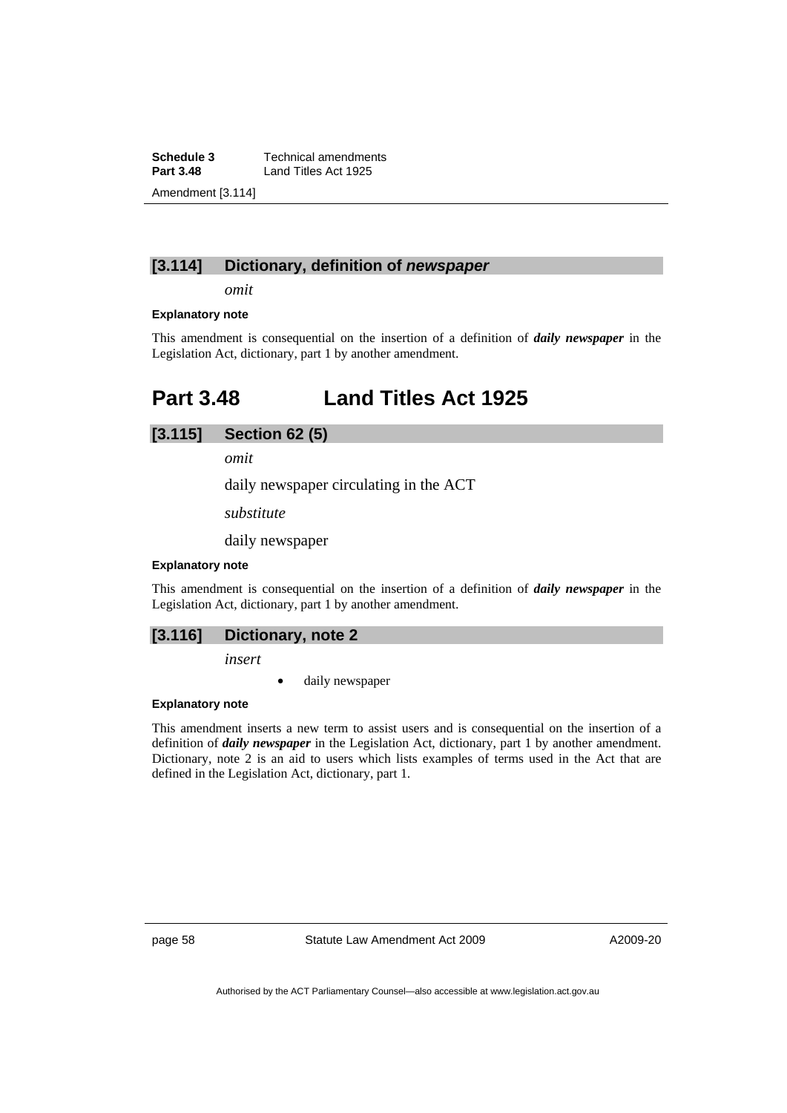**Schedule 3 Technical amendments**<br>**Part 3.48 Land Titles Act 1925 Part 3.48** Land Titles Act 1925 Amendment [3.114]

# **[3.114] Dictionary, definition of** *newspaper*

*omit* 

### **Explanatory note**

This amendment is consequential on the insertion of a definition of *daily newspaper* in the Legislation Act, dictionary, part 1 by another amendment.

# **Part 3.48 Land Titles Act 1925**

## **[3.115] Section 62 (5)**

*omit* 

daily newspaper circulating in the ACT

*substitute* 

daily newspaper

### **Explanatory note**

This amendment is consequential on the insertion of a definition of *daily newspaper* in the Legislation Act, dictionary, part 1 by another amendment.

# **[3.116] Dictionary, note 2**

*insert* 

daily newspaper

### **Explanatory note**

This amendment inserts a new term to assist users and is consequential on the insertion of a definition of *daily newspaper* in the Legislation Act, dictionary, part 1 by another amendment. Dictionary, note 2 is an aid to users which lists examples of terms used in the Act that are defined in the Legislation Act, dictionary, part 1.

page 58 Statute Law Amendment Act 2009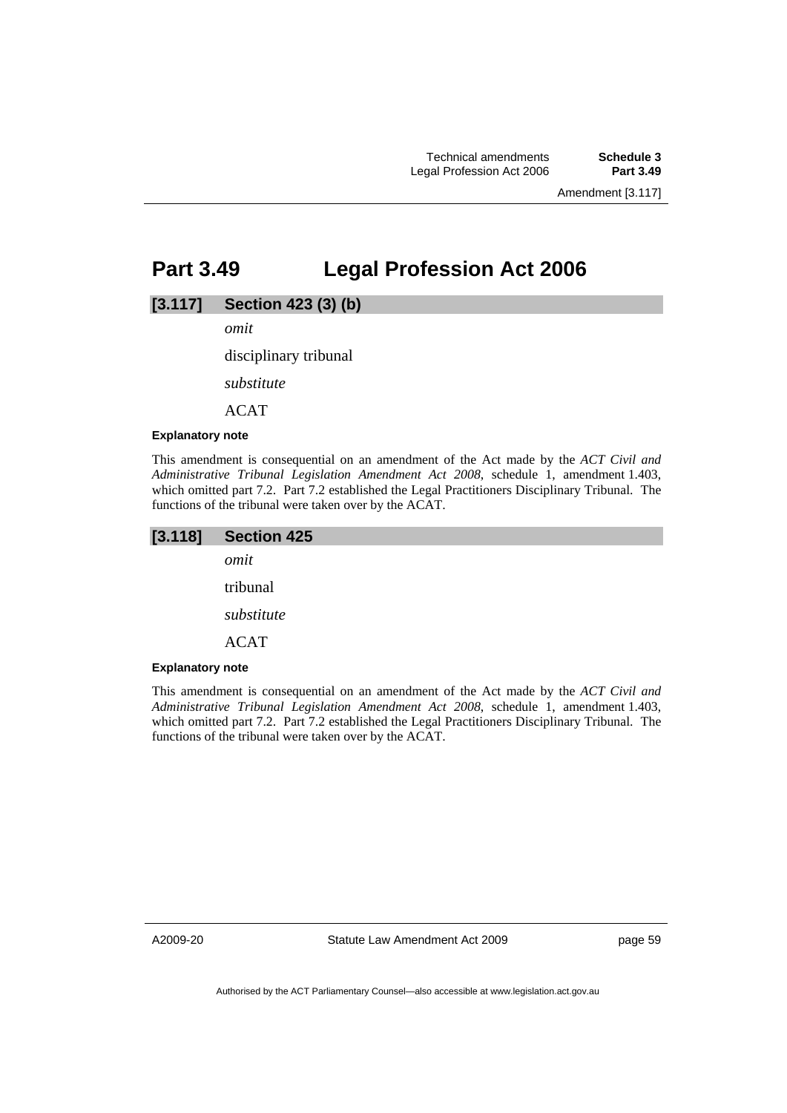# **Part 3.49 Legal Profession Act 2006**

## **[3.117] Section 423 (3) (b)**

*omit* 

disciplinary tribunal

*substitute* 

ACAT

#### **Explanatory note**

This amendment is consequential on an amendment of the Act made by the *ACT Civil and Administrative Tribunal Legislation Amendment Act 2008*, schedule 1, amendment 1.403, which omitted part 7.2. Part 7.2 established the Legal Practitioners Disciplinary Tribunal. The functions of the tribunal were taken over by the ACAT.

| [3.118] | <b>Section 425</b> |
|---------|--------------------|
|         | omit               |
|         | tribunal           |
|         | substitute         |
|         | <b>ACAT</b>        |

#### **Explanatory note**

This amendment is consequential on an amendment of the Act made by the *ACT Civil and Administrative Tribunal Legislation Amendment Act 2008*, schedule 1, amendment 1.403, which omitted part 7.2. Part 7.2 established the Legal Practitioners Disciplinary Tribunal. The functions of the tribunal were taken over by the ACAT.

A2009-20

Statute Law Amendment Act 2009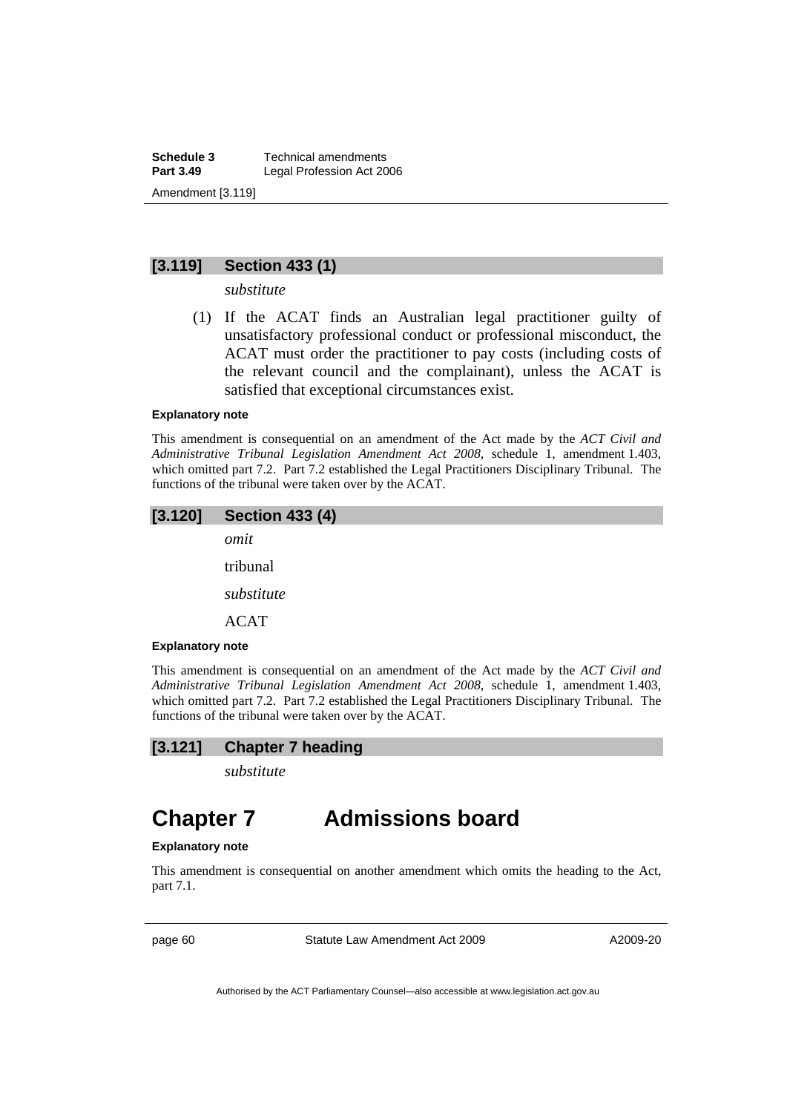**Schedule 3 Technical amendments**<br>**Part 3.49 Legal Profession Act 20 Legal Profession Act 2006** Amendment [3.119]

# **[3.119] Section 433 (1)**

*substitute* 

 (1) If the ACAT finds an Australian legal practitioner guilty of unsatisfactory professional conduct or professional misconduct, the ACAT must order the practitioner to pay costs (including costs of the relevant council and the complainant), unless the ACAT is satisfied that exceptional circumstances exist.

#### **Explanatory note**

This amendment is consequential on an amendment of the Act made by the *ACT Civil and Administrative Tribunal Legislation Amendment Act 2008*, schedule 1, amendment 1.403, which omitted part 7.2. Part 7.2 established the Legal Practitioners Disciplinary Tribunal. The functions of the tribunal were taken over by the ACAT.

## **[3.120] Section 433 (4)**

*omit* 

tribunal

*substitute* 

ACAT

#### **Explanatory note**

This amendment is consequential on an amendment of the Act made by the *ACT Civil and Administrative Tribunal Legislation Amendment Act 2008*, schedule 1, amendment 1.403, which omitted part 7.2. Part 7.2 established the Legal Practitioners Disciplinary Tribunal. The functions of the tribunal were taken over by the ACAT.

## **[3.121] Chapter 7 heading**

*substitute* 

# **Chapter 7 Admissions board**

#### **Explanatory note**

This amendment is consequential on another amendment which omits the heading to the Act, part 7.1.

page 60 Statute Law Amendment Act 2009

A2009-20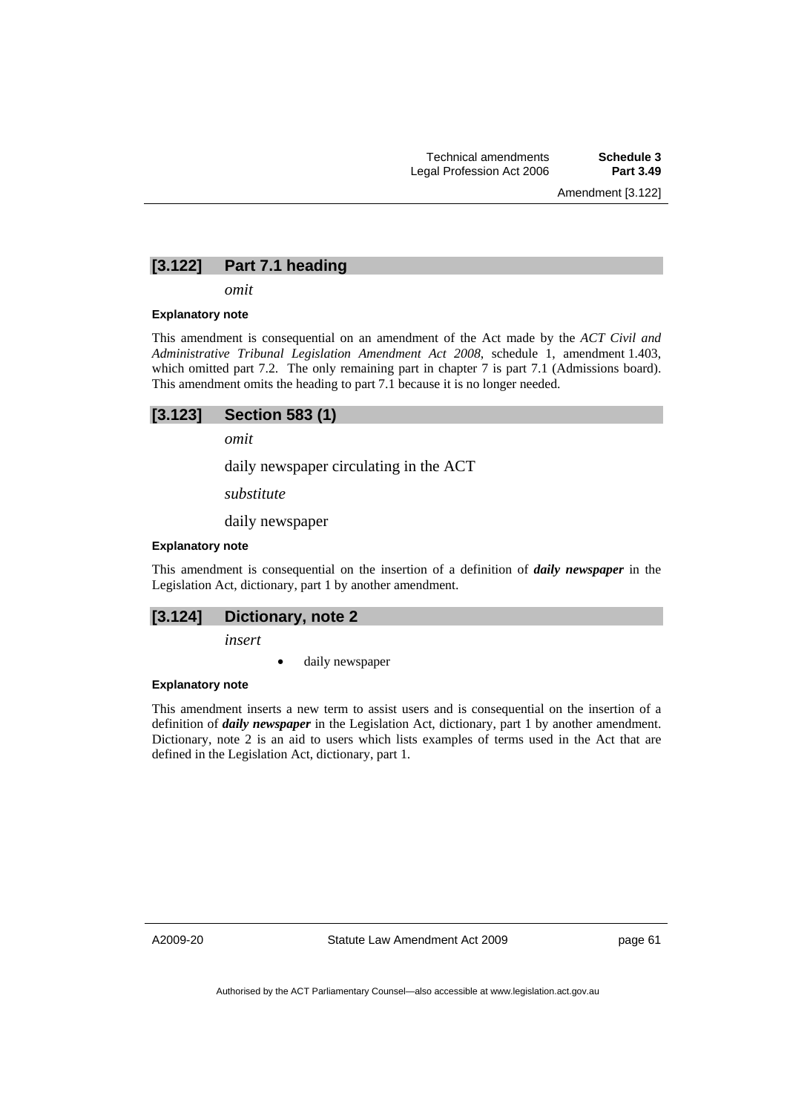## **[3.122] Part 7.1 heading**

*omit* 

#### **Explanatory note**

This amendment is consequential on an amendment of the Act made by the *ACT Civil and Administrative Tribunal Legislation Amendment Act 2008*, schedule 1, amendment 1.403, which omitted part 7.2. The only remaining part in chapter 7 is part 7.1 (Admissions board). This amendment omits the heading to part 7.1 because it is no longer needed.

| $[3.123]$ Section 583 (1) |
|---------------------------|
|---------------------------|

*omit* 

daily newspaper circulating in the ACT

*substitute* 

daily newspaper

#### **Explanatory note**

This amendment is consequential on the insertion of a definition of *daily newspaper* in the Legislation Act, dictionary, part 1 by another amendment.

### **[3.124] Dictionary, note 2**

*insert* 

daily newspaper

#### **Explanatory note**

This amendment inserts a new term to assist users and is consequential on the insertion of a definition of *daily newspaper* in the Legislation Act, dictionary, part 1 by another amendment. Dictionary, note 2 is an aid to users which lists examples of terms used in the Act that are defined in the Legislation Act, dictionary, part 1.

A2009-20

Statute Law Amendment Act 2009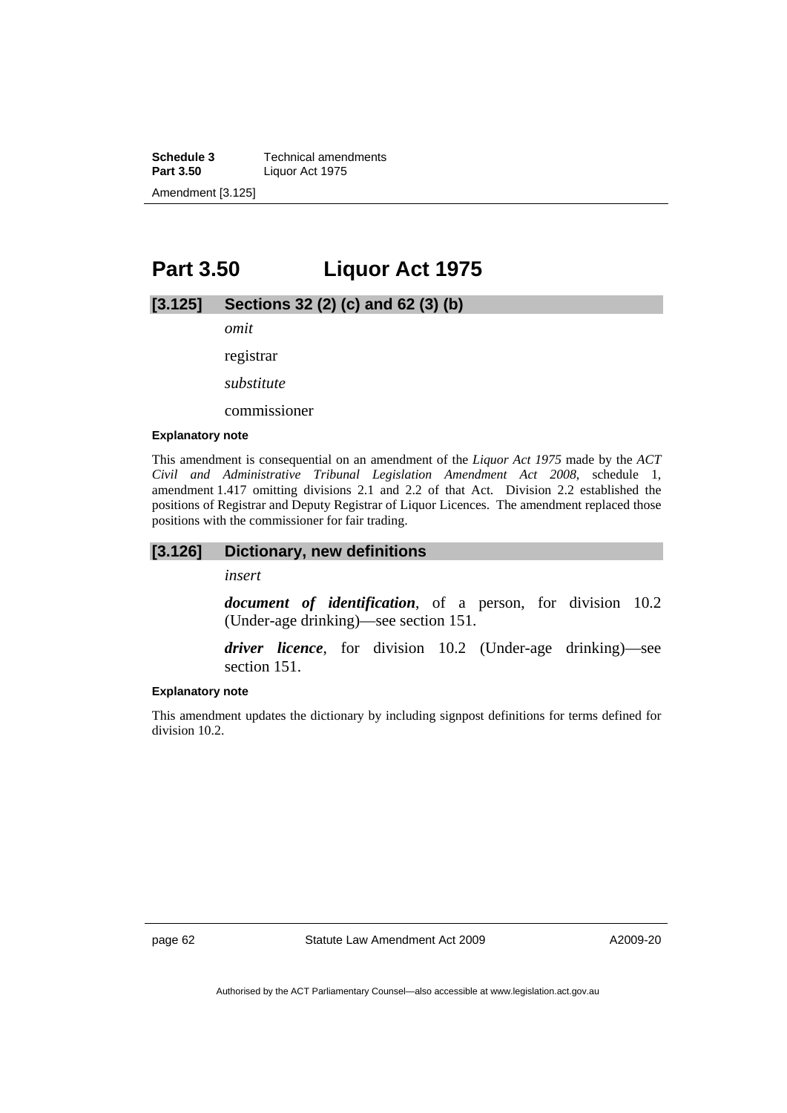**Schedule 3 Technical amendments**<br>**Part 3.50 Liquor Act 1975 Part 3.50** Liquor Act 1975 Amendment [3.125]

# **Part 3.50 Liquor Act 1975**

## **[3.125] Sections 32 (2) (c) and 62 (3) (b)**

*omit* 

registrar

*substitute* 

commissioner

#### **Explanatory note**

This amendment is consequential on an amendment of the *Liquor Act 1975* made by the *ACT Civil and Administrative Tribunal Legislation Amendment Act 2008*, schedule 1, amendment 1.417 omitting divisions 2.1 and 2.2 of that Act. Division 2.2 established the positions of Registrar and Deputy Registrar of Liquor Licences. The amendment replaced those positions with the commissioner for fair trading.

#### **[3.126] Dictionary, new definitions**

*insert* 

*document of identification*, of a person, for division 10.2 (Under-age drinking)—see section 151.

*driver licence*, for division 10.2 (Under-age drinking)—see section 151.

#### **Explanatory note**

This amendment updates the dictionary by including signpost definitions for terms defined for division 10.2.

page 62 Statute Law Amendment Act 2009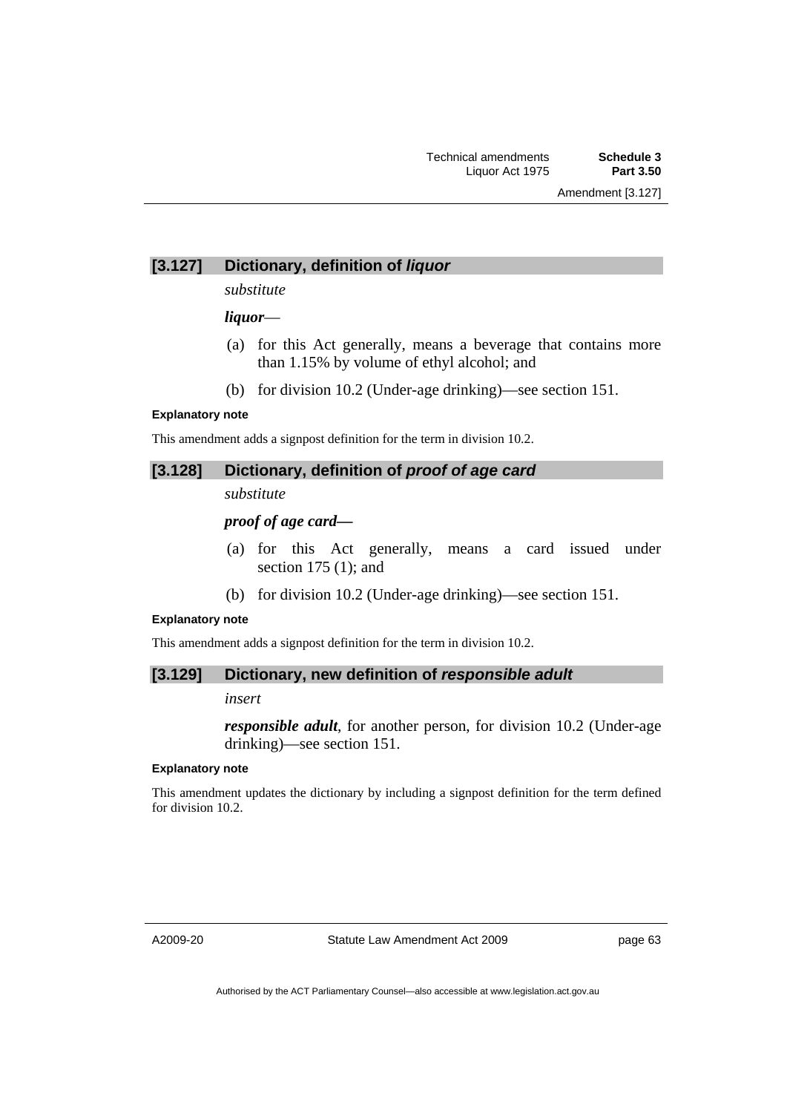# **[3.127] Dictionary, definition of** *liquor*

### *substitute*

## *liquor*—

- (a) for this Act generally, means a beverage that contains more than 1.15% by volume of ethyl alcohol; and
- (b) for division 10.2 (Under-age drinking)—see section 151.

### **Explanatory note**

This amendment adds a signpost definition for the term in division 10.2.

## **[3.128] Dictionary, definition of** *proof of age card*

*substitute* 

## *proof of age card—*

- (a) for this Act generally, means a card issued under section 175 (1); and
- (b) for division 10.2 (Under-age drinking)—see section 151.

### **Explanatory note**

This amendment adds a signpost definition for the term in division 10.2.

## **[3.129] Dictionary, new definition of** *responsible adult*

### *insert*

*responsible adult*, for another person, for division 10.2 (Under-age drinking)—see section 151.

#### **Explanatory note**

This amendment updates the dictionary by including a signpost definition for the term defined for division 10.2.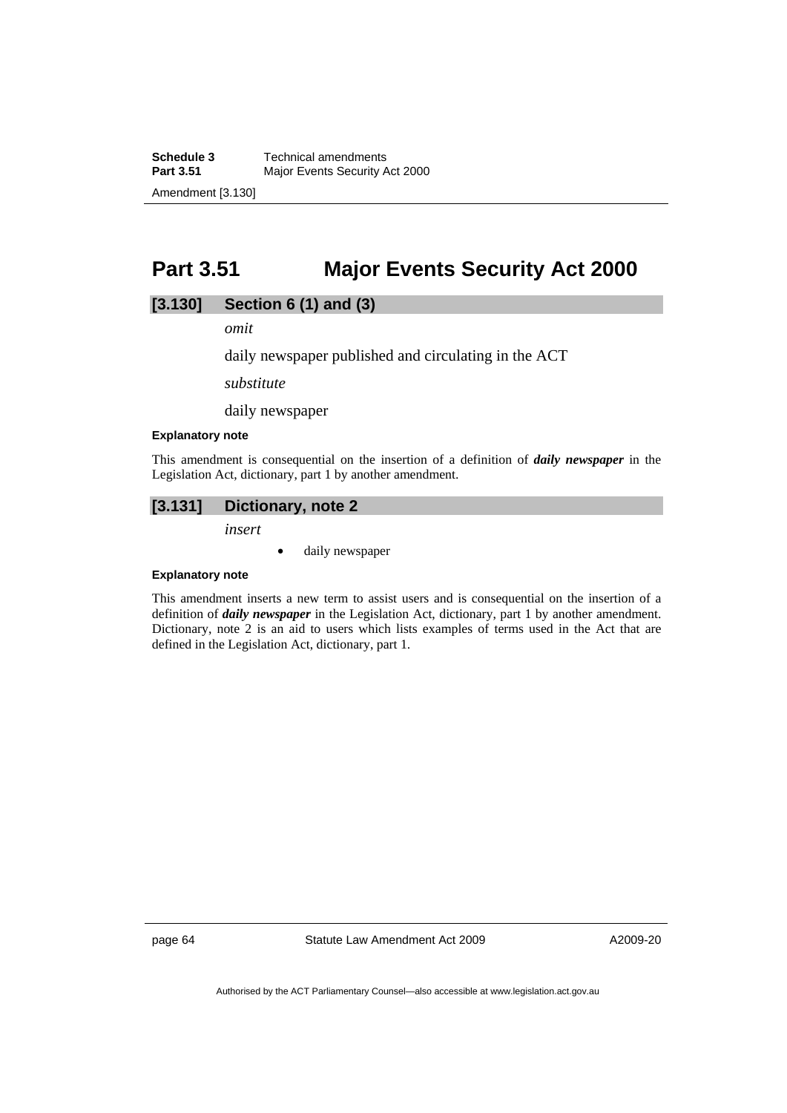**Schedule 3 Technical amendments**<br>**Part 3.51 Maior Events Security A Major Events Security Act 2000** Amendment [3.130]

# **Part 3.51 Major Events Security Act 2000**

# **[3.130] Section 6 (1) and (3)**

*omit* 

daily newspaper published and circulating in the ACT

*substitute* 

daily newspaper

#### **Explanatory note**

This amendment is consequential on the insertion of a definition of *daily newspaper* in the Legislation Act, dictionary, part 1 by another amendment.

# **[3.131] Dictionary, note 2**

*insert* 

• daily newspaper

#### **Explanatory note**

This amendment inserts a new term to assist users and is consequential on the insertion of a definition of *daily newspaper* in the Legislation Act, dictionary, part 1 by another amendment. Dictionary, note 2 is an aid to users which lists examples of terms used in the Act that are defined in the Legislation Act, dictionary, part 1.

page 64 Statute Law Amendment Act 2009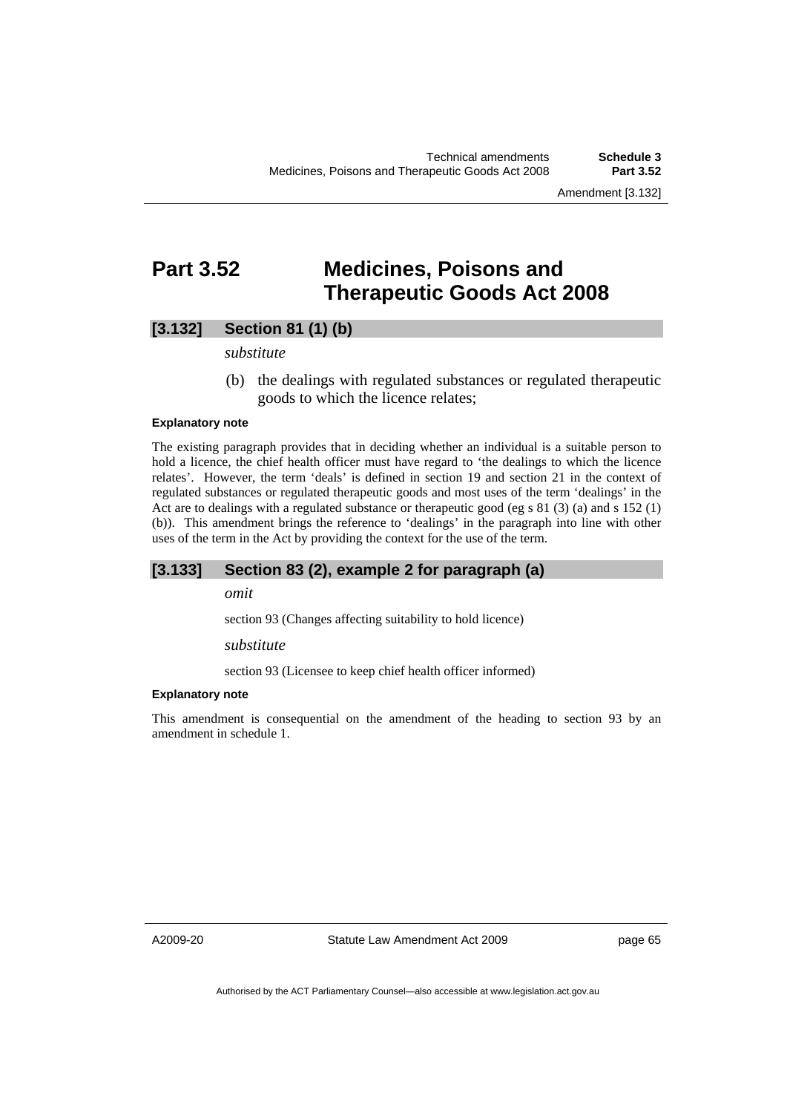Amendment [3.132]

# **Part 3.52 Medicines, Poisons and Therapeutic Goods Act 2008**

# **[3.132] Section 81 (1) (b)**

### *substitute*

 (b) the dealings with regulated substances or regulated therapeutic goods to which the licence relates;

#### **Explanatory note**

The existing paragraph provides that in deciding whether an individual is a suitable person to hold a licence, the chief health officer must have regard to 'the dealings to which the licence relates'. However, the term 'deals' is defined in section 19 and section 21 in the context of regulated substances or regulated therapeutic goods and most uses of the term 'dealings' in the Act are to dealings with a regulated substance or therapeutic good (eg s 81 (3) (a) and s 152 (1) (b)). This amendment brings the reference to 'dealings' in the paragraph into line with other uses of the term in the Act by providing the context for the use of the term.

## **[3.133] Section 83 (2), example 2 for paragraph (a)**

### *omit*

section 93 (Changes affecting suitability to hold licence)

#### *substitute*

section 93 (Licensee to keep chief health officer informed)

#### **Explanatory note**

This amendment is consequential on the amendment of the heading to section 93 by an amendment in schedule 1.

A2009-20

Statute Law Amendment Act 2009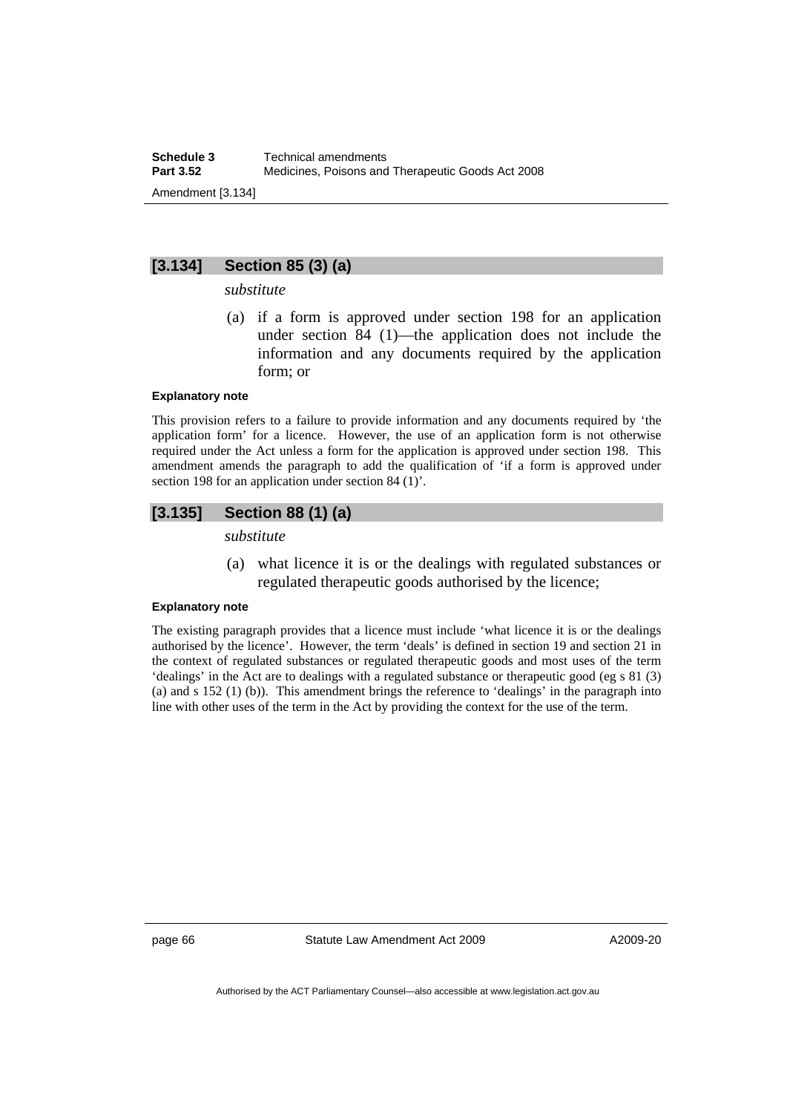# **[3.134] Section 85 (3) (a)**

## *substitute*

 (a) if a form is approved under section 198 for an application under section 84 (1)—the application does not include the information and any documents required by the application form; or

#### **Explanatory note**

This provision refers to a failure to provide information and any documents required by 'the application form' for a licence. However, the use of an application form is not otherwise required under the Act unless a form for the application is approved under section 198. This amendment amends the paragraph to add the qualification of 'if a form is approved under section 198 for an application under section 84 (1)'.

# **[3.135] Section 88 (1) (a)**

*substitute* 

 (a) what licence it is or the dealings with regulated substances or regulated therapeutic goods authorised by the licence;

#### **Explanatory note**

The existing paragraph provides that a licence must include 'what licence it is or the dealings authorised by the licence'. However, the term 'deals' is defined in section 19 and section 21 in the context of regulated substances or regulated therapeutic goods and most uses of the term 'dealings' in the Act are to dealings with a regulated substance or therapeutic good (eg s 81 (3) (a) and s 152 (1) (b)). This amendment brings the reference to 'dealings' in the paragraph into line with other uses of the term in the Act by providing the context for the use of the term.

page 66 Statute Law Amendment Act 2009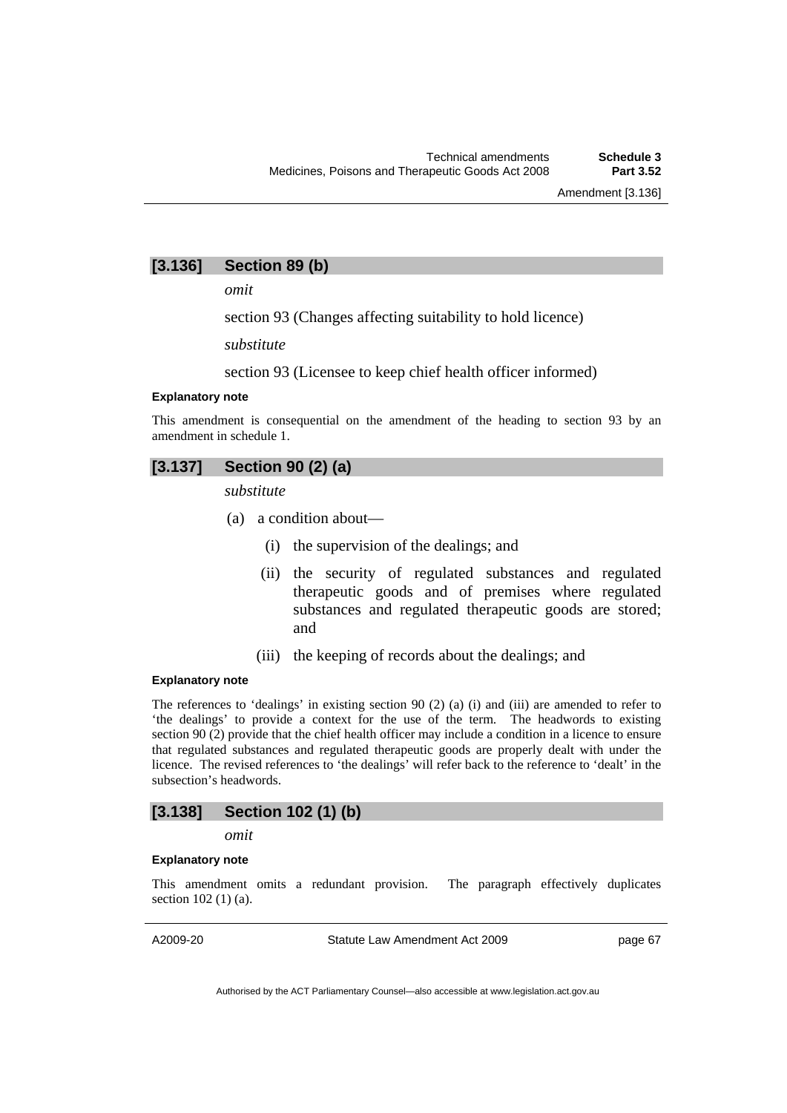## **[3.136] Section 89 (b)**

*omit* 

section 93 (Changes affecting suitability to hold licence)

*substitute* 

section 93 (Licensee to keep chief health officer informed)

#### **Explanatory note**

This amendment is consequential on the amendment of the heading to section 93 by an amendment in schedule 1.

# **[3.137] Section 90 (2) (a)**

*substitute* 

- (a) a condition about—
	- (i) the supervision of the dealings; and
	- (ii) the security of regulated substances and regulated therapeutic goods and of premises where regulated substances and regulated therapeutic goods are stored; and
	- (iii) the keeping of records about the dealings; and

## **Explanatory note**

The references to 'dealings' in existing section 90 (2) (a) (i) and (iii) are amended to refer to 'the dealings' to provide a context for the use of the term. The headwords to existing section 90 (2) provide that the chief health officer may include a condition in a licence to ensure that regulated substances and regulated therapeutic goods are properly dealt with under the licence. The revised references to 'the dealings' will refer back to the reference to 'dealt' in the subsection's headwords.

## **[3.138] Section 102 (1) (b)**

#### *omit*

#### **Explanatory note**

This amendment omits a redundant provision. The paragraph effectively duplicates section 102 (1) (a).

A2009-20

Statute Law Amendment Act 2009

page 67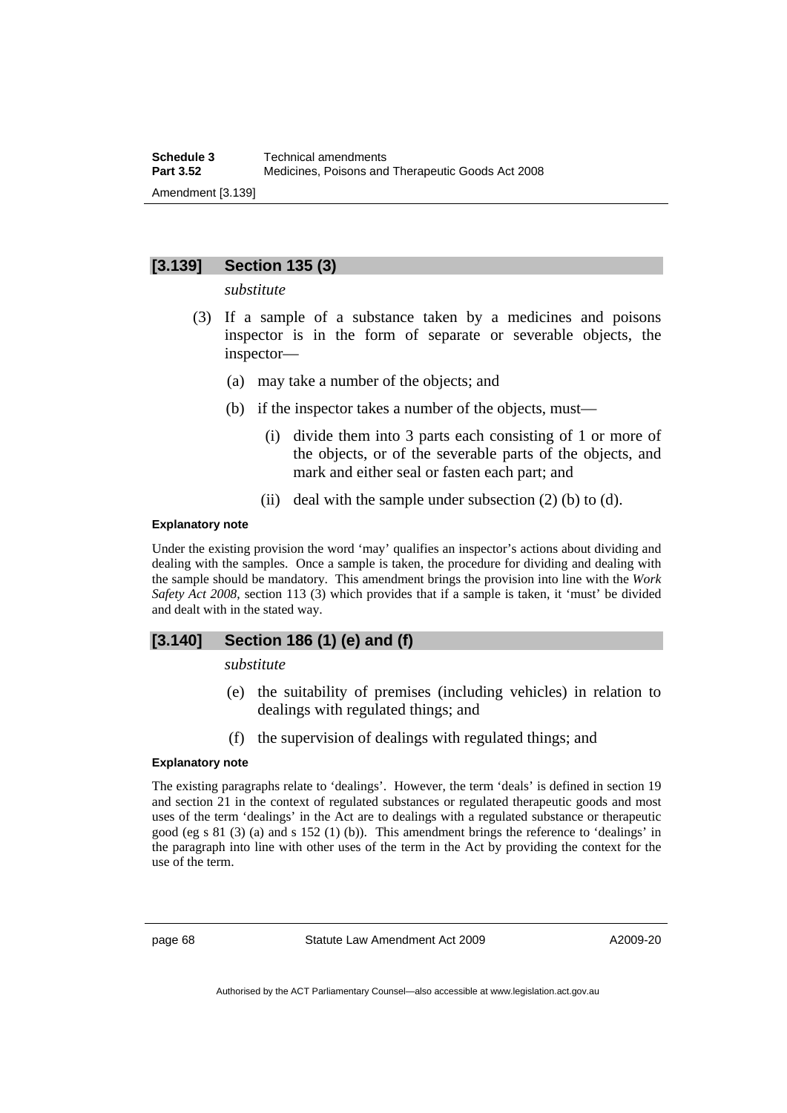# **[3.139] Section 135 (3)**

*substitute* 

- (3) If a sample of a substance taken by a medicines and poisons inspector is in the form of separate or severable objects, the inspector—
	- (a) may take a number of the objects; and
	- (b) if the inspector takes a number of the objects, must—
		- (i) divide them into 3 parts each consisting of 1 or more of the objects, or of the severable parts of the objects, and mark and either seal or fasten each part; and
		- (ii) deal with the sample under subsection  $(2)$  (b) to  $(d)$ .

#### **Explanatory note**

Under the existing provision the word 'may' qualifies an inspector's actions about dividing and dealing with the samples. Once a sample is taken, the procedure for dividing and dealing with the sample should be mandatory. This amendment brings the provision into line with the *Work Safety Act 2008*, section 113 (3) which provides that if a sample is taken, it 'must' be divided and dealt with in the stated way.

# **[3.140] Section 186 (1) (e) and (f)**

*substitute* 

- (e) the suitability of premises (including vehicles) in relation to dealings with regulated things; and
- (f) the supervision of dealings with regulated things; and

## **Explanatory note**

The existing paragraphs relate to 'dealings'. However, the term 'deals' is defined in section 19 and section 21 in the context of regulated substances or regulated therapeutic goods and most uses of the term 'dealings' in the Act are to dealings with a regulated substance or therapeutic good (eg s  $81(3)$  (a) and s  $152(1)$  (b)). This amendment brings the reference to 'dealings' in the paragraph into line with other uses of the term in the Act by providing the context for the use of the term.

page 68 Statute Law Amendment Act 2009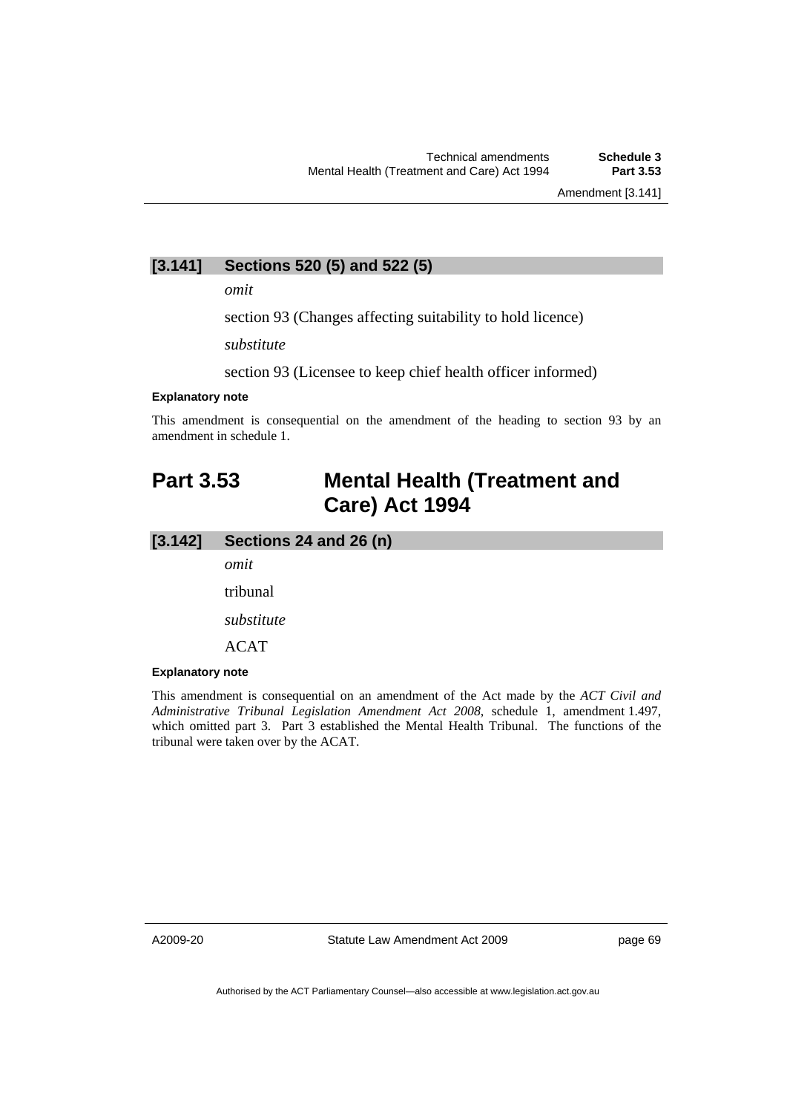# **[3.141] Sections 520 (5) and 522 (5)**

*omit* 

section 93 (Changes affecting suitability to hold licence)

*substitute* 

section 93 (Licensee to keep chief health officer informed)

## **Explanatory note**

This amendment is consequential on the amendment of the heading to section 93 by an amendment in schedule 1.

# **Part 3.53 Mental Health (Treatment and Care) Act 1994**

## **[3.142] Sections 24 and 26 (n)**

*omit* 

tribunal

*substitute* 

ACAT

#### **Explanatory note**

This amendment is consequential on an amendment of the Act made by the *ACT Civil and Administrative Tribunal Legislation Amendment Act 2008*, schedule 1, amendment 1.497, which omitted part 3. Part 3 established the Mental Health Tribunal. The functions of the tribunal were taken over by the ACAT.

A2009-20

Statute Law Amendment Act 2009

page 69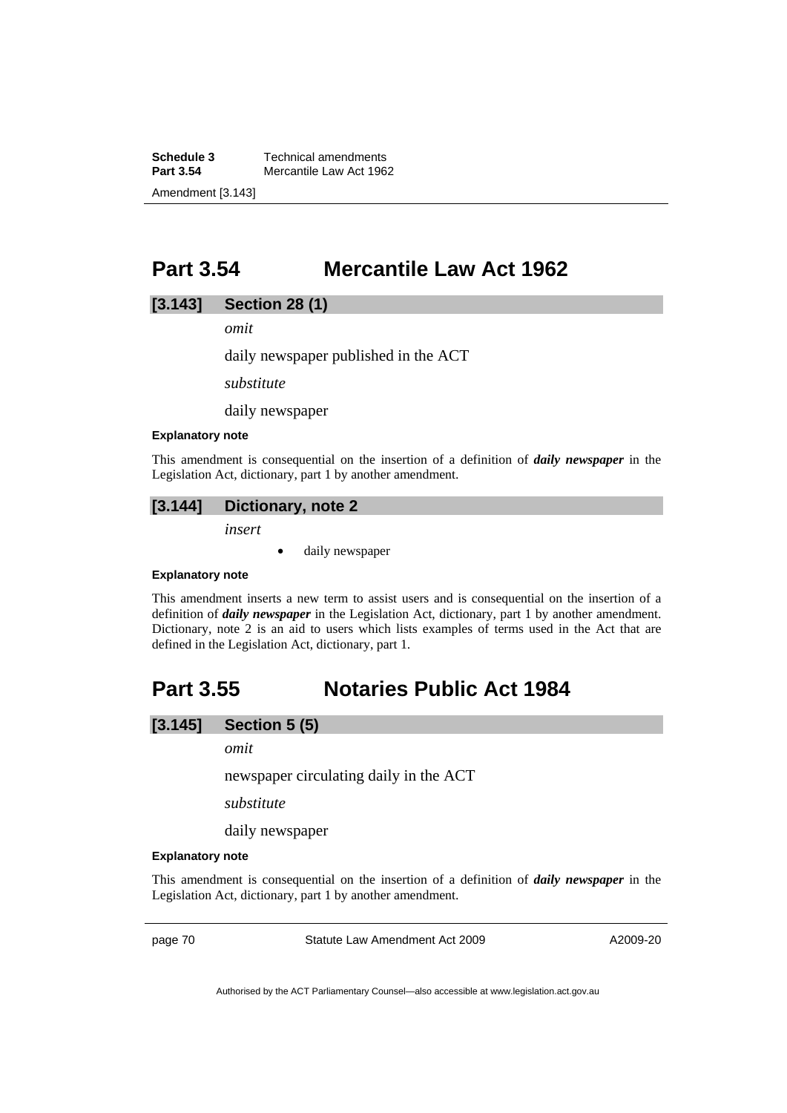**Schedule 3 Technical amendments**<br>**Part 3.54 Mercantile Law Act 196 Mercantile Law Act 1962** Amendment [3.143]

# **Part 3.54 Mercantile Law Act 1962**

## **[3.143] Section 28 (1)**

*omit* 

daily newspaper published in the ACT

*substitute* 

daily newspaper

#### **Explanatory note**

This amendment is consequential on the insertion of a definition of *daily newspaper* in the Legislation Act, dictionary, part 1 by another amendment.

## **[3.144] Dictionary, note 2**

*insert* 

• daily newspaper

#### **Explanatory note**

This amendment inserts a new term to assist users and is consequential on the insertion of a definition of *daily newspaper* in the Legislation Act, dictionary, part 1 by another amendment. Dictionary, note 2 is an aid to users which lists examples of terms used in the Act that are defined in the Legislation Act, dictionary, part 1.

# **Part 3.55 Notaries Public Act 1984**

## **[3.145] Section 5 (5)**

*omit* 

newspaper circulating daily in the ACT

*substitute* 

daily newspaper

## **Explanatory note**

This amendment is consequential on the insertion of a definition of *daily newspaper* in the Legislation Act, dictionary, part 1 by another amendment.

page 70 Statute Law Amendment Act 2009

A2009-20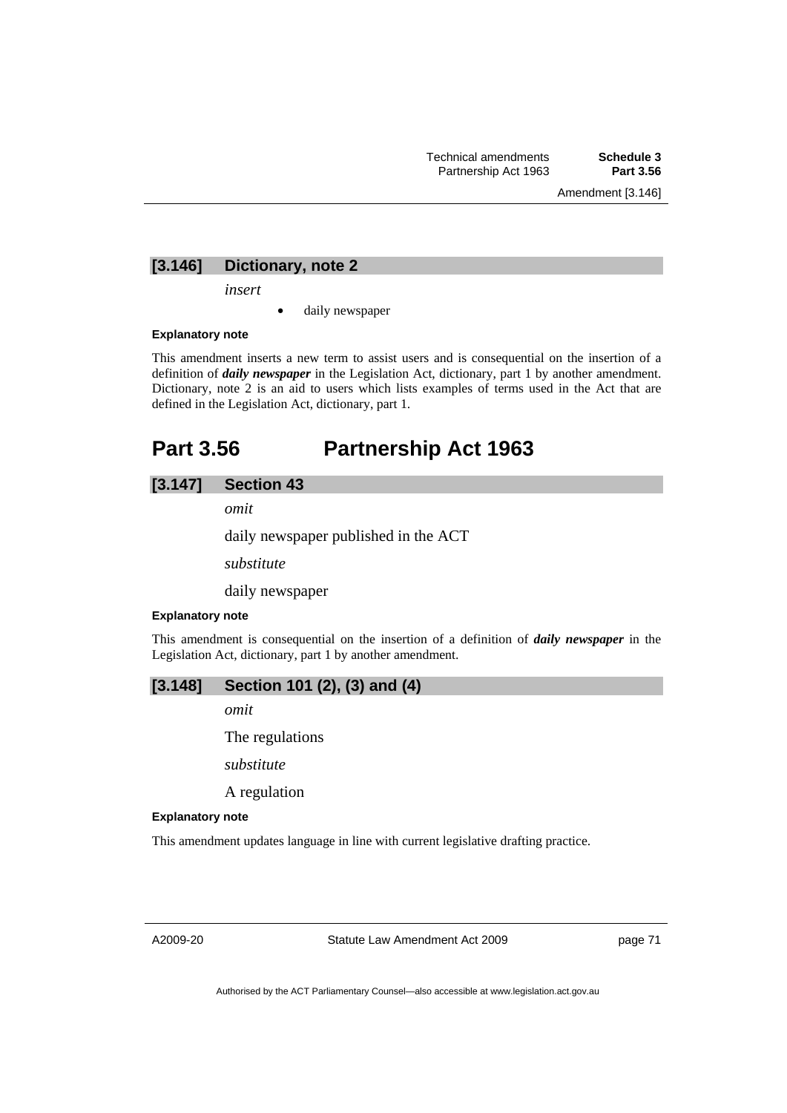Amendment [3.146]

# **[3.146] Dictionary, note 2**

*insert* 

daily newspaper

## **Explanatory note**

This amendment inserts a new term to assist users and is consequential on the insertion of a definition of *daily newspaper* in the Legislation Act, dictionary, part 1 by another amendment. Dictionary, note 2 is an aid to users which lists examples of terms used in the Act that are defined in the Legislation Act, dictionary, part 1.

# **Part 3.56 Partnership Act 1963**

# **[3.147] Section 43**

*omit* 

daily newspaper published in the ACT

*substitute* 

daily newspaper

#### **Explanatory note**

This amendment is consequential on the insertion of a definition of *daily newspaper* in the Legislation Act, dictionary, part 1 by another amendment.

# **[3.148] Section 101 (2), (3) and (4)**

*omit* 

The regulations

*substitute* 

A regulation

#### **Explanatory note**

This amendment updates language in line with current legislative drafting practice.

A2009-20

Statute Law Amendment Act 2009

page 71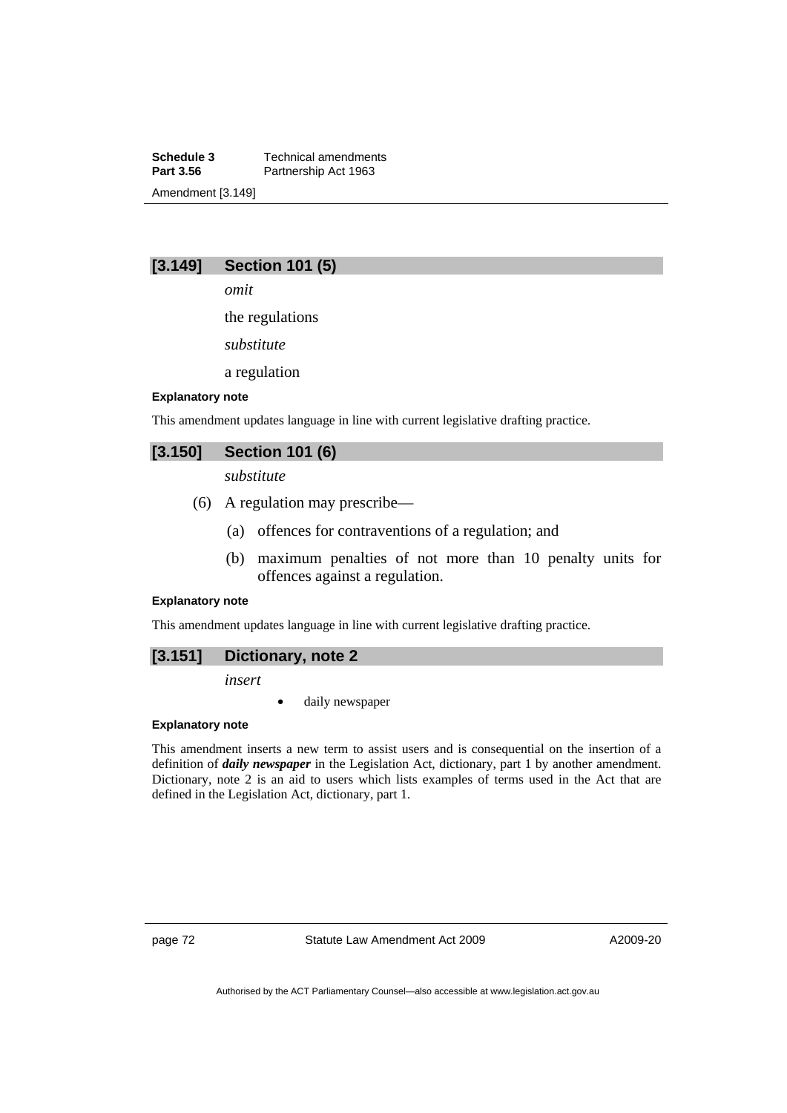**Schedule 3 Technical amendments**<br>**Part 3.56 Partnership Act 1963** Partnership Act 1963 Amendment [3.149]

# **[3.149] Section 101 (5)**

*omit* 

the regulations

*substitute* 

a regulation

#### **Explanatory note**

This amendment updates language in line with current legislative drafting practice.

# **[3.150] Section 101 (6)**

*substitute* 

- (6) A regulation may prescribe—
	- (a) offences for contraventions of a regulation; and
	- (b) maximum penalties of not more than 10 penalty units for offences against a regulation.

## **Explanatory note**

This amendment updates language in line with current legislative drafting practice.

## **[3.151] Dictionary, note 2**

*insert* 

daily newspaper

#### **Explanatory note**

This amendment inserts a new term to assist users and is consequential on the insertion of a definition of *daily newspaper* in the Legislation Act, dictionary, part 1 by another amendment. Dictionary, note 2 is an aid to users which lists examples of terms used in the Act that are defined in the Legislation Act, dictionary, part 1.

page 72 Statute Law Amendment Act 2009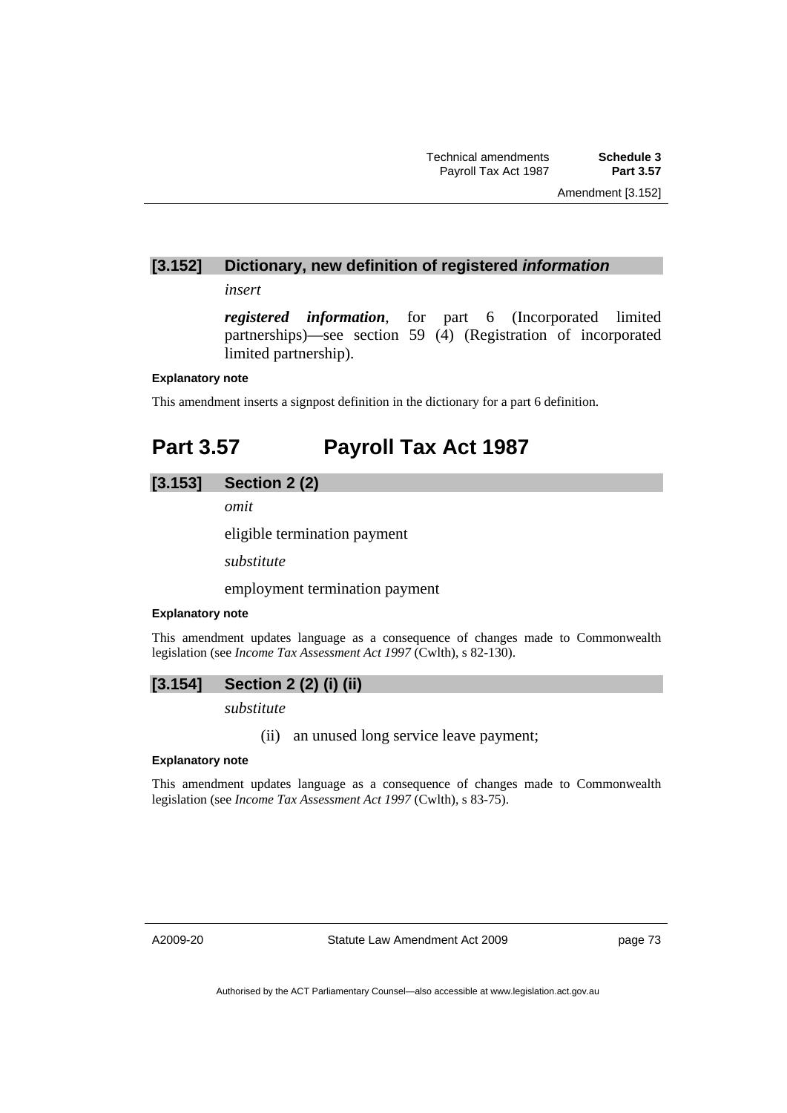## **[3.152] Dictionary, new definition of registered** *information*

*insert* 

*registered information*, for part 6 (Incorporated limited partnerships)—see section 59 (4) (Registration of incorporated limited partnership).

## **Explanatory note**

This amendment inserts a signpost definition in the dictionary for a part 6 definition.

# **Part 3.57 Payroll Tax Act 1987**

# **[3.153] Section 2 (2)**

*omit* 

eligible termination payment

*substitute* 

employment termination payment

## **Explanatory note**

This amendment updates language as a consequence of changes made to Commonwealth legislation (see *Income Tax Assessment Act 1997* (Cwlth), s 82-130).

## **[3.154] Section 2 (2) (i) (ii)**

*substitute* 

(ii) an unused long service leave payment;

#### **Explanatory note**

This amendment updates language as a consequence of changes made to Commonwealth legislation (see *Income Tax Assessment Act 1997* (Cwlth), s 83-75).

A2009-20

Statute Law Amendment Act 2009

page 73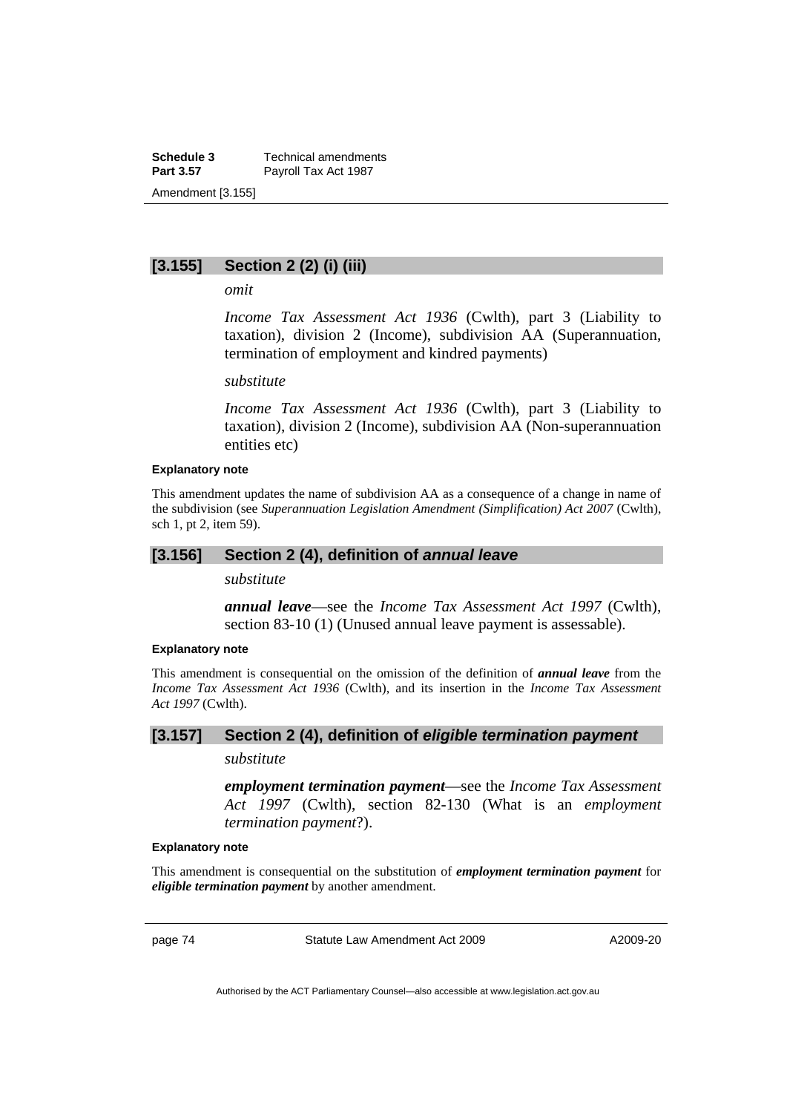**Schedule 3 Technical amendments**<br>**Part 3.57 Payroll Tax Act 1987** Payroll Tax Act 1987 Amendment [3.155]

# **[3.155] Section 2 (2) (i) (iii)**

*omit* 

*Income Tax Assessment Act 1936* (Cwlth), part 3 (Liability to taxation), division 2 (Income), subdivision AA (Superannuation, termination of employment and kindred payments)

#### *substitute*

*Income Tax Assessment Act 1936* (Cwlth), part 3 (Liability to taxation), division 2 (Income), subdivision AA (Non-superannuation entities etc)

### **Explanatory note**

This amendment updates the name of subdivision AA as a consequence of a change in name of the subdivision (see *Superannuation Legislation Amendment (Simplification) Act 2007* (Cwlth), sch 1, pt 2, item 59).

## **[3.156] Section 2 (4), definition of** *annual leave*

*substitute* 

*annual leave*—see the *Income Tax Assessment Act 1997* (Cwlth), section 83-10 (1) (Unused annual leave payment is assessable).

#### **Explanatory note**

This amendment is consequential on the omission of the definition of *annual leave* from the *Income Tax Assessment Act 1936* (Cwlth), and its insertion in the *Income Tax Assessment Act 1997* (Cwlth).

## **[3.157] Section 2 (4), definition of** *eligible termination payment*

*substitute* 

*employment termination payment*—see the *Income Tax Assessment Act 1997* (Cwlth), section 82-130 (What is an *employment termination payment*?).

## **Explanatory note**

This amendment is consequential on the substitution of *employment termination payment* for *eligible termination payment* by another amendment.

page 74 Statute Law Amendment Act 2009

A2009-20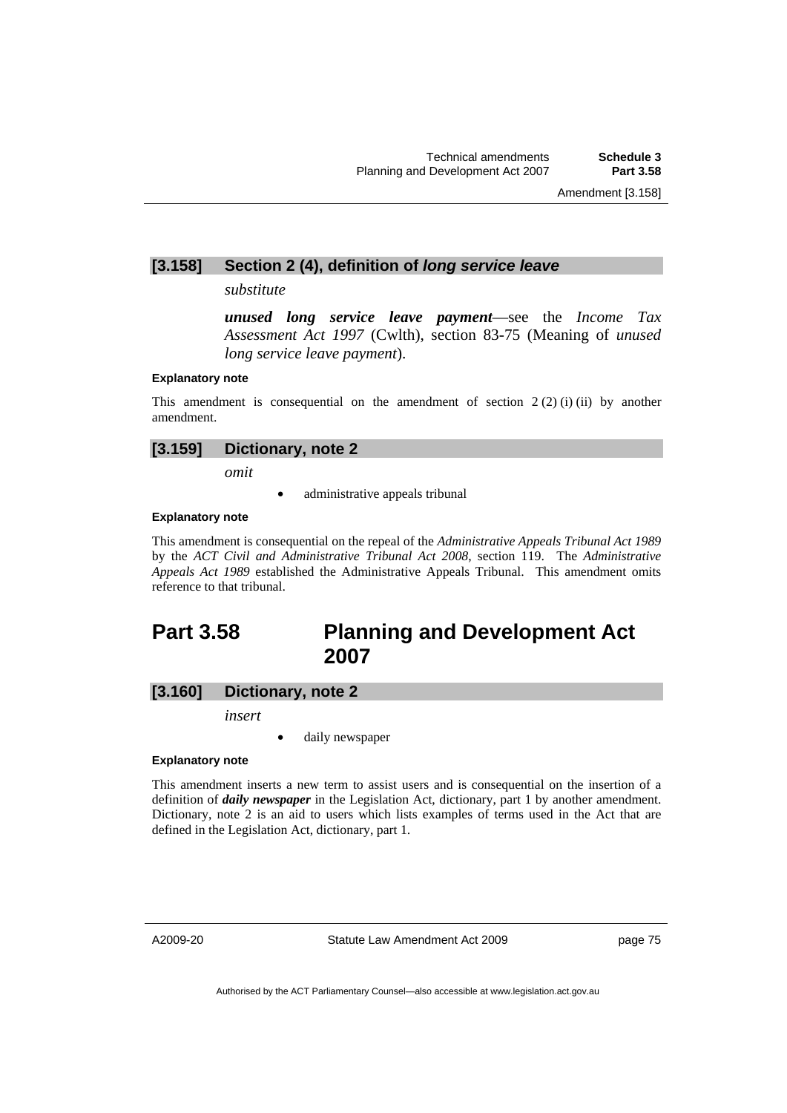# **[3.158] Section 2 (4), definition of** *long service leave*

*substitute* 

*unused long service leave payment*—see the *Income Tax Assessment Act 1997* (Cwlth), section 83-75 (Meaning of *unused long service leave payment*).

#### **Explanatory note**

This amendment is consequential on the amendment of section  $2(2)$  (i) (ii) by another amendment.

# **[3.159] Dictionary, note 2**

*omit* 

administrative appeals tribunal

## **Explanatory note**

This amendment is consequential on the repeal of the *Administrative Appeals Tribunal Act 1989* by the *ACT Civil and Administrative Tribunal Act 2008*, section 119. The *Administrative Appeals Act 1989* established the Administrative Appeals Tribunal. This amendment omits reference to that tribunal.

# **Part 3.58 Planning and Development Act 2007**

## **[3.160] Dictionary, note 2**

*insert* 

daily newspaper

#### **Explanatory note**

This amendment inserts a new term to assist users and is consequential on the insertion of a definition of *daily newspaper* in the Legislation Act, dictionary, part 1 by another amendment. Dictionary, note 2 is an aid to users which lists examples of terms used in the Act that are defined in the Legislation Act, dictionary, part 1.

A2009-20

Statute Law Amendment Act 2009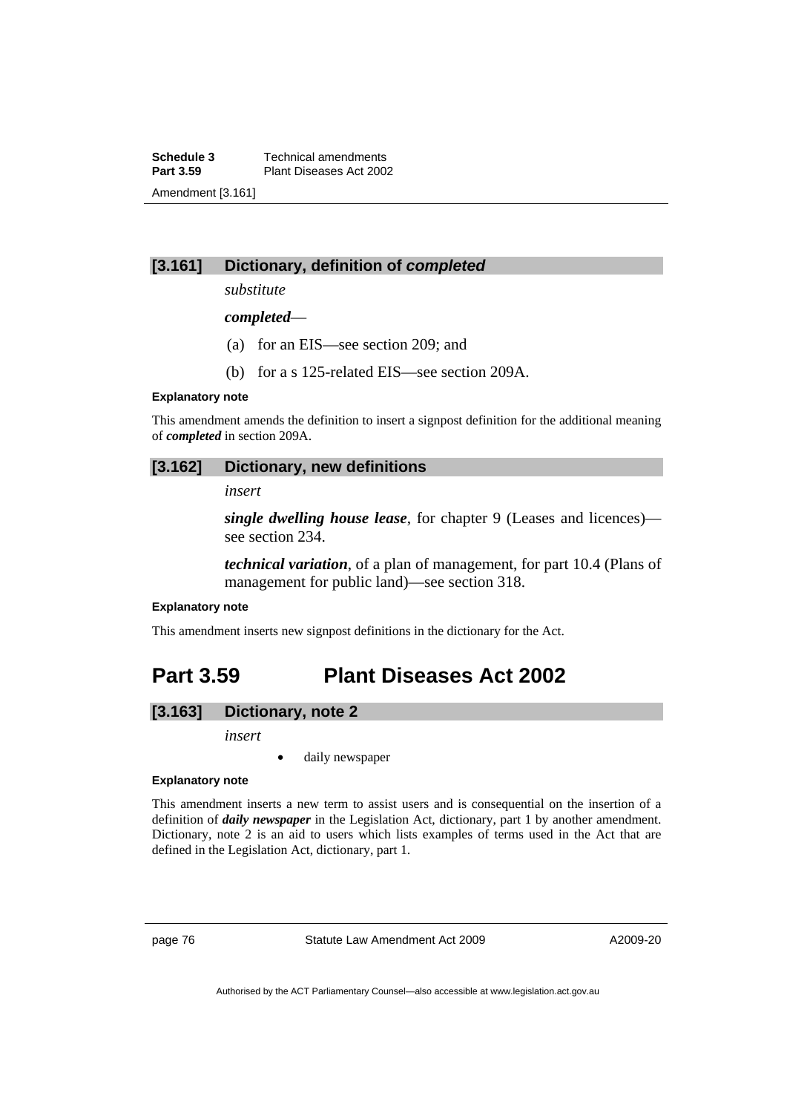**Schedule 3 Technical amendments**<br>**Part 3.59 Plant Diseases Act 2002 Part 3.59** Plant Diseases Act 2002 Amendment [3.161]

# **[3.161] Dictionary, definition of** *completed*

*substitute* 

*completed*—

- (a) for an EIS—see section 209; and
- (b) for a s 125-related EIS—see section 209A.

#### **Explanatory note**

This amendment amends the definition to insert a signpost definition for the additional meaning of *completed* in section 209A.

## **[3.162] Dictionary, new definitions**

*insert* 

*single dwelling house lease*, for chapter 9 (Leases and licences) see section 234.

*technical variation*, of a plan of management, for part 10.4 (Plans of management for public land)—see section 318.

#### **Explanatory note**

This amendment inserts new signpost definitions in the dictionary for the Act.

# **Part 3.59 Plant Diseases Act 2002**

# **[3.163] Dictionary, note 2**

*insert* 

daily newspaper

### **Explanatory note**

This amendment inserts a new term to assist users and is consequential on the insertion of a definition of *daily newspaper* in the Legislation Act, dictionary, part 1 by another amendment. Dictionary, note 2 is an aid to users which lists examples of terms used in the Act that are defined in the Legislation Act, dictionary, part 1.

page 76 Statute Law Amendment Act 2009

A2009-20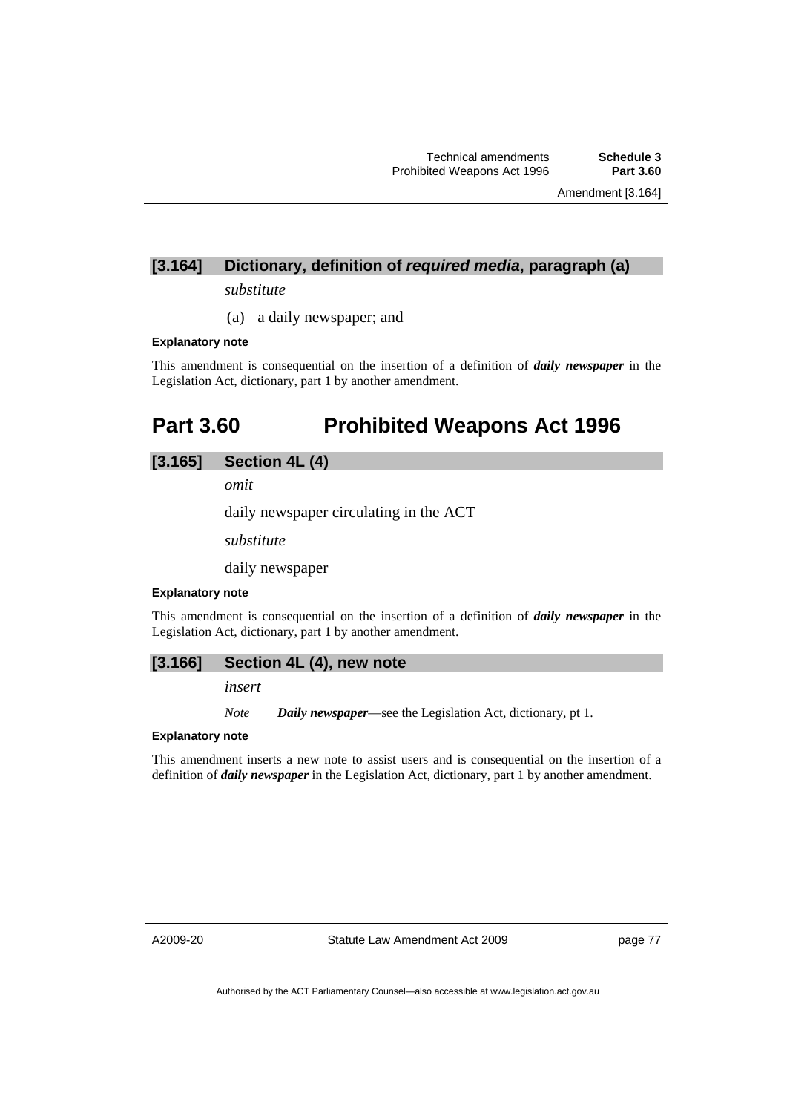Amendment [3.164]

# **[3.164] Dictionary, definition of** *required media***, paragraph (a)**

*substitute* 

(a) a daily newspaper; and

## **Explanatory note**

This amendment is consequential on the insertion of a definition of *daily newspaper* in the Legislation Act, dictionary, part 1 by another amendment.

# **Part 3.60 Prohibited Weapons Act 1996**

## **[3.165] Section 4L (4)**

*omit* 

daily newspaper circulating in the ACT

*substitute* 

daily newspaper

## **Explanatory note**

This amendment is consequential on the insertion of a definition of *daily newspaper* in the Legislation Act, dictionary, part 1 by another amendment.

## **[3.166] Section 4L (4), new note**

*insert* 

*Note Daily newspaper*—see the Legislation Act, dictionary, pt 1.

### **Explanatory note**

This amendment inserts a new note to assist users and is consequential on the insertion of a definition of *daily newspaper* in the Legislation Act, dictionary, part 1 by another amendment.

A2009-20

Statute Law Amendment Act 2009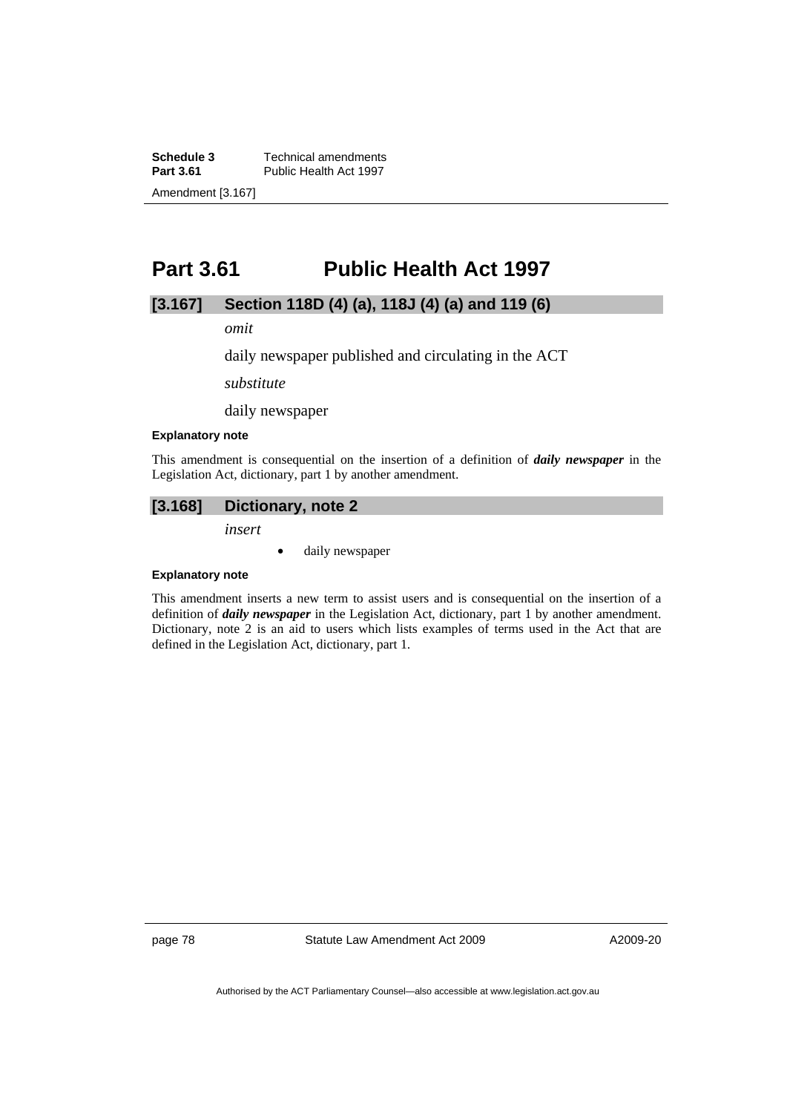**Schedule 3 Technical amendments**<br>**Part 3.61 Public Health Act 1997** Public Health Act 1997 Amendment [3.167]

# **Part 3.61 Public Health Act 1997**

# **[3.167] Section 118D (4) (a), 118J (4) (a) and 119 (6)**

*omit* 

daily newspaper published and circulating in the ACT

*substitute* 

daily newspaper

#### **Explanatory note**

This amendment is consequential on the insertion of a definition of *daily newspaper* in the Legislation Act, dictionary, part 1 by another amendment.

# **[3.168] Dictionary, note 2**

*insert* 

• daily newspaper

#### **Explanatory note**

This amendment inserts a new term to assist users and is consequential on the insertion of a definition of *daily newspaper* in the Legislation Act, dictionary, part 1 by another amendment. Dictionary, note 2 is an aid to users which lists examples of terms used in the Act that are defined in the Legislation Act, dictionary, part 1.

page 78 Statute Law Amendment Act 2009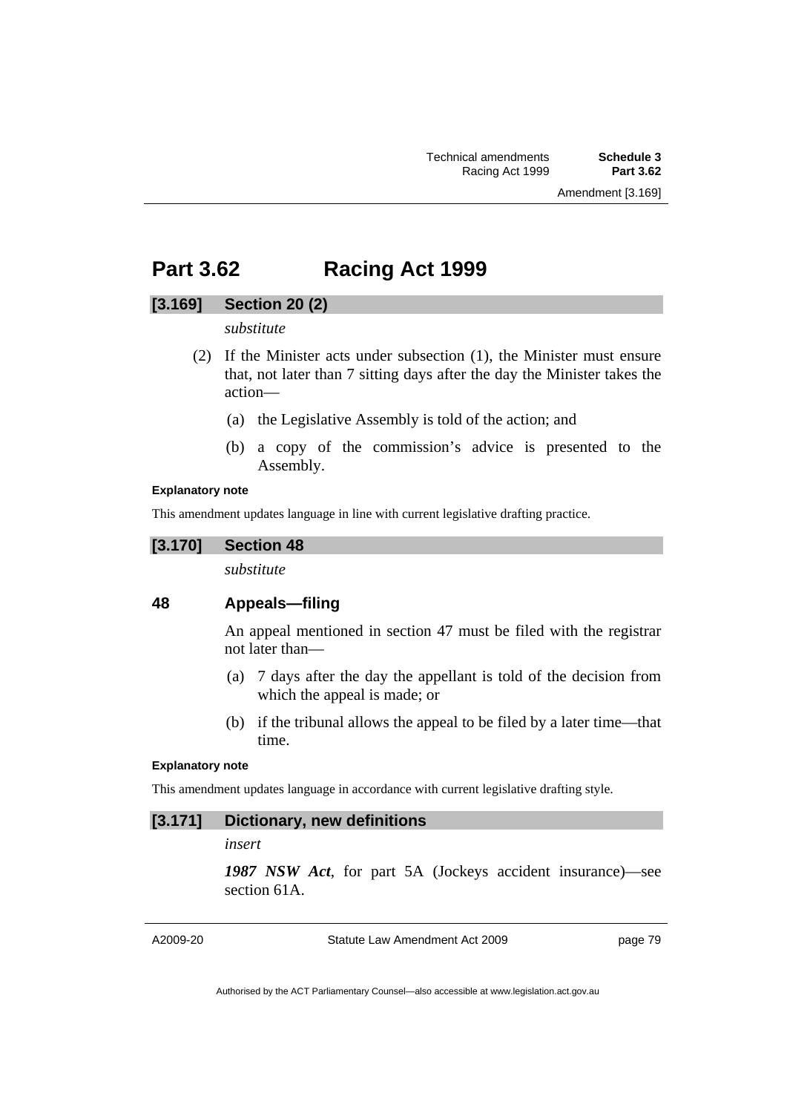# **Part 3.62 Racing Act 1999**

## **[3.169] Section 20 (2)**

## *substitute*

- (2) If the Minister acts under subsection (1), the Minister must ensure that, not later than 7 sitting days after the day the Minister takes the action—
	- (a) the Legislative Assembly is told of the action; and
	- (b) a copy of the commission's advice is presented to the Assembly.

## **Explanatory note**

This amendment updates language in line with current legislative drafting practice.

## **[3.170] Section 48**

*substitute* 

# **48 Appeals—filing**

An appeal mentioned in section 47 must be filed with the registrar not later than—

- (a) 7 days after the day the appellant is told of the decision from which the appeal is made; or
- (b) if the tribunal allows the appeal to be filed by a later time—that time.

## **Explanatory note**

This amendment updates language in accordance with current legislative drafting style.

# **[3.171] Dictionary, new definitions**

## *insert*

*1987 NSW Act*, for part 5A (Jockeys accident insurance)—see section 61A.

A2009-20

Statute Law Amendment Act 2009

page 79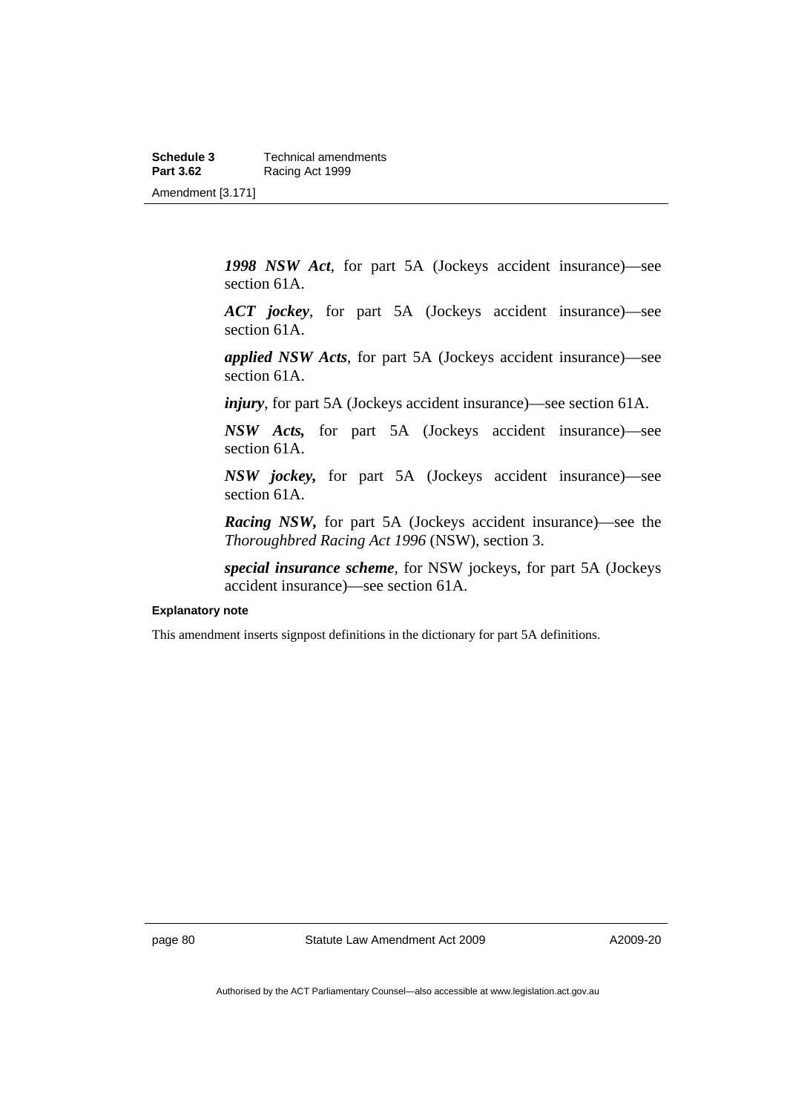**Schedule 3 Technical amendments**<br>**Part 3.62 Racing Act 1999 Racing Act 1999** Amendment [3.171]

> *1998 NSW Act*, for part 5A (Jockeys accident insurance)—see section 61A.

> *ACT jockey*, for part 5A (Jockeys accident insurance)—see section 61A.

> *applied NSW Acts*, for part 5A (Jockeys accident insurance)—see section 61A.

*injury*, for part 5A (Jockeys accident insurance)—see section 61A.

*NSW Acts,* for part 5A (Jockeys accident insurance)—see section 61A.

*NSW jockey,* for part 5A (Jockeys accident insurance)—see section 61A.

*Racing NSW,* for part 5A (Jockeys accident insurance)—see the *Thoroughbred Racing Act 1996* (NSW), section 3.

*special insurance scheme*, for NSW jockeys, for part 5A (Jockeys accident insurance)—see section 61A.

#### **Explanatory note**

This amendment inserts signpost definitions in the dictionary for part 5A definitions.

page 80 Statute Law Amendment Act 2009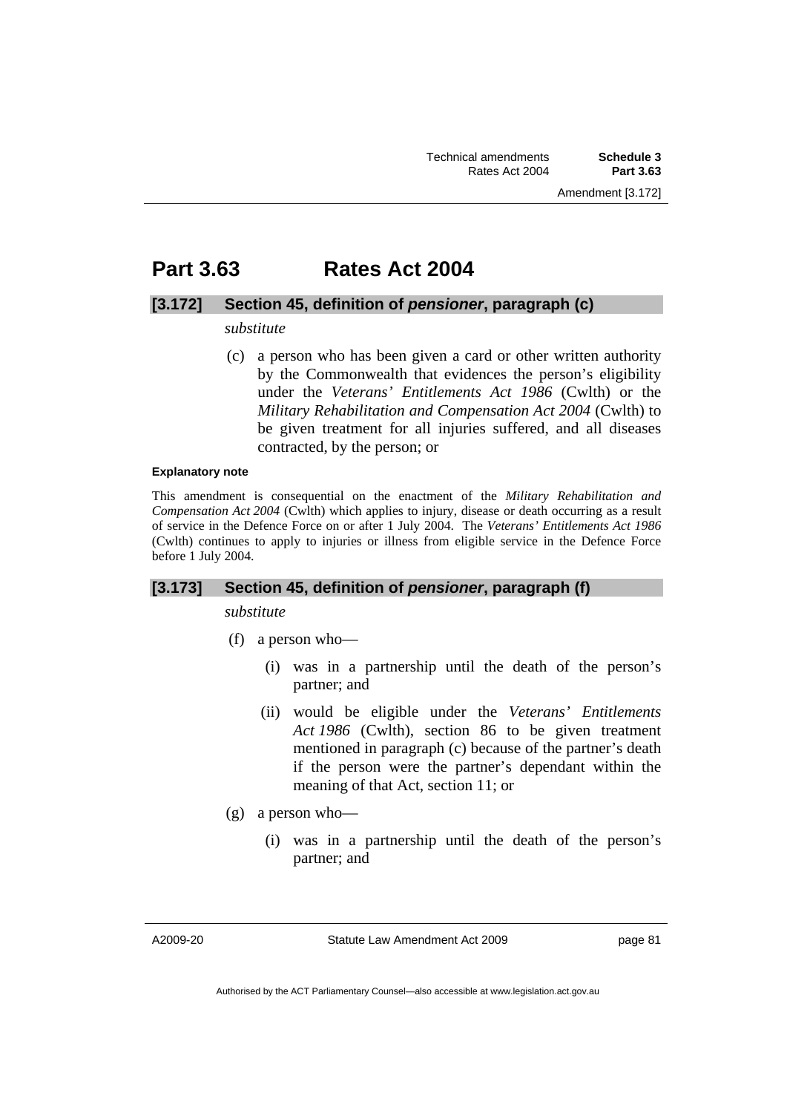# **Part 3.63 Rates Act 2004**

## **[3.172] Section 45, definition of** *pensioner***, paragraph (c)**

## *substitute*

 (c) a person who has been given a card or other written authority by the Commonwealth that evidences the person's eligibility under the *Veterans' Entitlements Act 1986* (Cwlth) or the *Military Rehabilitation and Compensation Act 2004* (Cwlth) to be given treatment for all injuries suffered, and all diseases contracted, by the person; or

## **Explanatory note**

This amendment is consequential on the enactment of the *Military Rehabilitation and Compensation Act 2004* (Cwlth) which applies to injury, disease or death occurring as a result of service in the Defence Force on or after 1 July 2004. The *Veterans' Entitlements Act 1986* (Cwlth) continues to apply to injuries or illness from eligible service in the Defence Force before 1 July 2004.

## **[3.173] Section 45, definition of** *pensioner***, paragraph (f)**

*substitute* 

- (f) a person who—
	- (i) was in a partnership until the death of the person's partner; and
	- (ii) would be eligible under the *Veterans' Entitlements Act 1986* (Cwlth), section 86 to be given treatment mentioned in paragraph (c) because of the partner's death if the person were the partner's dependant within the meaning of that Act, section 11; or
- (g) a person who—
	- (i) was in a partnership until the death of the person's partner; and

A2009-20

Statute Law Amendment Act 2009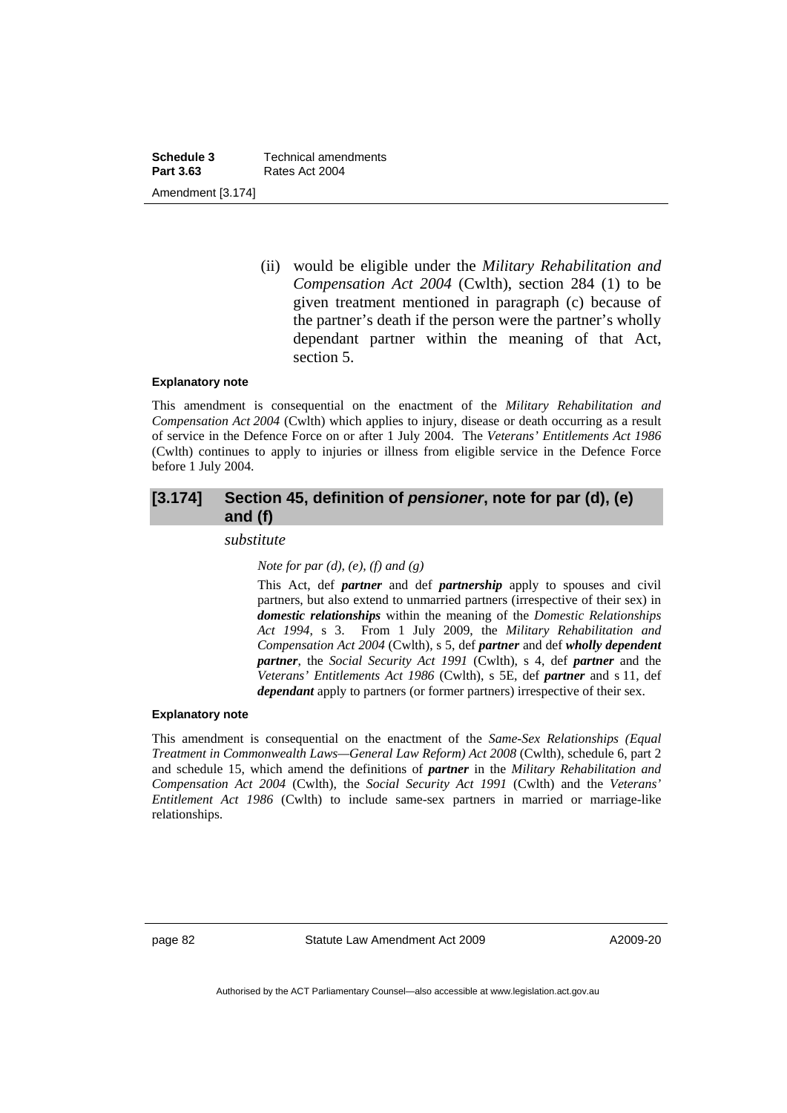**Schedule 3 Technical amendments**<br>**Part 3.63 Rates Act 2004 Part 3.63** Rates Act 2004 Amendment [3.174]

> (ii) would be eligible under the *Military Rehabilitation and Compensation Act 2004* (Cwlth), section 284 (1) to be given treatment mentioned in paragraph (c) because of the partner's death if the person were the partner's wholly dependant partner within the meaning of that Act, section 5.

### **Explanatory note**

This amendment is consequential on the enactment of the *Military Rehabilitation and Compensation Act 2004* (Cwlth) which applies to injury, disease or death occurring as a result of service in the Defence Force on or after 1 July 2004. The *Veterans' Entitlements Act 1986* (Cwlth) continues to apply to injuries or illness from eligible service in the Defence Force before 1 July 2004.

# **[3.174] Section 45, definition of** *pensioner***, note for par (d), (e) and (f)**

*substitute* 

*Note for par (d), (e), (f) and (g)* 

This Act, def *partner* and def *partnership* apply to spouses and civil partners, but also extend to unmarried partners (irrespective of their sex) in *domestic relationships* within the meaning of the *Domestic Relationships Act 1994*, s 3. From 1 July 2009, the *Military Rehabilitation and Compensation Act 2004* (Cwlth), s 5, def *partner* and def *wholly dependent partner*, the *Social Security Act 1991* (Cwlth), s 4, def *partner* and the *Veterans' Entitlements Act 1986* (Cwlth), s 5E, def *partner* and s 11, def *dependant* apply to partners (or former partners) irrespective of their sex.

### **Explanatory note**

This amendment is consequential on the enactment of the *Same-Sex Relationships (Equal Treatment in Commonwealth Laws—General Law Reform) Act 2008* (Cwlth), schedule 6, part 2 and schedule 15, which amend the definitions of *partner* in the *Military Rehabilitation and Compensation Act 2004* (Cwlth), the *Social Security Act 1991* (Cwlth) and the *Veterans' Entitlement Act 1986* (Cwlth) to include same-sex partners in married or marriage-like relationships.

page 82 Statute Law Amendment Act 2009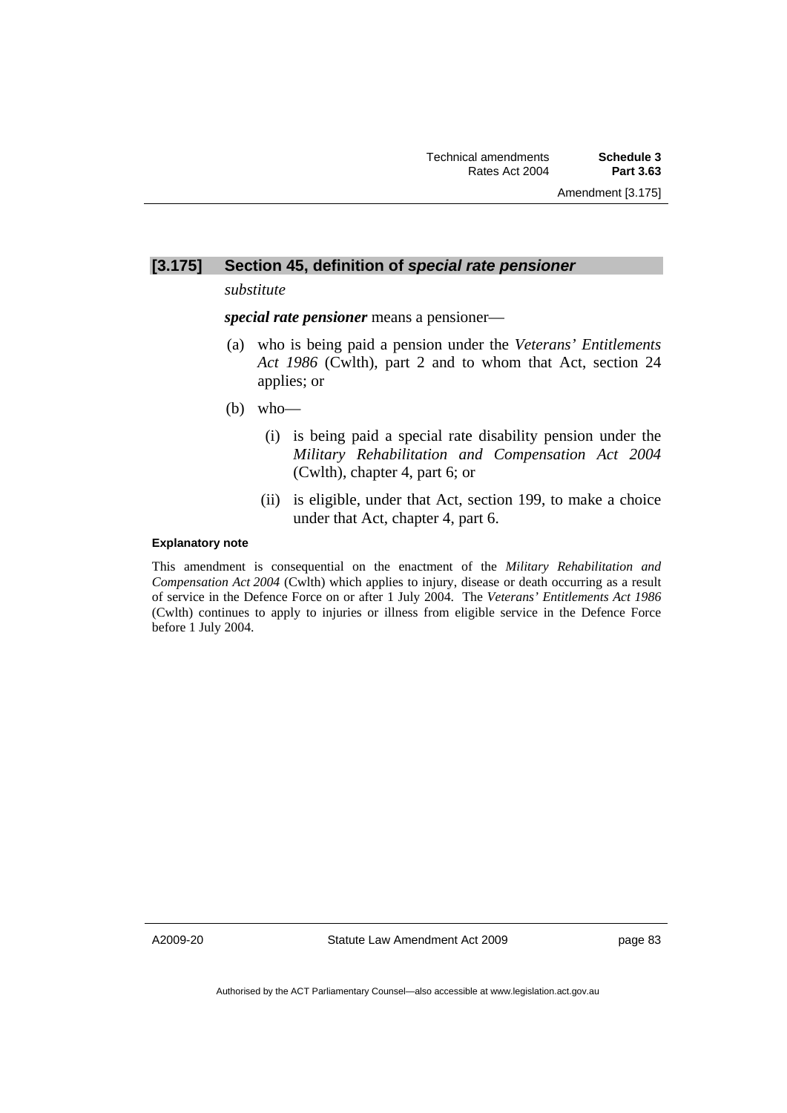# **[3.175] Section 45, definition of** *special rate pensioner*

*substitute* 

*special rate pensioner* means a pensioner—

- (a) who is being paid a pension under the *Veterans' Entitlements Act 1986* (Cwlth), part 2 and to whom that Act, section 24 applies; or
- (b) who—
	- (i) is being paid a special rate disability pension under the *Military Rehabilitation and Compensation Act 2004* (Cwlth), chapter 4, part 6; or
	- (ii) is eligible, under that Act, section 199, to make a choice under that Act, chapter 4, part 6.

## **Explanatory note**

This amendment is consequential on the enactment of the *Military Rehabilitation and Compensation Act 2004* (Cwlth) which applies to injury, disease or death occurring as a result of service in the Defence Force on or after 1 July 2004. The *Veterans' Entitlements Act 1986* (Cwlth) continues to apply to injuries or illness from eligible service in the Defence Force before 1 July 2004.

A2009-20

Statute Law Amendment Act 2009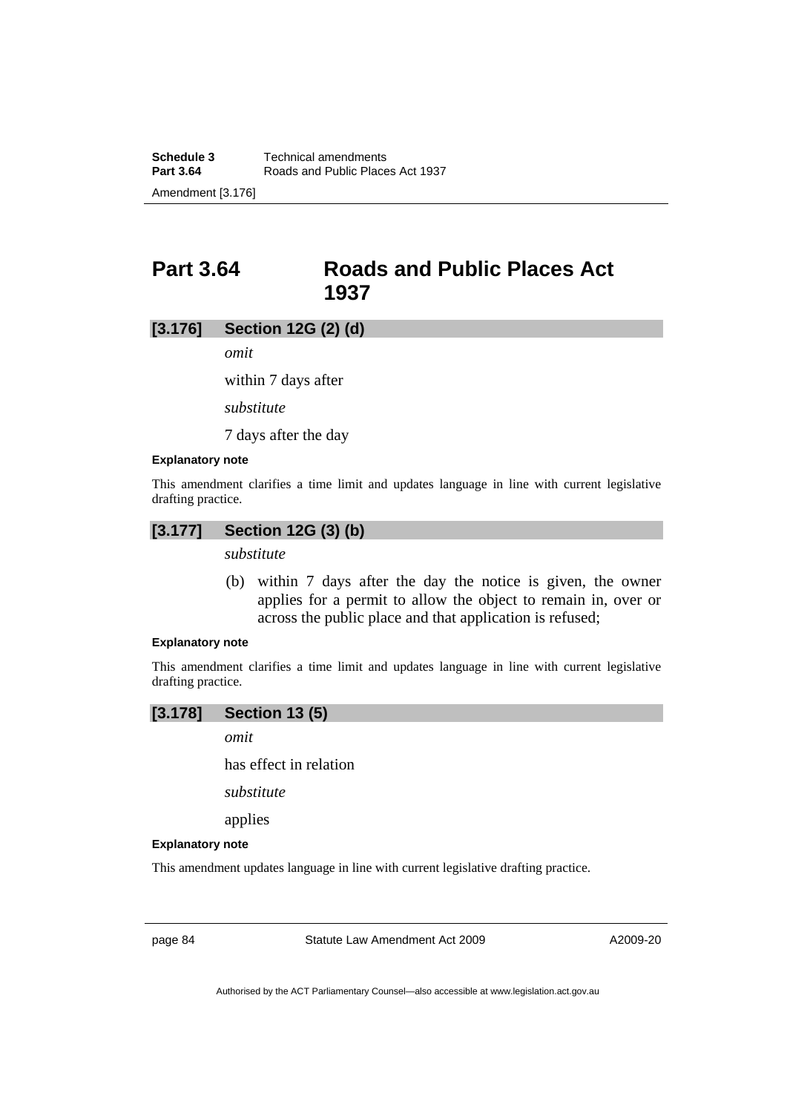**Part 3.64 Roads and Public Places Act 1937** 

## **[3.176] Section 12G (2) (d)**

*omit* 

within 7 days after

*substitute* 

7 days after the day

## **Explanatory note**

This amendment clarifies a time limit and updates language in line with current legislative drafting practice.

# **[3.177] Section 12G (3) (b)**

*substitute* 

 (b) within 7 days after the day the notice is given, the owner applies for a permit to allow the object to remain in, over or across the public place and that application is refused;

## **Explanatory note**

This amendment clarifies a time limit and updates language in line with current legislative drafting practice.

## **[3.178] Section 13 (5)**

*omit* 

has effect in relation

*substitute* 

applies

#### **Explanatory note**

This amendment updates language in line with current legislative drafting practice.

page 84 Statute Law Amendment Act 2009

A2009-20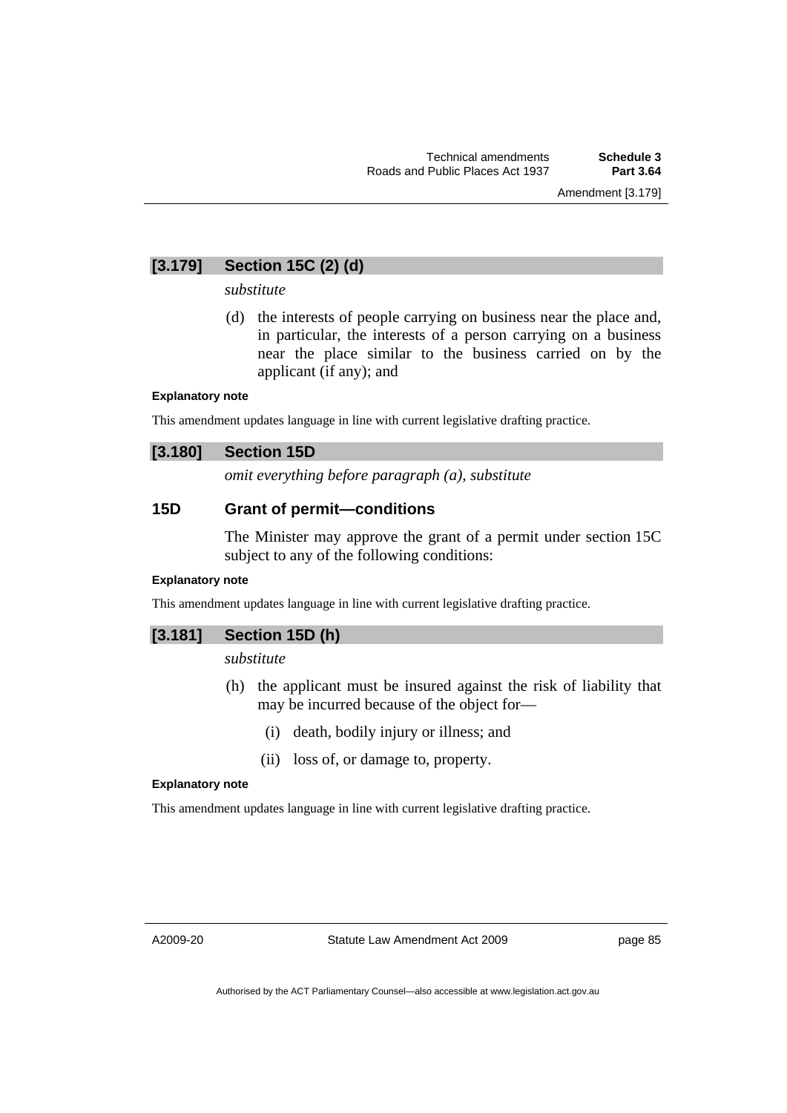# **[3.179] Section 15C (2) (d)**

## *substitute*

 (d) the interests of people carrying on business near the place and, in particular, the interests of a person carrying on a business near the place similar to the business carried on by the applicant (if any); and

## **Explanatory note**

This amendment updates language in line with current legislative drafting practice.

## **[3.180] Section 15D**

*omit everything before paragraph (a), substitute* 

# **15D Grant of permit—conditions**

The Minister may approve the grant of a permit under section 15C subject to any of the following conditions:

# **Explanatory note**

This amendment updates language in line with current legislative drafting practice.

# **[3.181] Section 15D (h)**

*substitute* 

- (h) the applicant must be insured against the risk of liability that may be incurred because of the object for—
	- (i) death, bodily injury or illness; and
	- (ii) loss of, or damage to, property.

## **Explanatory note**

This amendment updates language in line with current legislative drafting practice.

A2009-20

Statute Law Amendment Act 2009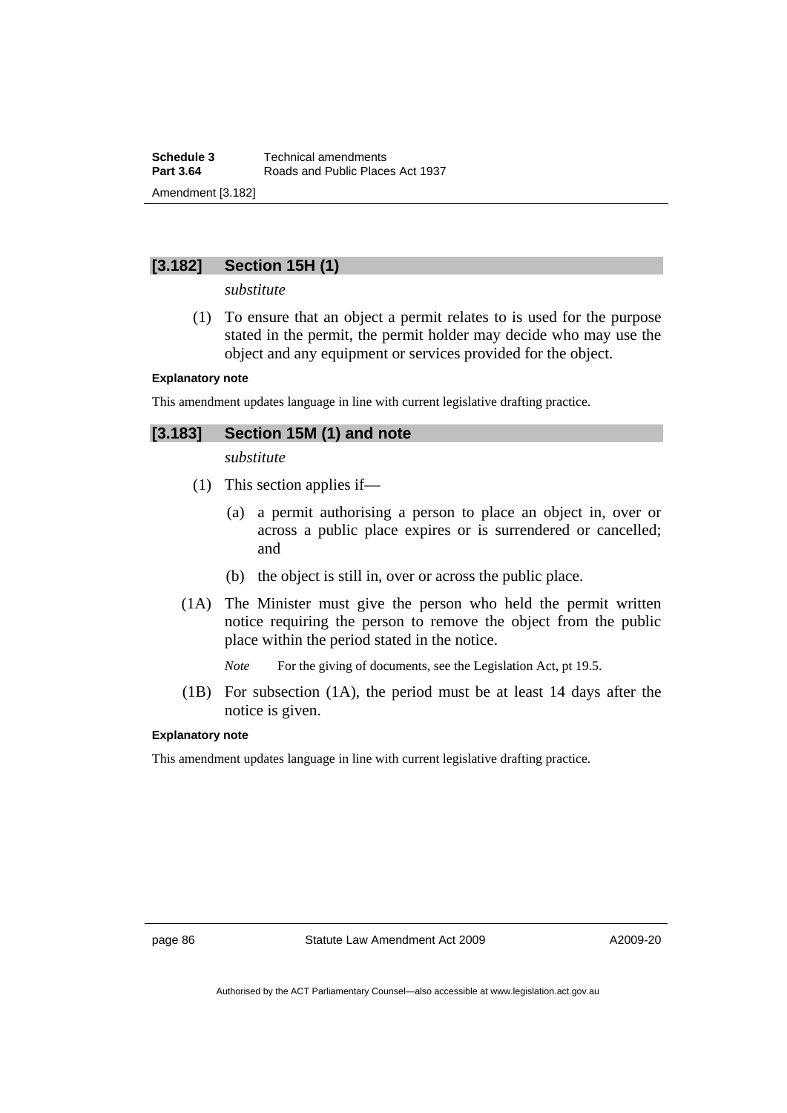# **[3.182] Section 15H (1)**

*substitute* 

 (1) To ensure that an object a permit relates to is used for the purpose stated in the permit, the permit holder may decide who may use the object and any equipment or services provided for the object.

## **Explanatory note**

This amendment updates language in line with current legislative drafting practice.

# **[3.183] Section 15M (1) and note**

*substitute* 

- (1) This section applies if—
	- (a) a permit authorising a person to place an object in, over or across a public place expires or is surrendered or cancelled; and
	- (b) the object is still in, over or across the public place.
- (1A) The Minister must give the person who held the permit written notice requiring the person to remove the object from the public place within the period stated in the notice.

*Note* For the giving of documents, see the Legislation Act, pt 19.5.

 (1B) For subsection (1A), the period must be at least 14 days after the notice is given.

## **Explanatory note**

This amendment updates language in line with current legislative drafting practice.

page 86 Statute Law Amendment Act 2009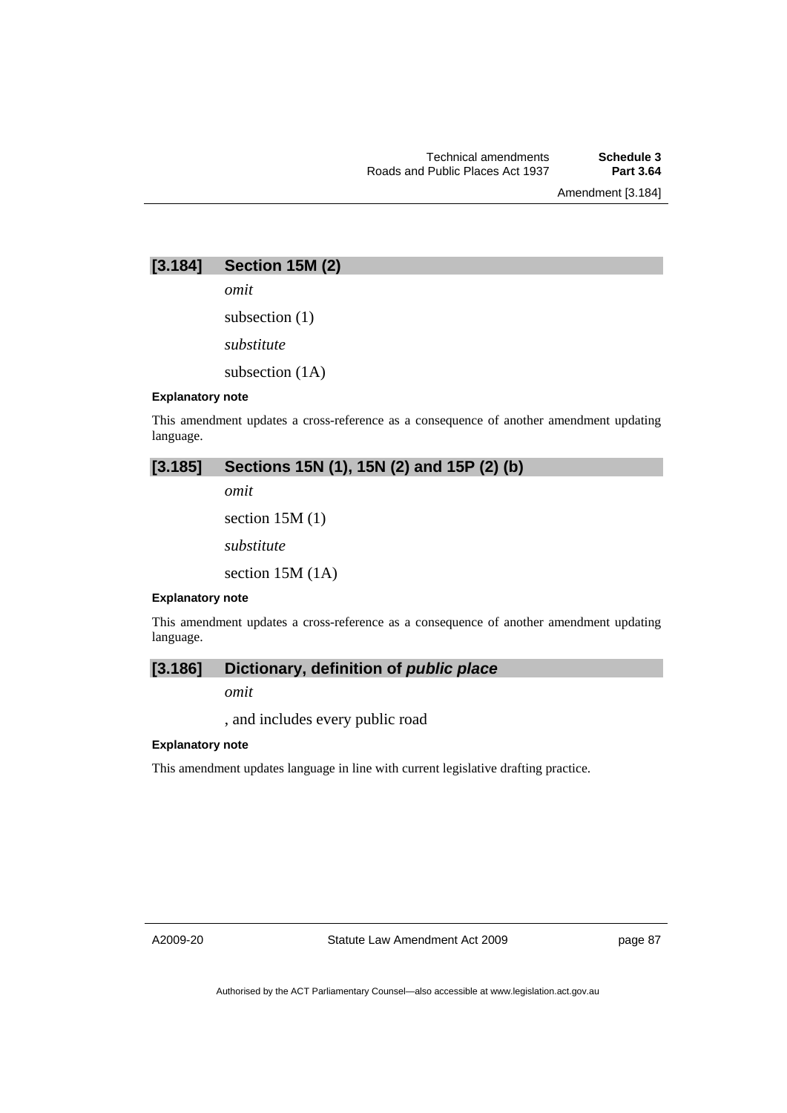Amendment [3.184]

# **[3.184] Section 15M (2)**

*omit* 

subsection (1)

*substitute* 

subsection (1A)

#### **Explanatory note**

This amendment updates a cross-reference as a consequence of another amendment updating language.

# **[3.185] Sections 15N (1), 15N (2) and 15P (2) (b)**

*omit* 

section 15M (1)

*substitute* 

section 15M (1A)

#### **Explanatory note**

This amendment updates a cross-reference as a consequence of another amendment updating language.

## **[3.186] Dictionary, definition of** *public place*

*omit* 

, and includes every public road

## **Explanatory note**

This amendment updates language in line with current legislative drafting practice.

A2009-20

Statute Law Amendment Act 2009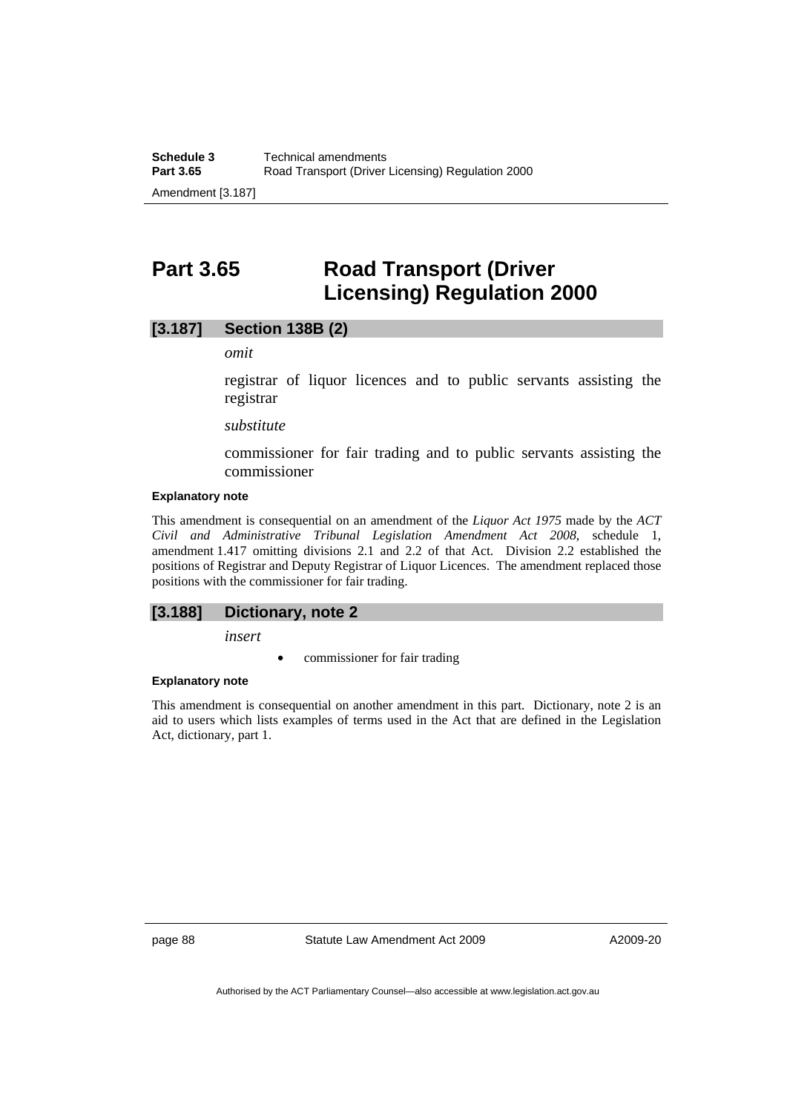# **Part 3.65 Road Transport (Driver Licensing) Regulation 2000**

## **[3.187] Section 138B (2)**

*omit* 

registrar of liquor licences and to public servants assisting the registrar

*substitute* 

commissioner for fair trading and to public servants assisting the commissioner

#### **Explanatory note**

This amendment is consequential on an amendment of the *Liquor Act 1975* made by the *ACT Civil and Administrative Tribunal Legislation Amendment Act 2008*, schedule 1, amendment 1.417 omitting divisions 2.1 and 2.2 of that Act. Division 2.2 established the positions of Registrar and Deputy Registrar of Liquor Licences. The amendment replaced those positions with the commissioner for fair trading.

#### **[3.188] Dictionary, note 2**

*insert* 

commissioner for fair trading

#### **Explanatory note**

This amendment is consequential on another amendment in this part. Dictionary, note 2 is an aid to users which lists examples of terms used in the Act that are defined in the Legislation Act, dictionary, part 1.

page 88 Statute Law Amendment Act 2009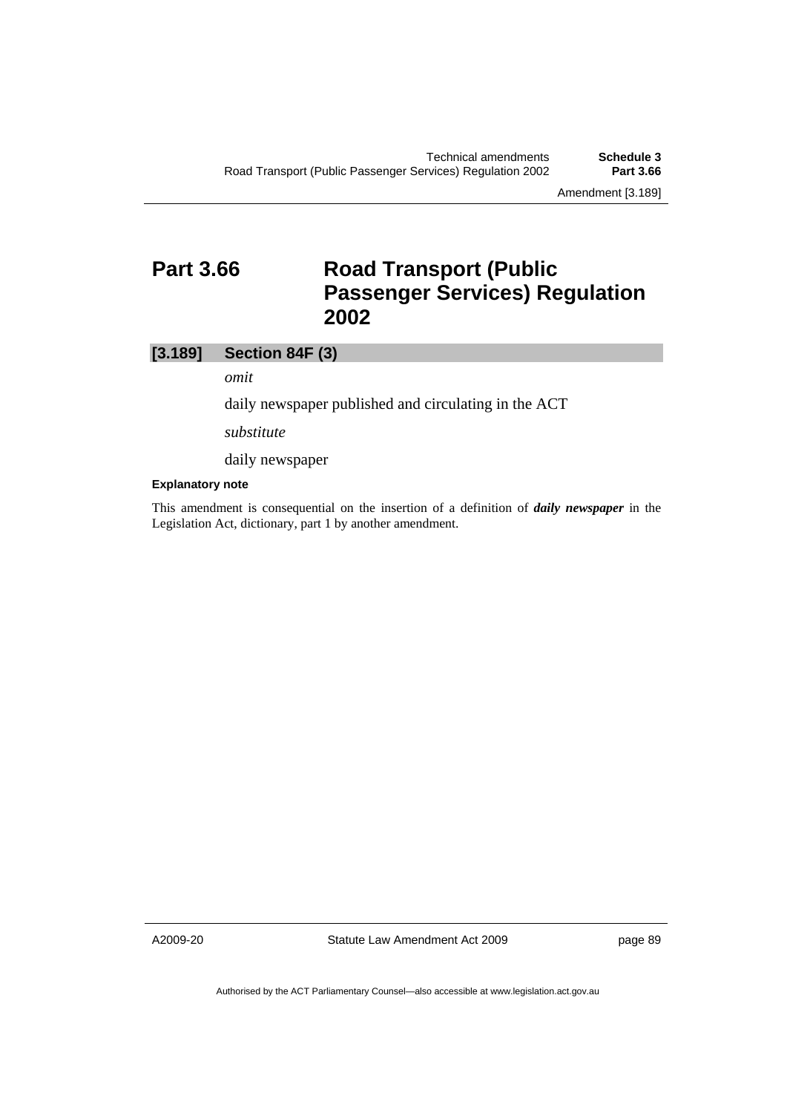# **Part 3.66 Road Transport (Public ) Passenger Services) Regulation 2002**

## **[3.189] Section 84F (3)**

*omit* 

daily newspaper published and circulating in the ACT

*substitute* 

daily newspaper

## **Explanatory note**

This amendment is consequential on the insertion of a definition of *daily newspaper* in the Legislation Act, dictionary, part 1 by another amendment.

A2009-20

Statute Law Amendment Act 2009

page 89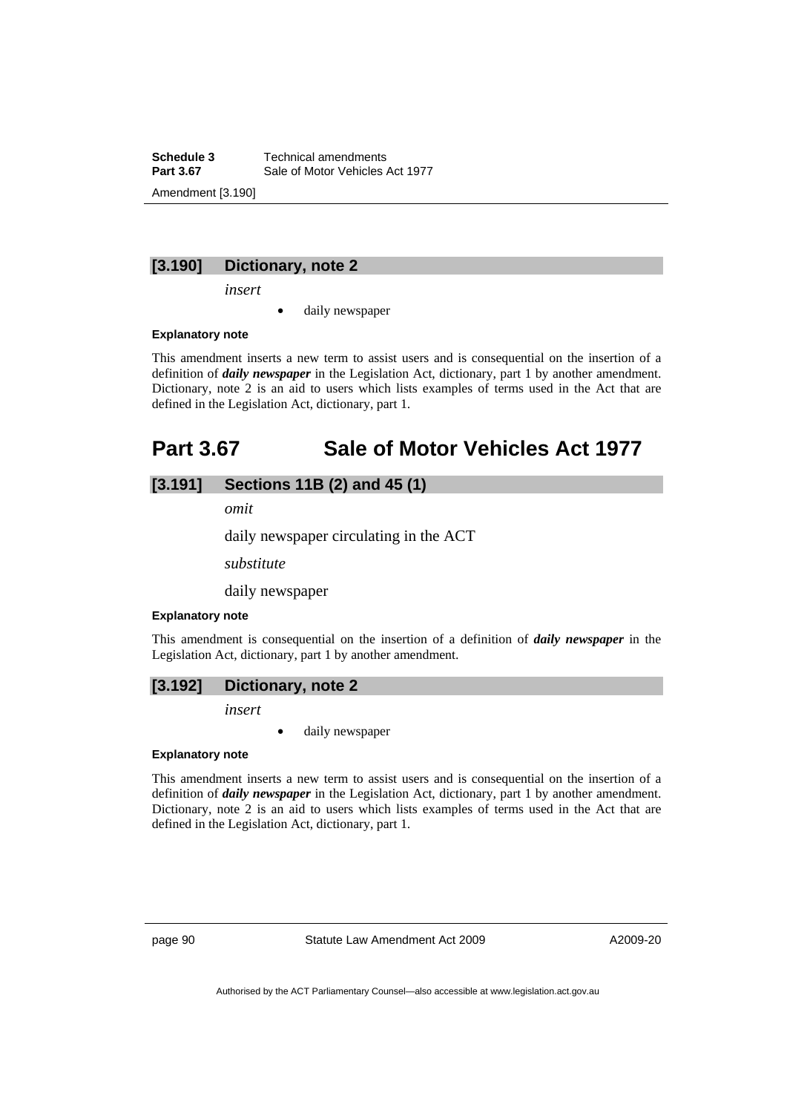**Schedule 3 Technical amendments**<br>**Part 3.67 Sale of Motor Vehicles** Sale of Motor Vehicles Act 1977 Amendment [3.190]

## **[3.190] Dictionary, note 2**

*insert* 

daily newspaper

## **Explanatory note**

This amendment inserts a new term to assist users and is consequential on the insertion of a definition of *daily newspaper* in the Legislation Act, dictionary, part 1 by another amendment. Dictionary, note 2 is an aid to users which lists examples of terms used in the Act that are defined in the Legislation Act, dictionary, part 1.

# **Part 3.67 Sale of Motor Vehicles Act 1977**

# **[3.191] Sections 11B (2) and 45 (1)**

*omit* 

daily newspaper circulating in the ACT

*substitute* 

daily newspaper

#### **Explanatory note**

This amendment is consequential on the insertion of a definition of *daily newspaper* in the Legislation Act, dictionary, part 1 by another amendment.

## **[3.192] Dictionary, note 2**

*insert* 

daily newspaper

#### **Explanatory note**

This amendment inserts a new term to assist users and is consequential on the insertion of a definition of *daily newspaper* in the Legislation Act, dictionary, part 1 by another amendment. Dictionary, note 2 is an aid to users which lists examples of terms used in the Act that are defined in the Legislation Act, dictionary, part 1.

page 90 Statute Law Amendment Act 2009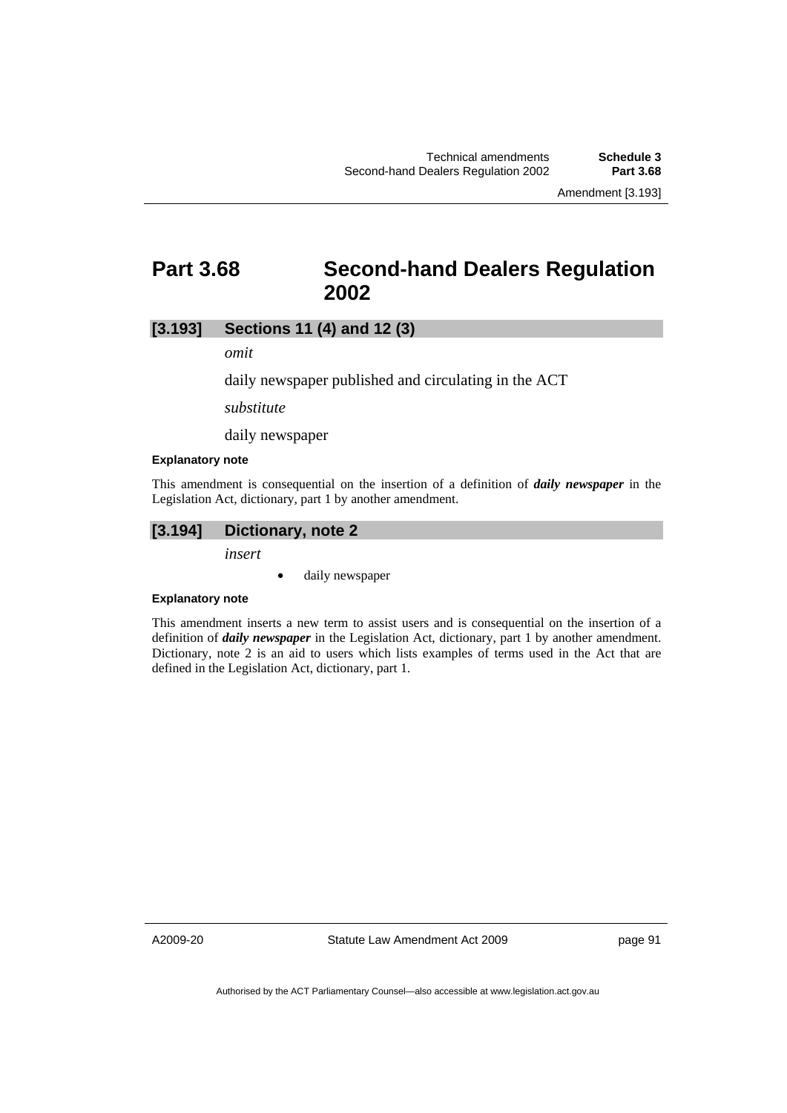Amendment [3.193]

# **Part 3.68 Second-hand Dealers Regulation 2002**

# **[3.193] Sections 11 (4) and 12 (3)**

*omit* 

daily newspaper published and circulating in the ACT

*substitute* 

daily newspaper

#### **Explanatory note**

This amendment is consequential on the insertion of a definition of *daily newspaper* in the Legislation Act, dictionary, part 1 by another amendment.

# **[3.194] Dictionary, note 2**

*insert* 

• daily newspaper

## **Explanatory note**

This amendment inserts a new term to assist users and is consequential on the insertion of a definition of *daily newspaper* in the Legislation Act, dictionary, part 1 by another amendment. Dictionary, note 2 is an aid to users which lists examples of terms used in the Act that are defined in the Legislation Act, dictionary, part 1.

A2009-20

Statute Law Amendment Act 2009

page 91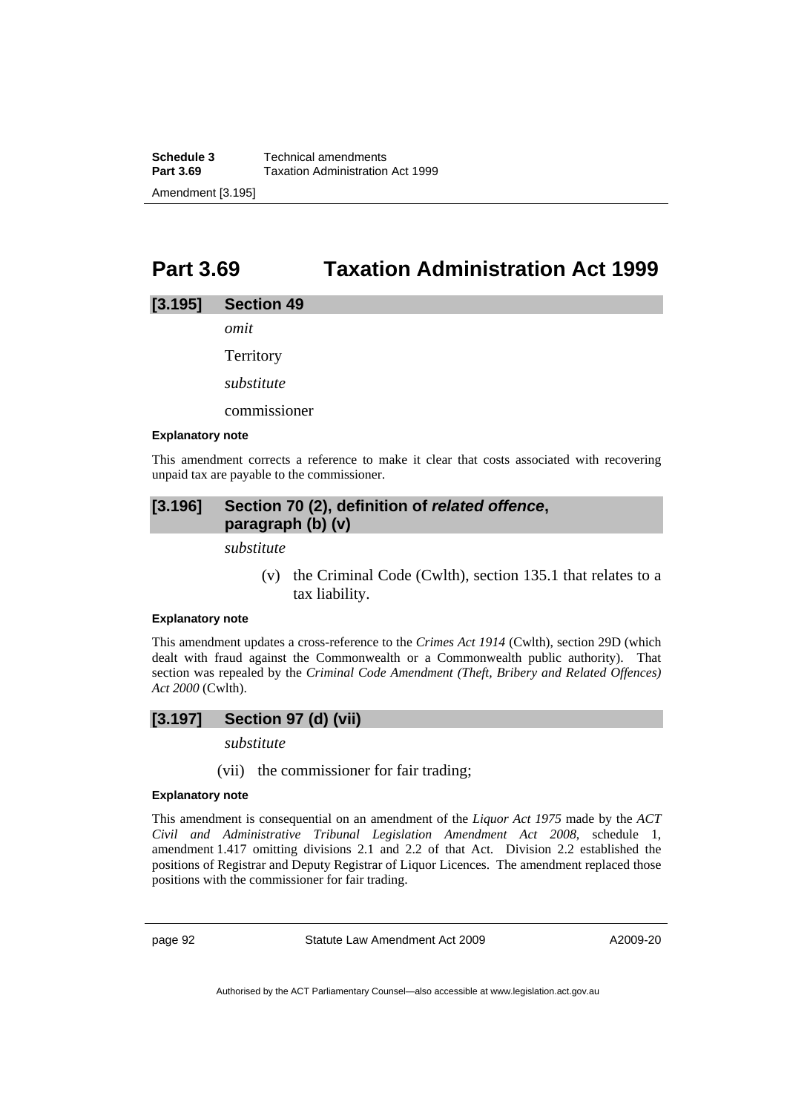# **Part 3.69 Taxation Administration Act 1999**

## **[3.195] Section 49**

*omit* 

**Territory** 

*substitute* 

commissioner

#### **Explanatory note**

This amendment corrects a reference to make it clear that costs associated with recovering unpaid tax are payable to the commissioner.

# **[3.196] Section 70 (2), definition of** *related offence***, paragraph (b) (v)**

*substitute* 

 (v) the Criminal Code (Cwlth), section 135.1 that relates to a tax liability.

### **Explanatory note**

This amendment updates a cross-reference to the *Crimes Act 1914* (Cwlth), section 29D (which dealt with fraud against the Commonwealth or a Commonwealth public authority). That section was repealed by the *Criminal Code Amendment (Theft, Bribery and Related Offences) Act 2000* (Cwlth).

## **[3.197] Section 97 (d) (vii)**

*substitute* 

(vii) the commissioner for fair trading;

## **Explanatory note**

This amendment is consequential on an amendment of the *Liquor Act 1975* made by the *ACT Civil and Administrative Tribunal Legislation Amendment Act 2008*, schedule 1, amendment 1.417 omitting divisions 2.1 and 2.2 of that Act. Division 2.2 established the positions of Registrar and Deputy Registrar of Liquor Licences. The amendment replaced those positions with the commissioner for fair trading.

page 92 Statute Law Amendment Act 2009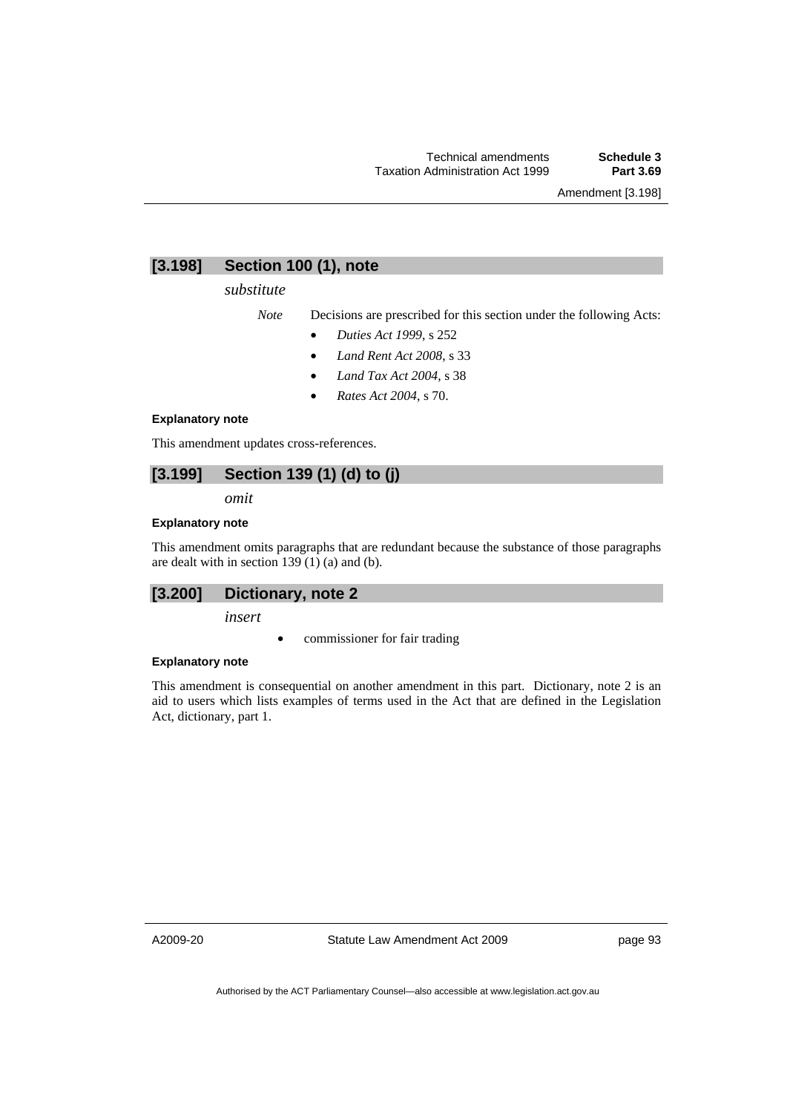Amendment [3.198]

# **[3.198] Section 100 (1), note**

## *substitute*

*Note* Decisions are prescribed for this section under the following Acts:

- *Duties Act 1999*, s 252
- *Land Rent Act 2008*, s 33
- *Land Tax Act 2004*, s 38
- *Rates Act 2004*, s 70.

### **Explanatory note**

This amendment updates cross-references.

# **[3.199] Section 139 (1) (d) to (j)**

*omit* 

### **Explanatory note**

This amendment omits paragraphs that are redundant because the substance of those paragraphs are dealt with in section  $139(1)$  (a) and (b).

## **[3.200] Dictionary, note 2**

*insert* 

• commissioner for fair trading

#### **Explanatory note**

This amendment is consequential on another amendment in this part. Dictionary, note 2 is an aid to users which lists examples of terms used in the Act that are defined in the Legislation Act, dictionary, part 1.

A2009-20

Statute Law Amendment Act 2009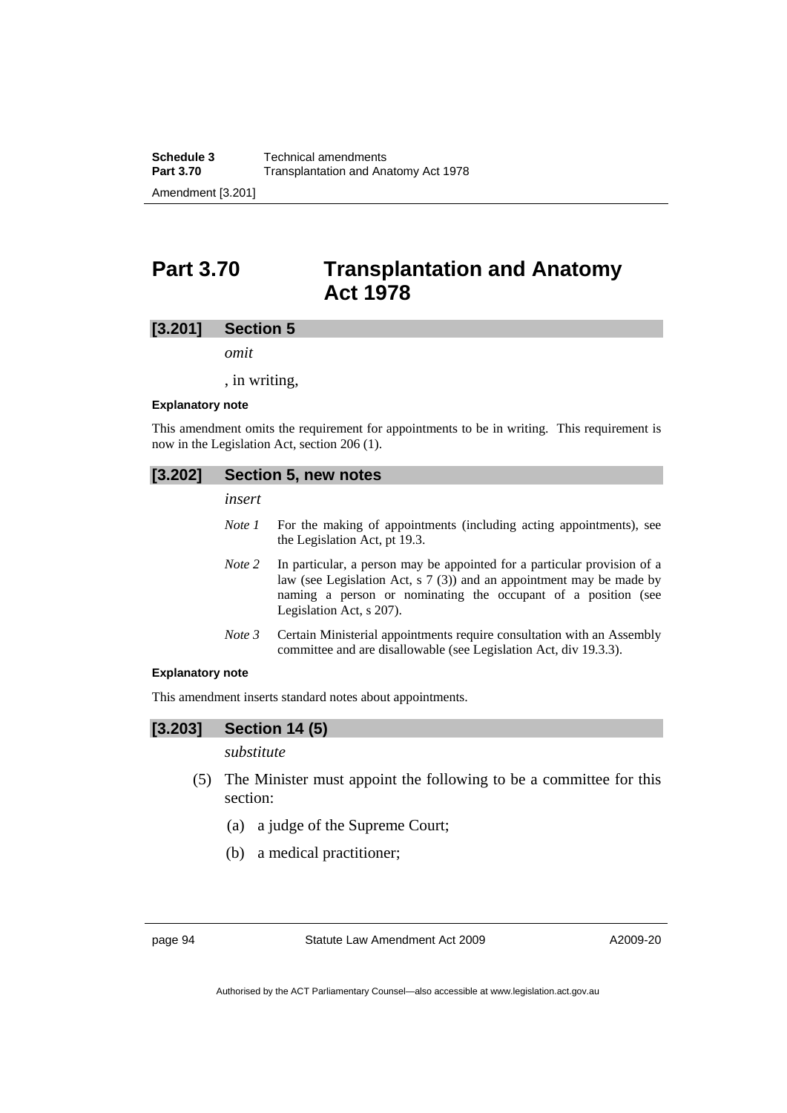# **Part 3.70 Transplantation and Anatomy Act 1978**

## **[3.201] Section 5**

*omit* 

, in writing,

#### **Explanatory note**

This amendment omits the requirement for appointments to be in writing. This requirement is now in the Legislation Act, section 206 (1).

## **[3.202] Section 5, new notes**

*insert* 

- *Note 1* For the making of appointments (including acting appointments), see the Legislation Act, pt 19.3.
- *Note 2* In particular, a person may be appointed for a particular provision of a law (see Legislation Act, s 7 (3)) and an appointment may be made by naming a person or nominating the occupant of a position (see Legislation Act, s 207).
- *Note 3* Certain Ministerial appointments require consultation with an Assembly committee and are disallowable (see Legislation Act, div 19.3.3).

## **Explanatory note**

This amendment inserts standard notes about appointments.

## **[3.203] Section 14 (5)**

## *substitute*

- (5) The Minister must appoint the following to be a committee for this section:
	- (a) a judge of the Supreme Court;
	- (b) a medical practitioner;

page 94 Statute Law Amendment Act 2009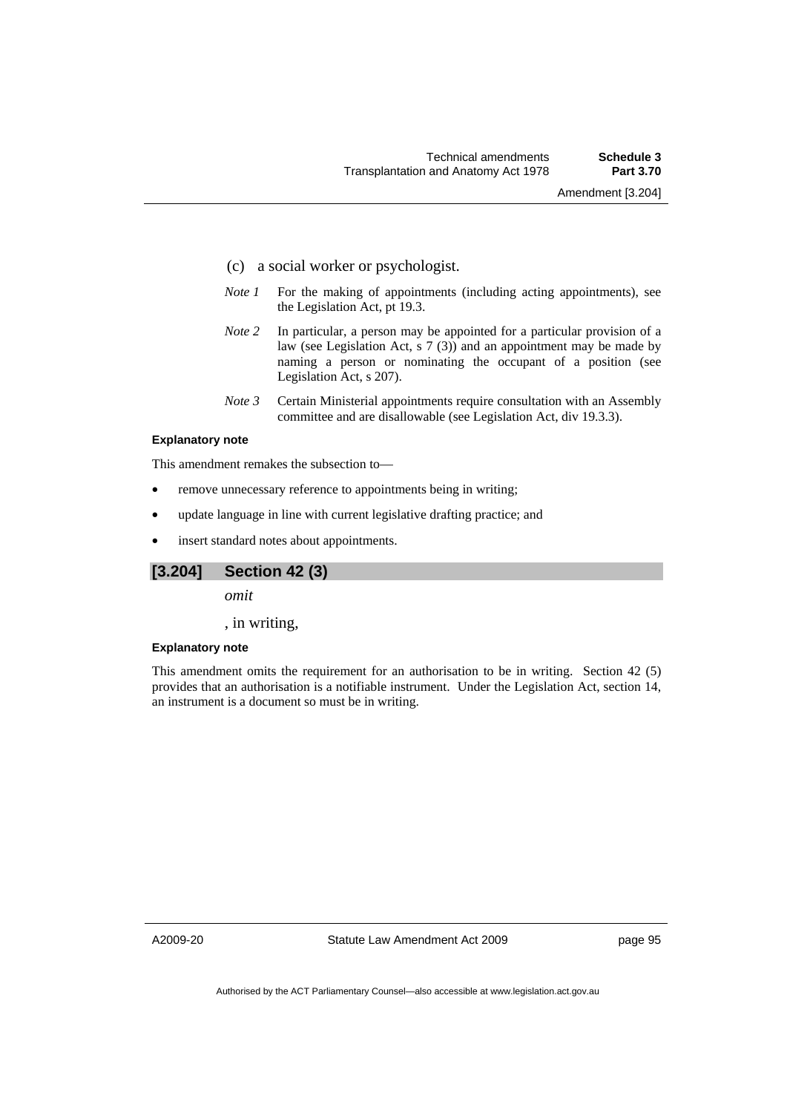- (c) a social worker or psychologist.
- *Note 1* For the making of appointments (including acting appointments), see the Legislation Act, pt 19.3.
- *Note 2* In particular, a person may be appointed for a particular provision of a law (see Legislation Act, s 7 (3)) and an appointment may be made by naming a person or nominating the occupant of a position (see Legislation Act, s 207).
- *Note 3* Certain Ministerial appointments require consultation with an Assembly committee and are disallowable (see Legislation Act, div 19.3.3).

## **Explanatory note**

This amendment remakes the subsection to—

- remove unnecessary reference to appointments being in writing;
- update language in line with current legislative drafting practice; and
- insert standard notes about appointments.

## **[3.204] Section 42 (3)**

*omit* 

, in writing,

#### **Explanatory note**

This amendment omits the requirement for an authorisation to be in writing. Section 42 (5) provides that an authorisation is a notifiable instrument. Under the Legislation Act, section 14, an instrument is a document so must be in writing.

A2009-20

Statute Law Amendment Act 2009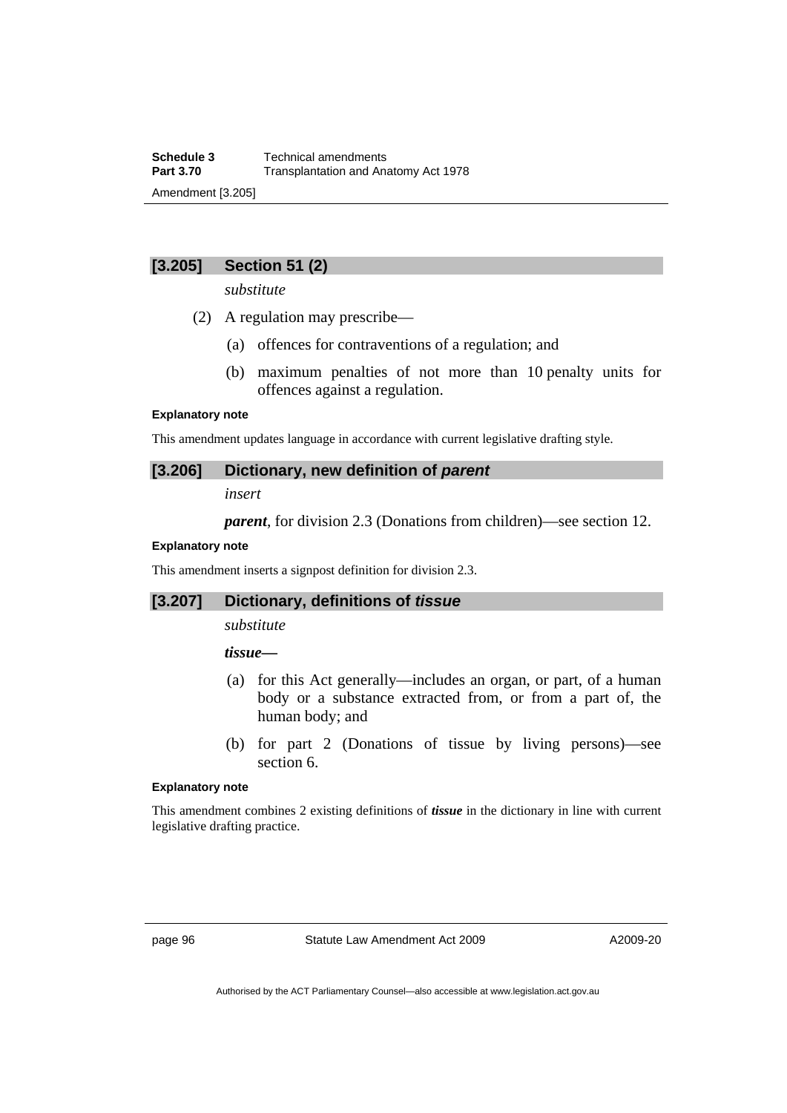# **[3.205] Section 51 (2)**

*substitute* 

- (2) A regulation may prescribe—
	- (a) offences for contraventions of a regulation; and
	- (b) maximum penalties of not more than 10 penalty units for offences against a regulation.

## **Explanatory note**

This amendment updates language in accordance with current legislative drafting style.

## **[3.206] Dictionary, new definition of** *parent*

*insert* 

*parent*, for division 2.3 (Donations from children)—see section 12.

### **Explanatory note**

This amendment inserts a signpost definition for division 2.3.

# **[3.207] Dictionary, definitions of** *tissue*

*substitute* 

## *tissue—*

- (a) for this Act generally—includes an organ, or part, of a human body or a substance extracted from, or from a part of, the human body; and
- (b) for part 2 (Donations of tissue by living persons)—see section 6.

### **Explanatory note**

This amendment combines 2 existing definitions of *tissue* in the dictionary in line with current legislative drafting practice.

page 96 Statute Law Amendment Act 2009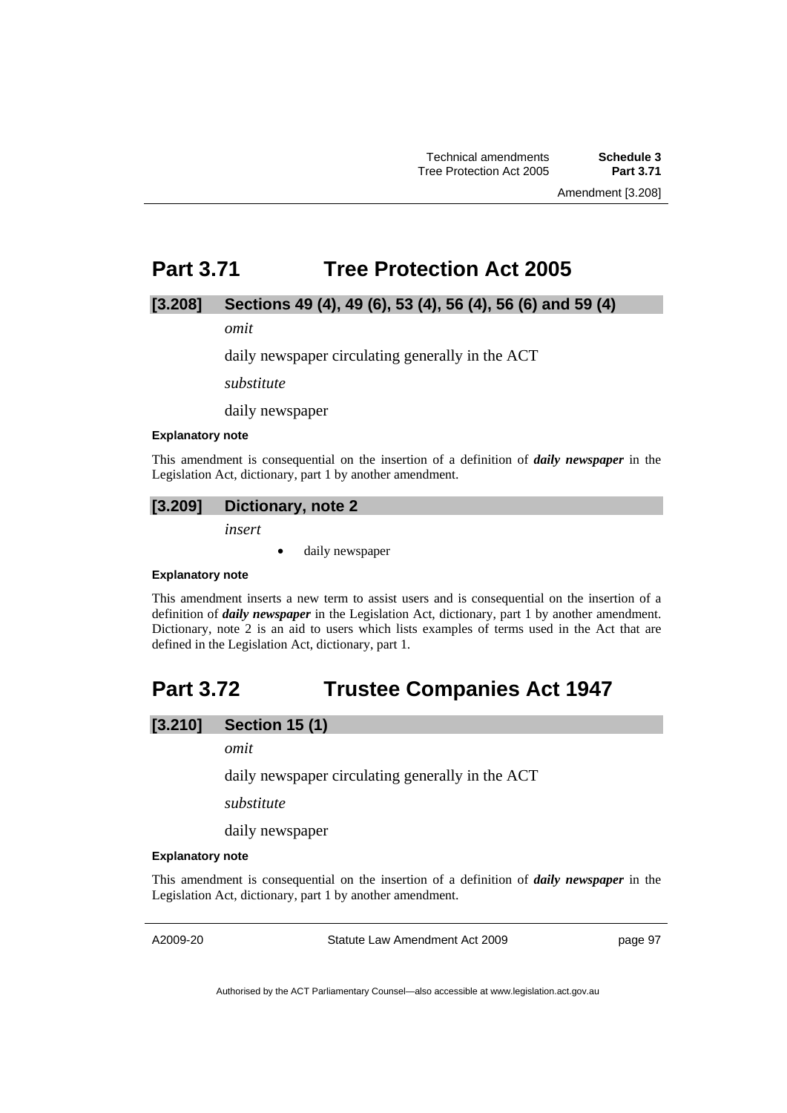# **Part 3.71 Tree Protection Act 2005**

## **[3.208] Sections 49 (4), 49 (6), 53 (4), 56 (4), 56 (6) and 59 (4)**

*omit* 

daily newspaper circulating generally in the ACT

*substitute* 

daily newspaper

#### **Explanatory note**

This amendment is consequential on the insertion of a definition of *daily newspaper* in the Legislation Act, dictionary, part 1 by another amendment.

## **[3.209] Dictionary, note 2**

*insert* 

daily newspaper

#### **Explanatory note**

This amendment inserts a new term to assist users and is consequential on the insertion of a definition of *daily newspaper* in the Legislation Act, dictionary, part 1 by another amendment. Dictionary, note 2 is an aid to users which lists examples of terms used in the Act that are defined in the Legislation Act, dictionary, part 1.

# **Part 3.72 Trustee Companies Act 1947**

## **[3.210] Section 15 (1)**

*omit* 

daily newspaper circulating generally in the ACT

*substitute* 

daily newspaper

## **Explanatory note**

This amendment is consequential on the insertion of a definition of *daily newspaper* in the Legislation Act, dictionary, part 1 by another amendment.

A2009-20

Statute Law Amendment Act 2009

page 97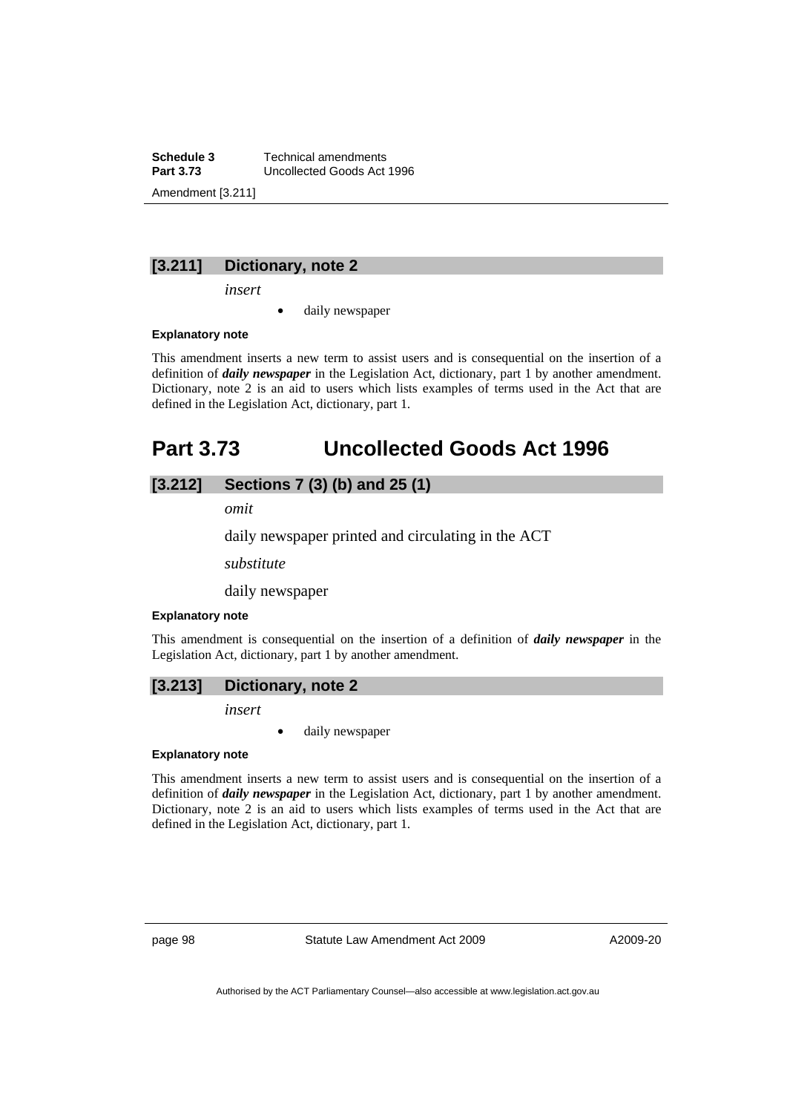**Schedule 3 Technical amendments**<br>**Part 3.73 Uncollected Goods Act Part 3.73** Uncollected Goods Act 1996 Amendment [3.211]

# **[3.211] Dictionary, note 2**

*insert* 

daily newspaper

## **Explanatory note**

This amendment inserts a new term to assist users and is consequential on the insertion of a definition of *daily newspaper* in the Legislation Act, dictionary, part 1 by another amendment. Dictionary, note 2 is an aid to users which lists examples of terms used in the Act that are defined in the Legislation Act, dictionary, part 1.

# **Part 3.73 Uncollected Goods Act 1996**

# **[3.212] Sections 7 (3) (b) and 25 (1)**

*omit* 

daily newspaper printed and circulating in the ACT

*substitute* 

daily newspaper

#### **Explanatory note**

This amendment is consequential on the insertion of a definition of *daily newspaper* in the Legislation Act, dictionary, part 1 by another amendment.

## **[3.213] Dictionary, note 2**

*insert* 

daily newspaper

#### **Explanatory note**

This amendment inserts a new term to assist users and is consequential on the insertion of a definition of *daily newspaper* in the Legislation Act, dictionary, part 1 by another amendment. Dictionary, note 2 is an aid to users which lists examples of terms used in the Act that are defined in the Legislation Act, dictionary, part 1.

page 98 Statute Law Amendment Act 2009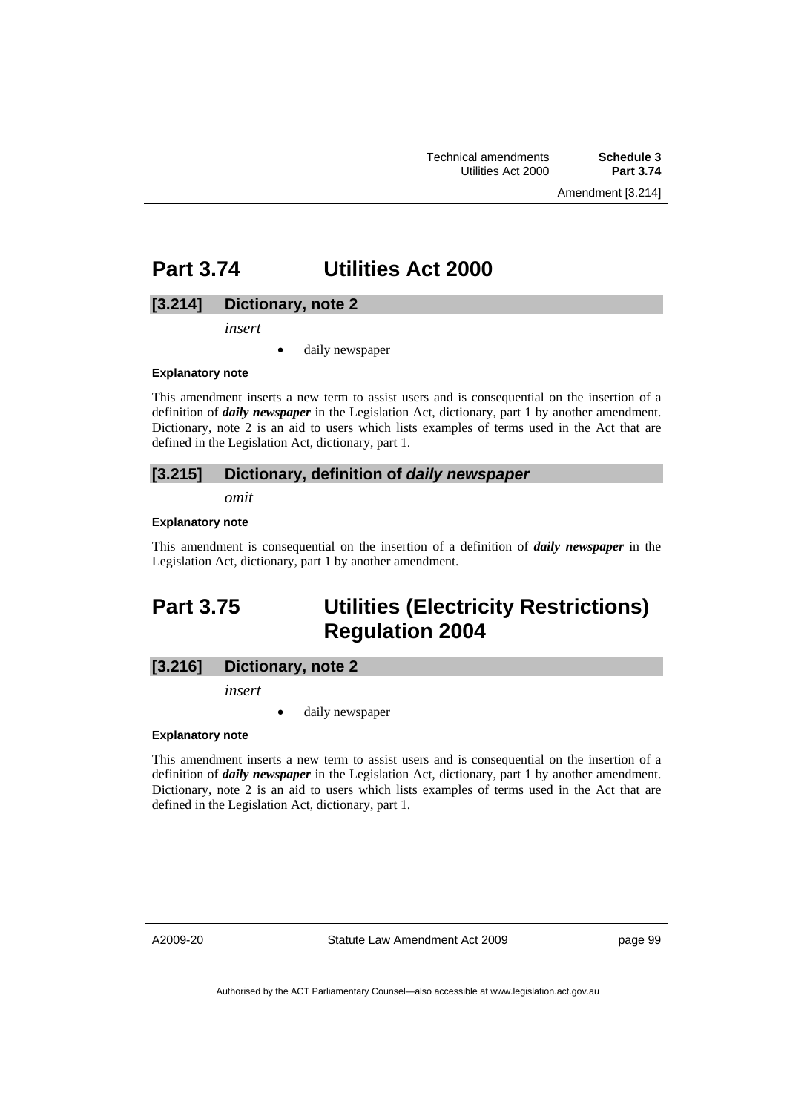Amendment [3.214]

# **Part 3.74 Utilities Act 2000**

# **[3.214] Dictionary, note 2**

*insert* 

daily newspaper

#### **Explanatory note**

This amendment inserts a new term to assist users and is consequential on the insertion of a definition of *daily newspaper* in the Legislation Act, dictionary, part 1 by another amendment. Dictionary, note 2 is an aid to users which lists examples of terms used in the Act that are defined in the Legislation Act, dictionary, part 1.

## **[3.215] Dictionary, definition of** *daily newspaper*

*omit* 

## **Explanatory note**

This amendment is consequential on the insertion of a definition of *daily newspaper* in the Legislation Act, dictionary, part 1 by another amendment.

# **Part 3.75 Utilities (Electricity Restrictions) Regulation 2004**

## **[3.216] Dictionary, note 2**

*insert* 

daily newspaper

## **Explanatory note**

This amendment inserts a new term to assist users and is consequential on the insertion of a definition of *daily newspaper* in the Legislation Act, dictionary, part 1 by another amendment. Dictionary, note 2 is an aid to users which lists examples of terms used in the Act that are defined in the Legislation Act, dictionary, part 1.

A2009-20

Statute Law Amendment Act 2009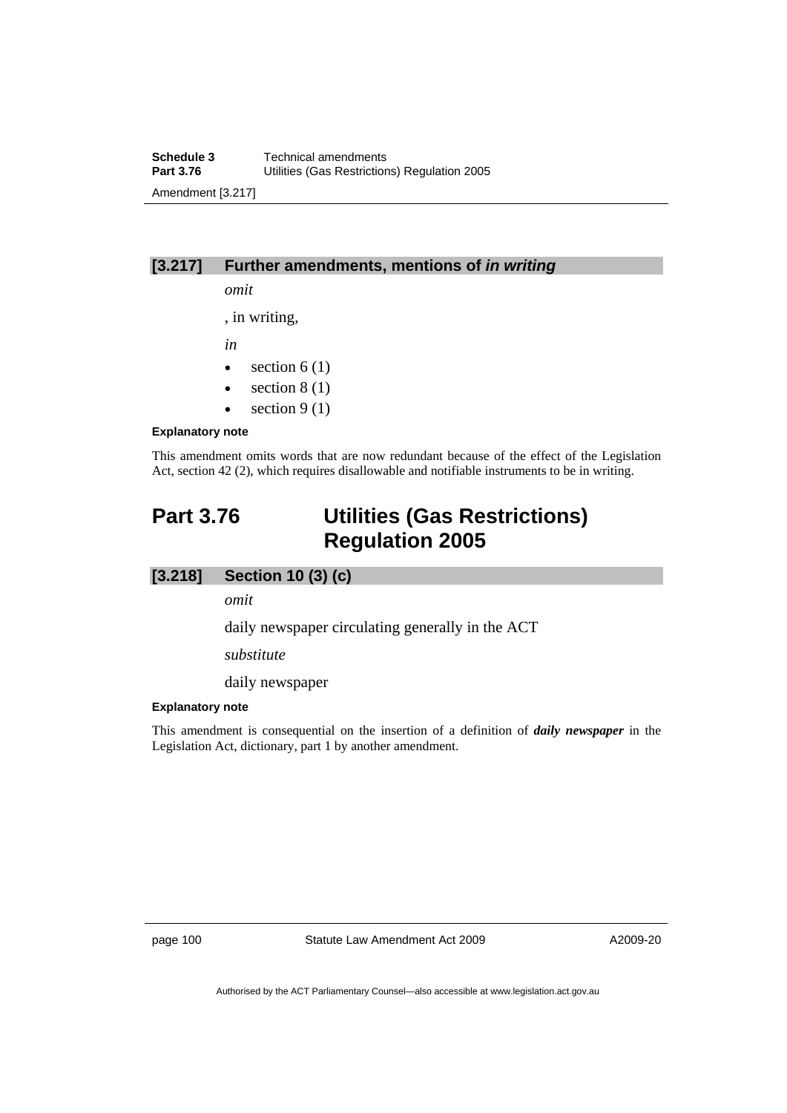# **[3.217] Further amendments, mentions of** *in writing*

*omit* 

, in writing,

*in* 

- section  $6(1)$
- section  $8(1)$
- section  $9(1)$

## **Explanatory note**

This amendment omits words that are now redundant because of the effect of the Legislation Act, section 42 (2), which requires disallowable and notifiable instruments to be in writing.

# **Part 3.76 Utilities (Gas Restrictions) Regulation 2005**

# **[3.218] Section 10 (3) (c)**

*omit* 

daily newspaper circulating generally in the ACT

*substitute* 

daily newspaper

## **Explanatory note**

This amendment is consequential on the insertion of a definition of *daily newspaper* in the Legislation Act, dictionary, part 1 by another amendment.

page 100 Statute Law Amendment Act 2009

A2009-20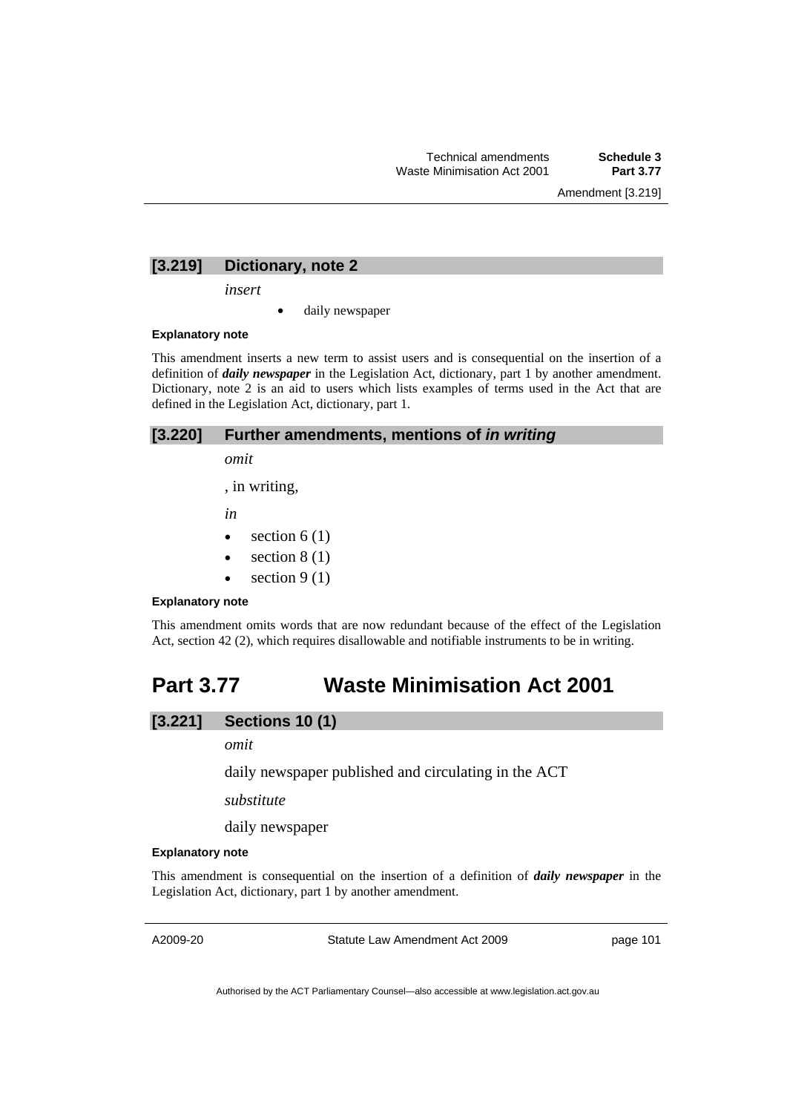Amendment [3.219]

## **[3.219] Dictionary, note 2**

*insert* 

daily newspaper

## **Explanatory note**

This amendment inserts a new term to assist users and is consequential on the insertion of a definition of *daily newspaper* in the Legislation Act, dictionary, part 1 by another amendment. Dictionary, note 2 is an aid to users which lists examples of terms used in the Act that are defined in the Legislation Act, dictionary, part 1.

## **[3.220] Further amendments, mentions of** *in writing*

*omit* 

, in writing,

*in* 

- section  $6(1)$
- section  $8(1)$
- section  $9(1)$

### **Explanatory note**

This amendment omits words that are now redundant because of the effect of the Legislation Act, section 42 (2), which requires disallowable and notifiable instruments to be in writing.

# **Part 3.77 Waste Minimisation Act 2001**

## **[3.221] Sections 10 (1)**

## *omit*

daily newspaper published and circulating in the ACT

*substitute* 

daily newspaper

#### **Explanatory note**

This amendment is consequential on the insertion of a definition of *daily newspaper* in the Legislation Act, dictionary, part 1 by another amendment.

A2009-20

Statute Law Amendment Act 2009

page 101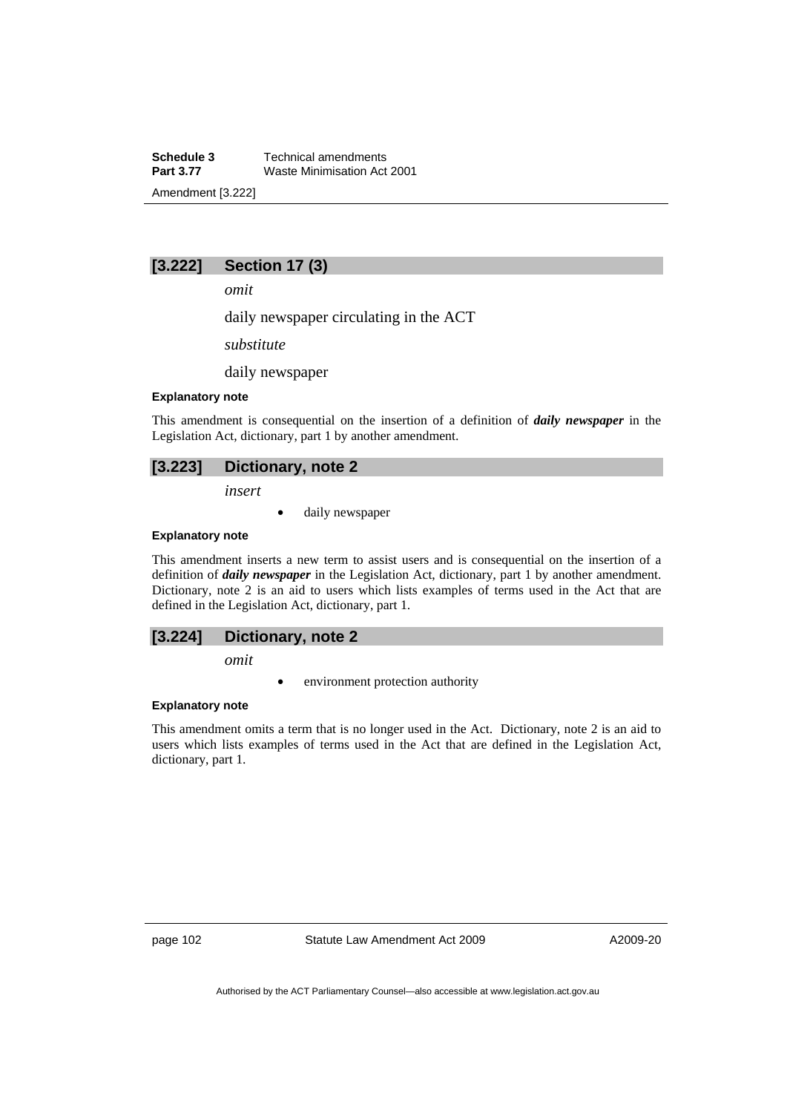**Schedule 3 Technical amendments**<br>**Part 3.77 Waste Minimisation Act Waste Minimisation Act 2001** Amendment [3.222]

# **[3.222] Section 17 (3)**

*omit* 

daily newspaper circulating in the ACT

*substitute* 

daily newspaper

## **Explanatory note**

This amendment is consequential on the insertion of a definition of *daily newspaper* in the Legislation Act, dictionary, part 1 by another amendment.

## **[3.223] Dictionary, note 2**

*insert* 

daily newspaper

## **Explanatory note**

This amendment inserts a new term to assist users and is consequential on the insertion of a definition of *daily newspaper* in the Legislation Act, dictionary, part 1 by another amendment. Dictionary, note 2 is an aid to users which lists examples of terms used in the Act that are defined in the Legislation Act, dictionary, part 1.

## **[3.224] Dictionary, note 2**

*omit* 

environment protection authority

## **Explanatory note**

This amendment omits a term that is no longer used in the Act. Dictionary, note 2 is an aid to users which lists examples of terms used in the Act that are defined in the Legislation Act, dictionary, part 1.

page 102 Statute Law Amendment Act 2009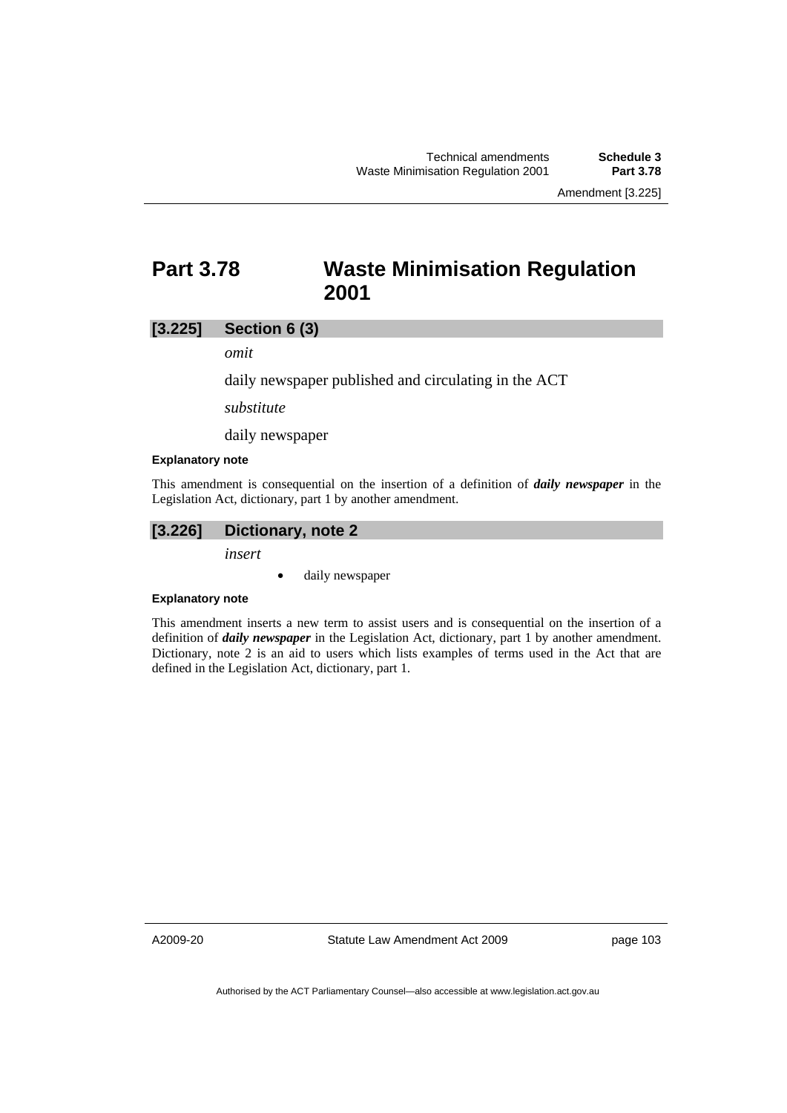# **Part 3.78 Waste Minimisation Regulation 2001**

# **[3.225] Section 6 (3)**

*omit* 

daily newspaper published and circulating in the ACT

*substitute* 

daily newspaper

#### **Explanatory note**

This amendment is consequential on the insertion of a definition of *daily newspaper* in the Legislation Act, dictionary, part 1 by another amendment.

## **[3.226] Dictionary, note 2**

*insert* 

• daily newspaper

## **Explanatory note**

This amendment inserts a new term to assist users and is consequential on the insertion of a definition of *daily newspaper* in the Legislation Act, dictionary, part 1 by another amendment. Dictionary, note 2 is an aid to users which lists examples of terms used in the Act that are defined in the Legislation Act, dictionary, part 1.

A2009-20

Statute Law Amendment Act 2009

page 103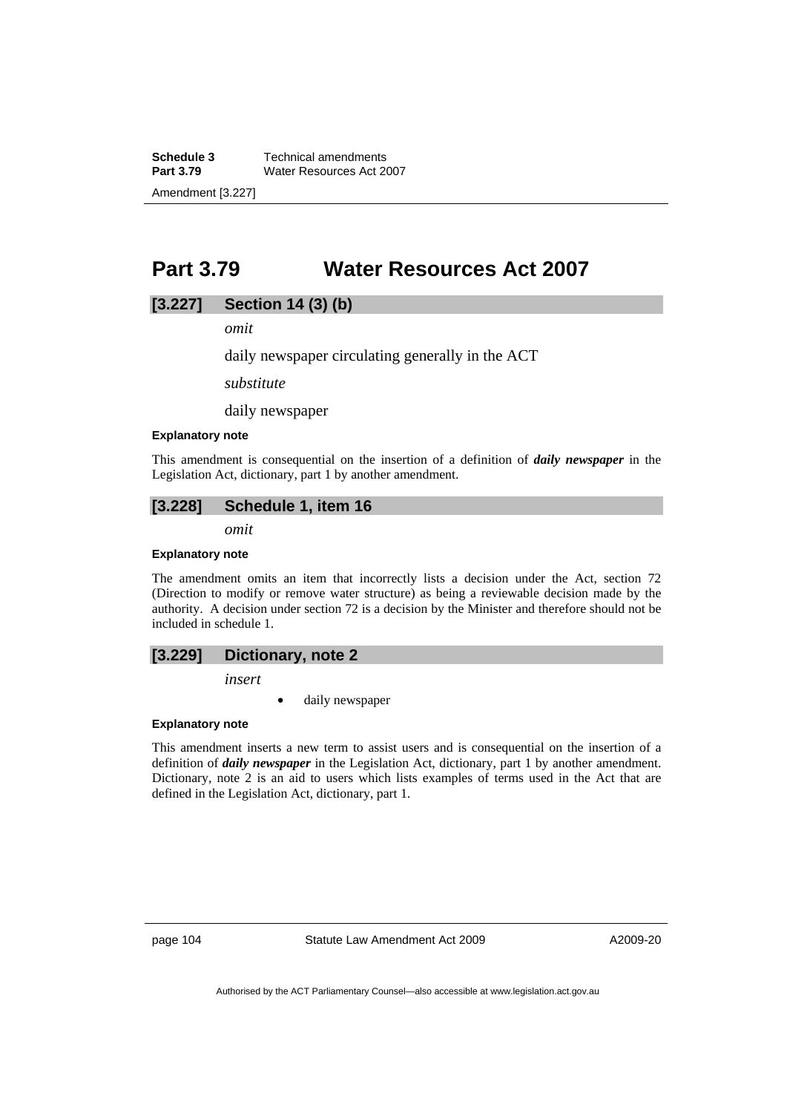**Schedule 3 Technical amendments**<br>**Part 3.79 Water Resources Act 20 Water Resources Act 2007** Amendment [3.227]

# **Part 3.79 Water Resources Act 2007**

### **[3.227] Section 14 (3) (b)**

*omit* 

daily newspaper circulating generally in the ACT

*substitute* 

daily newspaper

#### **Explanatory note**

This amendment is consequential on the insertion of a definition of *daily newspaper* in the Legislation Act, dictionary, part 1 by another amendment.

## **[3.228] Schedule 1, item 16**

*omit* 

#### **Explanatory note**

The amendment omits an item that incorrectly lists a decision under the Act, section 72 (Direction to modify or remove water structure) as being a reviewable decision made by the authority. A decision under section 72 is a decision by the Minister and therefore should not be included in schedule 1.

#### **[3.229] Dictionary, note 2**

*insert* 

daily newspaper

#### **Explanatory note**

This amendment inserts a new term to assist users and is consequential on the insertion of a definition of *daily newspaper* in the Legislation Act, dictionary, part 1 by another amendment. Dictionary, note 2 is an aid to users which lists examples of terms used in the Act that are defined in the Legislation Act, dictionary, part 1.

page 104 Statute Law Amendment Act 2009

A2009-20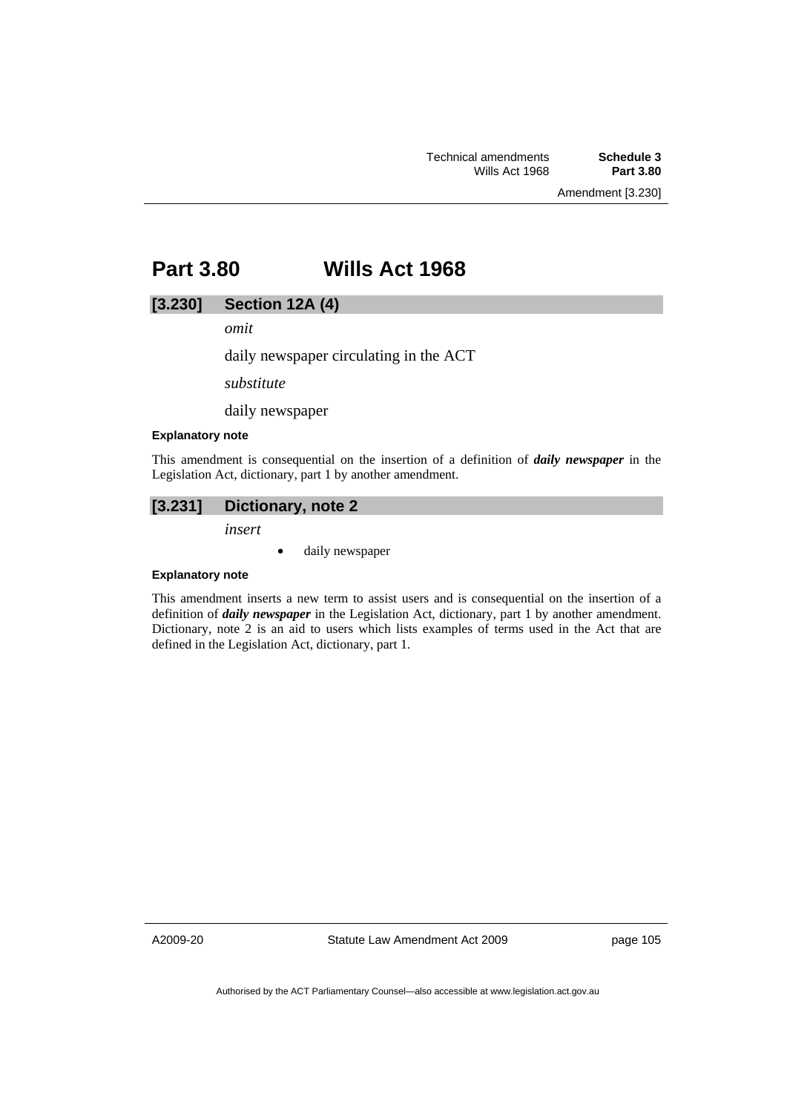# **Part 3.80 Wills Act 1968**

## **[3.230] Section 12A (4)**

*omit* 

daily newspaper circulating in the ACT

*substitute* 

daily newspaper

#### **Explanatory note**

This amendment is consequential on the insertion of a definition of *daily newspaper* in the Legislation Act, dictionary, part 1 by another amendment.

## **[3.231] Dictionary, note 2**

*insert* 

• daily newspaper

#### **Explanatory note**

This amendment inserts a new term to assist users and is consequential on the insertion of a definition of *daily newspaper* in the Legislation Act, dictionary, part 1 by another amendment. Dictionary, note 2 is an aid to users which lists examples of terms used in the Act that are defined in the Legislation Act, dictionary, part 1.

A2009-20

Statute Law Amendment Act 2009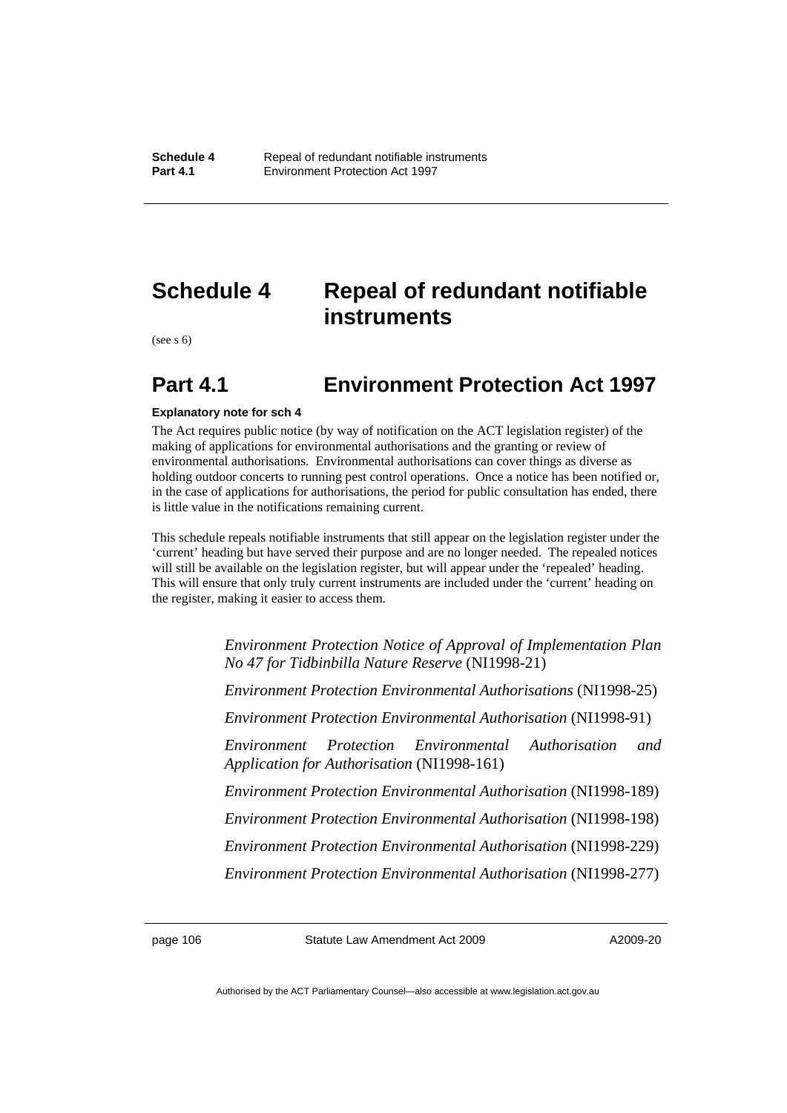# **Schedule 4 Repeal of redundant notifiable instruments**

(see s 6)

# **Part 4.1 Environment Protection Act 1997**

#### **Explanatory note for sch 4**

The Act requires public notice (by way of notification on the ACT legislation register) of the making of applications for environmental authorisations and the granting or review of environmental authorisations. Environmental authorisations can cover things as diverse as holding outdoor concerts to running pest control operations. Once a notice has been notified or, in the case of applications for authorisations, the period for public consultation has ended, there is little value in the notifications remaining current.

This schedule repeals notifiable instruments that still appear on the legislation register under the 'current' heading but have served their purpose and are no longer needed. The repealed notices will still be available on the legislation register, but will appear under the 'repealed' heading. This will ensure that only truly current instruments are included under the 'current' heading on the register, making it easier to access them.

> *Environment Protection Notice of Approval of Implementation Plan No 47 for Tidbinbilla Nature Reserve* (NI1998-21)

> *Environment Protection Environmental Authorisations* (NI1998-25)

*Environment Protection Environmental Authorisation* (NI1998-91)

*Environment Protection Environmental Authorisation and Application for Authorisation* (NI1998-161)

*Environment Protection Environmental Authorisation* (NI1998-189)

*Environment Protection Environmental Authorisation* (NI1998-198)

*Environment Protection Environmental Authorisation* (NI1998-229)

*Environment Protection Environmental Authorisation* (NI1998-277)

page 106 Statute Law Amendment Act 2009

A2009-20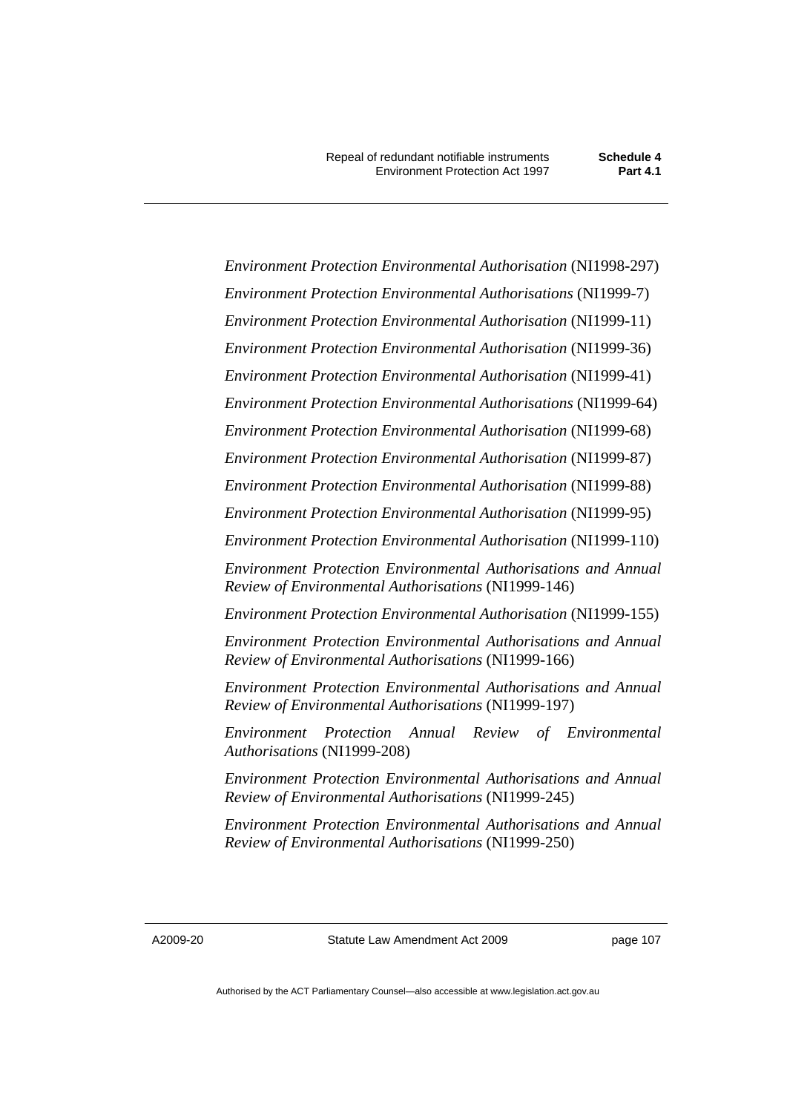*Environment Protection Environmental Authorisation* (NI1998-297) *Environment Protection Environmental Authorisations* (NI1999-7) *Environment Protection Environmental Authorisation* (NI1999-11) *Environment Protection Environmental Authorisation* (NI1999-36) *Environment Protection Environmental Authorisation* (NI1999-41) *Environment Protection Environmental Authorisations* (NI1999-64) *Environment Protection Environmental Authorisation* (NI1999-68) *Environment Protection Environmental Authorisation* (NI1999-87) *Environment Protection Environmental Authorisation* (NI1999-88) *Environment Protection Environmental Authorisation* (NI1999-95) *Environment Protection Environmental Authorisation* (NI1999-110) *Environment Protection Environmental Authorisations and Annual Review of Environmental Authorisations* (NI1999-146) *Environment Protection Environmental Authorisation* (NI1999-155) *Environment Protection Environmental Authorisations and Annual Review of Environmental Authorisations* (NI1999-166) *Environment Protection Environmental Authorisations and Annual Review of Environmental Authorisations* (NI1999-197) *Environment Protection Annual Review of Environmental Authorisations* (NI1999-208) *Environment Protection Environmental Authorisations and Annual Review of Environmental Authorisations* (NI1999-245) *Environment Protection Environmental Authorisations and Annual Review of Environmental Authorisations* (NI1999-250)

A2009-20

Statute Law Amendment Act 2009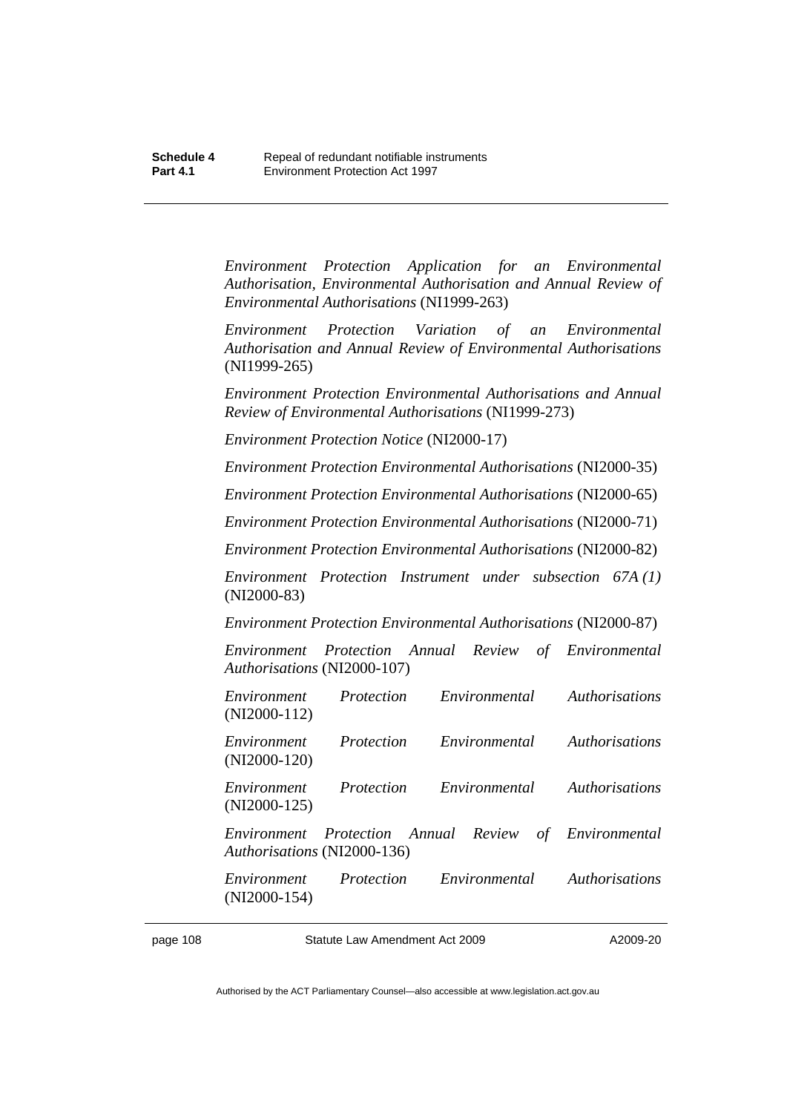*Environment Protection Application for an Environmental Authorisation, Environmental Authorisation and Annual Review of Environmental Authorisations* (NI1999-263)

*Environment Protection Variation of an Environmental Authorisation and Annual Review of Environmental Authorisations*  (NI1999-265)

*Environment Protection Environmental Authorisations and Annual Review of Environmental Authorisations* (NI1999-273)

*Environment Protection Notice* (NI2000-17)

*Environment Protection Environmental Authorisations* (NI2000-35)

*Environment Protection Environmental Authorisations* (NI2000-65)

*Environment Protection Environmental Authorisations* (NI2000-71)

*Environment Protection Environmental Authorisations* (NI2000-82)

*Environment Protection Instrument under subsection 67A (1)*  (NI2000-83)

*Environment Protection Environmental Authorisations* (NI2000-87)

*Environment Protection Annual Review of Environmental Authorisations* (NI2000-107)

| Environment<br>$(NI2000-112)$ | Protection | Environmental                        | <i>Authorisations</i> |
|-------------------------------|------------|--------------------------------------|-----------------------|
| Environment<br>$(NI2000-120)$ | Protection | Environmental                        | <i>Authorisations</i> |
| Environment<br>$(NI2000-125)$ | Protection | Environmental                        | <b>Authorisations</b> |
| Authorisations (NI2000-136)   |            | Environment Protection Annual Review | of Environmental      |
| Environment<br>$(NI2000-154)$ | Protection | Environmental                        | <b>Authorisations</b> |

page 108 Statute Law Amendment Act 2009

A2009-20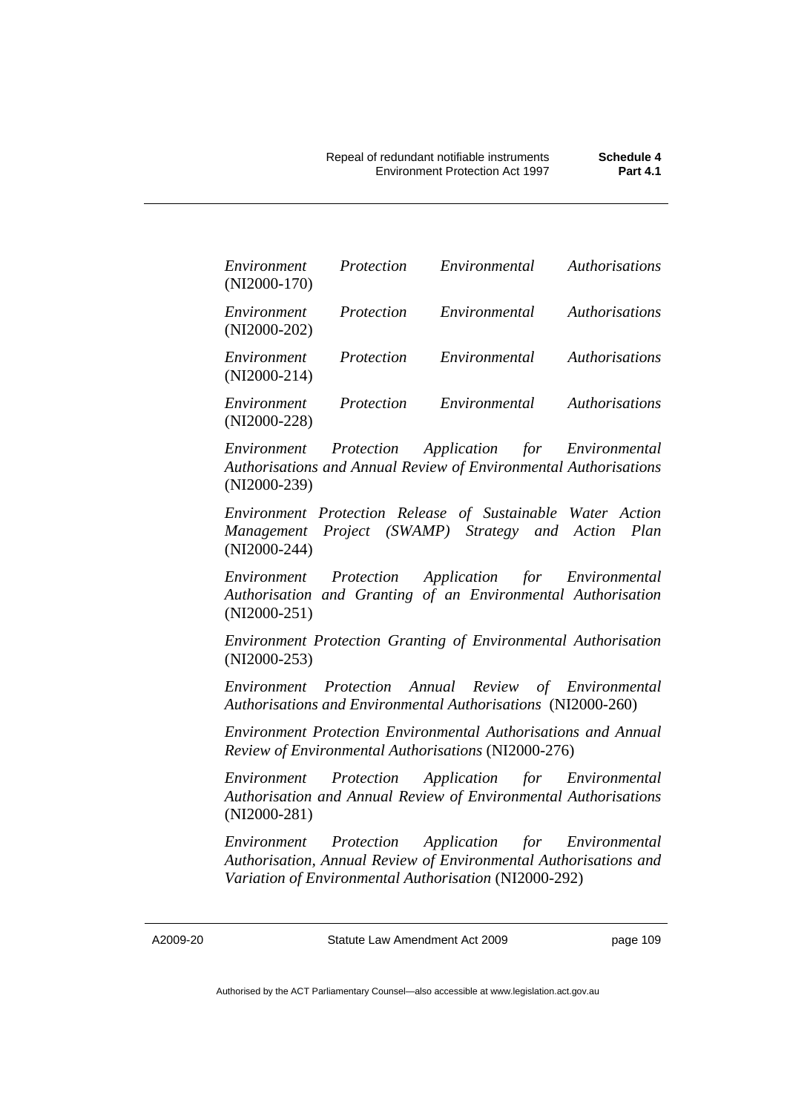| Environment<br>$(NI2000-170)$ | Protection | Environmental | <i>Authorisations</i> |
|-------------------------------|------------|---------------|-----------------------|
| Environment<br>$(NI2000-202)$ | Protection | Environmental | <i>Authorisations</i> |
| Environment<br>$(NI2000-214)$ | Protection | Environmental | <i>Authorisations</i> |
| Environment<br>$(NI2000-228)$ | Protection | Environmental | <i>Authorisations</i> |

*Environment Protection Application for Environmental Authorisations and Annual Review of Environmental Authorisations*  (NI2000-239)

*Environment Protection Release of Sustainable Water Action Management Project (SWAMP) Strategy and Action Plan*  (NI2000-244)

*Environment Protection Application for Environmental Authorisation and Granting of an Environmental Authorisation*  (NI2000-251)

*Environment Protection Granting of Environmental Authorisation*  (NI2000-253)

*Environment Protection Annual Review of Environmental Authorisations and Environmental Authorisations* (NI2000-260)

*Environment Protection Environmental Authorisations and Annual Review of Environmental Authorisations* (NI2000-276)

*Environment Protection Application for Environmental Authorisation and Annual Review of Environmental Authorisations*  (NI2000-281)

*Environment Protection Application for Environmental Authorisation, Annual Review of Environmental Authorisations and Variation of Environmental Authorisation* (NI2000-292)

A2009-20

Statute Law Amendment Act 2009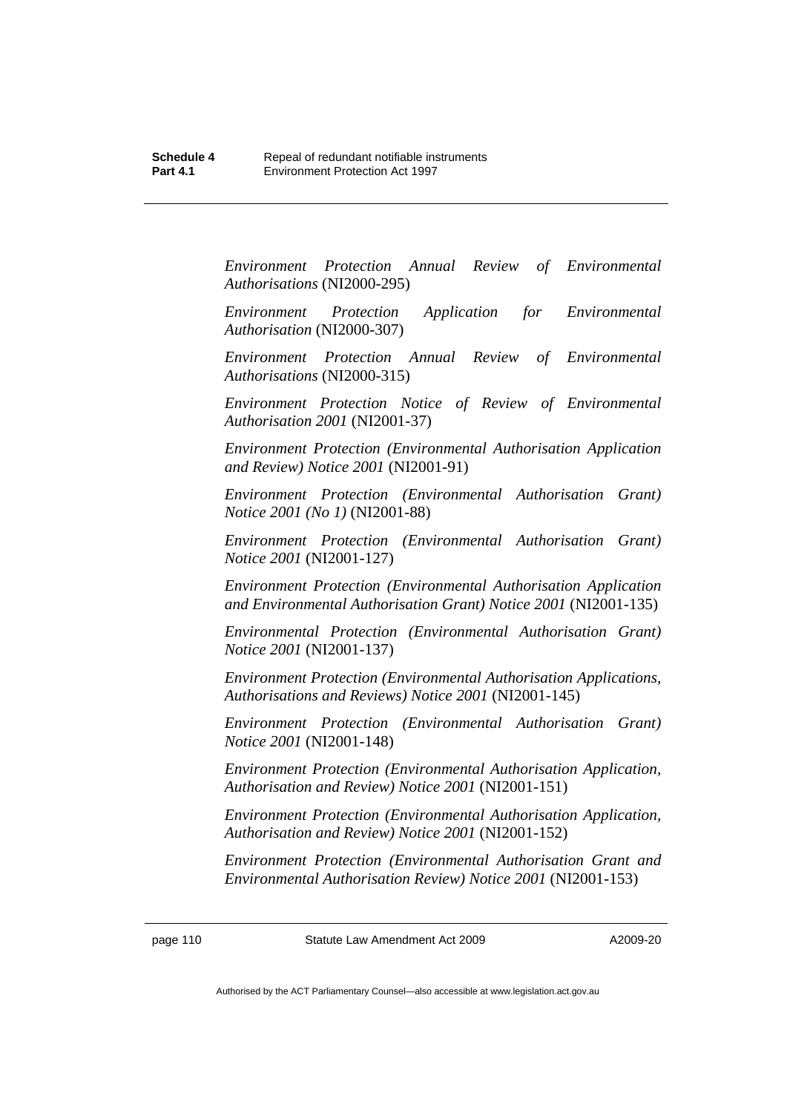*Environment Protection Annual Review of Environmental Authorisations* (NI2000-295)

*Environment Protection Application for Environmental Authorisation* (NI2000-307)

*Environment Protection Annual Review of Environmental Authorisations* (NI2000-315)

*Environment Protection Notice of Review of Environmental Authorisation 2001* (NI2001-37)

*Environment Protection (Environmental Authorisation Application and Review) Notice 2001* (NI2001-91)

*Environment Protection (Environmental Authorisation Grant) Notice 2001 (No 1)* (NI2001-88)

*Environment Protection (Environmental Authorisation Grant) Notice 2001* (NI2001-127)

*Environment Protection (Environmental Authorisation Application and Environmental Authorisation Grant) Notice 2001* (NI2001-135)

*Environmental Protection (Environmental Authorisation Grant) Notice 2001* (NI2001-137)

*Environment Protection (Environmental Authorisation Applications, Authorisations and Reviews) Notice 2001* (NI2001-145)

*Environment Protection (Environmental Authorisation Grant) Notice 2001* (NI2001-148)

*Environment Protection (Environmental Authorisation Application, Authorisation and Review) Notice 2001* (NI2001-151)

*Environment Protection (Environmental Authorisation Application, Authorisation and Review) Notice 2001* (NI2001-152)

*Environment Protection (Environmental Authorisation Grant and Environmental Authorisation Review) Notice 2001* (NI2001-153)

page 110 Statute Law Amendment Act 2009

A2009-20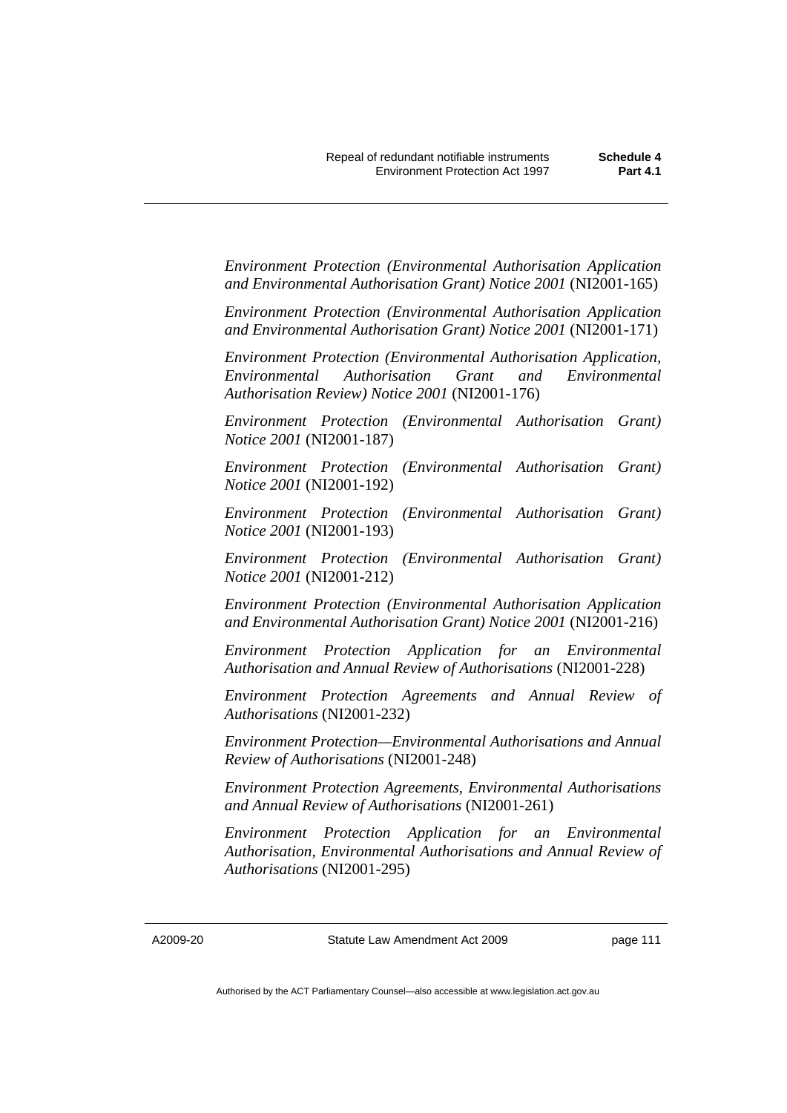*Environment Protection (Environmental Authorisation Application and Environmental Authorisation Grant) Notice 2001* (NI2001-165)

*Environment Protection (Environmental Authorisation Application and Environmental Authorisation Grant) Notice 2001* (NI2001-171)

*Environment Protection (Environmental Authorisation Application, Environmental Authorisation Grant and Environmental Authorisation Review) Notice 2001* (NI2001-176)

*Environment Protection (Environmental Authorisation Grant) Notice 2001* (NI2001-187)

*Environment Protection (Environmental Authorisation Grant) Notice 2001* (NI2001-192)

*Environment Protection (Environmental Authorisation Grant) Notice 2001* (NI2001-193)

*Environment Protection (Environmental Authorisation Grant) Notice 2001* (NI2001-212)

*Environment Protection (Environmental Authorisation Application and Environmental Authorisation Grant) Notice 2001* (NI2001-216)

*Environment Protection Application for an Environmental Authorisation and Annual Review of Authorisations* (NI2001-228)

*Environment Protection Agreements and Annual Review of Authorisations* (NI2001-232)

*Environment Protection—Environmental Authorisations and Annual Review of Authorisations* (NI2001-248)

*Environment Protection Agreements, Environmental Authorisations and Annual Review of Authorisations* (NI2001-261)

*Environment Protection Application for an Environmental Authorisation, Environmental Authorisations and Annual Review of Authorisations* (NI2001-295)

A2009-20

Statute Law Amendment Act 2009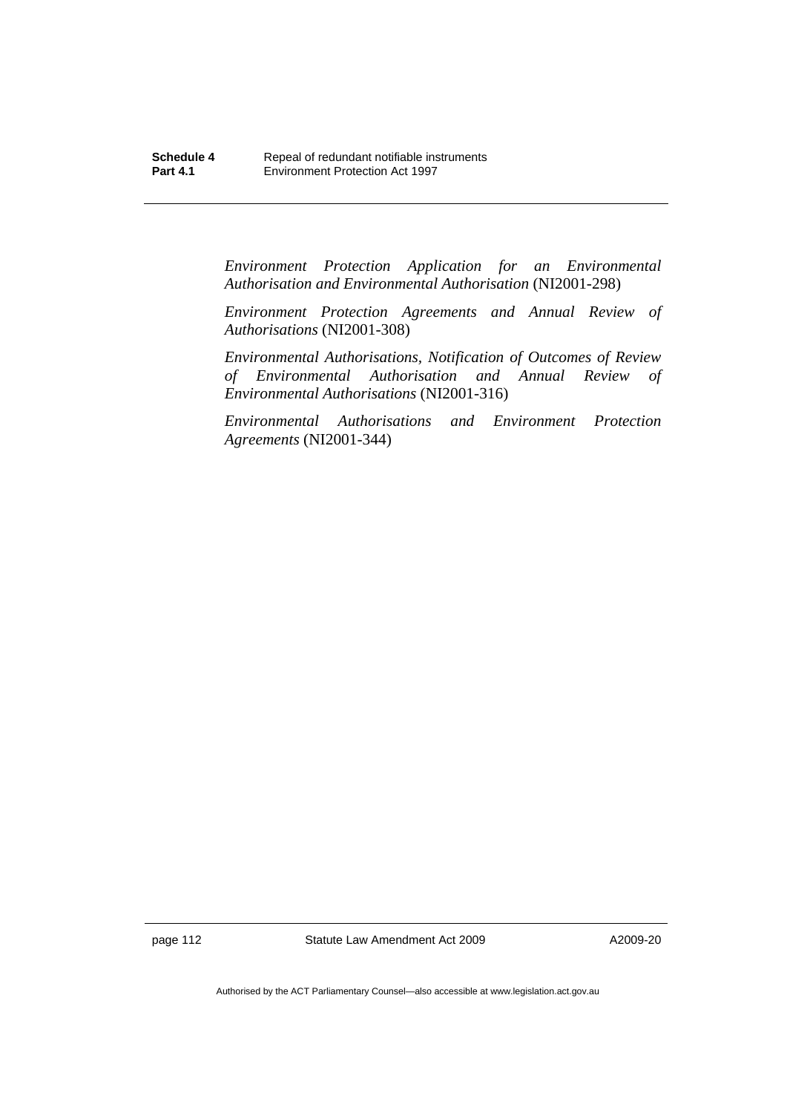*Environment Protection Application for an Environmental Authorisation and Environmental Authorisation* (NI2001-298)

*Environment Protection Agreements and Annual Review of Authorisations* (NI2001-308)

*Environmental Authorisations, Notification of Outcomes of Review of Environmental Authorisation and Annual Review of Environmental Authorisations* (NI2001-316)

*Environmental Authorisations and Environment Protection Agreements* (NI2001-344)

page 112 Statute Law Amendment Act 2009

A2009-20